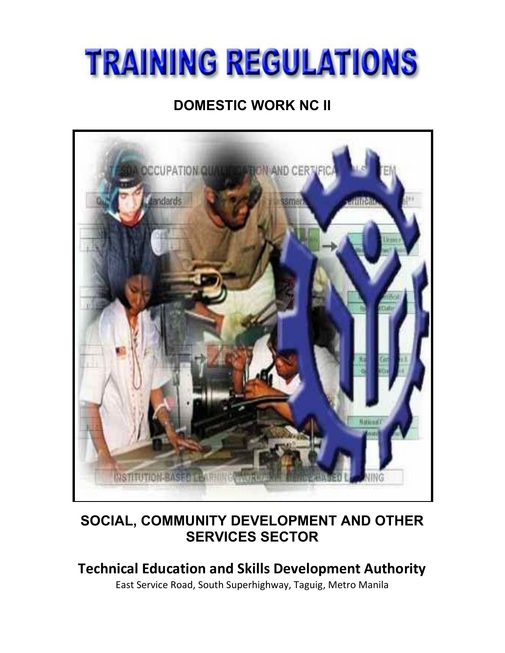# **TRAINING REGULATIONS**

# **DOMESTIC WORK NC II**



# **SOCIAL, COMMUNITY DEVELOPMENT AND OTHER SERVICES SECTOR**

# **Technical Education and Skills Development Authority**

East Service Road, South Superhighway, Taguig, Metro Manila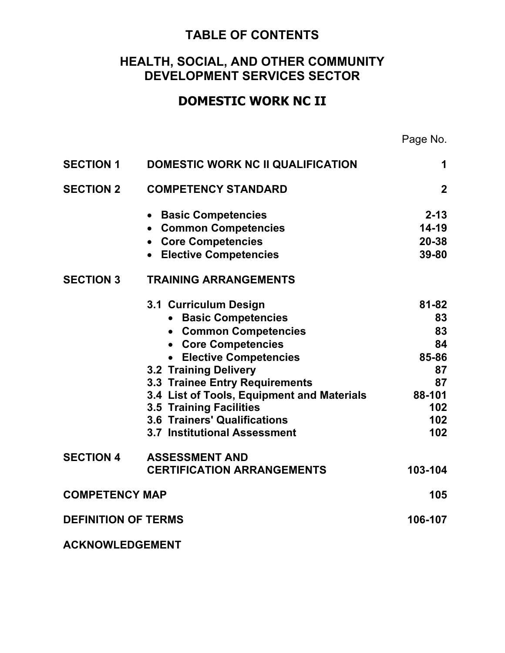# **TABLE OF CONTENTS**

# **HEALTH, SOCIAL, AND OTHER COMMUNITY DEVELOPMENT SERVICES SECTOR**

# **DOMESTIC WORK NC II**

Page No.

| <b>SECTION 1</b>           | DOMESTIC WORK NC II QUALIFICATION          | $\mathbf 1$    |
|----------------------------|--------------------------------------------|----------------|
| <b>SECTION 2</b>           | <b>COMPETENCY STANDARD</b>                 | $\overline{2}$ |
|                            | • Basic Competencies                       | $2 - 13$       |
|                            | • Common Competencies                      | $14-19$        |
|                            | • Core Competencies                        | $20 - 38$      |
|                            | • Elective Competencies                    | $39 - 80$      |
| <b>SECTION 3</b>           | <b>TRAINING ARRANGEMENTS</b>               |                |
|                            | 3.1 Curriculum Design                      | $81 - 82$      |
|                            | • Basic Competencies                       | 83             |
|                            | • Common Competencies                      | 83             |
|                            | • Core Competencies                        | 84             |
|                            | • Elective Competencies                    | 85-86          |
|                            | <b>3.2 Training Delivery</b>               | 87             |
|                            | 3.3 Trainee Entry Requirements             | 87             |
|                            | 3.4 List of Tools, Equipment and Materials | 88-101         |
|                            | 3.5 Training Facilities                    | 102            |
|                            | <b>3.6 Trainers' Qualifications</b>        | 102            |
|                            | <b>3.7 Institutional Assessment</b>        | 102            |
| <b>SECTION 4</b>           | <b>ASSESSMENT AND</b>                      |                |
|                            | <b>CERTIFICATION ARRANGEMENTS</b>          | 103-104        |
| <b>COMPETENCY MAP</b>      |                                            | 105            |
| <b>DEFINITION OF TERMS</b> |                                            | 106-107        |
| <b>ACKNOWLEDGEMENT</b>     |                                            |                |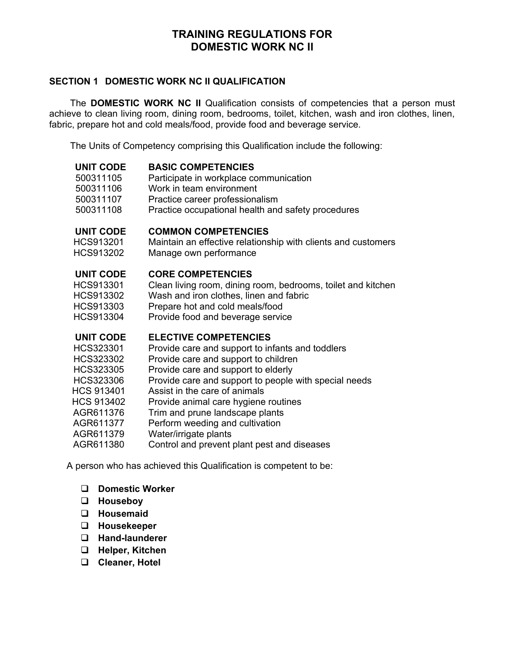# **TRAINING REGULATIONS FOR DOMESTIC WORK NC II**

#### **SECTION 1 DOMESTIC WORK NC II QUALIFICATION**

The **DOMESTIC WORK NC II** Qualification consists of competencies that a person must achieve to clean living room, dining room, bedrooms, toilet, kitchen, wash and iron clothes, linen, fabric, prepare hot and cold meals/food, provide food and beverage service.

The Units of Competency comprising this Qualification include the following:

| <b>BASIC COMPETENCIES</b><br>Participate in workplace communication<br>Work in team environment<br>Practice career professionalism                                                                                                                                                                                                                                                                                                              |
|-------------------------------------------------------------------------------------------------------------------------------------------------------------------------------------------------------------------------------------------------------------------------------------------------------------------------------------------------------------------------------------------------------------------------------------------------|
| Practice occupational health and safety procedures<br><b>COMMON COMPETENCIES</b><br>Maintain an effective relationship with clients and customers<br>Manage own performance                                                                                                                                                                                                                                                                     |
| <b>CORE COMPETENCIES</b><br>Clean living room, dining room, bedrooms, toilet and kitchen<br>Wash and iron clothes, linen and fabric<br>Prepare hot and cold meals/food<br>Provide food and beverage service                                                                                                                                                                                                                                     |
| <b>ELECTIVE COMPETENCIES</b><br>Provide care and support to infants and toddlers<br>Provide care and support to children<br>Provide care and support to elderly<br>Provide care and support to people with special needs<br>Assist in the care of animals<br>Provide animal care hygiene routines<br>Trim and prune landscape plants<br>Perform weeding and cultivation<br>Water/irrigate plants<br>Control and prevent plant pest and diseases |
|                                                                                                                                                                                                                                                                                                                                                                                                                                                 |

A person who has achieved this Qualification is competent to be:

- **Domestic Worker**
- **Houseboy**
- **Housemaid**
- **Housekeeper**
- **Hand-launderer**
- **Helper, Kitchen**
- **Cleaner, Hotel**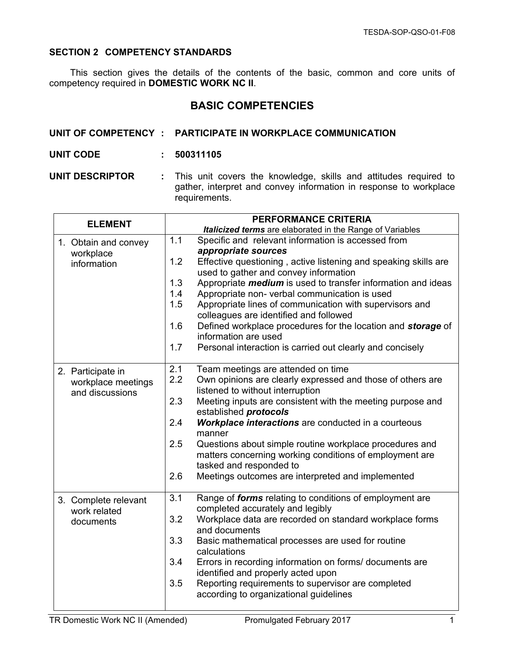#### **SECTION 2 COMPETENCY STANDARDS**

This section gives the details of the contents of the basic, common and core units of competency required in **DOMESTIC WORK NC II**.

# **BASIC COMPETENCIES**

|                        | UNIT OF COMPETENCY : PARTICIPATE IN WORKPLACE COMMUNICATION                                                                                              |
|------------------------|----------------------------------------------------------------------------------------------------------------------------------------------------------|
| <b>UNIT CODE</b>       | : 500311105                                                                                                                                              |
| <b>UNIT DESCRIPTOR</b> | : This unit covers the knowledge, skills and attitudes required to<br>gather, interpret and convey information in response to workplace<br>requirements. |

| <b>ELEMENT</b>       | <b>PERFORMANCE CRITERIA</b>                                                                     |
|----------------------|-------------------------------------------------------------------------------------------------|
|                      | Italicized terms are elaborated in the Range of Variables                                       |
| 1. Obtain and convey | 1.1<br>Specific and relevant information is accessed from                                       |
| workplace            | appropriate sources                                                                             |
| information          | 1.2<br>Effective questioning, active listening and speaking skills are                          |
|                      | used to gather and convey information                                                           |
|                      | 1.3<br>Appropriate <i>medium</i> is used to transfer information and ideas                      |
|                      | 1.4<br>Appropriate non- verbal communication is used                                            |
|                      | 1.5<br>Appropriate lines of communication with supervisors and                                  |
|                      | colleagues are identified and followed<br>1.6                                                   |
|                      | Defined workplace procedures for the location and storage of<br>information are used            |
|                      | 1.7<br>Personal interaction is carried out clearly and concisely                                |
|                      |                                                                                                 |
| 2. Participate in    | 2.1<br>Team meetings are attended on time                                                       |
| workplace meetings   | 2.2<br>Own opinions are clearly expressed and those of others are                               |
| and discussions      | listened to without interruption                                                                |
|                      | 2.3<br>Meeting inputs are consistent with the meeting purpose and                               |
|                      | established protocols                                                                           |
|                      | 2.4<br>Workplace interactions are conducted in a courteous                                      |
|                      | manner                                                                                          |
|                      | Questions about simple routine workplace procedures and<br>2.5                                  |
|                      | matters concerning working conditions of employment are                                         |
|                      | tasked and responded to                                                                         |
|                      | 2.6<br>Meetings outcomes are interpreted and implemented                                        |
| 3. Complete relevant | 3.1<br>Range of <i>forms</i> relating to conditions of employment are                           |
| work related         | completed accurately and legibly                                                                |
| documents            | 3.2<br>Workplace data are recorded on standard workplace forms                                  |
|                      | and documents                                                                                   |
|                      | 3.3<br>Basic mathematical processes are used for routine                                        |
|                      | calculations                                                                                    |
|                      | 3.4<br>Errors in recording information on forms/ documents are                                  |
|                      | identified and properly acted upon<br>3.5<br>Reporting requirements to supervisor are completed |
|                      | according to organizational guidelines                                                          |
|                      |                                                                                                 |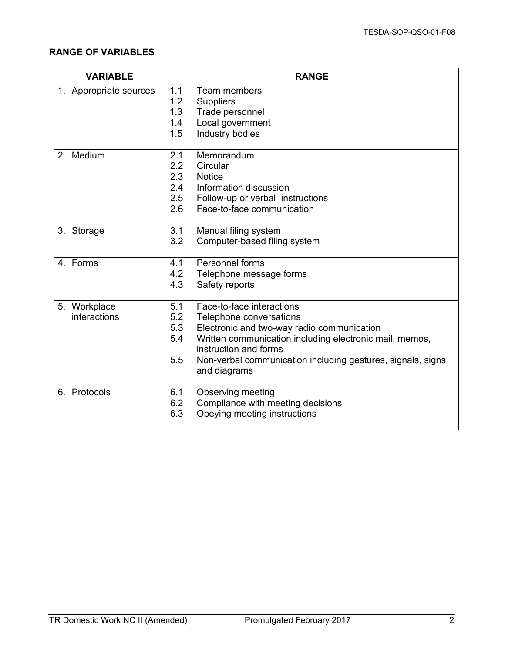| <b>VARIABLE</b>          | <b>RANGE</b>                                                                            |
|--------------------------|-----------------------------------------------------------------------------------------|
| 1. Appropriate sources   | 1.1<br>Team members                                                                     |
|                          | 1.2<br><b>Suppliers</b>                                                                 |
|                          | 1.3<br>Trade personnel                                                                  |
|                          | Local government<br>1.4                                                                 |
|                          | 1.5<br>Industry bodies                                                                  |
| Medium<br>2 <sub>1</sub> | 2.1<br>Memorandum                                                                       |
|                          | 2.2<br>Circular                                                                         |
|                          | 2.3<br><b>Notice</b>                                                                    |
|                          | 2.4<br>Information discussion                                                           |
|                          | 2.5<br>Follow-up or verbal instructions                                                 |
|                          | 2.6<br>Face-to-face communication                                                       |
| 3. Storage               | 3.1<br>Manual filing system                                                             |
|                          | 3.2<br>Computer-based filing system                                                     |
| 4. Forms                 | Personnel forms<br>4.1                                                                  |
|                          | 4.2<br>Telephone message forms                                                          |
|                          | 4.3<br>Safety reports                                                                   |
| 5. Workplace             | Face-to-face interactions<br>5.1                                                        |
| interactions             | 5.2<br>Telephone conversations                                                          |
|                          | 5.3<br>Electronic and two-way radio communication                                       |
|                          | 5.4<br>Written communication including electronic mail, memos,<br>instruction and forms |
|                          | 5.5<br>Non-verbal communication including gestures, signals, signs<br>and diagrams      |
| 6. Protocols             | 6.1<br><b>Observing meeting</b>                                                         |
|                          | 6.2<br>Compliance with meeting decisions                                                |
|                          | 6.3<br>Obeying meeting instructions                                                     |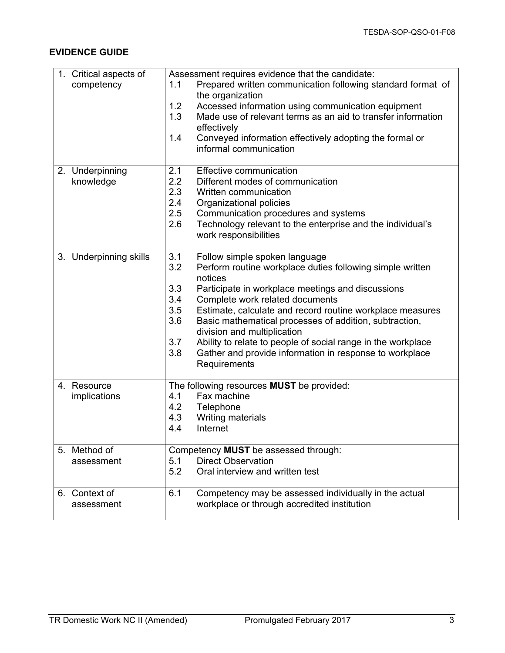| 1. Critical aspects of<br>competency | Assessment requires evidence that the candidate:<br>Prepared written communication following standard format of<br>1.1 |
|--------------------------------------|------------------------------------------------------------------------------------------------------------------------|
|                                      | the organization                                                                                                       |
|                                      | 1.2<br>Accessed information using communication equipment                                                              |
|                                      | 1.3<br>Made use of relevant terms as an aid to transfer information                                                    |
|                                      | effectively<br>1.4<br>Conveyed information effectively adopting the formal or                                          |
|                                      | informal communication                                                                                                 |
|                                      |                                                                                                                        |
| 2. Underpinning                      | 2.1<br><b>Effective communication</b>                                                                                  |
| knowledge                            | 2.2<br>Different modes of communication                                                                                |
|                                      | 2.3<br>Written communication                                                                                           |
|                                      | 2.4<br>Organizational policies                                                                                         |
|                                      | 2.5<br>Communication procedures and systems                                                                            |
|                                      | 2.6<br>Technology relevant to the enterprise and the individual's<br>work responsibilities                             |
|                                      |                                                                                                                        |
| 3. Underpinning skills               | 3.1<br>Follow simple spoken language                                                                                   |
|                                      | 3.2<br>Perform routine workplace duties following simple written                                                       |
|                                      | notices<br>3.3                                                                                                         |
|                                      | Participate in workplace meetings and discussions<br>3.4<br>Complete work related documents                            |
|                                      | 3.5<br>Estimate, calculate and record routine workplace measures                                                       |
|                                      | 3.6<br>Basic mathematical processes of addition, subtraction,                                                          |
|                                      | division and multiplication                                                                                            |
|                                      | 3.7<br>Ability to relate to people of social range in the workplace                                                    |
|                                      | 3.8<br>Gather and provide information in response to workplace                                                         |
|                                      | Requirements                                                                                                           |
| 4. Resource                          | The following resources MUST be provided:                                                                              |
| implications                         | Fax machine<br>4.1                                                                                                     |
|                                      | 4.2<br>Telephone                                                                                                       |
|                                      | 4.3<br>Writing materials                                                                                               |
|                                      | Internet<br>4.4                                                                                                        |
| 5. Method of                         | Competency MUST be assessed through:                                                                                   |
| assessment                           | <b>Direct Observation</b><br>5.1                                                                                       |
|                                      | 5.2<br>Oral interview and written test                                                                                 |
|                                      |                                                                                                                        |
| 6. Context of                        | 6.1<br>Competency may be assessed individually in the actual                                                           |
| assessment                           | workplace or through accredited institution                                                                            |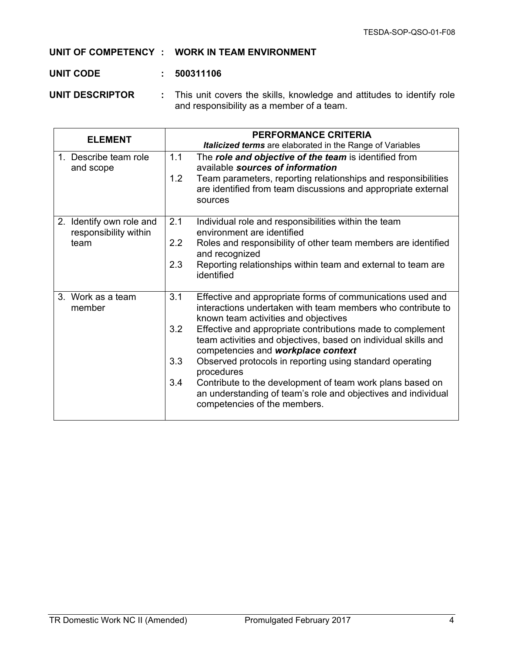#### **UNIT OF COMPETENCY : WORK IN TEAM ENVIRONMENT**

#### **UNIT CODE : 500311106**

**UNIT DESCRIPTOR :** This unit covers the skills, knowledge and attitudes to identify role and responsibility as a member of a team.

| <b>ELEMENT</b>                                            | <b>PERFORMANCE CRITERIA</b><br>Italicized terms are elaborated in the Range of Variables                                                                                                                                                                                                                                                                                                                                                                                                                                                                                                                    |
|-----------------------------------------------------------|-------------------------------------------------------------------------------------------------------------------------------------------------------------------------------------------------------------------------------------------------------------------------------------------------------------------------------------------------------------------------------------------------------------------------------------------------------------------------------------------------------------------------------------------------------------------------------------------------------------|
| 1. Describe team role<br>and scope                        | 1.1<br>The role and objective of the team is identified from<br>available sources of information<br>1.2<br>Team parameters, reporting relationships and responsibilities<br>are identified from team discussions and appropriate external<br>sources                                                                                                                                                                                                                                                                                                                                                        |
| 2. Identify own role and<br>responsibility within<br>team | 2.1<br>Individual role and responsibilities within the team<br>environment are identified<br>2.2<br>Roles and responsibility of other team members are identified<br>and recognized<br>2.3<br>Reporting relationships within team and external to team are<br>identified                                                                                                                                                                                                                                                                                                                                    |
| 3. Work as a team<br>member                               | 3.1<br>Effective and appropriate forms of communications used and<br>interactions undertaken with team members who contribute to<br>known team activities and objectives<br>3.2<br>Effective and appropriate contributions made to complement<br>team activities and objectives, based on individual skills and<br>competencies and workplace context<br>3.3<br>Observed protocols in reporting using standard operating<br>procedures<br>3.4<br>Contribute to the development of team work plans based on<br>an understanding of team's role and objectives and individual<br>competencies of the members. |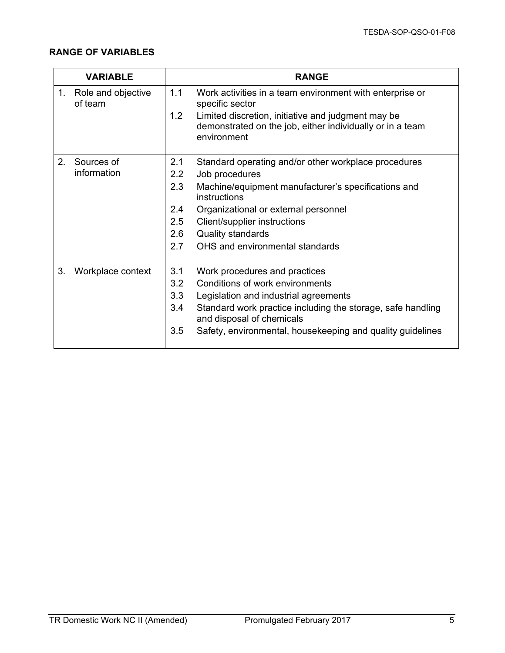|    | <b>VARIABLE</b>               |            | <b>RANGE</b>                                                                                                                                                                                                  |
|----|-------------------------------|------------|---------------------------------------------------------------------------------------------------------------------------------------------------------------------------------------------------------------|
| 1. | Role and objective<br>of team | 1.1<br>1.2 | Work activities in a team environment with enterprise or<br>specific sector<br>Limited discretion, initiative and judgment may be<br>demonstrated on the job, either individually or in a team<br>environment |
|    |                               |            |                                                                                                                                                                                                               |
| 2. | Sources of                    | 2.1        | Standard operating and/or other workplace procedures                                                                                                                                                          |
|    | information                   | 2.2        | Job procedures                                                                                                                                                                                                |
|    |                               | 2.3        | Machine/equipment manufacturer's specifications and<br>instructions                                                                                                                                           |
|    |                               | 2.4        | Organizational or external personnel                                                                                                                                                                          |
|    |                               | 2.5        | Client/supplier instructions                                                                                                                                                                                  |
|    |                               | 2.6        | <b>Quality standards</b>                                                                                                                                                                                      |
|    |                               | 2.7        | OHS and environmental standards                                                                                                                                                                               |
| 3. | Workplace context             | 3.1        | Work procedures and practices                                                                                                                                                                                 |
|    |                               | 3.2        | Conditions of work environments                                                                                                                                                                               |
|    |                               | 3.3        | Legislation and industrial agreements                                                                                                                                                                         |
|    |                               | 3.4        | Standard work practice including the storage, safe handling<br>and disposal of chemicals                                                                                                                      |
|    |                               | 3.5        | Safety, environmental, housekeeping and quality guidelines                                                                                                                                                    |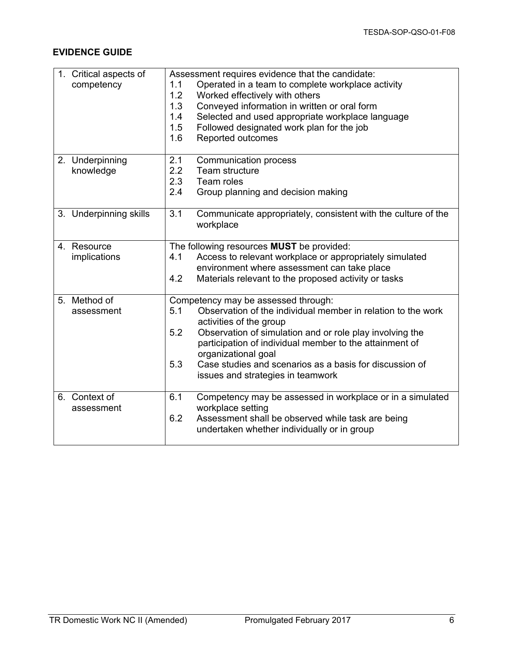| 1. Critical aspects of<br>competency | Assessment requires evidence that the candidate:<br>Operated in a team to complete workplace activity<br>1.1<br>1.2<br>Worked effectively with others<br>1.3<br>Conveyed information in written or oral form<br>Selected and used appropriate workplace language<br>1.4<br>1.5<br>Followed designated work plan for the job<br>1.6<br>Reported outcomes |
|--------------------------------------|---------------------------------------------------------------------------------------------------------------------------------------------------------------------------------------------------------------------------------------------------------------------------------------------------------------------------------------------------------|
| 2. Underpinning                      | 2.1<br><b>Communication process</b>                                                                                                                                                                                                                                                                                                                     |
| knowledge                            | 2.2<br>Team structure<br>2.3<br>Team roles                                                                                                                                                                                                                                                                                                              |
|                                      | 2.4<br>Group planning and decision making                                                                                                                                                                                                                                                                                                               |
| 3. Underpinning skills               | 3.1<br>Communicate appropriately, consistent with the culture of the<br>workplace                                                                                                                                                                                                                                                                       |
| 4. Resource<br>implications          | The following resources MUST be provided:<br>Access to relevant workplace or appropriately simulated<br>4.1                                                                                                                                                                                                                                             |
|                                      | environment where assessment can take place<br>Materials relevant to the proposed activity or tasks<br>4.2                                                                                                                                                                                                                                              |
| 5. Method of<br>assessment           | Competency may be assessed through:<br>Observation of the individual member in relation to the work<br>5.1                                                                                                                                                                                                                                              |
|                                      | activities of the group<br>5.2<br>Observation of simulation and or role play involving the                                                                                                                                                                                                                                                              |
|                                      | participation of individual member to the attainment of<br>organizational goal                                                                                                                                                                                                                                                                          |
|                                      | 5.3<br>Case studies and scenarios as a basis for discussion of<br>issues and strategies in teamwork                                                                                                                                                                                                                                                     |
| 6. Context of<br>assessment          | 6.1<br>Competency may be assessed in workplace or in a simulated<br>workplace setting                                                                                                                                                                                                                                                                   |
|                                      | 6.2<br>Assessment shall be observed while task are being<br>undertaken whether individually or in group                                                                                                                                                                                                                                                 |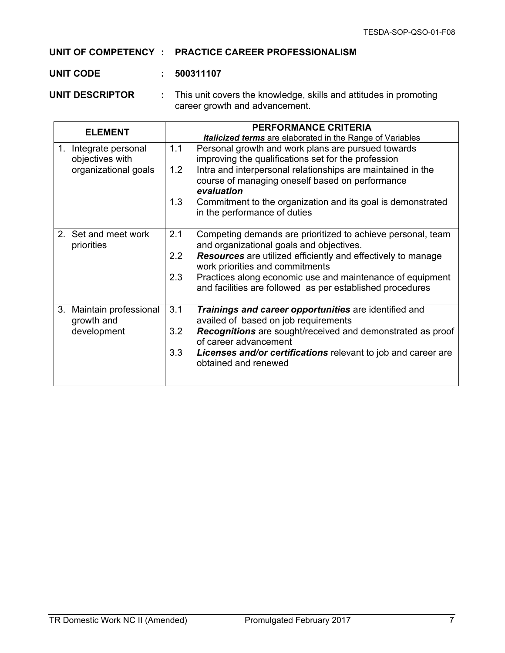#### **UNIT OF COMPETENCY : PRACTICE CAREER PROFESSIONALISM**

#### **UNIT CODE : 500311107**

**UNIT DESCRIPTOR :** This unit covers the knowledge, skills and attitudes in promoting career growth and advancement.

| <b>ELEMENT</b>                                   | <b>PERFORMANCE CRITERIA</b>                                                                                                         |
|--------------------------------------------------|-------------------------------------------------------------------------------------------------------------------------------------|
|                                                  | Italicized terms are elaborated in the Range of Variables                                                                           |
| Integrate personal<br>$1_{-}$<br>objectives with | 1.1<br>Personal growth and work plans are pursued towards<br>improving the qualifications set for the profession                    |
| organizational goals                             | Intra and interpersonal relationships are maintained in the<br>1.2<br>course of managing oneself based on performance<br>evaluation |
|                                                  | 1.3<br>Commitment to the organization and its goal is demonstrated<br>in the performance of duties                                  |
| 2. Set and meet work<br>priorities               | 2.1<br>Competing demands are prioritized to achieve personal, team<br>and organizational goals and objectives.                      |
|                                                  | 2.2<br><b>Resources</b> are utilized efficiently and effectively to manage<br>work priorities and commitments                       |
|                                                  | 2.3<br>Practices along economic use and maintenance of equipment<br>and facilities are followed as per established procedures       |
| 3.<br>Maintain professional<br>growth and        | 3.1<br>Trainings and career opportunities are identified and<br>availed of based on job requirements                                |
| development                                      | Recognitions are sought/received and demonstrated as proof<br>3.2<br>of career advancement                                          |
|                                                  | 3.3<br>Licenses and/or certifications relevant to job and career are<br>obtained and renewed                                        |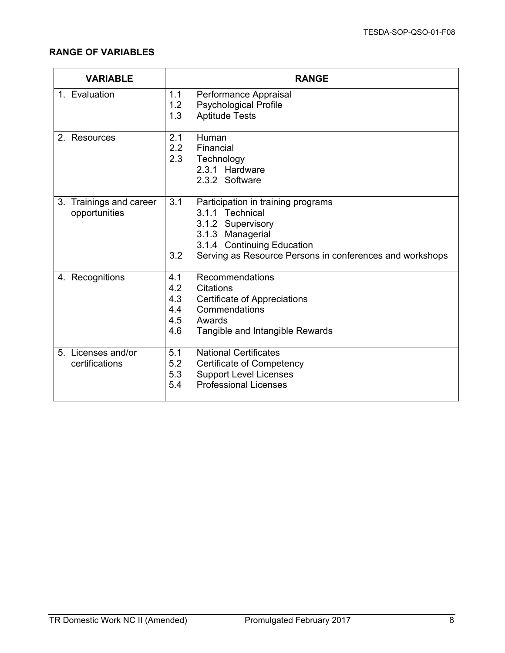| <b>VARIABLE</b>                          | <b>RANGE</b>                                                                                                                                                                                           |
|------------------------------------------|--------------------------------------------------------------------------------------------------------------------------------------------------------------------------------------------------------|
| 1. Evaluation                            | 1.1<br>Performance Appraisal<br><b>Psychological Profile</b><br>1.2<br>1.3<br><b>Aptitude Tests</b>                                                                                                    |
| 2. Resources                             | 2.1<br>Human<br>2.2<br>Financial<br>2.3<br>Technology<br>2.3.1 Hardware<br>2.3.2 Software                                                                                                              |
| 3. Trainings and career<br>opportunities | 3.1<br>Participation in training programs<br>3.1.1 Technical<br>3.1.2 Supervisory<br>3.1.3 Managerial<br>3.1.4 Continuing Education<br>3.2<br>Serving as Resource Persons in conferences and workshops |
| 4. Recognitions                          | 4.1<br>Recommendations<br>4.2<br><b>Citations</b><br>4.3<br><b>Certificate of Appreciations</b><br>Commendations<br>4.4<br>4.5<br>Awards<br>4.6<br>Tangible and Intangible Rewards                     |
| 5. Licenses and/or<br>certifications     | 5.1<br><b>National Certificates</b><br>5.2<br><b>Certificate of Competency</b><br>5.3<br><b>Support Level Licenses</b><br><b>Professional Licenses</b><br>5.4                                          |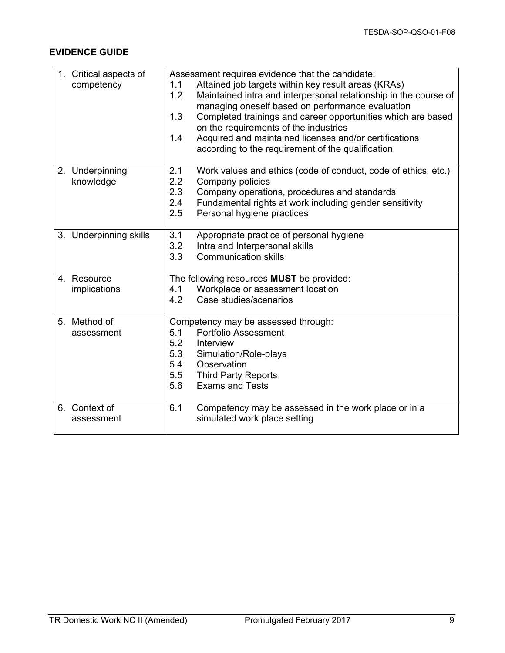| 1. Critical aspects of | Assessment requires evidence that the candidate:                        |
|------------------------|-------------------------------------------------------------------------|
| competency             | Attained job targets within key result areas (KRAs)<br>1.1              |
|                        | Maintained intra and interpersonal relationship in the course of<br>1.2 |
|                        | managing oneself based on performance evaluation                        |
|                        | 1.3<br>Completed trainings and career opportunities which are based     |
|                        | on the requirements of the industries                                   |
|                        | Acquired and maintained licenses and/or certifications<br>1.4           |
|                        | according to the requirement of the qualification                       |
| 2. Underpinning        | 2.1<br>Work values and ethics (code of conduct, code of ethics, etc.)   |
| knowledge              | 2.2<br>Company policies                                                 |
|                        | 2.3<br>Company-operations, procedures and standards                     |
|                        | 2.4<br>Fundamental rights at work including gender sensitivity          |
|                        | 2.5<br>Personal hygiene practices                                       |
|                        |                                                                         |
| 3. Underpinning skills | 3.1<br>Appropriate practice of personal hygiene                         |
|                        | 3.2<br>Intra and Interpersonal skills                                   |
|                        | 3.3<br><b>Communication skills</b>                                      |
| 4. Resource            | The following resources MUST be provided:                               |
| implications           | Workplace or assessment location<br>4.1                                 |
|                        | 4.2<br>Case studies/scenarios                                           |
|                        |                                                                         |
| 5. Method of           | Competency may be assessed through:                                     |
| assessment             | 5.1<br><b>Portfolio Assessment</b>                                      |
|                        | 5.2<br>Interview                                                        |
|                        | 5.3<br>Simulation/Role-plays                                            |
|                        | Observation<br>5.4                                                      |
|                        | 5.5<br><b>Third Party Reports</b>                                       |
|                        | 5.6<br><b>Exams and Tests</b>                                           |
| 6. Context of          | 6.1<br>Competency may be assessed in the work place or in a             |
| assessment             | simulated work place setting                                            |
|                        |                                                                         |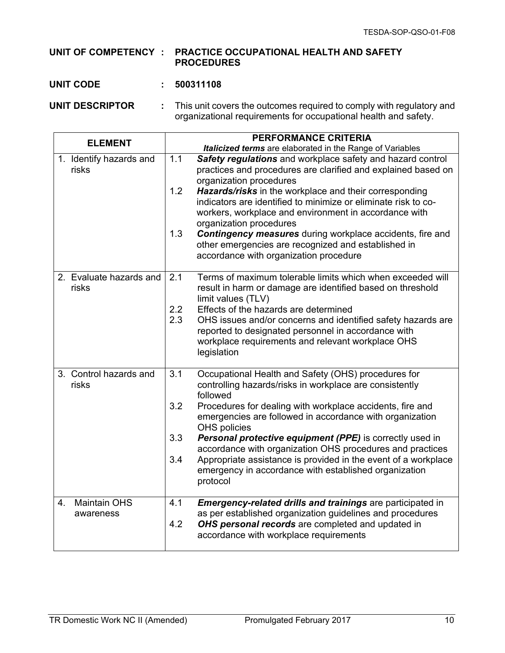#### **UNIT OF COMPETENCY : PRACTICE OCCUPATIONAL HEALTH AND SAFETY PROCEDURES**

#### **UNIT CODE : 500311108**

**UNIT DESCRIPTOR :** This unit covers the outcomes required to comply with regulatory and organizational requirements for occupational health and safety.

| <b>ELEMENT</b>                         | <b>PERFORMANCE CRITERIA</b>                                                                                                                                                                                                                                                                                                                                                                                                                                                                                                                                      |
|----------------------------------------|------------------------------------------------------------------------------------------------------------------------------------------------------------------------------------------------------------------------------------------------------------------------------------------------------------------------------------------------------------------------------------------------------------------------------------------------------------------------------------------------------------------------------------------------------------------|
|                                        | <b>Italicized terms</b> are elaborated in the Range of Variables                                                                                                                                                                                                                                                                                                                                                                                                                                                                                                 |
| 1. Identify hazards and<br>risks       | 1.1<br>Safety regulations and workplace safety and hazard control<br>practices and procedures are clarified and explained based on<br>organization procedures<br>1.2<br>Hazards/risks in the workplace and their corresponding<br>indicators are identified to minimize or eliminate risk to co-<br>workers, workplace and environment in accordance with<br>organization procedures<br>1.3<br><b>Contingency measures</b> during workplace accidents, fire and<br>other emergencies are recognized and established in<br>accordance with organization procedure |
| 2. Evaluate hazards and<br>risks       | Terms of maximum tolerable limits which when exceeded will<br>2.1<br>result in harm or damage are identified based on threshold<br>limit values (TLV)<br>2.2<br>Effects of the hazards are determined<br>2.3<br>OHS issues and/or concerns and identified safety hazards are<br>reported to designated personnel in accordance with<br>workplace requirements and relevant workplace OHS<br>legislation                                                                                                                                                          |
| 3. Control hazards and<br>risks        | 3.1<br>Occupational Health and Safety (OHS) procedures for<br>controlling hazards/risks in workplace are consistently<br>followed<br>3.2<br>Procedures for dealing with workplace accidents, fire and<br>emergencies are followed in accordance with organization<br>OHS policies<br>3.3<br>Personal protective equipment (PPE) is correctly used in<br>accordance with organization OHS procedures and practices<br>3.4<br>Appropriate assistance is provided in the event of a workplace<br>emergency in accordance with established organization<br>protocol  |
| <b>Maintain OHS</b><br>4.<br>awareness | 4.1<br>Emergency-related drills and trainings are participated in<br>as per established organization guidelines and procedures<br>4.2<br>OHS personal records are completed and updated in<br>accordance with workplace requirements                                                                                                                                                                                                                                                                                                                             |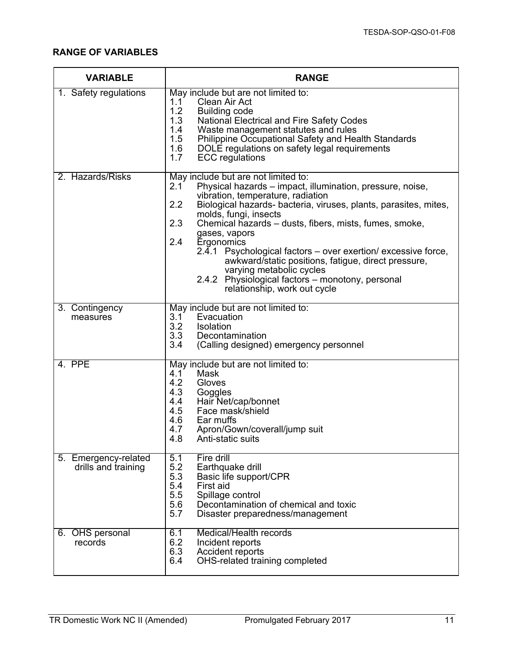| <b>VARIABLE</b>                             | <b>RANGE</b>                                                                                                                                                                                                                                                                                                                                                                                                                                                                                                                                                                                       |
|---------------------------------------------|----------------------------------------------------------------------------------------------------------------------------------------------------------------------------------------------------------------------------------------------------------------------------------------------------------------------------------------------------------------------------------------------------------------------------------------------------------------------------------------------------------------------------------------------------------------------------------------------------|
| 1. Safety regulations                       | May include but are not limited to:<br>Clean Air Act<br>1.1<br>1.2<br><b>Building code</b><br>1.3<br>National Electrical and Fire Safety Codes<br>1.4<br>Waste management statutes and rules<br>1.5<br><b>Philippine Occupational Safety and Health Standards</b><br>1.6<br>DOLE regulations on safety legal requirements<br>1.7<br><b>ECC</b> regulations                                                                                                                                                                                                                                         |
| 2. Hazards/Risks                            | May include but are not limited to:<br>Physical hazards - impact, illumination, pressure, noise,<br>2.1<br>vibration, temperature, radiation<br>2.2<br>Biological hazards- bacteria, viruses, plants, parasites, mites,<br>molds, fungi, insects<br>2.3<br>Chemical hazards – dusts, fibers, mists, fumes, smoke,<br>gases, vapors<br>2.4<br>Ergonomics<br>Psychological factors – over exertion/ excessive force,<br>2.4.1<br>awkward/static positions, fatigue, direct pressure,<br>varying metabolic cycles<br>2.4.2 Physiological factors - monotony, personal<br>relationship, work out cycle |
| 3. Contingency<br>measures                  | May include but are not limited to:<br>3.1<br>Evacuation<br>3.2<br>Isolation<br>3.3<br>Decontamination<br>3.4<br>(Calling designed) emergency personnel                                                                                                                                                                                                                                                                                                                                                                                                                                            |
| 4. PPE                                      | May include but are not limited to:<br>4.1<br>Mask<br>4.2<br>Gloves<br>4.3<br>Goggles<br>4.4<br>Hair Net/cap/bonnet<br>4.5<br>Face mask/shield<br>4.6<br>Ear muffs<br>4.7<br>Apron/Gown/coverall/jump suit<br>4.8<br>Anti-static suits                                                                                                                                                                                                                                                                                                                                                             |
| 5. Emergency-related<br>drills and training | Fire drill<br>5.1<br>5.2<br>Earthquake drill<br>5.3<br>Basic life support/CPR<br>5.4<br>First aid<br>5.5<br>Spillage control<br>5.6<br>Decontamination of chemical and toxic<br>5.7<br>Disaster preparedness/management                                                                                                                                                                                                                                                                                                                                                                            |
| 6. OHS personal<br>records                  | 6.1<br>Medical/Health records<br>6.2<br>Incident reports<br>6.3<br><b>Accident reports</b><br>OHS-related training completed<br>6.4                                                                                                                                                                                                                                                                                                                                                                                                                                                                |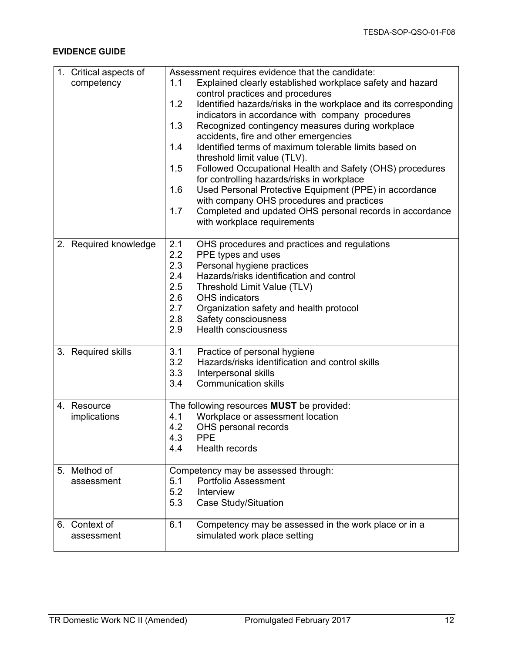| 1. Critical aspects of | Assessment requires evidence that the candidate:                       |
|------------------------|------------------------------------------------------------------------|
| competency             | Explained clearly established workplace safety and hazard<br>1.1       |
|                        | control practices and procedures                                       |
|                        | Identified hazards/risks in the workplace and its corresponding<br>1.2 |
|                        | indicators in accordance with company procedures                       |
|                        | 1.3<br>Recognized contingency measures during workplace                |
|                        | accidents, fire and other emergencies                                  |
|                        | 1.4<br>Identified terms of maximum tolerable limits based on           |
|                        |                                                                        |
|                        | threshold limit value (TLV).                                           |
|                        | 1.5<br>Followed Occupational Health and Safety (OHS) procedures        |
|                        | for controlling hazards/risks in workplace                             |
|                        | Used Personal Protective Equipment (PPE) in accordance<br>1.6          |
|                        | with company OHS procedures and practices                              |
|                        | 1.7<br>Completed and updated OHS personal records in accordance        |
|                        | with workplace requirements                                            |
|                        |                                                                        |
| 2. Required knowledge  | 2.1<br>OHS procedures and practices and regulations                    |
|                        | 2.2<br>PPE types and uses                                              |
|                        | 2.3<br>Personal hygiene practices                                      |
|                        | 2.4<br>Hazards/risks identification and control                        |
|                        | 2.5<br>Threshold Limit Value (TLV)                                     |
|                        | 2.6<br><b>OHS</b> indicators                                           |
|                        | 2.7<br>Organization safety and health protocol                         |
|                        | 2.8<br>Safety consciousness                                            |
|                        | <b>Health consciousness</b><br>2.9                                     |
|                        |                                                                        |
| 3. Required skills     | Practice of personal hygiene<br>3.1                                    |
|                        | 3.2<br>Hazards/risks identification and control skills                 |
|                        | 3.3<br>Interpersonal skills                                            |
|                        | 3.4<br><b>Communication skills</b>                                     |
|                        |                                                                        |
| 4. Resource            | The following resources MUST be provided:                              |
| implications           | Workplace or assessment location<br>4.1                                |
|                        | 4.2<br>OHS personal records                                            |
|                        | 4.3<br><b>PPE</b>                                                      |
|                        | 4.4<br><b>Health records</b>                                           |
|                        |                                                                        |
| 5. Method of           | Competency may be assessed through:                                    |
| assessment             | <b>Portfolio Assessment</b><br>5.1                                     |
|                        | 5.2<br>Interview                                                       |
|                        | <b>Case Study/Situation</b><br>5.3                                     |
|                        |                                                                        |
| 6. Context of          | 6.1<br>Competency may be assessed in the work place or in a            |
| assessment             | simulated work place setting                                           |
|                        |                                                                        |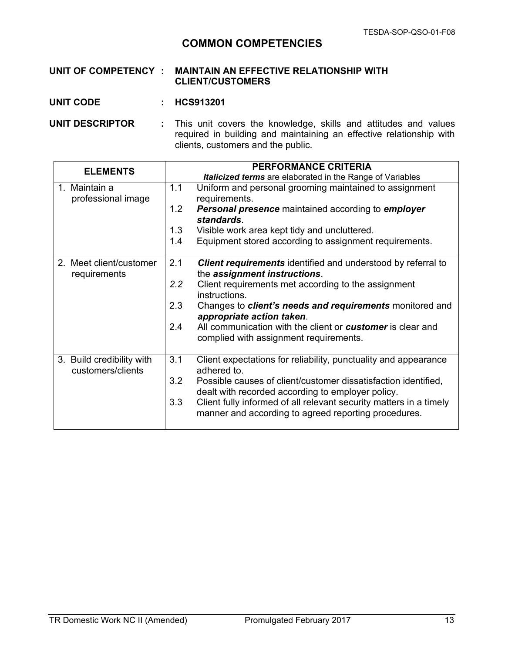## **COMMON COMPETENCIES**

#### **UNIT OF COMPETENCY : MAINTAIN AN EFFECTIVE RELATIONSHIP WITH CLIENT/CUSTOMERS**

**UNIT CODE : HCS913201**

**UNIT DESCRIPTOR :** This unit covers the knowledge, skills and attitudes and values required in building and maintaining an effective relationship with clients, customers and the public.

| <b>ELEMENTS</b>                                | <b>PERFORMANCE CRITERIA</b>                                                                                                                                                                                                                                                                                                                                                                                            |
|------------------------------------------------|------------------------------------------------------------------------------------------------------------------------------------------------------------------------------------------------------------------------------------------------------------------------------------------------------------------------------------------------------------------------------------------------------------------------|
|                                                | <b>Italicized terms</b> are elaborated in the Range of Variables                                                                                                                                                                                                                                                                                                                                                       |
| 1. Maintain a<br>professional image            | 1.1<br>Uniform and personal grooming maintained to assignment<br>requirements.<br>1.2<br><b>Personal presence</b> maintained according to employer<br>standards.<br>1.3<br>Visible work area kept tidy and uncluttered.<br>Equipment stored according to assignment requirements.<br>1.4                                                                                                                               |
| 2. Meet client/customer<br>requirements        | 2.1<br><b>Client requirements</b> identified and understood by referral to<br>the assignment instructions.<br>2.2<br>Client requirements met according to the assignment<br>instructions.<br>2.3<br>Changes to <i>client's needs and requirements</i> monitored and<br>appropriate action taken.<br>2.4<br>All communication with the client or <b>customer</b> is clear and<br>complied with assignment requirements. |
| 3. Build credibility with<br>customers/clients | 3.1<br>Client expectations for reliability, punctuality and appearance<br>adhered to.<br>3.2<br>Possible causes of client/customer dissatisfaction identified,<br>dealt with recorded according to employer policy.<br>Client fully informed of all relevant security matters in a timely<br>3.3<br>manner and according to agreed reporting procedures.                                                               |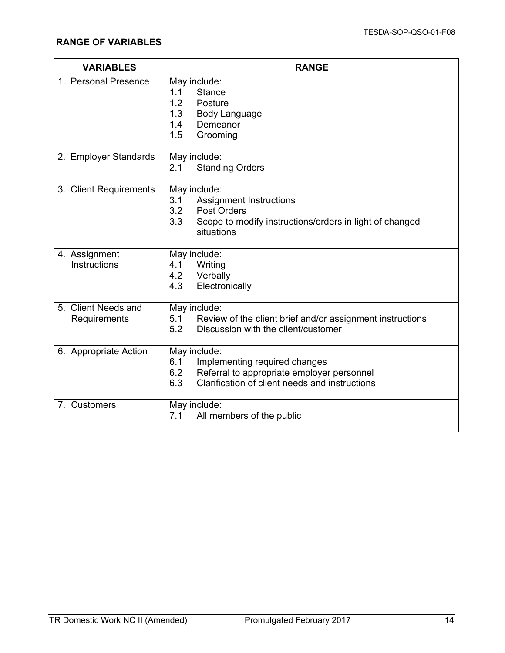| <b>VARIABLES</b>                    | <b>RANGE</b>                                                                                                                                                       |
|-------------------------------------|--------------------------------------------------------------------------------------------------------------------------------------------------------------------|
| 1. Personal Presence                | May include:<br>1.1<br><b>Stance</b><br>1.2<br>Posture<br>1.3<br><b>Body Language</b><br>1.4<br>Demeanor<br>1.5<br>Grooming                                        |
| 2. Employer Standards               | May include:<br>2.1<br><b>Standing Orders</b>                                                                                                                      |
| 3. Client Requirements              | May include:<br>3.1<br><b>Assignment Instructions</b><br>3.2<br><b>Post Orders</b><br>3.3<br>Scope to modify instructions/orders in light of changed<br>situations |
| 4. Assignment<br>Instructions       | May include:<br>4.1<br>Writing<br>4.2<br>Verbally<br>4.3<br>Electronically                                                                                         |
| 5. Client Needs and<br>Requirements | May include:<br>5.1<br>Review of the client brief and/or assignment instructions<br>Discussion with the client/customer<br>5.2                                     |
| 6. Appropriate Action               | May include:<br>6.1<br>Implementing required changes<br>6.2<br>Referral to appropriate employer personnel<br>Clarification of client needs and instructions<br>6.3 |
| 7. Customers                        | May include:<br>7.1<br>All members of the public                                                                                                                   |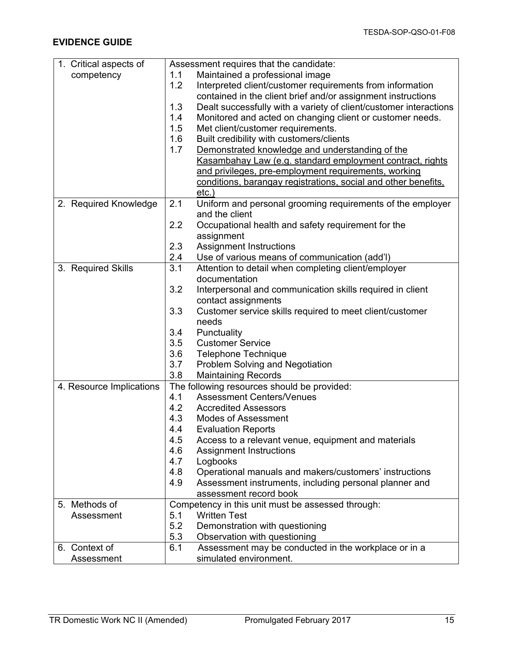| 1. Critical aspects of   | Assessment requires that the candidate:                                  |
|--------------------------|--------------------------------------------------------------------------|
| competency               | Maintained a professional image<br>1.1                                   |
|                          | 1.2<br>Interpreted client/customer requirements from information         |
|                          | contained in the client brief and/or assignment instructions             |
|                          | 1.3<br>Dealt successfully with a variety of client/customer interactions |
|                          | 1.4<br>Monitored and acted on changing client or customer needs.         |
|                          | 1.5<br>Met client/customer requirements.                                 |
|                          | 1.6<br>Built credibility with customers/clients                          |
|                          | 1.7<br>Demonstrated knowledge and understanding of the                   |
|                          | Kasambahay Law (e.g. standard employment contract, rights                |
|                          | and privileges, pre-employment requirements, working                     |
|                          | conditions, barangay registrations, social and other benefits,           |
|                          | $etc.$ )                                                                 |
| 2. Required Knowledge    | 2.1<br>Uniform and personal grooming requirements of the employer        |
|                          | and the client                                                           |
|                          | 2.2<br>Occupational health and safety requirement for the                |
|                          | assignment                                                               |
|                          | 2.3<br><b>Assignment Instructions</b>                                    |
|                          | 2.4<br>Use of various means of communication (add'l)                     |
| 3. Required Skills       | 3.1<br>Attention to detail when completing client/employer               |
|                          | documentation                                                            |
|                          | 3.2<br>Interpersonal and communication skills required in client         |
|                          | contact assignments                                                      |
|                          | 3.3<br>Customer service skills required to meet client/customer          |
|                          | needs                                                                    |
|                          | Punctuality<br>3.4                                                       |
|                          | 3.5<br><b>Customer Service</b>                                           |
|                          | 3.6<br><b>Telephone Technique</b>                                        |
|                          | 3.7<br>Problem Solving and Negotiation                                   |
|                          | 3.8<br><b>Maintaining Records</b>                                        |
| 4. Resource Implications | The following resources should be provided:                              |
|                          | 4.1<br><b>Assessment Centers/Venues</b>                                  |
|                          | 4.2<br><b>Accredited Assessors</b>                                       |
|                          | 4.3<br><b>Modes of Assessment</b>                                        |
|                          | 4.4<br><b>Evaluation Reports</b>                                         |
|                          | 4.5<br>Access to a relevant venue, equipment and materials               |
|                          | 4.6<br><b>Assignment Instructions</b>                                    |
|                          | 4.7<br>Logbooks                                                          |
|                          | 4.8<br>Operational manuals and makers/customers' instructions            |
|                          | 4.9<br>Assessment instruments, including personal planner and            |
|                          | assessment record book                                                   |
| 5. Methods of            | Competency in this unit must be assessed through:                        |
| Assessment               | <b>Written Test</b><br>5.1                                               |
|                          | 5.2<br>Demonstration with questioning                                    |
|                          | 5.3<br>Observation with questioning                                      |
| 6. Context of            | Assessment may be conducted in the workplace or in a<br>6.1              |
| Assessment               | simulated environment.                                                   |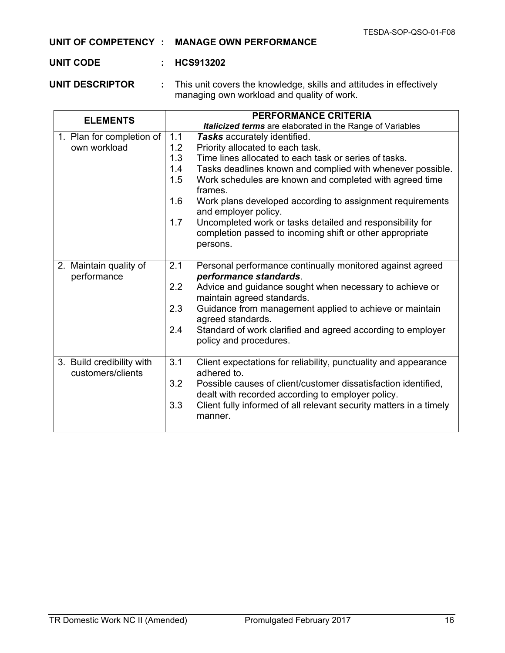#### **UNIT OF COMPETENCY : MANAGE OWN PERFORMANCE**

#### **UNIT CODE : HCS913202**

**UNIT DESCRIPTOR :** This unit covers the knowledge, skills and attitudes in effectively managing own workload and quality of work.

| <b>ELEMENTS</b>                                | <b>PERFORMANCE CRITERIA</b>                                                                                                              |
|------------------------------------------------|------------------------------------------------------------------------------------------------------------------------------------------|
|                                                | <b>Italicized terms</b> are elaborated in the Range of Variables                                                                         |
| 1. Plan for completion of                      | 1.1<br>Tasks accurately identified.                                                                                                      |
| own workload                                   | 1.2<br>Priority allocated to each task.                                                                                                  |
|                                                | 1.3<br>Time lines allocated to each task or series of tasks.                                                                             |
|                                                | 1.4<br>Tasks deadlines known and complied with whenever possible.                                                                        |
|                                                | 1.5<br>Work schedules are known and completed with agreed time<br>frames.                                                                |
|                                                | 1.6<br>Work plans developed according to assignment requirements<br>and employer policy.                                                 |
|                                                | 1.7<br>Uncompleted work or tasks detailed and responsibility for<br>completion passed to incoming shift or other appropriate<br>persons. |
| 2. Maintain quality of<br>performance          | 2.1<br>Personal performance continually monitored against agreed<br>performance standards.                                               |
|                                                | 2.2<br>Advice and guidance sought when necessary to achieve or<br>maintain agreed standards.                                             |
|                                                | 2.3<br>Guidance from management applied to achieve or maintain<br>agreed standards.                                                      |
|                                                | 2.4<br>Standard of work clarified and agreed according to employer<br>policy and procedures.                                             |
| 3. Build credibility with<br>customers/clients | 3.1<br>Client expectations for reliability, punctuality and appearance<br>adhered to.                                                    |
|                                                | 3.2<br>Possible causes of client/customer dissatisfaction identified,<br>dealt with recorded according to employer policy.               |
|                                                | 3.3<br>Client fully informed of all relevant security matters in a timely<br>manner.                                                     |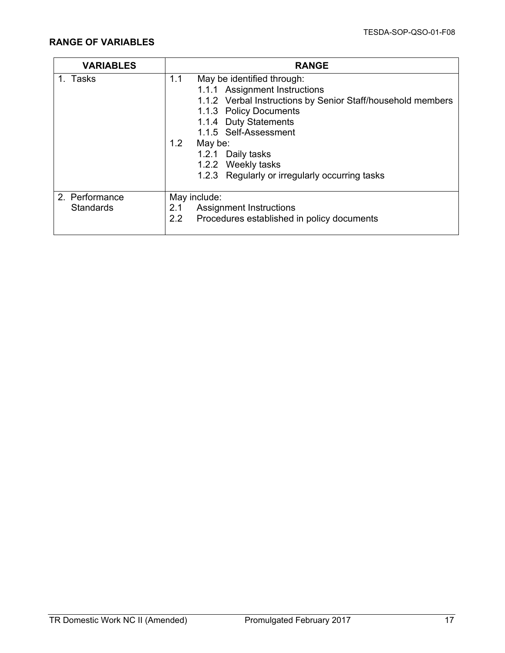| <b>VARIABLES</b> | <b>RANGE</b>                                                |
|------------------|-------------------------------------------------------------|
| 1. Tasks         | 1.1<br>May be identified through:                           |
|                  | 1.1.1 Assignment Instructions                               |
|                  | 1.1.2 Verbal Instructions by Senior Staff/household members |
|                  | 1.1.3 Policy Documents                                      |
|                  | 1.1.4 Duty Statements                                       |
|                  | 1.1.5 Self-Assessment                                       |
|                  | 1.2<br>May be:                                              |
|                  | 1.2.1 Daily tasks                                           |
|                  | 1.2.2 Weekly tasks                                          |
|                  | 1.2.3 Regularly or irregularly occurring tasks              |
| 2. Performance   | May include:                                                |
| <b>Standards</b> | <b>Assignment Instructions</b><br>2.1                       |
|                  | 2.2<br>Procedures established in policy documents           |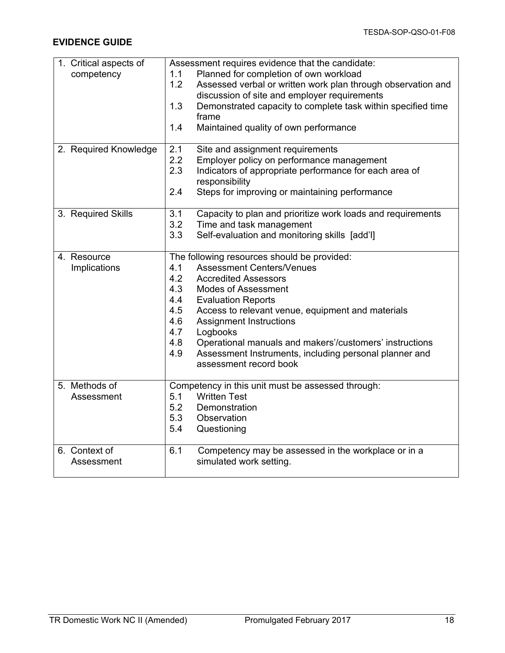| 1. Critical aspects of | Assessment requires evidence that the candidate:                    |
|------------------------|---------------------------------------------------------------------|
| competency             | Planned for completion of own workload<br>1.1                       |
|                        | 1.2<br>Assessed verbal or written work plan through observation and |
|                        | discussion of site and employer requirements                        |
|                        | 1.3<br>Demonstrated capacity to complete task within specified time |
|                        | frame                                                               |
|                        | 1.4<br>Maintained quality of own performance                        |
|                        |                                                                     |
| 2. Required Knowledge  | 2.1<br>Site and assignment requirements                             |
|                        | 2.2<br>Employer policy on performance management                    |
|                        | 2.3<br>Indicators of appropriate performance for each area of       |
|                        | responsibility                                                      |
|                        | 2.4<br>Steps for improving or maintaining performance               |
|                        |                                                                     |
| 3. Required Skills     | 3.1<br>Capacity to plan and prioritize work loads and requirements  |
|                        | 3.2<br>Time and task management                                     |
|                        | Self-evaluation and monitoring skills [add'l]<br>3.3                |
|                        |                                                                     |
| 4. Resource            | The following resources should be provided:                         |
| Implications           | <b>Assessment Centers/Venues</b><br>4.1                             |
|                        | 4.2<br><b>Accredited Assessors</b>                                  |
|                        | 4.3<br><b>Modes of Assessment</b>                                   |
|                        | 4.4<br><b>Evaluation Reports</b>                                    |
|                        | 4.5<br>Access to relevant venue, equipment and materials            |
|                        | 4.6<br><b>Assignment Instructions</b>                               |
|                        | 4.7<br>Logbooks                                                     |
|                        | 4.8<br>Operational manuals and makers'/customers' instructions      |
|                        | Assessment Instruments, including personal planner and<br>4.9       |
|                        | assessment record book                                              |
|                        |                                                                     |
| 5. Methods of          | Competency in this unit must be assessed through:                   |
| Assessment             | <b>Written Test</b><br>5.1                                          |
|                        | 5.2<br>Demonstration                                                |
|                        | 5.3<br>Observation                                                  |
|                        | 5.4<br>Questioning                                                  |
|                        |                                                                     |
| 6. Context of          | 6.1<br>Competency may be assessed in the workplace or in a          |
| Assessment             | simulated work setting.                                             |
|                        |                                                                     |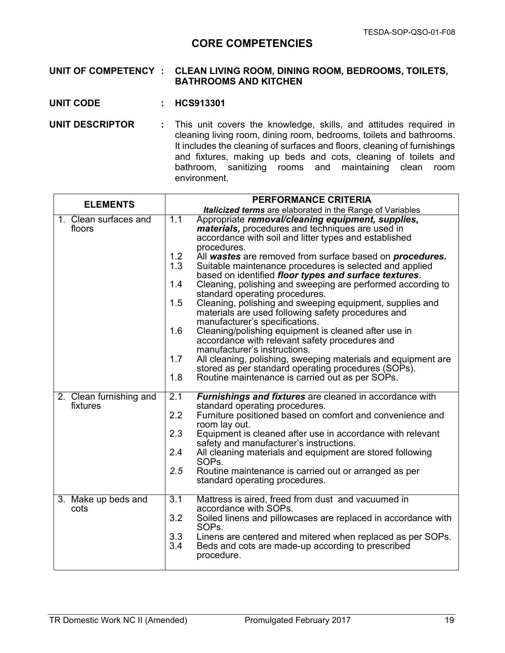## **CORE COMPETENCIES**

#### **UNIT OF COMPETENCY : CLEAN LIVING ROOM, DINING ROOM, BEDROOMS, TOILETS, BATHROOMS AND KITCHEN**

- **UNIT CODE : HCS913301**
- **UNIT DESCRIPTOR :** This unit covers the knowledge, skills, and attitudes required in cleaning living room, dining room, bedrooms, toilets and bathrooms. It includes the cleaning of surfaces and floors, cleaning of furnishings and fixtures, making up beds and cots, cleaning of toilets and bathroom, sanitizing rooms and maintaining clean room environment.

| <b>ELEMENTS</b>         | PERFORMANCE CRITERIA                                                                                              |
|-------------------------|-------------------------------------------------------------------------------------------------------------------|
|                         | <b>Italicized terms</b> are elaborated in the Range of Variables                                                  |
| 1. Clean surfaces and   | 1.1<br>Appropriate removal/cleaning equipment, supplies,                                                          |
| floors                  | <i>materials</i> , procedures and techniques are used in<br>accordance with soil and litter types and established |
|                         | procedures.                                                                                                       |
|                         | 1.2<br>All wastes are removed from surface based on procedures.                                                   |
|                         | 1.3<br>Suitable maintenance procedures is selected and applied                                                    |
|                         | based on identified floor types and surface textures.                                                             |
|                         | Cleaning, polishing and sweeping are performed according to<br>1.4                                                |
|                         | standard operating procedures.                                                                                    |
|                         | 1.5<br>Cleaning, polishing and sweeping equipment, supplies and                                                   |
|                         | materials are used following safety procedures and<br>manufacturer's specifications.                              |
|                         | 1.6<br>Cleaning/polishing equipment is cleaned after use in                                                       |
|                         | accordance with relevant safety procedures and                                                                    |
|                         | manufacturer's instructions.                                                                                      |
|                         | 1.7<br>All cleaning, polishing, sweeping materials and equipment are                                              |
|                         | stored as per standard operating procedures (SOPs).                                                               |
|                         | 1.8<br>Routine maintenance is carried out as per SOPs.                                                            |
| 2. Clean furnishing and | 2.1<br><b>Furnishings and fixtures</b> are cleaned in accordance with                                             |
| fixtures                | standard operating procedures.                                                                                    |
|                         | 2.2<br>Furniture positioned based on comfort and convenience and                                                  |
|                         | room lay out.                                                                                                     |
|                         | 2.3<br>Equipment is cleaned after use in accordance with relevant<br>safety and manufacturer's instructions.      |
|                         | 2.4<br>All cleaning materials and equipment are stored following                                                  |
|                         | SOP <sub>s.</sub>                                                                                                 |
|                         | 2.5<br>Routine maintenance is carried out or arranged as per                                                      |
|                         | standard operating procedures.                                                                                    |
| 3. Make up beds and     | 3.1<br>Mattress is aired, freed from dust and vacuumed in                                                         |
| cots                    | accordance with SOPs.                                                                                             |
|                         | 3.2<br>Soiled linens and pillowcases are replaced in accordance with                                              |
|                         | SOP <sub>s</sub> .                                                                                                |
|                         | 3.3<br>Linens are centered and mitered when replaced as per SOPs.                                                 |
|                         | 3.4<br>Beds and cots are made-up according to prescribed<br>procedure.                                            |
|                         |                                                                                                                   |
|                         |                                                                                                                   |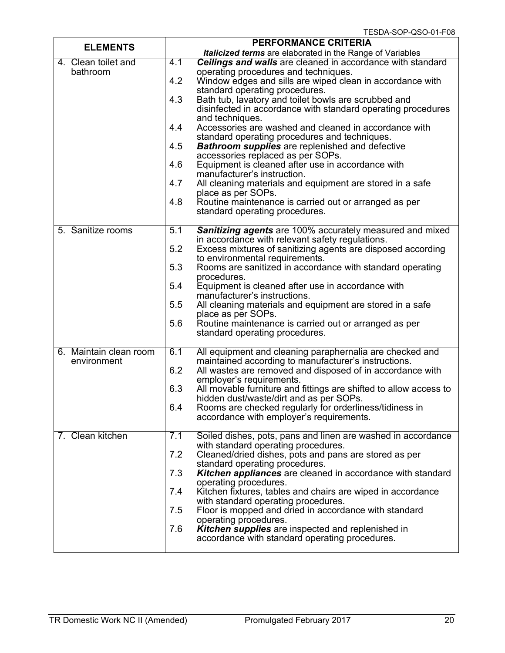| <b>ELEMENTS</b>                       | PERFORMANCE CRITERIA                                                                                                                                                                                                                                                                                                                                                                                                                                                                                                                                                                                                                                                                                                                                                                                                                                                                   |
|---------------------------------------|----------------------------------------------------------------------------------------------------------------------------------------------------------------------------------------------------------------------------------------------------------------------------------------------------------------------------------------------------------------------------------------------------------------------------------------------------------------------------------------------------------------------------------------------------------------------------------------------------------------------------------------------------------------------------------------------------------------------------------------------------------------------------------------------------------------------------------------------------------------------------------------|
|                                       | <b>Italicized terms</b> are elaborated in the Range of Variables                                                                                                                                                                                                                                                                                                                                                                                                                                                                                                                                                                                                                                                                                                                                                                                                                       |
| 4. Clean toilet and<br>bathroom       | 4.1<br><b>Ceilings and walls</b> are cleaned in accordance with standard<br>operating procedures and techniques.<br>4.2<br>Window edges and sills are wiped clean in accordance with<br>standard operating procedures.<br>4.3<br>Bath tub, lavatory and toilet bowls are scrubbed and<br>disinfected in accordance with standard operating procedures<br>and techniques.<br>4.4<br>Accessories are washed and cleaned in accordance with<br>standard operating procedures and techniques.<br>4.5<br><b>Bathroom supplies</b> are replenished and defective<br>accessories replaced as per SOPs.<br>4.6<br>Equipment is cleaned after use in accordance with<br>manufacturer's instruction.<br>4.7<br>All cleaning materials and equipment are stored in a safe<br>place as per SOPs.<br>4.8<br>Routine maintenance is carried out or arranged as per<br>standard operating procedures. |
| 5. Sanitize rooms                     | 5.1<br><b>Sanitizing agents</b> are 100% accurately measured and mixed<br>in accordance with relevant safety regulations.<br>5.2<br>Excess mixtures of sanitizing agents are disposed according<br>to environmental requirements.<br>5.3<br>Rooms are sanitized in accordance with standard operating<br>procedures.<br>5.4<br>Equipment is cleaned after use in accordance with<br>manufacturer's instructions.<br>5.5<br>All cleaning materials and equipment are stored in a safe<br>place as per SOPs.<br>5.6<br>Routine maintenance is carried out or arranged as per<br>standard operating procedures.                                                                                                                                                                                                                                                                           |
| 6. Maintain clean room<br>environment | 6.1<br>All equipment and cleaning paraphernalia are checked and<br>maintained according to manufacturer's instructions.<br>6.2<br>All wastes are removed and disposed of in accordance with<br>employer's requirements.<br>6.3<br>All movable furniture and fittings are shifted to allow access to<br>hidden dust/waste/dirt and as per SOPs.<br>Rooms are checked regularly for orderliness/tidiness in<br>6.4<br>accordance with employer's requirements.                                                                                                                                                                                                                                                                                                                                                                                                                           |
| 7. Clean kitchen                      | 7.1<br>Soiled dishes, pots, pans and linen are washed in accordance<br>with standard operating procedures.<br>7.2<br>Cleaned/dried dishes, pots and pans are stored as per<br>standard operating procedures.<br><b>Kitchen appliances</b> are cleaned in accordance with standard<br>7.3<br>operating procedures.<br>Kitchen fixtures, tables and chairs are wiped in accordance<br>7.4<br>with standard operating procedures.<br>Floor is mopped and dried in accordance with standard<br>7.5<br>operating procedures.<br>Kitchen supplies are inspected and replenished in<br>7.6<br>accordance with standard operating procedures.                                                                                                                                                                                                                                                  |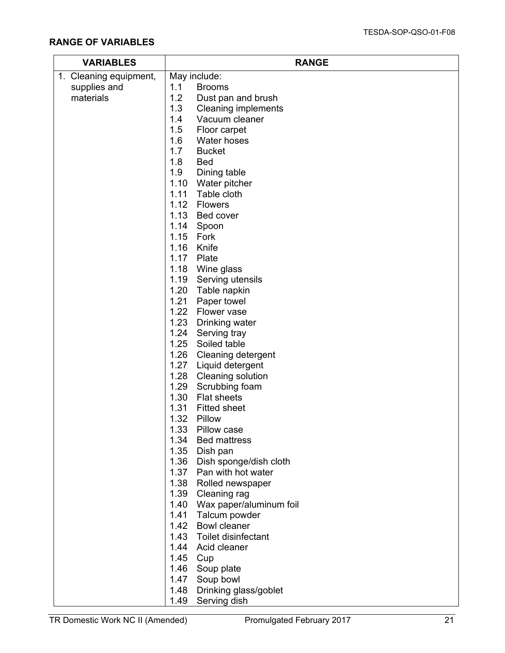| <b>VARIABLES</b>       | <b>RANGE</b>                                |
|------------------------|---------------------------------------------|
| 1. Cleaning equipment, | May include:                                |
| supplies and           | 1.1<br><b>Brooms</b>                        |
| materials              | 1.2<br>Dust pan and brush                   |
|                        | 1.3<br><b>Cleaning implements</b>           |
|                        | 1.4<br>Vacuum cleaner                       |
|                        | 1.5<br>Floor carpet                         |
|                        | 1.6<br>Water hoses                          |
|                        | 1.7<br><b>Bucket</b>                        |
|                        | 1.8<br><b>Bed</b>                           |
|                        | 1.9<br>Dining table                         |
|                        | 1.10 Water pitcher                          |
|                        | Table cloth<br>1.11                         |
|                        | 1.12 Flowers                                |
|                        | 1.13 Bed cover                              |
|                        | 1.14 Spoon                                  |
|                        | 1.15<br>Fork                                |
|                        | 1.16<br>Knife                               |
|                        | 1.17<br>Plate                               |
|                        | 1.18 Wine glass                             |
|                        | 1.19 Serving utensils                       |
|                        | 1.20 Table napkin                           |
|                        | 1.21<br>Paper towel                         |
|                        | 1.22 Flower vase                            |
|                        | 1.23 Drinking water<br>1.24<br>Serving tray |
|                        | 1.25 Soiled table                           |
|                        | 1.26 Cleaning detergent                     |
|                        | 1.27<br>Liquid detergent                    |
|                        | 1.28 Cleaning solution                      |
|                        | 1.29<br>Scrubbing foam                      |
|                        | 1.30<br><b>Flat sheets</b>                  |
|                        | 1.31<br><b>Fitted sheet</b>                 |
|                        | 1.32<br>Pillow                              |
|                        | 1.33<br>Pillow case                         |
|                        | 1.34 Bed mattress                           |
|                        | 1.35 Dish pan                               |
|                        | 1.36 Dish sponge/dish cloth                 |
|                        | 1.37<br>Pan with hot water                  |
|                        | 1.38 Rolled newspaper                       |
|                        | 1.39 Cleaning rag                           |
|                        | 1.40 Wax paper/aluminum foil                |
|                        | 1.41 Talcum powder                          |
|                        | 1.42<br><b>Bowl cleaner</b>                 |
|                        | 1.43 Toilet disinfectant                    |
|                        | 1.44 Acid cleaner                           |
|                        | 1.45 Cup                                    |
|                        | 1.46 Soup plate                             |
|                        | 1.47 Soup bowl                              |
|                        | 1.48 Drinking glass/goblet                  |
|                        | 1.49<br>Serving dish                        |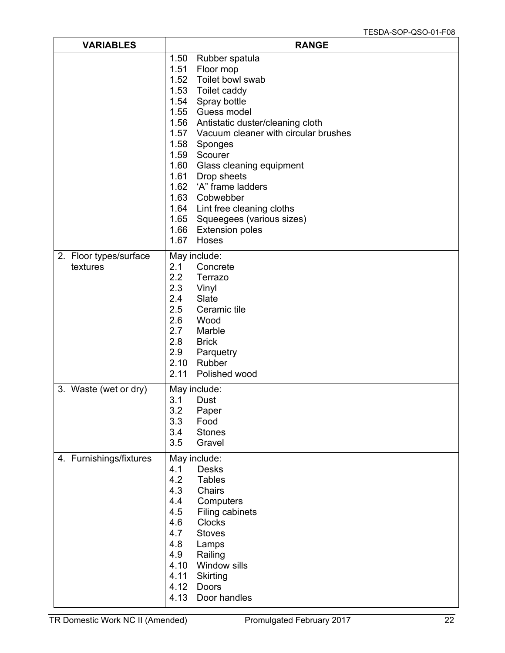| <b>VARIABLES</b>                   | <b>RANGE</b>                                                                                                                                                                                                                                                                                                                                                                                                                                                                                                      |
|------------------------------------|-------------------------------------------------------------------------------------------------------------------------------------------------------------------------------------------------------------------------------------------------------------------------------------------------------------------------------------------------------------------------------------------------------------------------------------------------------------------------------------------------------------------|
|                                    | 1.50<br>Rubber spatula<br>1.51<br>Floor mop<br>1.52<br>Toilet bowl swab<br>1.53<br>Toilet caddy<br>1.54<br>Spray bottle<br>Guess model<br>1.55<br>1.56<br>Antistatic duster/cleaning cloth<br>1.57 Vacuum cleaner with circular brushes<br>1.58<br>Sponges<br>1.59<br>Scourer<br>1.60<br>Glass cleaning equipment<br>1.61<br>Drop sheets<br>1.62<br>'A" frame ladders<br>1.63 Cobwebber<br>1.64 Lint free cleaning cloths<br>1.65<br>Squeegees (various sizes)<br>1.66<br><b>Extension poles</b><br>1.67<br>Hoses |
| 2. Floor types/surface<br>textures | May include:<br>2.1<br>Concrete<br>2.2<br>Terrazo<br>2.3<br>Vinyl<br>2.4<br>Slate<br>2.5<br>Ceramic tile<br>2.6<br>Wood<br>2.7<br>Marble<br>2.8<br><b>Brick</b><br>2.9<br>Parquetry<br>2.10<br>Rubber<br>2.11<br>Polished wood                                                                                                                                                                                                                                                                                    |
| 3. Waste (wet or dry)              | May include:<br>3.1<br>Dust<br>3.2<br>Paper<br>3.3<br>Food<br>3.4<br><b>Stones</b><br>3.5<br>Gravel                                                                                                                                                                                                                                                                                                                                                                                                               |
| 4. Furnishings/fixtures            | May include:<br>4.1<br>Desks<br>4.2<br><b>Tables</b><br>4.3<br>Chairs<br>4.4<br>Computers<br>4.5<br>Filing cabinets<br><b>Clocks</b><br>4.6<br>4.7<br><b>Stoves</b><br>4.8<br>Lamps<br>4.9<br>Railing<br>4.10<br>Window sills<br>4.11<br>Skirting<br>4.12<br>Doors<br>4.13<br>Door handles                                                                                                                                                                                                                        |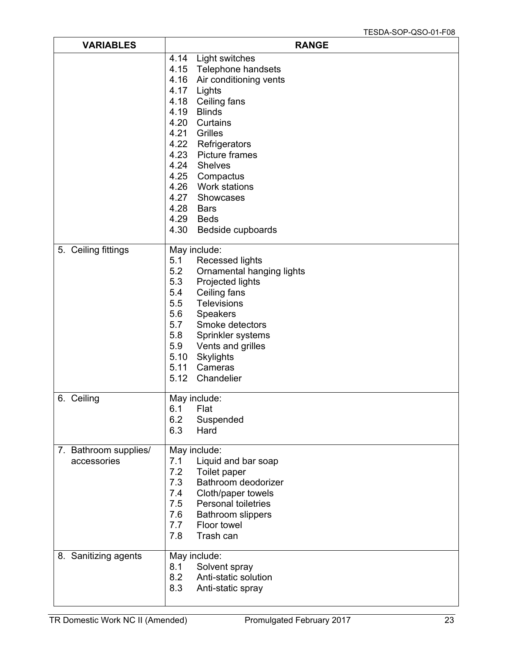| <b>VARIABLES</b>                     | <b>RANGE</b>                                                                                                                                                                                                                                                                                                                                             |
|--------------------------------------|----------------------------------------------------------------------------------------------------------------------------------------------------------------------------------------------------------------------------------------------------------------------------------------------------------------------------------------------------------|
|                                      | 4.14 Light switches<br>4.15 Telephone handsets<br>4.16 Air conditioning vents<br>4.17 Lights<br>4.18 Ceiling fans<br>4.19<br>Blinds<br>4.20<br>Curtains<br>4.21<br>Grilles<br>4.22 Refrigerators<br>4.23 Picture frames<br>4.24 Shelves<br>4.25 Compactus<br>4.26 Work stations<br>4.27 Showcases<br>4.28 Bars<br>4.29 Beds<br>4.30<br>Bedside cupboards |
| 5. Ceiling fittings                  | May include:<br>5.1<br><b>Recessed lights</b><br>5.2<br>Ornamental hanging lights<br>5.3<br>Projected lights<br>5.4<br>Ceiling fans<br>5.5<br>Televisions<br>5.6<br>Speakers<br>5.7<br>Smoke detectors<br>5.8<br>Sprinkler systems<br>5.9<br>Vents and grilles<br>5.10 Skylights<br>5.11 Cameras<br>5.12 Chandelier                                      |
| 6. Ceiling                           | May include:<br>Flat<br>6.1<br>6.2<br>Suspended<br>6.3<br>Hard                                                                                                                                                                                                                                                                                           |
| 7. Bathroom supplies/<br>accessories | May include:<br>7.1<br>Liquid and bar soap<br>7.2<br>Toilet paper<br>Bathroom deodorizer<br>7.3<br>7.4<br>Cloth/paper towels<br><b>Personal toiletries</b><br>7.5<br>7.6<br><b>Bathroom slippers</b><br>7.7<br>Floor towel<br>7.8<br>Trash can                                                                                                           |
| 8. Sanitizing agents                 | May include:<br>8.1<br>Solvent spray<br>8.2<br>Anti-static solution<br>8.3<br>Anti-static spray                                                                                                                                                                                                                                                          |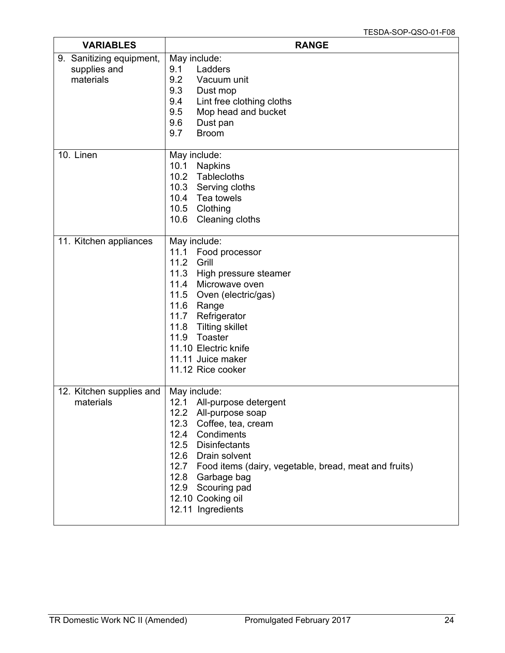| <b>VARIABLES</b>                                      | <b>RANGE</b>                                                                                                                                                                                                                                                                                                   |
|-------------------------------------------------------|----------------------------------------------------------------------------------------------------------------------------------------------------------------------------------------------------------------------------------------------------------------------------------------------------------------|
| 9. Sanitizing equipment,<br>supplies and<br>materials | May include:<br>9.1<br>Ladders<br>9.2<br>Vacuum unit<br>9.3<br>Dust mop<br>Lint free clothing cloths<br>9.4<br>9.5<br>Mop head and bucket<br>9.6<br>Dust pan<br>9.7<br><b>Broom</b>                                                                                                                            |
| 10. Linen                                             | May include:<br>10.1<br><b>Napkins</b><br>10.2 Tablecloths<br>10.3 Serving cloths<br>10.4 Tea towels<br>10.5<br>Clothing<br>Cleaning cloths<br>10.6                                                                                                                                                            |
| 11. Kitchen appliances                                | May include:<br>11.1<br>Food processor<br>11.2<br>Grill<br>11.3<br>High pressure steamer<br>11.4 Microwave oven<br>11.5<br>Oven (electric/gas)<br>11.6<br>Range<br>11.7<br>Refrigerator<br>11.8<br><b>Tilting skillet</b><br>11.9<br>Toaster<br>11.10 Electric knife<br>11.11 Juice maker<br>11.12 Rice cooker |
| 12. Kitchen supplies and<br>materials                 | May include:<br>12.1 All-purpose detergent<br>12.2 All-purpose soap<br>12.3 Coffee, tea, cream<br>12.4 Condiments<br>12.5 Disinfectants<br>12.6 Drain solvent<br>12.7 Food items (dairy, vegetable, bread, meat and fruits)<br>12.8 Garbage bag<br>12.9 Scouring pad<br>12.10 Cooking oil<br>12.11 Ingredients |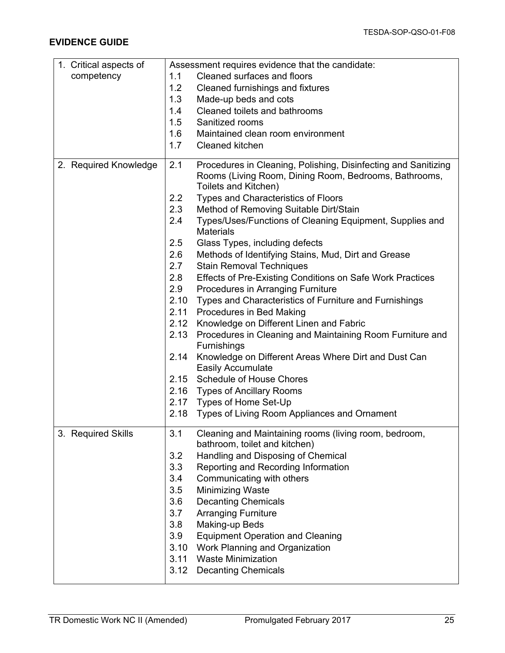| 1. Critical aspects of | Assessment requires evidence that the candidate:                                                                               |
|------------------------|--------------------------------------------------------------------------------------------------------------------------------|
| competency             | Cleaned surfaces and floors<br>1.1                                                                                             |
|                        | 1.2<br>Cleaned furnishings and fixtures                                                                                        |
|                        | 1.3<br>Made-up beds and cots                                                                                                   |
|                        | Cleaned toilets and bathrooms<br>1.4                                                                                           |
|                        | 1.5<br>Sanitized rooms                                                                                                         |
|                        | 1.6<br>Maintained clean room environment                                                                                       |
|                        | 1.7<br>Cleaned kitchen                                                                                                         |
| 2. Required Knowledge  | 2.1<br>Procedures in Cleaning, Polishing, Disinfecting and Sanitizing<br>Rooms (Living Room, Dining Room, Bedrooms, Bathrooms, |
|                        | Toilets and Kitchen)                                                                                                           |
|                        | 2.2<br>Types and Characteristics of Floors                                                                                     |
|                        | 2.3<br>Method of Removing Suitable Dirt/Stain                                                                                  |
|                        | 2.4<br>Types/Uses/Functions of Cleaning Equipment, Supplies and<br><b>Materials</b>                                            |
|                        | 2.5<br>Glass Types, including defects                                                                                          |
|                        | 2.6<br>Methods of Identifying Stains, Mud, Dirt and Grease                                                                     |
|                        | 2.7<br><b>Stain Removal Techniques</b>                                                                                         |
|                        | 2.8<br>Effects of Pre-Existing Conditions on Safe Work Practices                                                               |
|                        | 2.9<br>Procedures in Arranging Furniture                                                                                       |
|                        | 2.10<br>Types and Characteristics of Furniture and Furnishings                                                                 |
|                        | 2.11<br>Procedures in Bed Making                                                                                               |
|                        | 2.12<br>Knowledge on Different Linen and Fabric                                                                                |
|                        | Procedures in Cleaning and Maintaining Room Furniture and<br>2.13<br>Furnishings                                               |
|                        | 2.14<br>Knowledge on Different Areas Where Dirt and Dust Can<br><b>Easily Accumulate</b>                                       |
|                        | 2.15 Schedule of House Chores                                                                                                  |
|                        | 2.16 Types of Ancillary Rooms                                                                                                  |
|                        | 2.17 Types of Home Set-Up                                                                                                      |
|                        | 2.18<br>Types of Living Room Appliances and Ornament                                                                           |
| 3. Required Skills     | 3.1<br>Cleaning and Maintaining rooms (living room, bedroom,<br>bathroom, toilet and kitchen)                                  |
|                        | 3.2<br>Handling and Disposing of Chemical                                                                                      |
|                        | 3.3<br>Reporting and Recording Information                                                                                     |
|                        | 3.4<br>Communicating with others                                                                                               |
|                        | <b>Minimizing Waste</b><br>3.5                                                                                                 |
|                        | 3.6<br><b>Decanting Chemicals</b>                                                                                              |
|                        | 3.7<br><b>Arranging Furniture</b>                                                                                              |
|                        | 3.8<br>Making-up Beds                                                                                                          |
|                        | 3.9<br><b>Equipment Operation and Cleaning</b>                                                                                 |
|                        | 3.10<br>Work Planning and Organization                                                                                         |
|                        | <b>Waste Minimization</b><br>3.11                                                                                              |
|                        | 3.12<br><b>Decanting Chemicals</b>                                                                                             |
|                        |                                                                                                                                |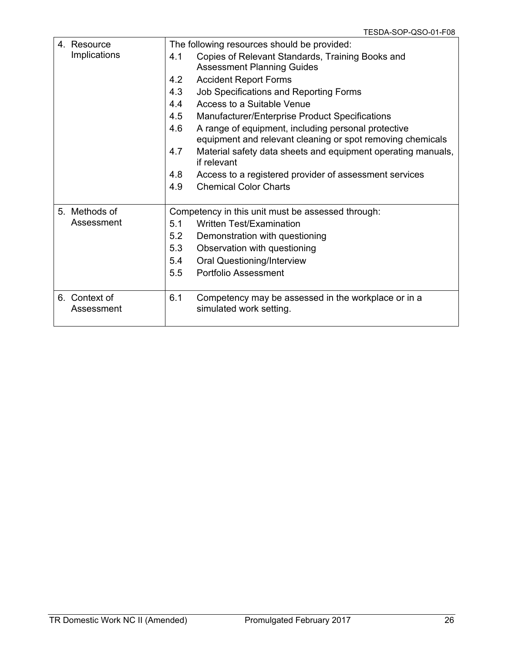| 4. Resource   | The following resources should be provided:                                        |
|---------------|------------------------------------------------------------------------------------|
| Implications  | Copies of Relevant Standards, Training Books and<br>4.1                            |
|               | <b>Assessment Planning Guides</b>                                                  |
|               | <b>Accident Report Forms</b><br>4.2                                                |
|               | 4.3<br>Job Specifications and Reporting Forms                                      |
|               | 4.4<br>Access to a Suitable Venue                                                  |
|               | 4.5<br>Manufacturer/Enterprise Product Specifications                              |
|               | 4.6<br>A range of equipment, including personal protective                         |
|               | equipment and relevant cleaning or spot removing chemicals                         |
|               | 4.7<br>Material safety data sheets and equipment operating manuals,<br>if relevant |
|               | 4.8<br>Access to a registered provider of assessment services                      |
|               | <b>Chemical Color Charts</b><br>4.9                                                |
|               |                                                                                    |
| 5. Methods of | Competency in this unit must be assessed through:                                  |
| Assessment    | <b>Written Test/Examination</b><br>5.1                                             |
|               | 5.2<br>Demonstration with questioning                                              |
|               | 5.3<br>Observation with questioning                                                |
|               | 5.4<br><b>Oral Questioning/Interview</b>                                           |
|               | 5.5<br>Portfolio Assessment                                                        |
|               |                                                                                    |
| 6. Context of | 6.1<br>Competency may be assessed in the workplace or in a                         |
| Assessment    | simulated work setting.                                                            |
|               |                                                                                    |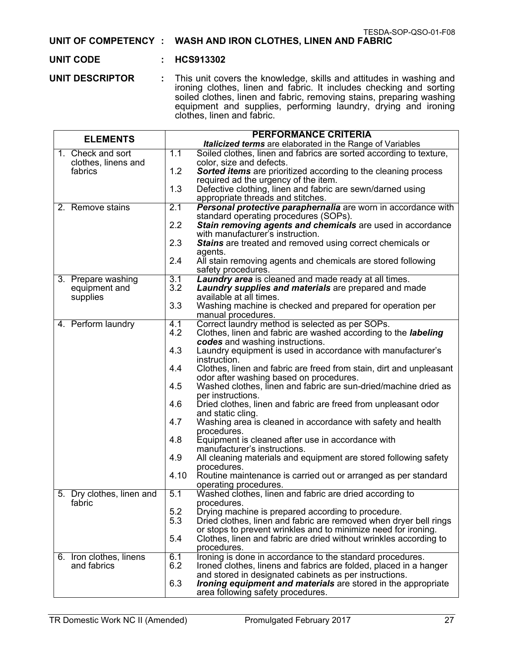#### **UNIT OF COMPETENCY : WASH AND IRON CLOTHES, LINEN AND FABRIC**

#### **UNIT CODE : HCS913302**

**UNIT DESCRIPTOR :** This unit covers the knowledge, skills and attitudes in washing and ironing clothes, linen and fabric. It includes checking and sorting soiled clothes, linen and fabric, removing stains, preparing washing equipment and supplies, performing laundry, drying and ironing clothes, linen and fabric.

| <b>ELEMENTS</b>           |      | <b>PERFORMANCE CRITERIA</b>                                                                    |
|---------------------------|------|------------------------------------------------------------------------------------------------|
|                           |      | Italicized terms are elaborated in the Range of Variables                                      |
| 1. Check and sort         | 1.1  | Soiled clothes, linen and fabrics are sorted according to texture,                             |
| clothes, linens and       |      | color, size and defects.                                                                       |
| fabrics                   | 1.2  | <b>Sorted items</b> are prioritized according to the cleaning process                          |
|                           |      | required ad the urgency of the item.                                                           |
|                           | 1.3  | Defective clothing, linen and fabric are sewn/darned using                                     |
|                           |      | appropriate threads and stitches.                                                              |
| 2. Remove stains          | 2.1  | Personal protective paraphernalia are worn in accordance with                                  |
|                           | 2.2  | standard operating procedures (SOPs).                                                          |
|                           |      | Stain removing agents and chemicals are used in accordance<br>with manufacturer's instruction. |
|                           | 2.3  | Stains are treated and removed using correct chemicals or                                      |
|                           |      | agents.                                                                                        |
|                           | 2.4  | All stain removing agents and chemicals are stored following                                   |
|                           |      | safety procedures.                                                                             |
| 3. Prepare washing        | 3.1  | <b>Laundry area</b> is cleaned and made ready at all times.                                    |
| equipment and             | 3.2  | Laundry supplies and materials are prepared and made                                           |
| supplies                  |      | available at all times.                                                                        |
|                           | 3.3  | Washing machine is checked and prepared for operation per                                      |
|                           |      | manual procedures.                                                                             |
| 4. Perform laundry        | 4.1  | Correct laundry method is selected as per SOPs.                                                |
|                           | 4.2  | Clothes, linen and fabric are washed according to the labeling                                 |
|                           |      | codes and washing instructions.                                                                |
|                           | 4.3  | Laundry equipment is used in accordance with manufacturer's                                    |
|                           | 4.4  | instruction.<br>Clothes, linen and fabric are freed from stain, dirt and unpleasant            |
|                           |      | odor after washing based on procedures.                                                        |
|                           | 4.5  | Washed clothes, linen and fabric are sun-dried/machine dried as                                |
|                           |      | per instructions.                                                                              |
|                           | 4.6  | Dried clothes, linen and fabric are freed from unpleasant odor                                 |
|                           |      | and static cling.                                                                              |
|                           | 4.7  | Washing area is cleaned in accordance with safety and health                                   |
|                           |      | procedures.                                                                                    |
|                           | 4.8  | Equipment is cleaned after use in accordance with                                              |
|                           |      | manufacturer's instructions.                                                                   |
|                           | 4.9  | All cleaning materials and equipment are stored following safety                               |
|                           | 4.10 | procedures.<br>Routine maintenance is carried out or arranged as per standard                  |
|                           |      | operating procedures.                                                                          |
| 5. Dry clothes, linen and | 5.1  | Washed clothes, linen and fabric are dried according to                                        |
| fabric                    |      | procedures.                                                                                    |
|                           | 5.2  | Drying machine is prepared according to procedure.                                             |
|                           | 5.3  | Dried clothes, linen and fabric are removed when dryer bell rings                              |
|                           |      | or stops to prevent wrinkles and to minimize need for ironing.                                 |
|                           | 5.4  | Clothes, linen and fabric are dried without wrinkles according to                              |
|                           |      | procedures.                                                                                    |
| 6. Iron clothes, linens   | 6.1  | Ironing is done in accordance to the standard procedures.                                      |
| and fabrics               | 6.2  | Ironed clothes, linens and fabrics are folded, placed in a hanger                              |
|                           |      | and stored in designated cabinets as per instructions.                                         |
|                           | 6.3  | <i>Ironing equipment and materials</i> are stored in the appropriate                           |
|                           |      | area following safety procedures.                                                              |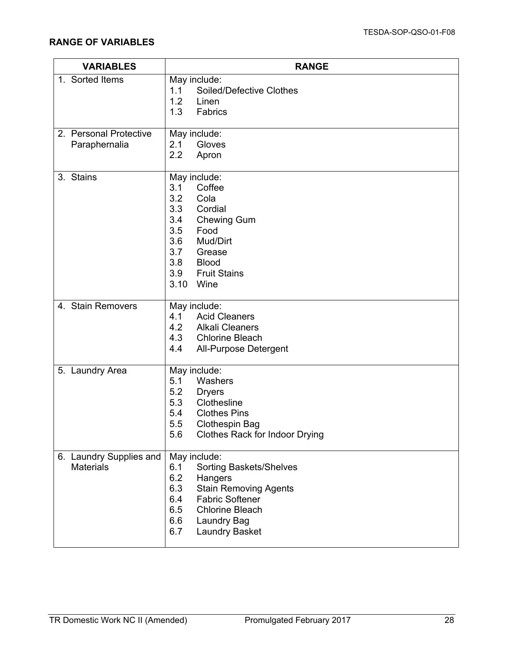| <b>VARIABLES</b>                            | <b>RANGE</b>                                                                                                                                                                                                                           |
|---------------------------------------------|----------------------------------------------------------------------------------------------------------------------------------------------------------------------------------------------------------------------------------------|
| 1. Sorted Items                             | May include:<br><b>Soiled/Defective Clothes</b><br>1.1<br>1.2<br>Linen<br>1.3<br>Fabrics                                                                                                                                               |
| 2. Personal Protective<br>Paraphernalia     | May include:<br>2.1<br>Gloves<br>2.2<br>Apron                                                                                                                                                                                          |
| 3. Stains                                   | May include:<br>3.1<br>Coffee<br>3.2<br>Cola<br>3.3<br>Cordial<br>3.4<br><b>Chewing Gum</b><br>3.5<br>Food<br>3.6<br>Mud/Dirt<br>3.7<br>Grease<br>3.8<br><b>Blood</b><br>3.9<br><b>Fruit Stains</b><br>3.10<br>Wine                    |
| 4. Stain Removers                           | May include:<br><b>Acid Cleaners</b><br>4.1<br>4.2 Alkali Cleaners<br>4.3 Chlorine Bleach<br>4.4<br>All-Purpose Detergent                                                                                                              |
| 5. Laundry Area                             | May include:<br>5.1<br>Washers<br>5.2<br><b>Dryers</b><br>5.3<br>Clothesline<br><b>Clothes Pins</b><br>5.4<br>5.5<br><b>Clothespin Bag</b><br>5.6<br><b>Clothes Rack for Indoor Drying</b>                                             |
| 6. Laundry Supplies and<br><b>Materials</b> | May include:<br>6.1<br><b>Sorting Baskets/Shelves</b><br>6.2<br>Hangers<br>6.3<br><b>Stain Removing Agents</b><br><b>Fabric Softener</b><br>6.4<br><b>Chlorine Bleach</b><br>6.5<br>6.6<br>Laundry Bag<br>6.7<br><b>Laundry Basket</b> |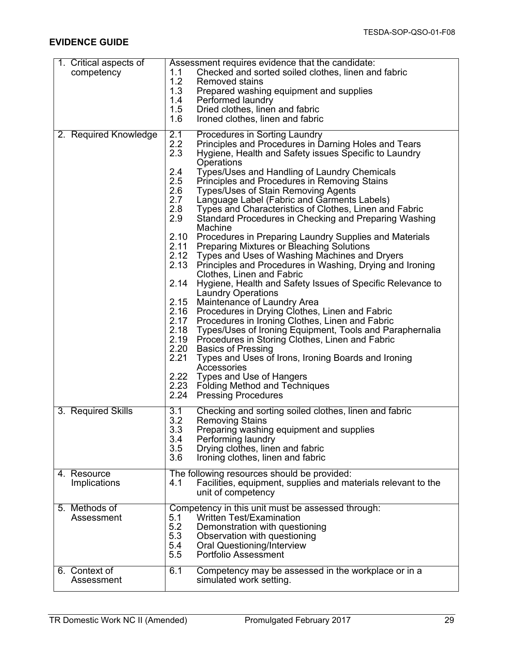| 1. Critical aspects of<br>competency | Assessment requires evidence that the candidate:<br>Checked and sorted soiled clothes, linen and fabric<br>1.1<br>1.2<br><b>Removed stains</b><br>1.3<br>Prepared washing equipment and supplies<br>1.4<br>Performed laundry<br>1.5<br>Dried clothes, linen and fabric<br>1.6<br>Ironed clothes, linen and fabric                                                                                                                                                                                                                                                                                                                                                                                                                                                                                                                                                                                                                                                                                                                                                                                                                                                                                                                                                                                                                                                                                                                                                                         |
|--------------------------------------|-------------------------------------------------------------------------------------------------------------------------------------------------------------------------------------------------------------------------------------------------------------------------------------------------------------------------------------------------------------------------------------------------------------------------------------------------------------------------------------------------------------------------------------------------------------------------------------------------------------------------------------------------------------------------------------------------------------------------------------------------------------------------------------------------------------------------------------------------------------------------------------------------------------------------------------------------------------------------------------------------------------------------------------------------------------------------------------------------------------------------------------------------------------------------------------------------------------------------------------------------------------------------------------------------------------------------------------------------------------------------------------------------------------------------------------------------------------------------------------------|
| 2. Required Knowledge                | 2.1<br>Procedures in Sorting Laundry<br>2.2<br>Principles and Procedures in Darning Holes and Tears<br>2.3<br>Hygiene, Health and Safety issues Specific to Laundry<br>Operations<br>2.4<br>Types/Uses and Handling of Laundry Chemicals<br>2.5<br>Principles and Procedures in Removing Stains<br>2.6<br><b>Types/Uses of Stain Removing Agents</b><br>2.7<br>Language Label (Fabric and Garments Labels)<br>2.8<br>Types and Characteristics of Clothes, Linen and Fabric<br>2.9<br>Standard Procedures in Checking and Preparing Washing<br>Machine<br>2.10<br>Procedures in Preparing Laundry Supplies and Materials<br>2.11<br>Preparing Mixtures or Bleaching Solutions<br>2.12<br>Types and Uses of Washing Machines and Dryers<br>2.13<br>Principles and Procedures in Washing, Drying and Ironing<br><b>Clothes, Linen and Fabric</b><br>2.14<br>Hygiene, Health and Safety Issues of Specific Relevance to<br><b>Laundry Operations</b><br>2.15<br>Maintenance of Laundry Area<br>2.16<br>Procedures in Drying Clothes, Linen and Fabric<br>2.17<br>Procedures in Ironing Clothes, Linen and Fabric<br>2.18<br>Types/Uses of Ironing Equipment, Tools and Paraphernalia<br>2.19<br>Procedures in Storing Clothes, Linen and Fabric<br>2.20<br><b>Basics of Pressing</b><br>2.21<br>Types and Uses of Irons, Ironing Boards and Ironing<br>Accessories<br>2.22<br>Types and Use of Hangers<br>2.23<br><b>Folding Method and Techniques</b><br>2.24<br><b>Pressing Procedures</b> |
| 3. Required Skills                   | 3.1<br>Checking and sorting soiled clothes, linen and fabric<br>3.2<br><b>Removing Stains</b><br>3.3<br>Preparing washing equipment and supplies<br>3.4<br>Performing laundry<br>3.5<br>Drying clothes, linen and fabric<br>3.6<br>Ironing clothes, linen and fabric                                                                                                                                                                                                                                                                                                                                                                                                                                                                                                                                                                                                                                                                                                                                                                                                                                                                                                                                                                                                                                                                                                                                                                                                                      |
| 4. Resource<br>Implications          | The following resources should be provided:<br>Facilities, equipment, supplies and materials relevant to the<br>4.1<br>unit of competency                                                                                                                                                                                                                                                                                                                                                                                                                                                                                                                                                                                                                                                                                                                                                                                                                                                                                                                                                                                                                                                                                                                                                                                                                                                                                                                                                 |
| 5. Methods of<br>Assessment          | Competency in this unit must be assessed through:<br><b>Written Test/Examination</b><br>5.1<br>5.2<br>Demonstration with questioning<br>5.3<br>Observation with questioning<br>5.4<br><b>Oral Questioning/Interview</b><br>5.5<br>Portfolio Assessment                                                                                                                                                                                                                                                                                                                                                                                                                                                                                                                                                                                                                                                                                                                                                                                                                                                                                                                                                                                                                                                                                                                                                                                                                                    |
| 6. Context of<br>Assessment          | 6.1<br>Competency may be assessed in the workplace or in a<br>simulated work setting.                                                                                                                                                                                                                                                                                                                                                                                                                                                                                                                                                                                                                                                                                                                                                                                                                                                                                                                                                                                                                                                                                                                                                                                                                                                                                                                                                                                                     |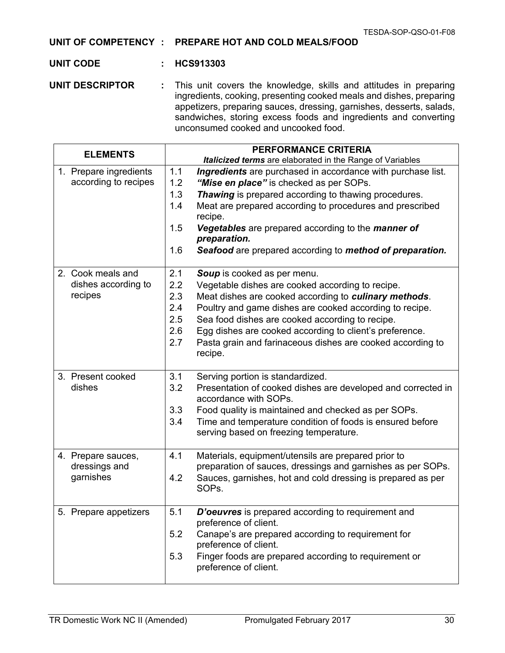#### **UNIT OF COMPETENCY : PREPARE HOT AND COLD MEALS/FOOD**

#### **UNIT CODE : HCS913303**

**UNIT DESCRIPTOR :** This unit covers the knowledge, skills and attitudes in preparing ingredients, cooking, presenting cooked meals and dishes, preparing appetizers, preparing sauces, dressing, garnishes, desserts, salads, sandwiches, storing excess foods and ingredients and converting unconsumed cooked and uncooked food.

| <b>ELEMENTS</b>         | <b>PERFORMANCE CRITERIA</b>                                                                  |
|-------------------------|----------------------------------------------------------------------------------------------|
|                         | <b>Italicized terms</b> are elaborated in the Range of Variables                             |
| 1. Prepare ingredients  | 1.1<br>Ingredients are purchased in accordance with purchase list.                           |
| according to recipes    | 1.2<br>"Mise en place" is checked as per SOPs.                                               |
|                         | Thawing is prepared according to thawing procedures.<br>1.3                                  |
|                         | Meat are prepared according to procedures and prescribed<br>1.4<br>recipe.                   |
|                         | 1.5<br>Vegetables are prepared according to the manner of                                    |
|                         | preparation.                                                                                 |
|                         | Seafood are prepared according to method of preparation.<br>1.6                              |
| 2. Cook meals and       | 2.1<br>Soup is cooked as per menu.                                                           |
| dishes according to     | Vegetable dishes are cooked according to recipe.<br>2.2                                      |
| recipes                 | 2.3<br>Meat dishes are cooked according to culinary methods.                                 |
|                         | Poultry and game dishes are cooked according to recipe.<br>2.4                               |
|                         | Sea food dishes are cooked according to recipe.<br>2.5                                       |
|                         | 2.6<br>Egg dishes are cooked according to client's preference.                               |
|                         | 2.7<br>Pasta grain and farinaceous dishes are cooked according to                            |
|                         | recipe.                                                                                      |
|                         |                                                                                              |
| 3. Present cooked       | 3.1<br>Serving portion is standardized.                                                      |
| dishes                  | 3.2<br>Presentation of cooked dishes are developed and corrected in<br>accordance with SOPs. |
|                         | 3.3<br>Food quality is maintained and checked as per SOPs.                                   |
|                         | 3.4<br>Time and temperature condition of foods is ensured before                             |
|                         | serving based on freezing temperature.                                                       |
|                         |                                                                                              |
| 4. Prepare sauces,      | 4.1<br>Materials, equipment/utensils are prepared prior to                                   |
| dressings and           | preparation of sauces, dressings and garnishes as per SOPs.                                  |
| garnishes               | Sauces, garnishes, hot and cold dressing is prepared as per<br>4.2                           |
|                         | SOP <sub>s.</sub>                                                                            |
| 5<br>Prepare appetizers | 5.1<br>D'oeuvres is prepared according to requirement and<br>preference of client.           |
|                         | 5.2<br>Canape's are prepared according to requirement for                                    |
|                         | preference of client.                                                                        |
|                         | 5.3<br>Finger foods are prepared according to requirement or                                 |
|                         | preference of client.                                                                        |
|                         |                                                                                              |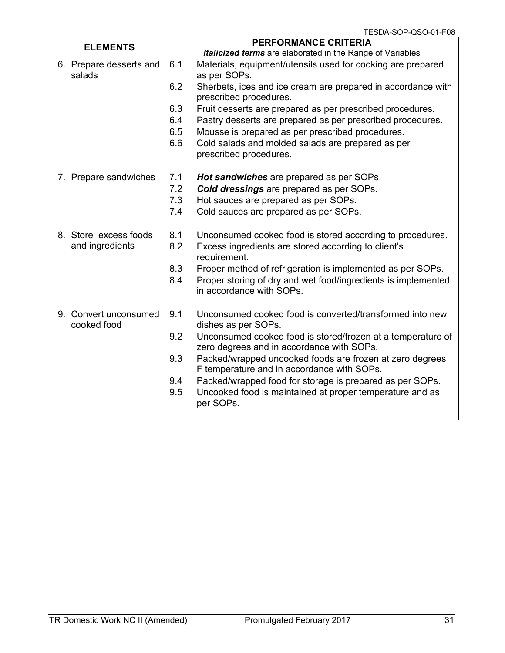|                                          | 1 CODA-OUP-QOU-U I-FUO                                                                                                                                                |
|------------------------------------------|-----------------------------------------------------------------------------------------------------------------------------------------------------------------------|
| <b>ELEMENTS</b>                          | <b>PERFORMANCE CRITERIA</b><br><b>Italicized terms</b> are elaborated in the Range of Variables                                                                       |
| 6. Prepare desserts and<br>salads        | 6.1<br>Materials, equipment/utensils used for cooking are prepared<br>as per SOPs.                                                                                    |
|                                          | 6.2<br>Sherbets, ices and ice cream are prepared in accordance with<br>prescribed procedures.                                                                         |
|                                          | 6.3<br>Fruit desserts are prepared as per prescribed procedures.                                                                                                      |
|                                          | 6.4<br>Pastry desserts are prepared as per prescribed procedures.                                                                                                     |
|                                          | 6.5<br>Mousse is prepared as per prescribed procedures.                                                                                                               |
|                                          | 6.6<br>Cold salads and molded salads are prepared as per<br>prescribed procedures.                                                                                    |
| 7. Prepare sandwiches                    | 7.1<br>Hot sandwiches are prepared as per SOPs.                                                                                                                       |
|                                          | 7.2<br><b>Cold dressings</b> are prepared as per SOPs.                                                                                                                |
|                                          | 7.3<br>Hot sauces are prepared as per SOPs.                                                                                                                           |
|                                          | 7.4<br>Cold sauces are prepared as per SOPs.                                                                                                                          |
| 8. Store excess foods<br>and ingredients | 8.1<br>Unconsumed cooked food is stored according to procedures.<br>8.2<br>Excess ingredients are stored according to client's<br>requirement.                        |
|                                          | 8.3<br>Proper method of refrigeration is implemented as per SOPs.<br>8.4<br>Proper storing of dry and wet food/ingredients is implemented<br>in accordance with SOPs. |
| 9. Convert unconsumed<br>cooked food     | Unconsumed cooked food is converted/transformed into new<br>9.1<br>dishes as per SOPs.                                                                                |
|                                          | 9.2<br>Unconsumed cooked food is stored/frozen at a temperature of<br>zero degrees and in accordance with SOPs.                                                       |
|                                          | 9.3<br>Packed/wrapped uncooked foods are frozen at zero degrees<br>F temperature and in accordance with SOPs.                                                         |
|                                          | 9.4<br>Packed/wrapped food for storage is prepared as per SOPs.<br>9.5<br>Uncooked food is maintained at proper temperature and as<br>per SOPs.                       |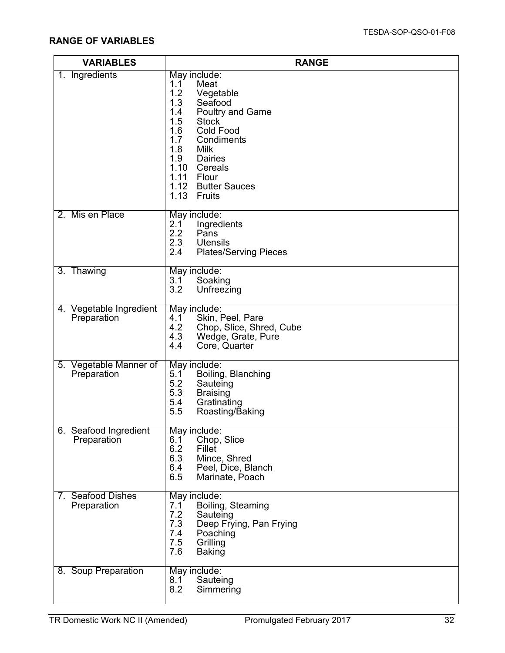| <b>VARIABLES</b>                       | <b>RANGE</b>                                                                                                                                                                                                                                                                |
|----------------------------------------|-----------------------------------------------------------------------------------------------------------------------------------------------------------------------------------------------------------------------------------------------------------------------------|
| 1. Ingredients                         | May include:<br>1.1<br>Meat<br>1.2<br>Vegetable<br>1.3<br>Seafood<br>1.4<br><b>Poultry and Game</b><br>1.5<br><b>Stock</b><br>1.6<br><b>Cold Food</b><br>1.7<br>Condiments<br>1.8<br>Milk<br>1.9 Dairies<br>1.10 Cereals<br>1.11 Flour<br>1.12 Butter Sauces<br>1.13 Fruits |
| 2. Mis en Place                        | May include:<br>Ingredients<br>2.1<br>2.2<br>Pans<br>2.3<br><b>Utensils</b><br>2.4<br><b>Plates/Serving Pieces</b>                                                                                                                                                          |
| 3. Thawing                             | May include:<br>3.1<br>Soaking<br>3.2<br>Unfreezing                                                                                                                                                                                                                         |
| 4. Vegetable Ingredient<br>Preparation | May include:<br>Skin, Peel, Pare<br>4.1<br>4.2<br>Chop, Slice, Shred, Cube<br>4.3<br>Wedge, Grate, Pure<br>4.4<br>Core, Quarter                                                                                                                                             |
| 5. Vegetable Manner of<br>Preparation  | May include:<br>5.1<br>Boiling, Blanching<br>5.2<br>Sauteing<br>5.3<br><b>Braising</b><br>5.4<br>Gratinating<br>5.5<br>Roasting/Baking                                                                                                                                      |
| 6. Seafood Ingredient<br>Preparation   | May include:<br>Chop, Slice<br>6.1<br>6.2<br>Fillet<br>6.3<br>Mince, Shred<br>6.4<br>Peel, Dice, Blanch<br>6.5<br>Marinate, Poach                                                                                                                                           |
| 7. Seafood Dishes<br>Preparation       | May include:<br>Boiling, Steaming<br>7.1<br>7.2<br>Sauteing<br>7.3<br>Deep Frying, Pan Frying<br>7.4<br>Poaching<br>7.5<br>Grilling<br>7.6<br><b>Baking</b>                                                                                                                 |
| 8. Soup Preparation                    | May include:<br>Sauteing<br>8.1<br>8.2<br>Simmering                                                                                                                                                                                                                         |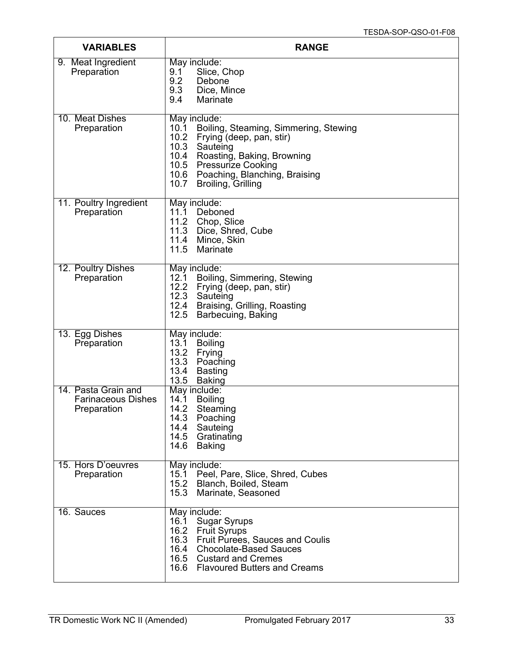| <b>VARIABLES</b>                                                | <b>RANGE</b>                                                                                                                                                                                                                                                  |
|-----------------------------------------------------------------|---------------------------------------------------------------------------------------------------------------------------------------------------------------------------------------------------------------------------------------------------------------|
| 9. Meat Ingredient<br>Preparation                               | May include:<br>Slice, Chop<br>9.1<br>9.2<br>Debone<br>9.3<br>Dice, Mince<br>9.4<br>Marinate                                                                                                                                                                  |
| 10. Meat Dishes<br>Preparation                                  | May include:<br>Boiling, Steaming, Simmering, Stewing<br>10.1<br>10.2<br>Frying (deep, pan, stir)<br>10.3<br>Sauteing<br>10.4<br>Roasting, Baking, Browning<br>10.5<br>Pressurize Cooking<br>10.6 Poaching, Blanching, Braising<br>10.7<br>Broiling, Grilling |
| 11. Poultry Ingredient<br>Preparation                           | May include:<br>11.1 Deboned<br>11.2 Chop, Slice<br>11.3 Dice, Shred, Cube<br>11.4 Mince, Skin<br>11.5<br>Marinate                                                                                                                                            |
| 12. Poultry Dishes<br>Preparation                               | May include:<br>12.1<br>Boiling, Simmering, Stewing<br>12.2<br>Frying (deep, pan, stir)<br>12.3 Sauteing<br>12.4 Braising, Grilling, Roasting<br>12.5<br>Barbecuing, Baking                                                                                   |
| 13. Egg Dishes<br>Preparation                                   | May include:<br>13.1<br><b>Boiling</b><br>13.2<br>Frying<br>13.3<br>Poaching<br>13.4<br>Basting<br>13.5<br>Baking                                                                                                                                             |
| 14. Pasta Grain and<br><b>Farinaceous Dishes</b><br>Preparation | May include:<br><b>Boiling</b><br>14.1<br>14.2<br>Steaming<br>14.3<br>Poaching<br>14.4 Sauteing<br>14.5 Gratinating<br>14.6 Baking                                                                                                                            |
| 15. Hors D'oeuvres<br>Preparation                               | May include:<br>15.1 Peel, Pare, Slice, Shred, Cubes<br>15.2 Blanch, Boiled, Steam<br>15.3<br>Marinate, Seasoned                                                                                                                                              |
| 16. Sauces                                                      | May include:<br>16.1<br><b>Sugar Syrups</b><br>16.2 Fruit Syrups<br>16.3 Fruit Purees, Sauces and Coulis<br>16.4 Chocolate-Based Sauces<br>16.5 Custard and Cremes<br>16.6 Flavoured Butters and Creams                                                       |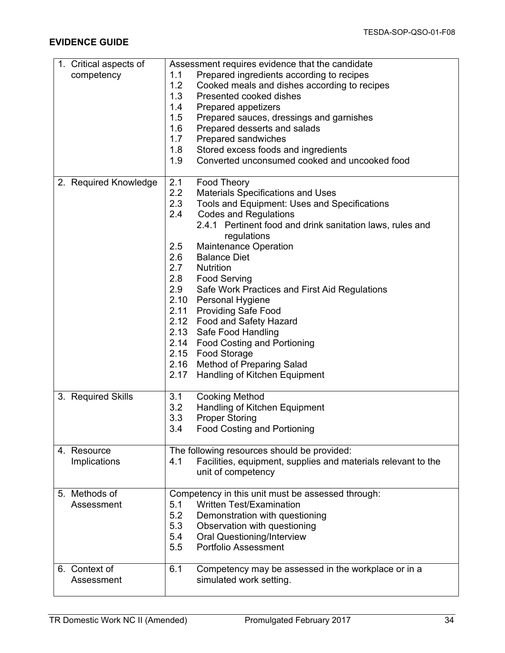| 1. Critical aspects of | Assessment requires evidence that the candidate |                                                               |
|------------------------|-------------------------------------------------|---------------------------------------------------------------|
| competency             | 1.1                                             | Prepared ingredients according to recipes                     |
|                        | 1.2                                             | Cooked meals and dishes according to recipes                  |
|                        | 1.3                                             | Presented cooked dishes                                       |
|                        | 1.4                                             | <b>Prepared appetizers</b>                                    |
|                        | 1.5                                             | Prepared sauces, dressings and garnishes                      |
|                        | 1.6                                             | Prepared desserts and salads                                  |
|                        | 1.7                                             | Prepared sandwiches                                           |
|                        |                                                 |                                                               |
|                        | 1.8                                             | Stored excess foods and ingredients                           |
|                        | 1.9                                             | Converted unconsumed cooked and uncooked food                 |
| 2. Required Knowledge  | 2.1                                             | Food Theory                                                   |
|                        | 2.2                                             | <b>Materials Specifications and Uses</b>                      |
|                        | 2.3                                             | Tools and Equipment: Uses and Specifications                  |
|                        | 2.4                                             | <b>Codes and Regulations</b>                                  |
|                        |                                                 | 2.4.1 Pertinent food and drink sanitation laws, rules and     |
|                        |                                                 | regulations                                                   |
|                        | 2.5                                             | Maintenance Operation                                         |
|                        | 2.6                                             | <b>Balance Diet</b>                                           |
|                        | 2.7<br><b>Nutrition</b>                         |                                                               |
|                        | 2.8                                             | <b>Food Serving</b>                                           |
|                        | 2.9                                             | Safe Work Practices and First Aid Regulations                 |
|                        | 2.10                                            |                                                               |
|                        |                                                 | <b>Personal Hygiene</b>                                       |
|                        | 2.11                                            | <b>Providing Safe Food</b>                                    |
|                        |                                                 | 2.12 Food and Safety Hazard                                   |
|                        |                                                 | 2.13 Safe Food Handling                                       |
|                        |                                                 | 2.14 Food Costing and Portioning                              |
|                        | 2.15 Food Storage                               |                                                               |
|                        |                                                 | 2.16 Method of Preparing Salad                                |
|                        | 2.17                                            | Handling of Kitchen Equipment                                 |
|                        |                                                 |                                                               |
| 3. Required Skills     | 3.1                                             | <b>Cooking Method</b>                                         |
|                        | 3.2                                             | Handling of Kitchen Equipment                                 |
|                        | 3.3                                             | <b>Proper Storing</b>                                         |
|                        | 3.4                                             | <b>Food Costing and Portioning</b>                            |
| 4. Resource            | The following resources should be provided:     |                                                               |
| Implications           | 4.1                                             | Facilities, equipment, supplies and materials relevant to the |
|                        |                                                 | unit of competency                                            |
| 5. Methods of          |                                                 | Competency in this unit must be assessed through:             |
| Assessment             | 5.1                                             | <b>Written Test/Examination</b>                               |
|                        | 5.2                                             | Demonstration with questioning                                |
|                        | 5.3                                             | Observation with questioning                                  |
|                        |                                                 |                                                               |
|                        | 5.4                                             | <b>Oral Questioning/Interview</b>                             |
|                        | 5.5                                             | <b>Portfolio Assessment</b>                                   |
| 6. Context of          | 6.1                                             | Competency may be assessed in the workplace or in a           |
| Assessment             |                                                 | simulated work setting.                                       |
|                        |                                                 |                                                               |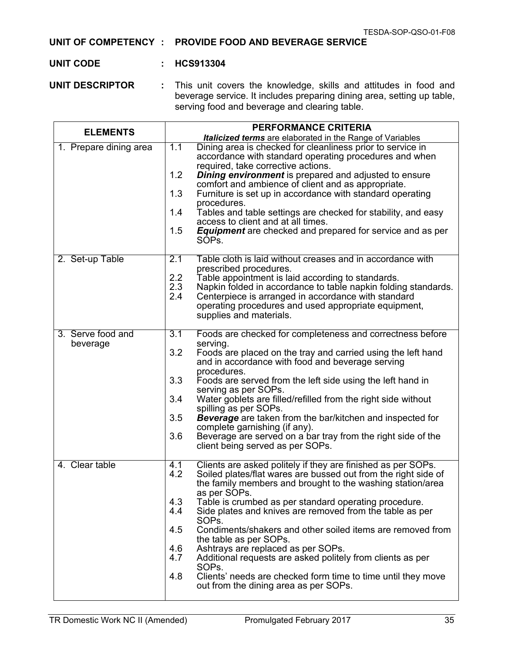### **UNIT OF COMPETENCY : PROVIDE FOOD AND BEVERAGE SERVICE**

#### **UNIT CODE : HCS913304**

**UNIT DESCRIPTOR :** This unit covers the knowledge, skills and attitudes in food and beverage service. It includes preparing dining area, setting up table, serving food and beverage and clearing table.

| <b>ELEMENTS</b>               | <b>PERFORMANCE CRITERIA</b>                                                                                                                                                                                                                                                                                                                                                                                                                                                                                                                                                                                                                                                                                                  |  |
|-------------------------------|------------------------------------------------------------------------------------------------------------------------------------------------------------------------------------------------------------------------------------------------------------------------------------------------------------------------------------------------------------------------------------------------------------------------------------------------------------------------------------------------------------------------------------------------------------------------------------------------------------------------------------------------------------------------------------------------------------------------------|--|
|                               | <b>Italicized terms</b> are elaborated in the Range of Variables                                                                                                                                                                                                                                                                                                                                                                                                                                                                                                                                                                                                                                                             |  |
| 1. Prepare dining area        | 1.1<br>Dining area is checked for cleanliness prior to service in<br>accordance with standard operating procedures and when<br>required, take corrective actions.<br>1.2<br><b>Dining environment</b> is prepared and adjusted to ensure<br>comfort and ambience of client and as appropriate.<br>1.3<br>Furniture is set up in accordance with standard operating<br>procedures.<br>Tables and table settings are checked for stability, and easy<br>1.4<br>access to client and at all times.<br><b>Equipment</b> are checked and prepared for service and as per<br>1.5<br>SÓPs.                                                                                                                                          |  |
| 2. Set-up Table               | 2.1<br>Table cloth is laid without creases and in accordance with<br>prescribed procedures.<br>2.2<br>Table appointment is laid according to standards.<br>2.3<br>Napkin folded in accordance to table napkin folding standards.<br>2.4<br>Centerpiece is arranged in accordance with standard<br>operating procedures and used appropriate equipment,<br>supplies and materials.                                                                                                                                                                                                                                                                                                                                            |  |
| 3. Serve food and<br>beverage | 3.1<br>Foods are checked for completeness and correctness before<br>serving.<br>3.2<br>Foods are placed on the tray and carried using the left hand<br>and in accordance with food and beverage serving<br>procedures.<br>3.3<br>Foods are served from the left side using the left hand in<br>serving as per SOPs.<br>3.4<br>Water gobiets are filled/refilled from the right side without<br>spilling as per SOPs.<br>3.5<br><b>Beverage</b> are taken from the bar/kitchen and inspected for<br>complete garnishing (if any).<br>3.6<br>Beverage are served on a bar tray from the right side of the<br>client being served as per SOPs.                                                                                  |  |
| 4. Clear table                | Clients are asked politely if they are finished as per SOPs.<br>4.1<br>4.2<br>Soiled plates/flat wares are bussed out from the right side of<br>the family members and brought to the washing station/area<br>as per SOPs.<br>4.3<br>Table is crumbed as per standard operating procedure.<br>4.4<br>Side plates and knives are removed from the table as per<br>SOPs.<br>Condiments/shakers and other soiled items are removed from<br>4.5<br>the table as per SOPs.<br>Ashtrays are replaced as per SOPs.<br>4.6<br>Additional requests are asked politely from clients as per<br>4.7<br>SOP <sub>s.</sub><br>Clients' needs are checked form time to time until they move<br>4.8<br>out from the dining area as per SOPs. |  |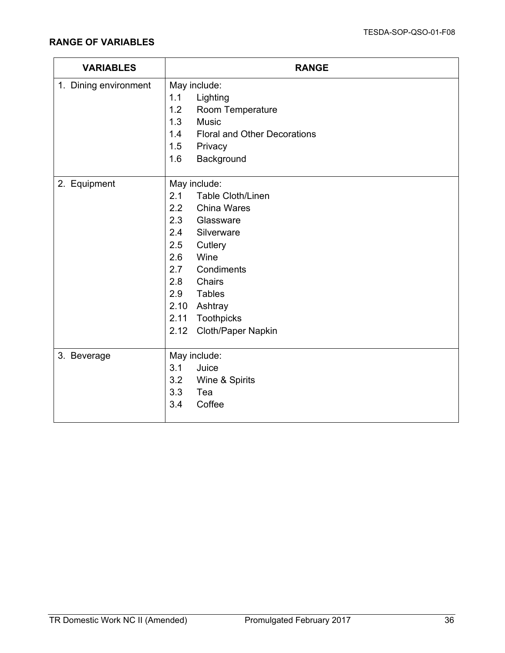| <b>VARIABLES</b>      | <b>RANGE</b>                               |  |
|-----------------------|--------------------------------------------|--|
| 1. Dining environment | May include:                               |  |
|                       | 1.1<br>Lighting                            |  |
|                       | Room Temperature<br>1.2                    |  |
|                       | 1.3<br><b>Music</b>                        |  |
|                       | 1.4<br><b>Floral and Other Decorations</b> |  |
|                       | 1.5<br>Privacy                             |  |
|                       | Background<br>1.6                          |  |
| 2. Equipment          | May include:                               |  |
|                       | 2.1<br><b>Table Cloth/Linen</b>            |  |
|                       | 2.2<br><b>China Wares</b>                  |  |
|                       | 2.3<br>Glassware                           |  |
|                       | 2.4<br>Silverware                          |  |
|                       | 2.5<br>Cutlery                             |  |
|                       | 2.6<br>Wine                                |  |
|                       | Condiments<br>2.7                          |  |
|                       | 2.8<br>Chairs                              |  |
|                       | 2.9<br><b>Tables</b>                       |  |
|                       | 2.10<br>Ashtray                            |  |
|                       | 2.11<br>Toothpicks                         |  |
|                       | Cloth/Paper Napkin<br>2.12                 |  |
| 3. Beverage           | May include:                               |  |
|                       | 3.1<br>Juice                               |  |
|                       | 3.2<br>Wine & Spirits                      |  |
|                       | 3.3<br>Tea                                 |  |
|                       | Coffee<br>3.4                              |  |
|                       |                                            |  |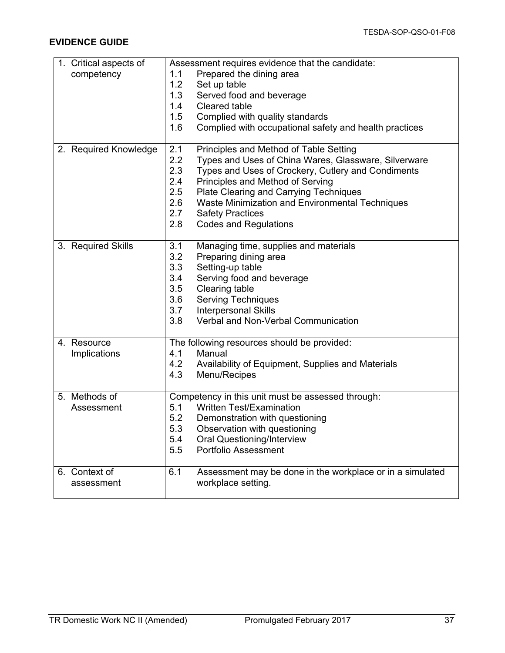| 1. Critical aspects of | Assessment requires evidence that the candidate:                 |  |
|------------------------|------------------------------------------------------------------|--|
| competency             | Prepared the dining area<br>1.1                                  |  |
|                        | 1.2<br>Set up table                                              |  |
|                        | 1.3<br>Served food and beverage                                  |  |
|                        | 1.4<br><b>Cleared table</b>                                      |  |
|                        | 1.5<br>Complied with quality standards                           |  |
|                        | 1.6<br>Complied with occupational safety and health practices    |  |
|                        |                                                                  |  |
| 2. Required Knowledge  | 2.1<br>Principles and Method of Table Setting                    |  |
|                        | 2.2<br>Types and Uses of China Wares, Glassware, Silverware      |  |
|                        | Types and Uses of Crockery, Cutlery and Condiments<br>2.3        |  |
|                        | 2.4<br>Principles and Method of Serving                          |  |
|                        | 2.5<br><b>Plate Clearing and Carrying Techniques</b>             |  |
|                        | 2.6<br>Waste Minimization and Environmental Techniques           |  |
|                        | 2.7<br><b>Safety Practices</b>                                   |  |
|                        | 2.8<br><b>Codes and Regulations</b>                              |  |
|                        |                                                                  |  |
| 3. Required Skills     | 3.1<br>Managing time, supplies and materials                     |  |
|                        | 3.2<br>Preparing dining area                                     |  |
|                        | 3.3<br>Setting-up table                                          |  |
|                        | 3.4<br>Serving food and beverage                                 |  |
|                        | 3.5<br>Clearing table                                            |  |
|                        | 3.6<br><b>Serving Techniques</b>                                 |  |
|                        | 3.7<br><b>Interpersonal Skills</b>                               |  |
|                        | 3.8<br>Verbal and Non-Verbal Communication                       |  |
|                        |                                                                  |  |
| 4. Resource            | The following resources should be provided:                      |  |
| Implications           | Manual<br>4.1                                                    |  |
|                        | 4.2<br>Availability of Equipment, Supplies and Materials         |  |
|                        | 4.3<br>Menu/Recipes                                              |  |
|                        |                                                                  |  |
| 5. Methods of          | Competency in this unit must be assessed through:                |  |
| Assessment             | <b>Written Test/Examination</b><br>5.1                           |  |
|                        | 5.2<br>Demonstration with questioning                            |  |
|                        | 5.3<br>Observation with questioning                              |  |
|                        | 5.4<br><b>Oral Questioning/Interview</b>                         |  |
|                        | Portfolio Assessment<br>5.5                                      |  |
| 6. Context of          | 6.1<br>Assessment may be done in the workplace or in a simulated |  |
| assessment             | workplace setting.                                               |  |
|                        |                                                                  |  |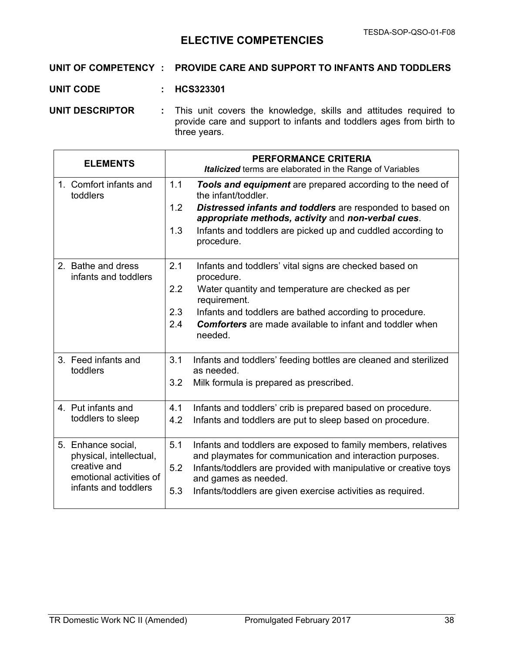# **ELECTIVE COMPETENCIES**

## **UNIT OF COMPETENCY : PROVIDE CARE AND SUPPORT TO INFANTS AND TODDLERS**

**UNIT CODE : HCS323301**

**UNIT DESCRIPTOR :** This unit covers the knowledge, skills and attitudes required to provide care and support to infants and toddlers ages from birth to three years.

| <b>ELEMENTS</b>                                                                                                  | <b>PERFORMANCE CRITERIA</b><br>Italicized terms are elaborated in the Range of Variables                                                                                                                                                                                                                       |
|------------------------------------------------------------------------------------------------------------------|----------------------------------------------------------------------------------------------------------------------------------------------------------------------------------------------------------------------------------------------------------------------------------------------------------------|
| 1. Comfort infants and<br>toddlers                                                                               | 1.1<br>Tools and equipment are prepared according to the need of<br>the infant/toddler.<br>1.2<br>Distressed infants and toddlers are responded to based on<br>appropriate methods, activity and non-verbal cues.<br>1.3<br>Infants and toddlers are picked up and cuddled according to<br>procedure.          |
| 2. Bathe and dress<br>infants and toddlers                                                                       | 2.1<br>Infants and toddlers' vital signs are checked based on<br>procedure.<br>2.2<br>Water quantity and temperature are checked as per<br>requirement.<br>2.3<br>Infants and toddlers are bathed according to procedure.<br>2.4<br><b>Comforters</b> are made available to infant and toddler when<br>needed. |
| 3. Feed infants and<br>toddlers                                                                                  | 3.1<br>Infants and toddlers' feeding bottles are cleaned and sterilized<br>as needed.<br>3.2<br>Milk formula is prepared as prescribed.                                                                                                                                                                        |
| 4. Put infants and<br>toddlers to sleep                                                                          | 4.1<br>Infants and toddlers' crib is prepared based on procedure.<br>4.2<br>Infants and toddlers are put to sleep based on procedure.                                                                                                                                                                          |
| 5. Enhance social,<br>physical, intellectual,<br>creative and<br>emotional activities of<br>infants and toddlers | 5.1<br>Infants and toddlers are exposed to family members, relatives<br>and playmates for communication and interaction purposes.<br>Infants/toddlers are provided with manipulative or creative toys<br>5.2<br>and games as needed.<br>5.3<br>Infants/toddlers are given exercise activities as required.     |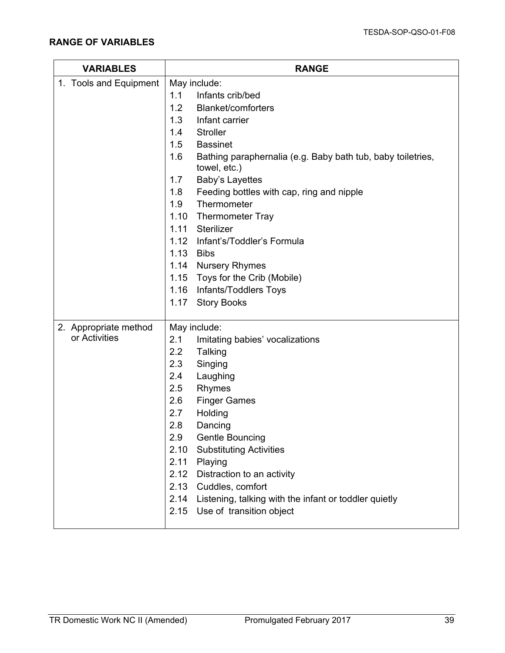| <b>VARIABLES</b>       | <b>RANGE</b>                                                                       |  |
|------------------------|------------------------------------------------------------------------------------|--|
| 1. Tools and Equipment | May include:                                                                       |  |
|                        | 1.1<br>Infants crib/bed                                                            |  |
|                        | 1.2<br><b>Blanket/comforters</b>                                                   |  |
|                        | 1.3<br>Infant carrier                                                              |  |
|                        | 1.4<br><b>Stroller</b>                                                             |  |
|                        | 1.5<br><b>Bassinet</b>                                                             |  |
|                        | 1.6<br>Bathing paraphernalia (e.g. Baby bath tub, baby toiletries,<br>towel, etc.) |  |
|                        | Baby's Layettes<br>1.7                                                             |  |
|                        | 1.8<br>Feeding bottles with cap, ring and nipple                                   |  |
|                        | Thermometer<br>1.9                                                                 |  |
|                        | 1.10<br><b>Thermometer Tray</b>                                                    |  |
|                        | 1.11<br>Sterilizer                                                                 |  |
|                        | Infant's/Toddler's Formula<br>1.12                                                 |  |
|                        | 1.13<br>Bibs                                                                       |  |
|                        | 1.14 Nursery Rhymes                                                                |  |
|                        | Toys for the Crib (Mobile)<br>1.15                                                 |  |
|                        | 1.16 Infants/Toddlers Toys                                                         |  |
|                        | <b>Story Books</b><br>1.17                                                         |  |
| 2. Appropriate method  | May include:                                                                       |  |
| or Activities          | 2.1<br>Imitating babies' vocalizations                                             |  |
|                        | 2.2<br>Talking                                                                     |  |
|                        | 2.3<br>Singing                                                                     |  |
|                        | 2.4<br>Laughing                                                                    |  |
|                        | 2.5<br>Rhymes                                                                      |  |
|                        | 2.6<br><b>Finger Games</b>                                                         |  |
|                        | 2.7<br>Holding                                                                     |  |
|                        | 2.8<br>Dancing                                                                     |  |
|                        | 2.9<br><b>Gentle Bouncing</b>                                                      |  |
|                        | <b>Substituting Activities</b><br>2.10                                             |  |
|                        | 2.11<br>Playing                                                                    |  |
|                        | 2.12<br>Distraction to an activity                                                 |  |
|                        | 2.13 Cuddles, comfort                                                              |  |
|                        | 2.14 Listening, talking with the infant or toddler quietly                         |  |
|                        | 2.15 Use of transition object                                                      |  |
|                        |                                                                                    |  |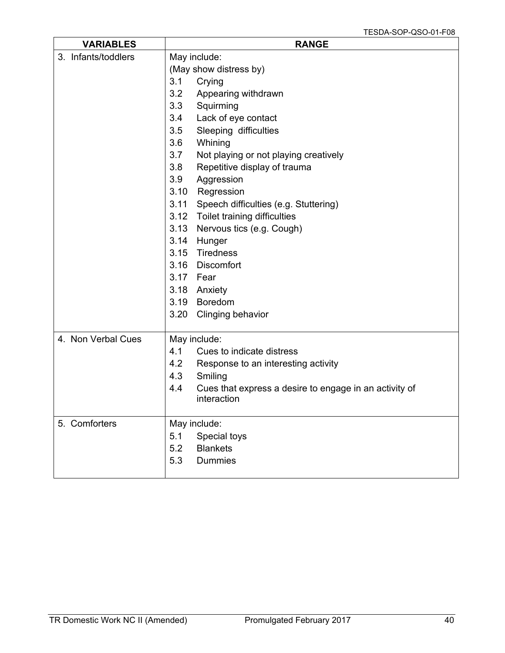| <b>VARIABLES</b>    | <b>RANGE</b>                                                  |  |
|---------------------|---------------------------------------------------------------|--|
| 3. Infants/toddlers | May include:                                                  |  |
|                     | (May show distress by)                                        |  |
|                     | 3.1<br>Crying                                                 |  |
|                     | 3.2<br>Appearing withdrawn                                    |  |
|                     | 3.3<br>Squirming                                              |  |
|                     | Lack of eye contact<br>3.4                                    |  |
|                     | Sleeping difficulties<br>3.5                                  |  |
|                     | 3.6<br>Whining                                                |  |
|                     | 3.7<br>Not playing or not playing creatively                  |  |
|                     | 3.8<br>Repetitive display of trauma                           |  |
|                     | 3.9<br>Aggression                                             |  |
|                     | 3.10<br>Regression                                            |  |
|                     | 3.11<br>Speech difficulties (e.g. Stuttering)                 |  |
|                     | 3.12 Toilet training difficulties                             |  |
|                     | 3.13<br>Nervous tics (e.g. Cough)                             |  |
|                     | 3.14<br>Hunger                                                |  |
|                     | Tiredness<br>3.15                                             |  |
|                     | 3.16<br>Discomfort                                            |  |
|                     | 3.17 Fear                                                     |  |
|                     | 3.18 Anxiety                                                  |  |
|                     | 3.19 Boredom                                                  |  |
|                     | 3.20<br><b>Clinging behavior</b>                              |  |
| 4. Non Verbal Cues  | May include:                                                  |  |
|                     | 4.1<br>Cues to indicate distress                              |  |
|                     | 4.2<br>Response to an interesting activity                    |  |
|                     | 4.3<br>Smiling                                                |  |
|                     | 4.4<br>Cues that express a desire to engage in an activity of |  |
|                     | interaction                                                   |  |
| 5. Comforters       | May include:                                                  |  |
|                     | 5.1<br>Special toys                                           |  |
|                     | <b>Blankets</b><br>5.2                                        |  |
|                     | 5.3<br><b>Dummies</b>                                         |  |
|                     |                                                               |  |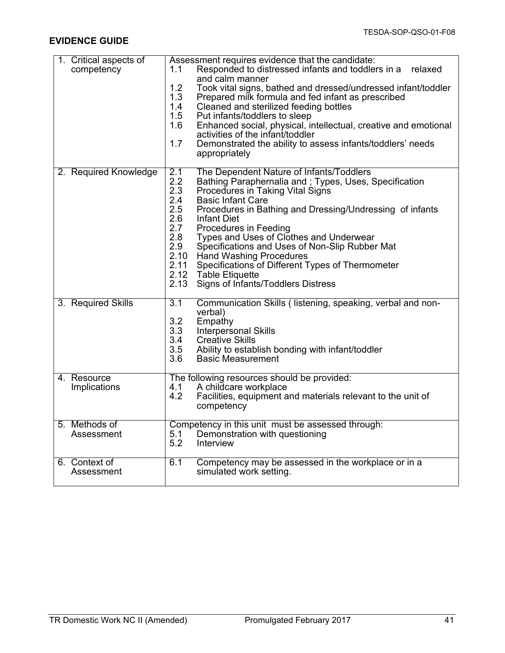| 1. Critical aspects of<br>competency | Assessment requires evidence that the candidate:<br>Responded to distressed infants and toddlers in a<br>relaxed<br>1.1<br>and calm manner<br>1.2<br>Took vital signs, bathed and dressed/undressed infant/toddler<br>1.3<br>Prepared milk formula and fed infant as prescribed<br>1.4<br>Cleaned and sterilized feeding bottles<br>1.5<br>Put infants/toddlers to sleep<br>1.6<br>Enhanced social, physical, intellectual, creative and emotional<br>activities of the infant/toddler<br>1.7<br>Demonstrated the ability to assess infants/toddlers' needs<br>appropriately                                         |
|--------------------------------------|----------------------------------------------------------------------------------------------------------------------------------------------------------------------------------------------------------------------------------------------------------------------------------------------------------------------------------------------------------------------------------------------------------------------------------------------------------------------------------------------------------------------------------------------------------------------------------------------------------------------|
| 2. Required Knowledge                | The Dependent Nature of Infants/Toddlers<br>2.1<br>2.2<br>Bathing Paraphernalia and; Types, Uses, Specification<br>2.3<br>Procedures in Taking Vital Signs<br>2.4<br><b>Basic Infant Care</b><br>2.5<br>Procedures in Bathing and Dressing/Undressing of infants<br>2.6<br><b>Infant Diet</b><br>2.7<br>Procedures in Feeding<br>2.8<br>Types and Uses of Clothes and Underwear<br>2.9<br>Specifications and Uses of Non-Slip Rubber Mat<br>2.10<br><b>Hand Washing Procedures</b><br>2.11<br>Specifications of Different Types of Thermometer<br>2.12 Table Etiquette<br>2.13<br>Signs of Infants/Toddlers Distress |
| 3. Required Skills                   | 3.1<br>Communication Skills (listening, speaking, verbal and non-<br>verbal)<br>3.2<br>Empathy<br>3.3<br><b>Interpersonal Skills</b><br>3.4<br><b>Creative Skills</b><br>3.5<br>Ability to establish bonding with infant/toddler<br>3.6<br><b>Basic Measurement</b>                                                                                                                                                                                                                                                                                                                                                  |
| 4. Resource<br>Implications          | The following resources should be provided:<br>A childcare workplace<br>4.1<br>4.2<br>Facilities, equipment and materials relevant to the unit of<br>competency                                                                                                                                                                                                                                                                                                                                                                                                                                                      |
| 5. Methods of<br>Assessment          | Competency in this unit must be assessed through:<br>Demonstration with questioning<br>5.1<br>5.2<br>Interview                                                                                                                                                                                                                                                                                                                                                                                                                                                                                                       |
| 6. Context of<br>Assessment          | 6.1<br>Competency may be assessed in the workplace or in a<br>simulated work setting.                                                                                                                                                                                                                                                                                                                                                                                                                                                                                                                                |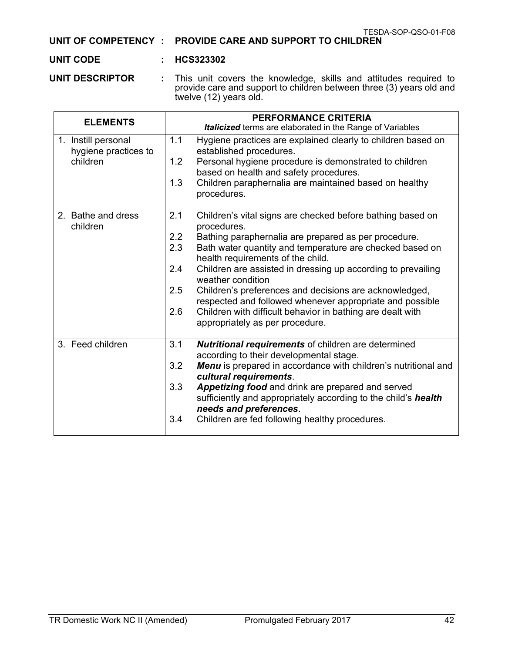|  | TESDA-SOP-QSO-01-F08 |
|--|----------------------|
|  | .                    |

#### **UNIT OF COMPETENCY : PROVIDE CARE AND SUPPORT TO CHILDREN**

### **UNIT CODE : HCS323302**

**UNIT DESCRIPTOR :** This unit covers the knowledge, skills and attitudes required to provide care and support to children between three (3) years old and twelve (12) years old.

| <b>ELEMENTS</b>                                         | <b>PERFORMANCE CRITERIA</b><br><b>Italicized</b> terms are elaborated in the Range of Variables                                                                                                                                                                                                                                                                                                                                                                                                                                                                                          |
|---------------------------------------------------------|------------------------------------------------------------------------------------------------------------------------------------------------------------------------------------------------------------------------------------------------------------------------------------------------------------------------------------------------------------------------------------------------------------------------------------------------------------------------------------------------------------------------------------------------------------------------------------------|
| 1. Instill personal<br>hygiene practices to<br>children | Hygiene practices are explained clearly to children based on<br>1.1<br>established procedures.<br>1.2<br>Personal hygiene procedure is demonstrated to children<br>based on health and safety procedures.<br>1.3<br>Children paraphernalia are maintained based on healthy<br>procedures.                                                                                                                                                                                                                                                                                                |
| 2. Bathe and dress<br>children                          | 2.1<br>Children's vital signs are checked before bathing based on<br>procedures.<br>2.2<br>Bathing paraphernalia are prepared as per procedure.<br>2.3<br>Bath water quantity and temperature are checked based on<br>health requirements of the child.<br>2.4<br>Children are assisted in dressing up according to prevailing<br>weather condition<br>2.5<br>Children's preferences and decisions are acknowledged,<br>respected and followed whenever appropriate and possible<br>Children with difficult behavior in bathing are dealt with<br>2.6<br>appropriately as per procedure. |
| 3. Feed children                                        | 3.1<br><b>Nutritional requirements of children are determined</b><br>according to their developmental stage.<br>3.2<br>Menu is prepared in accordance with children's nutritional and<br>cultural requirements.<br>3.3<br>Appetizing food and drink are prepared and served<br>sufficiently and appropriately according to the child's health<br>needs and preferences.<br>Children are fed following healthy procedures.<br>3.4                                                                                                                                                         |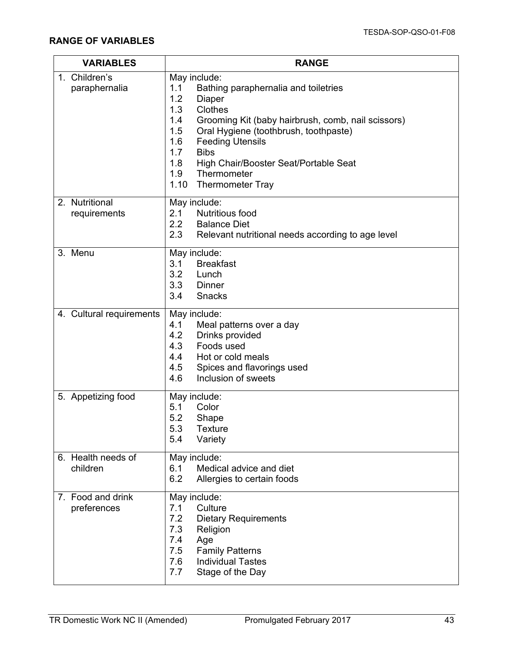| <b>VARIABLES</b>                 | <b>RANGE</b>                                                                                                                                                                                                                                                                                                                                                                               |  |
|----------------------------------|--------------------------------------------------------------------------------------------------------------------------------------------------------------------------------------------------------------------------------------------------------------------------------------------------------------------------------------------------------------------------------------------|--|
| 1. Children's<br>paraphernalia   | May include:<br>1.1<br>Bathing paraphernalia and toiletries<br>1.2<br><b>Diaper</b><br>1.3<br><b>Clothes</b><br>1.4<br>Grooming Kit (baby hairbrush, comb, nail scissors)<br>Oral Hygiene (toothbrush, toothpaste)<br>1.5<br><b>Feeding Utensils</b><br>1.6<br>1.7<br><b>Bibs</b><br>1.8<br>High Chair/Booster Seat/Portable Seat<br>1.9<br>Thermometer<br>1.10<br><b>Thermometer Tray</b> |  |
| 2. Nutritional<br>requirements   | May include:<br><b>Nutritious food</b><br>2.1<br>2.2<br><b>Balance Diet</b><br>2.3<br>Relevant nutritional needs according to age level                                                                                                                                                                                                                                                    |  |
| 3. Menu                          | May include:<br>3.1<br><b>Breakfast</b><br>3.2<br>Lunch<br>3.3<br>Dinner<br>3.4<br><b>Snacks</b>                                                                                                                                                                                                                                                                                           |  |
| 4. Cultural requirements         | May include:<br>4.1<br>Meal patterns over a day<br>4.2<br>Drinks provided<br>4.3<br>Foods used<br>4.4<br>Hot or cold meals<br>4.5<br>Spices and flavorings used<br>4.6<br>Inclusion of sweets                                                                                                                                                                                              |  |
| 5. Appetizing food               | May include:<br>5.1<br>Color<br>5.2<br>Shape<br>5.3<br><b>Texture</b><br>5.4<br>Variety                                                                                                                                                                                                                                                                                                    |  |
| 6. Health needs of<br>children   | May include:<br>6.1<br>Medical advice and diet<br>6.2<br>Allergies to certain foods                                                                                                                                                                                                                                                                                                        |  |
| 7. Food and drink<br>preferences | May include:<br>Culture<br>7.1<br>7.2<br><b>Dietary Requirements</b><br>7.3<br>Religion<br>7.4<br>Age<br><b>Family Patterns</b><br>7.5<br><b>Individual Tastes</b><br>7.6<br>Stage of the Day<br>7.7                                                                                                                                                                                       |  |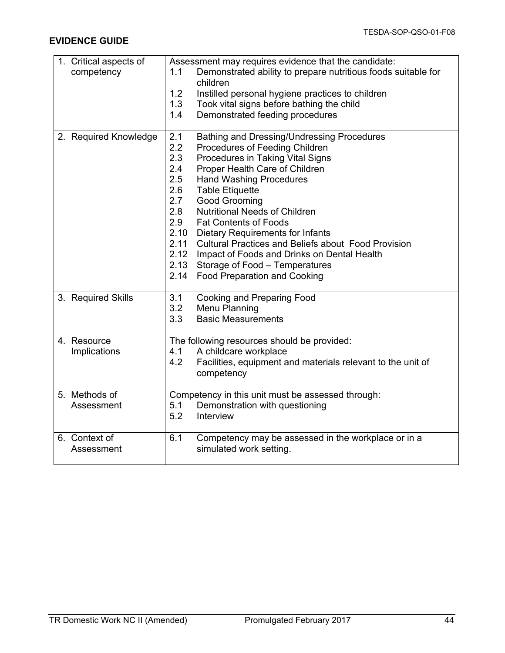| 1. Critical aspects of | Assessment may requires evidence that the candidate:                 |  |
|------------------------|----------------------------------------------------------------------|--|
| competency             | 1.1<br>Demonstrated ability to prepare nutritious foods suitable for |  |
|                        | children                                                             |  |
|                        | 1.2<br>Instilled personal hygiene practices to children              |  |
|                        | 1.3<br>Took vital signs before bathing the child                     |  |
|                        | 1.4<br>Demonstrated feeding procedures                               |  |
|                        |                                                                      |  |
| 2. Required Knowledge  | 2.1<br>Bathing and Dressing/Undressing Procedures                    |  |
|                        | 2.2<br>Procedures of Feeding Children                                |  |
|                        | 2.3<br>Procedures in Taking Vital Signs                              |  |
|                        | 2.4<br>Proper Health Care of Children                                |  |
|                        | 2.5<br><b>Hand Washing Procedures</b>                                |  |
|                        | 2.6<br><b>Table Etiquette</b>                                        |  |
|                        | 2.7<br>Good Grooming                                                 |  |
|                        | 2.8<br><b>Nutritional Needs of Children</b>                          |  |
|                        | 2.9<br><b>Fat Contents of Foods</b>                                  |  |
|                        | 2.10<br><b>Dietary Requirements for Infants</b>                      |  |
|                        | 2.11<br><b>Cultural Practices and Beliefs about Food Provision</b>   |  |
|                        | 2.12<br>Impact of Foods and Drinks on Dental Health                  |  |
|                        | 2.13<br>Storage of Food - Temperatures                               |  |
|                        | 2.14<br><b>Food Preparation and Cooking</b>                          |  |
|                        |                                                                      |  |
| 3. Required Skills     | <b>Cooking and Preparing Food</b><br>3.1                             |  |
|                        | 3.2<br>Menu Planning                                                 |  |
|                        | 3.3<br><b>Basic Measurements</b>                                     |  |
|                        |                                                                      |  |
| 4. Resource            | The following resources should be provided:                          |  |
| Implications           | A childcare workplace<br>4.1                                         |  |
|                        | 4.2<br>Facilities, equipment and materials relevant to the unit of   |  |
|                        | competency                                                           |  |
|                        |                                                                      |  |
| 5. Methods of          | Competency in this unit must be assessed through:                    |  |
| Assessment             | 5.1<br>Demonstration with questioning                                |  |
|                        | 5.2<br>Interview                                                     |  |
|                        |                                                                      |  |
| 6. Context of          | 6.1<br>Competency may be assessed in the workplace or in a           |  |
| Assessment             | simulated work setting.                                              |  |
|                        |                                                                      |  |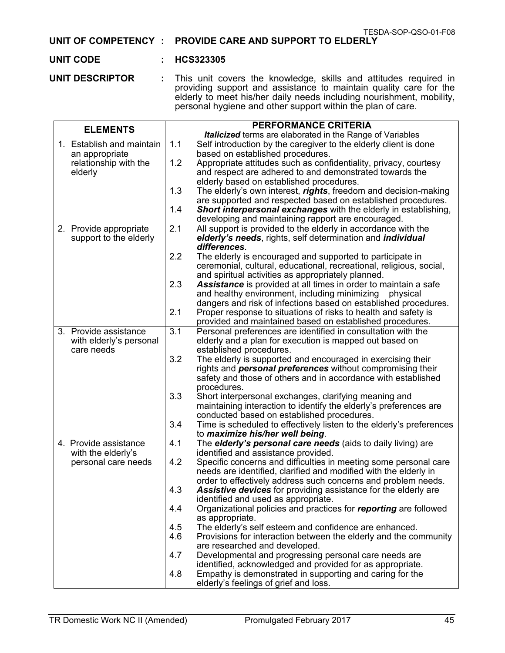#### **UNIT OF COMPETENCY : PROVIDE CARE AND SUPPORT TO ELDERLY**

#### **UNIT CODE : HCS323305**

**UNIT DESCRIPTOR :** This unit covers the knowledge, skills and attitudes required in providing support and assistance to maintain quality care for the elderly to meet his/her daily needs including nourishment, mobility, personal hygiene and other support within the plan of care.

| <b>ELEMENTS</b>                       |                  | <b>PERFORMANCE CRITERIA</b>                                                        |
|---------------------------------------|------------------|------------------------------------------------------------------------------------|
|                                       |                  | <b>Italicized</b> terms are elaborated in the Range of Variables                   |
| 1. Establish and maintain             | 1.1              | Self introduction by the caregiver to the elderly client is done                   |
| an appropriate                        |                  | based on established procedures.                                                   |
| relationship with the                 | 1.2              | Appropriate attitudes such as confidentiality, privacy, courtesy                   |
| elderly                               |                  | and respect are adhered to and demonstrated towards the                            |
|                                       |                  | elderly based on established procedures.                                           |
|                                       | 1.3              | The elderly's own interest, rights, freedom and decision-making                    |
|                                       |                  | are supported and respected based on established procedures.                       |
|                                       | 1.4              | <b>Short interpersonal exchanges with the elderly in establishing,</b>             |
|                                       |                  | developing and maintaining rapport are encouraged.                                 |
| 2. Provide appropriate                | 2.1              | All support is provided to the elderly in accordance with the                      |
| support to the elderly                |                  | elderly's needs, rights, self determination and <i>individual</i>                  |
|                                       |                  | differences.                                                                       |
|                                       | 2.2              | The elderly is encouraged and supported to participate in                          |
|                                       |                  | ceremonial, cultural, educational, recreational, religious, social,                |
|                                       |                  | and spiritual activities as appropriately planned.                                 |
|                                       | 2.3              | <b>Assistance</b> is provided at all times in order to maintain a safe             |
|                                       |                  | and healthy environment, including minimizing physical                             |
|                                       |                  | dangers and risk of infections based on established procedures.                    |
|                                       | 2.1              | Proper response to situations of risks to health and safety is                     |
|                                       |                  | provided and maintained based on established procedures.                           |
| 3. Provide assistance                 | $\overline{3.1}$ | Personal preferences are identified in consultation with the                       |
| with elderly's personal<br>care needs |                  | elderly and a plan for execution is mapped out based on<br>established procedures. |
|                                       | 3.2              | The elderly is supported and encouraged in exercising their                        |
|                                       |                  | rights and <b>personal preferences</b> without compromising their                  |
|                                       |                  | safety and those of others and in accordance with established                      |
|                                       |                  | procedures.                                                                        |
|                                       | 3.3              | Short interpersonal exchanges, clarifying meaning and                              |
|                                       |                  | maintaining interaction to identify the elderly's preferences are                  |
|                                       |                  | conducted based on established procedures.                                         |
|                                       | 3.4              | Time is scheduled to effectively listen to the elderly's preferences               |
|                                       |                  | to maximize his/her well being.                                                    |
| 4. Provide assistance                 | 4.1              | The elderly's personal care needs (aids to daily living) are                       |
| with the elderly's                    |                  | identified and assistance provided.                                                |
| personal care needs                   | 4.2              | Specific concerns and difficulties in meeting some personal care                   |
|                                       |                  | needs are identified, clarified and modified with the elderly in                   |
|                                       |                  | order to effectively address such concerns and problem needs.                      |
|                                       | 4.3              | Assistive devices for providing assistance for the elderly are                     |
|                                       |                  | identified and used as appropriate.                                                |
|                                       | 4.4              | Organizational policies and practices for reporting are followed                   |
|                                       |                  | as appropriate.                                                                    |
|                                       | 4.5              | The elderly's self esteem and confidence are enhanced.                             |
|                                       | 4.6              | Provisions for interaction between the elderly and the community                   |
|                                       |                  | are researched and developed.                                                      |
|                                       | 4.7              | Developmental and progressing personal care needs are                              |
|                                       |                  | identified, acknowledged and provided for as appropriate.                          |
|                                       | 4.8              | Empathy is demonstrated in supporting and caring for the                           |
|                                       |                  | elderly's feelings of grief and loss.                                              |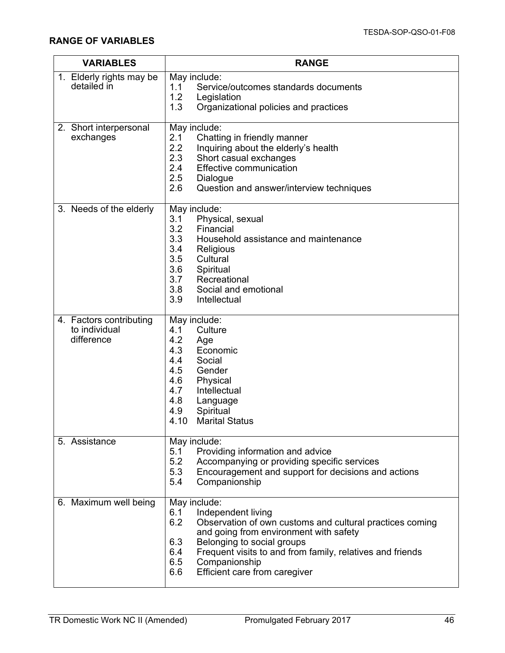| <b>VARIABLES</b>                                       | <b>RANGE</b>                                                                                                                                                                                                                                                                                                                    |  |  |
|--------------------------------------------------------|---------------------------------------------------------------------------------------------------------------------------------------------------------------------------------------------------------------------------------------------------------------------------------------------------------------------------------|--|--|
| 1. Elderly rights may be<br>detailed in                | May include:<br>1.1<br>Service/outcomes standards documents<br>1.2<br>Legislation<br>1.3<br>Organizational policies and practices                                                                                                                                                                                               |  |  |
| 2. Short interpersonal<br>exchanges                    | May include:<br>2.1<br>Chatting in friendly manner<br>2.2<br>Inquiring about the elderly's health<br>2.3<br>Short casual exchanges<br>2.4<br><b>Effective communication</b><br>2.5<br>Dialogue<br>2.6<br>Question and answer/interview techniques                                                                               |  |  |
| 3. Needs of the elderly                                | May include:<br>Physical, sexual<br>3.1<br>3.2<br>Financial<br>3.3<br>Household assistance and maintenance<br>3.4<br>Religious<br>3.5<br>Cultural<br>3.6<br>Spiritual<br>3.7<br>Recreational<br>3.8<br>Social and emotional<br>3.9<br>Intellectual                                                                              |  |  |
| 4. Factors contributing<br>to individual<br>difference | May include:<br>Culture<br>4.1<br>4.2<br>Age<br>4.3<br>Economic<br>4.4<br>Social<br>4.5<br>Gender<br>4.6<br>Physical<br>4.7<br>Intellectual<br>4.8<br>Language<br>4.9<br>Spiritual<br>4.10<br><b>Marital Status</b>                                                                                                             |  |  |
| 5. Assistance                                          | May include:<br>Providing information and advice<br>5.1<br>5.2<br>Accompanying or providing specific services<br>5.3<br>Encouragement and support for decisions and actions<br>5.4<br>Companionship                                                                                                                             |  |  |
| 6. Maximum well being                                  | May include:<br>6.1<br>Independent living<br>6.2<br>Observation of own customs and cultural practices coming<br>and going from environment with safety<br>Belonging to social groups<br>6.3<br>6.4<br>Frequent visits to and from family, relatives and friends<br>6.5<br>Companionship<br>6.6<br>Efficient care from caregiver |  |  |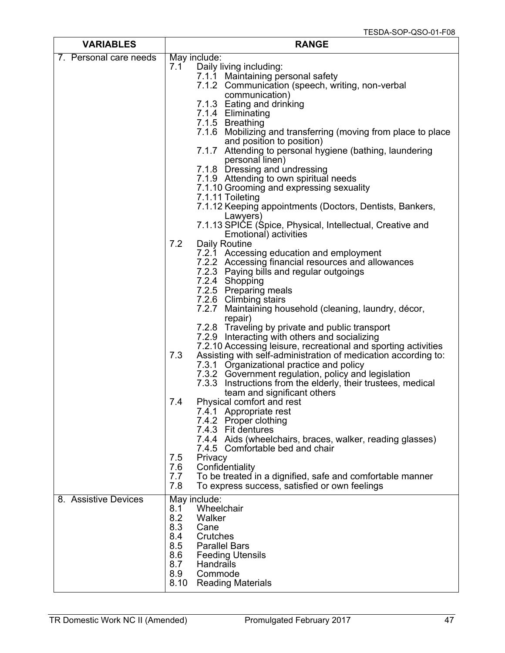| <b>VARIABLES</b>       | <b>RANGE</b>                                                                                                                                                                                   |  |  |
|------------------------|------------------------------------------------------------------------------------------------------------------------------------------------------------------------------------------------|--|--|
| 7. Personal care needs | May include:                                                                                                                                                                                   |  |  |
|                        | Daily living including:<br>7.1<br>7.1.1 Maintaining personal safety<br>7.1.2 Communication (speech, writing, non-verbal<br>communication)                                                      |  |  |
|                        | 7.1.3 Eating and drinking<br>7.1.4 Eliminating<br>7.1.5 Breathing                                                                                                                              |  |  |
|                        | 7.1.6 Mobilizing and transferring (moving from place to place<br>and position to position)<br>7.1.7<br>Attending to personal hygiene (bathing, laundering                                      |  |  |
|                        | personal linen)<br>7.1.8 Dressing and undressing                                                                                                                                               |  |  |
|                        | 7.1.9 Attending to own spiritual needs<br>7.1.10 Grooming and expressing sexuality<br>7.1.11 Toileting                                                                                         |  |  |
|                        | 7.1.12 Keeping appointments (Doctors, Dentists, Bankers,<br>Lawyers)                                                                                                                           |  |  |
|                        | 7.1.13 SPICE (Spice, Physical, Intellectual, Creative and<br>Emotional) activities<br>7.2<br><b>Daily Routine</b>                                                                              |  |  |
|                        | 7.2.1 Accessing education and employment<br>7.2.2 Accessing financial resources and allowances<br>7.2.3 Paying bills and regular outgoings                                                     |  |  |
|                        | 7.2.4 Shopping<br>7.2.5 Preparing meals<br>7.2.6 Climbing stairs                                                                                                                               |  |  |
|                        | 7.2.7 Maintaining household (cleaning, laundry, décor,<br>repair)<br>7.2.8 Traveling by private and public transport                                                                           |  |  |
|                        | 7.2.9 Interacting with others and socializing<br>7.2.10 Accessing leisure, recreational and sporting activities<br>Assisting with self-administration of medication according to:<br>7.3       |  |  |
|                        | 7.3.1 Organizational practice and policy<br>7.3.2 Government regulation, policy and legislation<br>7.3.3 Instructions from the elderly, their trustees, medical<br>team and significant others |  |  |
|                        | Physical comfort and rest<br>7.4<br>7.4.1 Appropriate rest<br>7.4.2 Proper clothing                                                                                                            |  |  |
|                        | 7.4.3 Fit dentures<br>7.4.4 Aids (wheelchairs, braces, walker, reading glasses)<br>7.4.5 Comfortable bed and chair                                                                             |  |  |
|                        | Privacy<br>7.5<br>7.6<br>Confidentiality<br>7.7<br>To be treated in a dignified, safe and comfortable manner<br>7.8<br>To express success, satisfied or own feelings                           |  |  |
| 8. Assistive Devices   | May include:<br>Wheelchair<br>8.1<br>8.2<br>Walker<br>8.3<br>Cane<br>8.4<br>Crutches<br>8.5<br><b>Parallel Bars</b><br>8.6<br><b>Feeding Utensils</b>                                          |  |  |
|                        | 8.7<br>Handrails<br>8.9<br>Commode<br><b>Reading Materials</b><br>8.10                                                                                                                         |  |  |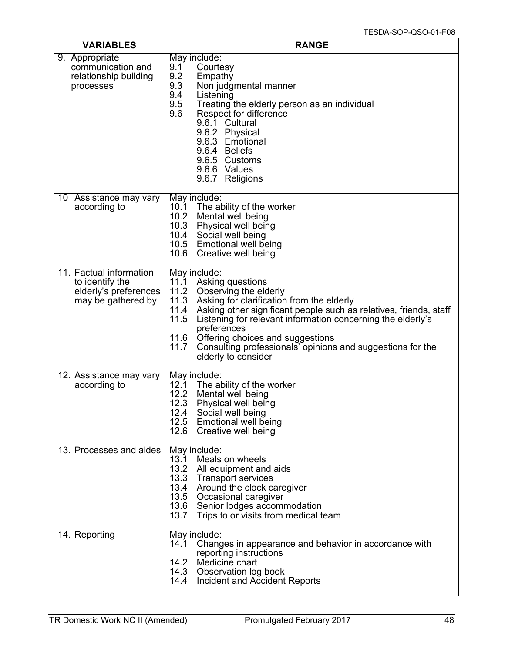| <b>VARIABLES</b>                                                                          | <b>RANGE</b>                                                                                                                                                                                                                                                                                                                                                                                                                         |  |  |
|-------------------------------------------------------------------------------------------|--------------------------------------------------------------------------------------------------------------------------------------------------------------------------------------------------------------------------------------------------------------------------------------------------------------------------------------------------------------------------------------------------------------------------------------|--|--|
| 9. Appropriate<br>communication and<br>relationship building<br>processes                 | May include:<br>9.1<br>Courtesy<br>9.2<br>Empathy<br>9.3<br>Non judgmental manner<br>9.4<br>Listening<br>9.5<br>Treating the elderly person as an individual<br>Respect for difference<br>9.6<br>9.6.1 Cultural<br>9.6.2 Physical<br>9.6.3 Emotional<br>9.6.4 Beliefs<br>9.6.5 Customs<br>9.6.6 Values<br>9.6.7 Religions                                                                                                            |  |  |
| 10 Assistance may vary<br>according to                                                    | May include:<br>The ability of the worker<br>10.1<br>10.2<br>Mental well being<br>10.3 Physical well being<br>10.4 Social well being<br>10.5 Emotional well being<br>10.6 Creative well being                                                                                                                                                                                                                                        |  |  |
| 11. Factual information<br>to identify the<br>elderly's preferences<br>may be gathered by | May include:<br>11.1 Asking questions<br>11.2 Observing the elderly<br>11.3<br>Asking for clarification from the elderly<br>11.4<br>Asking other significant people such as relatives, friends, staff<br>11.5<br>Listening for relevant information concerning the elderly's<br>preferences<br>11.6<br>Offering choices and suggestions<br>11.7<br>Consulting professionals' opinions and suggestions for the<br>elderly to consider |  |  |
| 12. Assistance may vary<br>according to                                                   | May include:<br>The ability of the worker<br>12.1<br>12.2<br>Mental well being<br>12.3<br>Physical well being<br>12.4 Social well being<br>12.5 Emotional well being<br>12.6 Creative well being                                                                                                                                                                                                                                     |  |  |
| 13. Processes and aides                                                                   | May include:<br>13.1<br>Meals on wheels<br>13.2<br>All equipment and aids<br>13.3<br><b>Transport services</b><br>13.4 Around the clock caregiver<br>13.5 Occasional caregiver<br>13.6 Senior lodges accommodation<br>13.7<br>Trips to or visits from medical team                                                                                                                                                                   |  |  |
| 14. Reporting                                                                             | May include:<br>Changes in appearance and behavior in accordance with<br>14.1<br>reporting instructions<br>Medicine chart<br>14.2<br>14.3 Observation log book<br>14.4 Incident and Accident Reports                                                                                                                                                                                                                                 |  |  |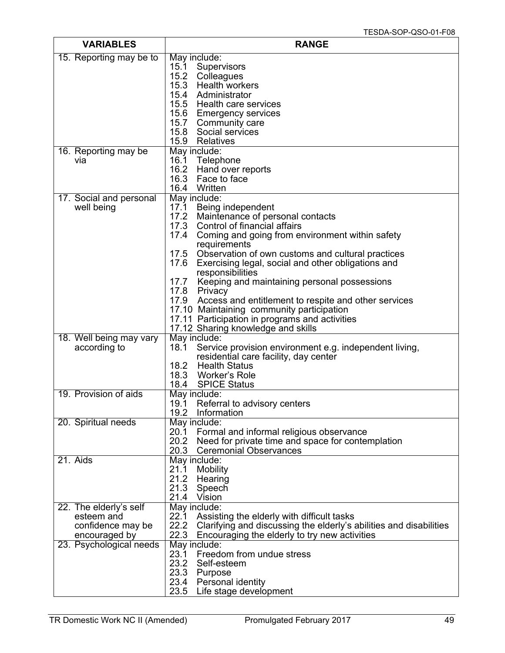| <b>VARIABLES</b>                | <b>RANGE</b>                                                                                                                     |  |  |
|---------------------------------|----------------------------------------------------------------------------------------------------------------------------------|--|--|
| 15. Reporting may be to         | May include:                                                                                                                     |  |  |
|                                 | Supervisors<br>15.1<br>15.2 Colleagues                                                                                           |  |  |
|                                 | 15.3 Health workers                                                                                                              |  |  |
|                                 | 15.4 Administrator                                                                                                               |  |  |
|                                 | 15.5 Health care services                                                                                                        |  |  |
|                                 | 15.6 Emergency services                                                                                                          |  |  |
|                                 | 15.7 Community care<br>15.8<br>Social services                                                                                   |  |  |
|                                 | 15.9<br>Relatives                                                                                                                |  |  |
| 16. Reporting may be            | May include:                                                                                                                     |  |  |
| via                             | 16.1<br>Telephone                                                                                                                |  |  |
|                                 | 16.2 Hand over reports<br>16.3<br>Face to face                                                                                   |  |  |
|                                 | 16.4<br>Written                                                                                                                  |  |  |
| 17. Social and personal         | May include:                                                                                                                     |  |  |
| well being                      | 17.1 Being independent                                                                                                           |  |  |
|                                 | 17.2 Maintenance of personal contacts                                                                                            |  |  |
|                                 | 17.3 Control of financial affairs<br>17.4<br>Coming and going from environment within safety                                     |  |  |
|                                 | requirements                                                                                                                     |  |  |
|                                 | 17.5<br>Observation of own customs and cultural practices                                                                        |  |  |
|                                 | 17.6<br>Exercising legal, social and other obligations and                                                                       |  |  |
|                                 | responsibilities<br>17.7<br>Keeping and maintaining personal possessions                                                         |  |  |
|                                 | 17.8 Privacy                                                                                                                     |  |  |
|                                 | 17.9 Access and entitlement to respite and other services                                                                        |  |  |
|                                 | 17.10 Maintaining community participation                                                                                        |  |  |
|                                 | 17.11 Participation in programs and activities<br>17.12 Sharing knowledge and skills                                             |  |  |
| 18. Well being may vary         | May include:                                                                                                                     |  |  |
| according to                    | 18.1<br>Service provision environment e.g. independent living,                                                                   |  |  |
|                                 | residential care facility, day center                                                                                            |  |  |
|                                 | 18.2 Health Status<br>18.3 Worker's Role                                                                                         |  |  |
|                                 | 18.4<br><b>SPICE Status</b>                                                                                                      |  |  |
| 19. Provision of aids           | May include:                                                                                                                     |  |  |
|                                 | 19.1<br>Referral to advisory centers                                                                                             |  |  |
| 20. Spiritual needs             | 19.2<br>Information<br>May include:                                                                                              |  |  |
|                                 | 20.1<br>Formal and informal religious observance                                                                                 |  |  |
|                                 | 20.2<br>Need for private time and space for contemplation                                                                        |  |  |
|                                 | 20.3<br><b>Ceremonial Observances</b>                                                                                            |  |  |
| 21. Aids                        | May include:<br>21.1                                                                                                             |  |  |
|                                 | Mobility<br>21.2 Hearing                                                                                                         |  |  |
|                                 | 21.3<br>Speech                                                                                                                   |  |  |
|                                 | 21.4<br>Vision                                                                                                                   |  |  |
| 22. The elderly's self          | May include:                                                                                                                     |  |  |
| esteem and<br>confidence may be | Assisting the elderly with difficult tasks<br>22.1<br>22.2<br>Clarifying and discussing the elderly's abilities and disabilities |  |  |
| encouraged by                   | 22.3<br>Encouraging the elderly to try new activities                                                                            |  |  |
| 23. Psychological needs         | May include:                                                                                                                     |  |  |
|                                 | 23.1<br>Freedom from undue stress                                                                                                |  |  |
|                                 | 23.2<br>Self-esteem<br>23.3 Purpose                                                                                              |  |  |
|                                 | 23.4 Personal identity                                                                                                           |  |  |
|                                 | 23.5 Life stage development                                                                                                      |  |  |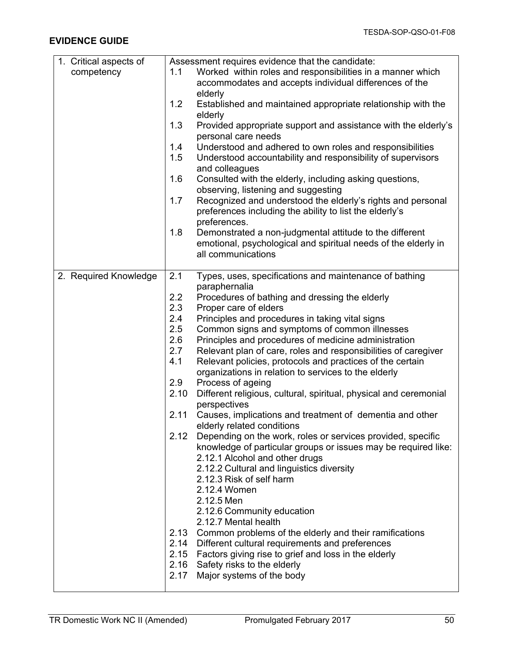| 1. Critical aspects of | Assessment requires evidence that the candidate: |                                                                                                  |  |
|------------------------|--------------------------------------------------|--------------------------------------------------------------------------------------------------|--|
| competency             | 1.1                                              | Worked within roles and responsibilities in a manner which                                       |  |
|                        |                                                  | accommodates and accepts individual differences of the                                           |  |
|                        |                                                  | elderly                                                                                          |  |
|                        | 1.2                                              | Established and maintained appropriate relationship with the                                     |  |
|                        |                                                  | elderly                                                                                          |  |
|                        | 1.3                                              | Provided appropriate support and assistance with the elderly's<br>personal care needs            |  |
|                        | 1.4                                              | Understood and adhered to own roles and responsibilities                                         |  |
|                        | 1.5                                              | Understood accountability and responsibility of supervisors<br>and colleagues                    |  |
|                        | 1.6                                              | Consulted with the elderly, including asking questions,                                          |  |
|                        |                                                  | observing, listening and suggesting                                                              |  |
|                        | 1.7                                              | Recognized and understood the elderly's rights and personal                                      |  |
|                        |                                                  | preferences including the ability to list the elderly's                                          |  |
|                        |                                                  | preferences.                                                                                     |  |
|                        | 1.8                                              | Demonstrated a non-judgmental attitude to the different                                          |  |
|                        |                                                  | emotional, psychological and spiritual needs of the elderly in                                   |  |
|                        |                                                  | all communications                                                                               |  |
|                        | 2.1                                              | Types, uses, specifications and maintenance of bathing                                           |  |
| 2. Required Knowledge  |                                                  |                                                                                                  |  |
|                        |                                                  | paraphernalia                                                                                    |  |
|                        | 2.2                                              | Procedures of bathing and dressing the elderly                                                   |  |
|                        | 2.3                                              | Proper care of elders                                                                            |  |
|                        | 2.4                                              | Principles and procedures in taking vital signs                                                  |  |
|                        | 2.5                                              | Common signs and symptoms of common illnesses                                                    |  |
|                        | 2.6                                              | Principles and procedures of medicine administration                                             |  |
|                        | 2.7                                              | Relevant plan of care, roles and responsibilities of caregiver                                   |  |
|                        | 4.1                                              | Relevant policies, protocols and practices of the certain                                        |  |
|                        |                                                  | organizations in relation to services to the elderly                                             |  |
|                        | 2.9                                              | Process of ageing                                                                                |  |
|                        | 2.10                                             | Different religious, cultural, spiritual, physical and ceremonial<br>perspectives                |  |
|                        | 2.11                                             | Causes, implications and treatment of dementia and other<br>elderly related conditions           |  |
|                        | 2.12                                             | Depending on the work, roles or services provided, specific                                      |  |
|                        |                                                  | knowledge of particular groups or issues may be required like:<br>2.12.1 Alcohol and other drugs |  |
|                        |                                                  | 2.12.2 Cultural and linguistics diversity                                                        |  |
|                        |                                                  | 2.12.3 Risk of self harm                                                                         |  |
|                        |                                                  | 2.12.4 Women                                                                                     |  |
|                        |                                                  | 2.12.5 Men                                                                                       |  |
|                        |                                                  | 2.12.6 Community education                                                                       |  |
|                        |                                                  | 2.12.7 Mental health                                                                             |  |
|                        |                                                  |                                                                                                  |  |
|                        |                                                  | 2.13 Common problems of the elderly and their ramifications                                      |  |
|                        |                                                  | 2.14 Different cultural requirements and preferences                                             |  |
|                        |                                                  | 2.15 Factors giving rise to grief and loss in the elderly                                        |  |
|                        | 2.17                                             | 2.16 Safety risks to the elderly<br>Major systems of the body                                    |  |
|                        |                                                  |                                                                                                  |  |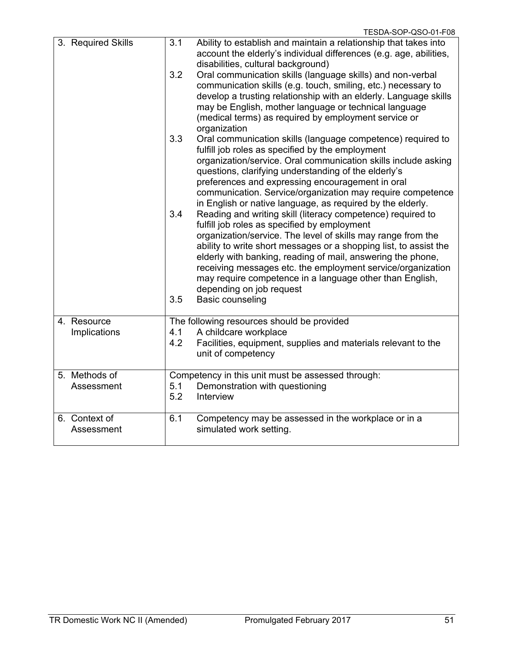|                             | TESDA-SOP-QSO-01-F08                                                                                                                                                                                                                                                                                                                                                                                                                                                                                     |
|-----------------------------|----------------------------------------------------------------------------------------------------------------------------------------------------------------------------------------------------------------------------------------------------------------------------------------------------------------------------------------------------------------------------------------------------------------------------------------------------------------------------------------------------------|
| 3. Required Skills          | Ability to establish and maintain a relationship that takes into<br>3.1<br>account the elderly's individual differences (e.g. age, abilities,<br>disabilities, cultural background)                                                                                                                                                                                                                                                                                                                      |
|                             | 3.2<br>Oral communication skills (language skills) and non-verbal<br>communication skills (e.g. touch, smiling, etc.) necessary to<br>develop a trusting relationship with an elderly. Language skills<br>may be English, mother language or technical language<br>(medical terms) as required by employment service or<br>organization                                                                                                                                                                  |
|                             | 3.3<br>Oral communication skills (language competence) required to<br>fulfill job roles as specified by the employment<br>organization/service. Oral communication skills include asking<br>questions, clarifying understanding of the elderly's<br>preferences and expressing encouragement in oral<br>communication. Service/organization may require competence<br>in English or native language, as required by the elderly.                                                                         |
|                             | 3.4<br>Reading and writing skill (literacy competence) required to<br>fulfill job roles as specified by employment<br>organization/service. The level of skills may range from the<br>ability to write short messages or a shopping list, to assist the<br>elderly with banking, reading of mail, answering the phone,<br>receiving messages etc. the employment service/organization<br>may require competence in a language other than English,<br>depending on job request<br>3.5<br>Basic counseling |
| 4. Resource                 | The following resources should be provided                                                                                                                                                                                                                                                                                                                                                                                                                                                               |
| Implications                | A childcare workplace<br>4.1<br>4.2<br>Facilities, equipment, supplies and materials relevant to the<br>unit of competency                                                                                                                                                                                                                                                                                                                                                                               |
| 5. Methods of<br>Assessment | Competency in this unit must be assessed through:<br>5.1<br>Demonstration with questioning<br>5.2<br>Interview                                                                                                                                                                                                                                                                                                                                                                                           |
| 6. Context of<br>Assessment | 6.1<br>Competency may be assessed in the workplace or in a<br>simulated work setting.                                                                                                                                                                                                                                                                                                                                                                                                                    |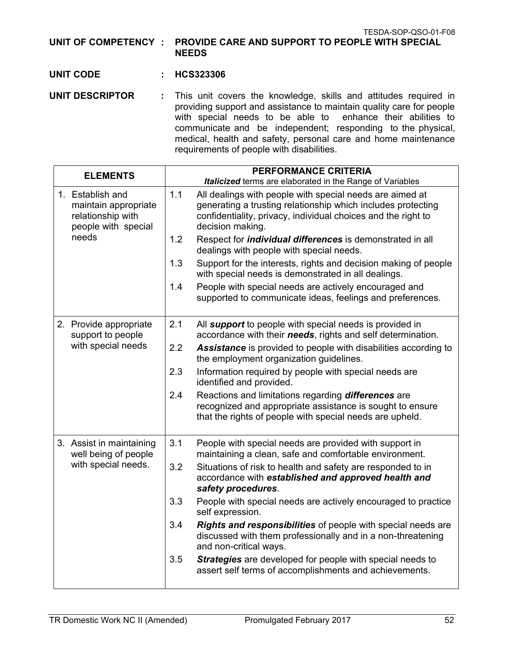TESDA-SOP-QSO-01-F08

**UNIT OF COMPETENCY : PROVIDE CARE AND SUPPORT TO PEOPLE WITH SPECIAL NEEDS**

#### **UNIT CODE : HCS323306**

**UNIT DESCRIPTOR :** This unit covers the knowledge, skills and attitudes required in providing support and assistance to maintain quality care for people with special needs to be able to enhance their abilities to communicate and be independent; responding to the physical, medical, health and safety, personal care and home maintenance requirements of people with disabilities.

| <b>ELEMENTS</b>                                   | <b>PERFORMANCE CRITERIA</b>                                                                                                                                                                         |  |
|---------------------------------------------------|-----------------------------------------------------------------------------------------------------------------------------------------------------------------------------------------------------|--|
| 1. Establish and<br>maintain appropriate          | <b>Italicized</b> terms are elaborated in the Range of Variables<br>1.1<br>All dealings with people with special needs are aimed at<br>generating a trusting relationship which includes protecting |  |
| relationship with<br>people with special<br>needs | confidentiality, privacy, individual choices and the right to<br>decision making.                                                                                                                   |  |
|                                                   | 1.2<br>Respect for <i>individual differences</i> is demonstrated in all<br>dealings with people with special needs.                                                                                 |  |
|                                                   | 1.3<br>Support for the interests, rights and decision making of people<br>with special needs is demonstrated in all dealings.                                                                       |  |
|                                                   | People with special needs are actively encouraged and<br>1.4<br>supported to communicate ideas, feelings and preferences.                                                                           |  |
| 2. Provide appropriate<br>support to people       | 2.1<br>All support to people with special needs is provided in<br>accordance with their needs, rights and self determination.                                                                       |  |
| with special needs                                | 2.2<br>Assistance is provided to people with disabilities according to<br>the employment organization guidelines.                                                                                   |  |
|                                                   | 2.3<br>Information required by people with special needs are<br>identified and provided.                                                                                                            |  |
|                                                   | 2.4<br>Reactions and limitations regarding differences are<br>recognized and appropriate assistance is sought to ensure<br>that the rights of people with special needs are upheld.                 |  |
| 3. Assist in maintaining<br>well being of people  | 3.1<br>People with special needs are provided with support in<br>maintaining a clean, safe and comfortable environment.                                                                             |  |
| with special needs.                               | 3.2<br>Situations of risk to health and safety are responded to in<br>accordance with established and approved health and<br>safety procedures.                                                     |  |
|                                                   | 3.3<br>People with special needs are actively encouraged to practice<br>self expression.                                                                                                            |  |
|                                                   | 3.4<br>Rights and responsibilities of people with special needs are<br>discussed with them professionally and in a non-threatening<br>and non-critical ways.                                        |  |
|                                                   | 3.5<br>Strategies are developed for people with special needs to<br>assert self terms of accomplishments and achievements.                                                                          |  |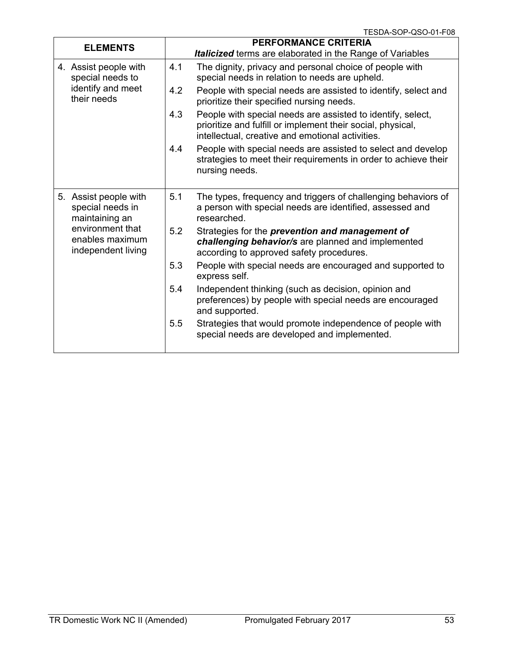|                                                                                                                          |     | i cəda-əur-Qəu-UT-Fuo                                                                                                                                                          |
|--------------------------------------------------------------------------------------------------------------------------|-----|--------------------------------------------------------------------------------------------------------------------------------------------------------------------------------|
| <b>ELEMENTS</b>                                                                                                          |     | <b>PERFORMANCE CRITERIA</b><br>Italicized terms are elaborated in the Range of Variables                                                                                       |
| 4. Assist people with<br>special needs to<br>identify and meet<br>their needs                                            | 4.1 | The dignity, privacy and personal choice of people with<br>special needs in relation to needs are upheld.                                                                      |
|                                                                                                                          | 4.2 | People with special needs are assisted to identify, select and<br>prioritize their specified nursing needs.                                                                    |
|                                                                                                                          | 4.3 | People with special needs are assisted to identify, select,<br>prioritize and fulfill or implement their social, physical,<br>intellectual, creative and emotional activities. |
|                                                                                                                          | 4.4 | People with special needs are assisted to select and develop<br>strategies to meet their requirements in order to achieve their<br>nursing needs.                              |
| 5. Assist people with<br>special needs in<br>maintaining an<br>environment that<br>enables maximum<br>independent living | 5.1 | The types, frequency and triggers of challenging behaviors of<br>a person with special needs are identified, assessed and<br>researched.                                       |
|                                                                                                                          | 5.2 | Strategies for the <i>prevention and management of</i><br>challenging behavior/s are planned and implemented<br>according to approved safety procedures.                       |
|                                                                                                                          | 5.3 | People with special needs are encouraged and supported to<br>express self.                                                                                                     |
|                                                                                                                          | 5.4 | Independent thinking (such as decision, opinion and<br>preferences) by people with special needs are encouraged<br>and supported.                                              |
|                                                                                                                          | 5.5 | Strategies that would promote independence of people with<br>special needs are developed and implemented.                                                                      |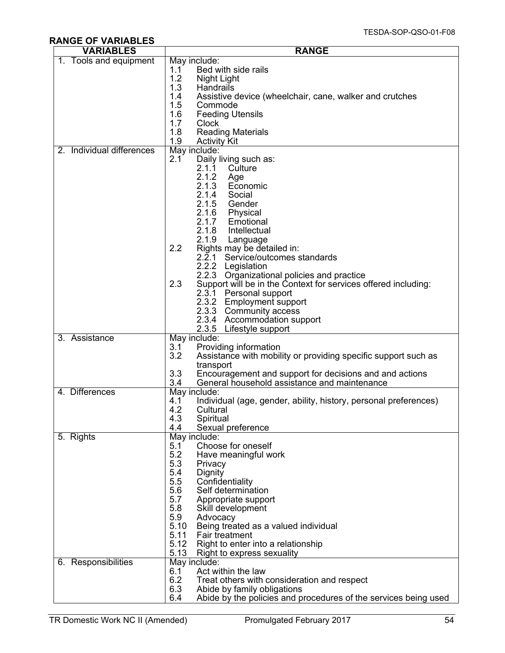# **RANGE OF VARIABLES**

| <b>VARIABLES</b>          | <b>RANGE</b>                                                                                                                                                                                                                                                                                                                                                                                                   |  |  |
|---------------------------|----------------------------------------------------------------------------------------------------------------------------------------------------------------------------------------------------------------------------------------------------------------------------------------------------------------------------------------------------------------------------------------------------------------|--|--|
| 1.<br>Tools and equipment | May include:<br>1.1<br>Bed with side rails<br>1.2<br>Night Light<br>1.3<br>Handrails<br>1.4<br>Assistive device (wheelchair, cane, walker and crutches<br>1.5<br>Commode                                                                                                                                                                                                                                       |  |  |
|                           | 1.6<br><b>Feeding Utensils</b><br>1.7<br>Clock<br>1.8<br><b>Reading Materials</b><br>1.9<br><b>Activity Kit</b>                                                                                                                                                                                                                                                                                                |  |  |
| 2. Individual differences | May include:<br>Daily living such as:<br>2.1<br>2.1.1<br>Culture<br>2.1.2<br>Age<br>2.1.3<br>Economic<br>2.1.4<br>Social<br>2.1.5<br>Gender<br>2.1.6<br>Physical<br>2.1.7<br>Emotional<br>2.1.8<br>Intellectual<br>2.1.9<br>Language                                                                                                                                                                           |  |  |
|                           | 2.2<br>Rights may be detailed in:<br>$2.\bar{2}.1$<br>Service/outcomes standards<br>2.2.2 Legislation<br>2.2.3<br>Organizational policies and practice<br>Support will be in the Context for services offered including:<br>2.3<br>2.3.1 Personal support<br>2.3.2 Employment support<br>2.3.3 Community access<br>2.3.4 Accommodation support<br>2.3.5 Lifestyle support                                      |  |  |
| 3. Assistance             | May include:<br>3.1<br>Providing information<br>3.2<br>Assistance with mobility or providing specific support such as<br>transport<br>3.3<br>Encouragement and support for decisions and and actions<br>3.4<br>General household assistance and maintenance                                                                                                                                                    |  |  |
| 4. Differences            | May include:<br>4.1<br>Individual (age, gender, ability, history, personal preferences)<br>4.2<br>Cultural<br>4.3<br>Spiritual<br>4.4<br>Sexual preference                                                                                                                                                                                                                                                     |  |  |
| 5. Rights                 | May include:<br>5.1<br>Choose for oneself<br>5.2<br>Have meaningful work<br>5.3<br>Privacy<br>5.4<br>Dignity<br>5.5<br>Confidentiality<br>Self determination<br>5.6<br>5.7<br>Appropriate support<br>5.8<br>Skill development<br>5.9<br>Advocacy<br>5.10<br>Being treated as a valued individual<br>5.11<br>Fair treatment<br>5.12<br>Right to enter into a relationship<br>5.13<br>Right to express sexuality |  |  |
| 6. Responsibilities       | May include:<br>Act within the law<br>6.1<br>6.2<br>Treat others with consideration and respect<br>6.3<br>Abide by family obligations<br>6.4<br>Abide by the policies and procedures of the services being used                                                                                                                                                                                                |  |  |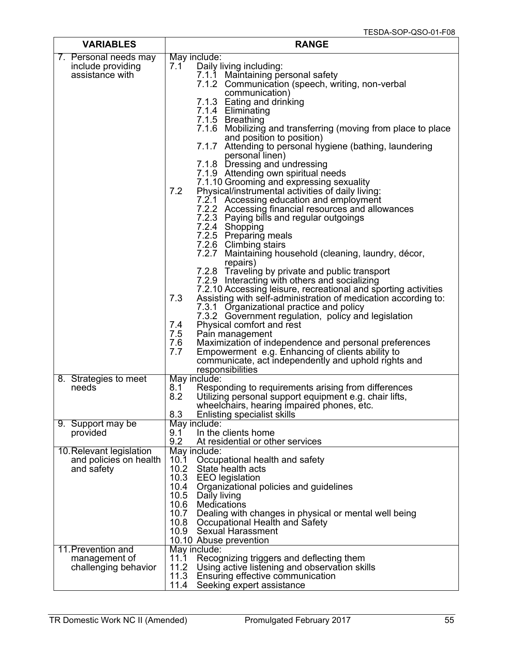| <b>VARIABLES</b>                                                 | <b>RANGE</b>                                                                                                                                                                                                                                                                                                                                                                                                                                                                                                                                                                                                                                                                                                                                                                                                                                                                                                                                                                                                                                                                                                                                                                                                                                                                                                                                                                                                                                                                                                       |  |  |
|------------------------------------------------------------------|--------------------------------------------------------------------------------------------------------------------------------------------------------------------------------------------------------------------------------------------------------------------------------------------------------------------------------------------------------------------------------------------------------------------------------------------------------------------------------------------------------------------------------------------------------------------------------------------------------------------------------------------------------------------------------------------------------------------------------------------------------------------------------------------------------------------------------------------------------------------------------------------------------------------------------------------------------------------------------------------------------------------------------------------------------------------------------------------------------------------------------------------------------------------------------------------------------------------------------------------------------------------------------------------------------------------------------------------------------------------------------------------------------------------------------------------------------------------------------------------------------------------|--|--|
| 7. Personal needs may<br>include providing<br>assistance with    | May include:<br>Daily living including:<br>$7.1^\circ$<br>7.1.1 Maintaining personal safety<br>7.1.2 Communication (speech, writing, non-verbal<br>communication)<br>7.1.3 Eating and drinking<br>7.1.4 Eliminating<br>7.1.5 Breathing<br>7.1.6 Mobilizing and transferring (moving from place to place<br>and position to position)<br>7.1.7 Attending to personal hygiene (bathing, laundering<br>personal linen)<br>7.1.8 Dressing and undressing<br>7.1.9 Attending own spiritual needs<br>7.1.10 Grooming and expressing sexuality<br>7.2<br>Physical/instrumental activities of daily living:<br>7.2.1 Accessing education and employment<br>7.2.2 Accessing financial resources and allowances<br>7.2.3 Paying bills and regular outgoings<br>7.2.4 Shopping<br>7.2.5 Preparing meals<br>7.2.6 Climbing stairs<br>7.2.7 Maintaining household (cleaning, laundry, décor,<br>repairs)<br>7.2.8 Traveling by private and public transport<br>7.2.9 Interacting with others and socializing<br>7.2.10 Accessing leisure, recreational and sporting activities<br>7.3<br>Assisting with self-administration of medication according to:<br>7.3.1 Organizational practice and policy<br>7.3.2 Government regulation, policy and legislation<br>Physical comfort and rest<br>7.4<br>7.5<br>Pain management<br>7.6<br>Maximization of independence and personal preferences<br>7.7<br>Empowerment e.g. Enhancing of clients ability to<br>communicate, act independently and uphold rights and<br>responsibilities |  |  |
| 8. Strategies to meet<br>needs                                   | May include:<br>8.1<br>Responding to requirements arising from differences<br>8.2<br>Utilizing personal support equipment e.g. chair lifts,<br>wheelchairs, hearing impaired phones, etc.<br>8.3<br>Enlisting specialist skills                                                                                                                                                                                                                                                                                                                                                                                                                                                                                                                                                                                                                                                                                                                                                                                                                                                                                                                                                                                                                                                                                                                                                                                                                                                                                    |  |  |
| 9. Support may be<br>provided                                    | May include:<br>In the clients home<br>9.1<br>9.2<br>At residential or other services                                                                                                                                                                                                                                                                                                                                                                                                                                                                                                                                                                                                                                                                                                                                                                                                                                                                                                                                                                                                                                                                                                                                                                                                                                                                                                                                                                                                                              |  |  |
| 10. Relevant legislation<br>and policies on health<br>and safety | May include:<br>10.1<br>Occupational health and safety<br>10.2<br>State health acts<br>10.3<br><b>EEO</b> legislation<br>10.4<br>Organizational policies and guidelines<br>10.5<br>Daily living<br>10.6<br>Medications<br>10.7<br>Dealing with changes in physical or mental well being<br>10.8<br>Occupational Health and Safety<br>10.9<br><b>Sexual Harassment</b><br>10.10 Abuse prevention                                                                                                                                                                                                                                                                                                                                                                                                                                                                                                                                                                                                                                                                                                                                                                                                                                                                                                                                                                                                                                                                                                                    |  |  |
| 11. Prevention and<br>management of<br>challenging behavior      | May include:<br>Recognizing triggers and deflecting them<br>11.1<br>11.2<br>Using active listening and observation skills<br>11.3<br>Ensuring effective communication<br>11.4<br>Seeking expert assistance                                                                                                                                                                                                                                                                                                                                                                                                                                                                                                                                                                                                                                                                                                                                                                                                                                                                                                                                                                                                                                                                                                                                                                                                                                                                                                         |  |  |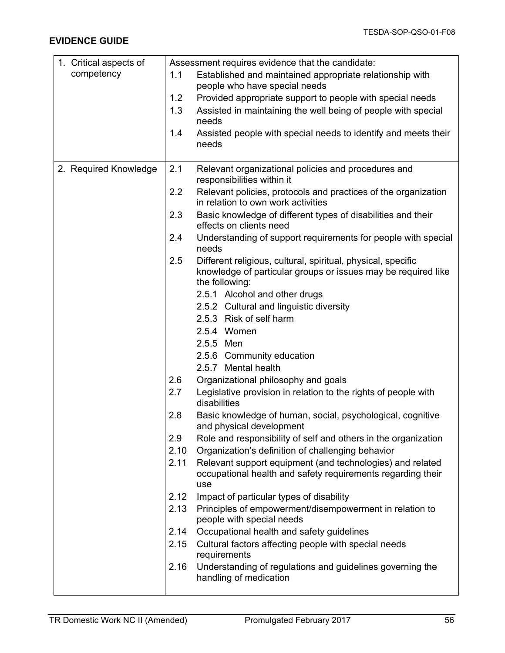| 1. Critical aspects of |      | Assessment requires evidence that the candidate:                                     |
|------------------------|------|--------------------------------------------------------------------------------------|
| competency             | 1.1  | Established and maintained appropriate relationship with                             |
|                        |      | people who have special needs                                                        |
|                        | 1.2  | Provided appropriate support to people with special needs                            |
|                        | 1.3  | Assisted in maintaining the well being of people with special                        |
|                        |      | needs                                                                                |
|                        | 1.4  | Assisted people with special needs to identify and meets their                       |
|                        |      | needs                                                                                |
|                        |      |                                                                                      |
| 2. Required Knowledge  | 2.1  | Relevant organizational policies and procedures and                                  |
|                        |      | responsibilities within it                                                           |
|                        | 2.2  | Relevant policies, protocols and practices of the organization                       |
|                        |      | in relation to own work activities                                                   |
|                        | 2.3  | Basic knowledge of different types of disabilities and their                         |
|                        |      | effects on clients need                                                              |
|                        | 2.4  | Understanding of support requirements for people with special<br>needs               |
|                        | 2.5  | Different religious, cultural, spiritual, physical, specific                         |
|                        |      | knowledge of particular groups or issues may be required like<br>the following:      |
|                        |      | 2.5.1 Alcohol and other drugs                                                        |
|                        |      | 2.5.2 Cultural and linguistic diversity                                              |
|                        |      | 2.5.3 Risk of self harm                                                              |
|                        |      |                                                                                      |
|                        |      | 2.5.4 Women                                                                          |
|                        |      | 2.5.5 Men                                                                            |
|                        |      | 2.5.6 Community education                                                            |
|                        |      | 2.5.7 Mental health                                                                  |
|                        | 2.6  | Organizational philosophy and goals                                                  |
|                        | 2.7  | Legislative provision in relation to the rights of people with<br>disabilities       |
|                        | 2.8  | Basic knowledge of human, social, psychological, cognitive                           |
|                        |      | and physical development                                                             |
|                        | 2.9  | Role and responsibility of self and others in the organization                       |
|                        | 2.10 | Organization's definition of challenging behavior                                    |
|                        | 2.11 | Relevant support equipment (and technologies) and related                            |
|                        |      | occupational health and safety requirements regarding their                          |
|                        |      | use                                                                                  |
|                        | 2.12 | Impact of particular types of disability                                             |
|                        | 2.13 | Principles of empowerment/disempowerment in relation to<br>people with special needs |
|                        | 2.14 | Occupational health and safety guidelines                                            |
|                        | 2.15 | Cultural factors affecting people with special needs                                 |
|                        |      | requirements                                                                         |
|                        | 2.16 | Understanding of regulations and guidelines governing the                            |
|                        |      | handling of medication                                                               |
|                        |      |                                                                                      |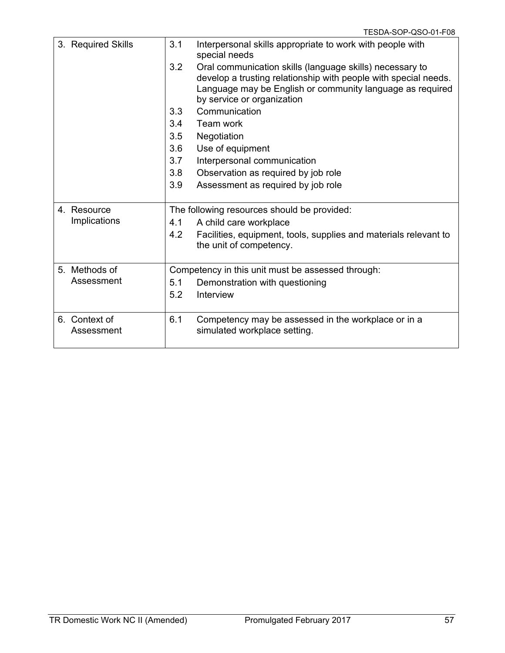| 3. Required Skills          | 3.1 | Interpersonal skills appropriate to work with people with<br>special needs                                                                                                                                             |
|-----------------------------|-----|------------------------------------------------------------------------------------------------------------------------------------------------------------------------------------------------------------------------|
|                             | 3.2 | Oral communication skills (language skills) necessary to<br>develop a trusting relationship with people with special needs.<br>Language may be English or community language as required<br>by service or organization |
|                             | 3.3 | Communication                                                                                                                                                                                                          |
|                             | 3.4 | Team work                                                                                                                                                                                                              |
|                             | 3.5 | Negotiation                                                                                                                                                                                                            |
|                             | 3.6 | Use of equipment                                                                                                                                                                                                       |
|                             | 3.7 | Interpersonal communication                                                                                                                                                                                            |
|                             | 3.8 | Observation as required by job role                                                                                                                                                                                    |
|                             | 3.9 | Assessment as required by job role                                                                                                                                                                                     |
| 4. Resource                 |     | The following resources should be provided:                                                                                                                                                                            |
| Implications                | 4.1 | A child care workplace                                                                                                                                                                                                 |
|                             | 4.2 | Facilities, equipment, tools, supplies and materials relevant to<br>the unit of competency.                                                                                                                            |
| 5. Methods of               |     | Competency in this unit must be assessed through:                                                                                                                                                                      |
| Assessment                  | 5.1 | Demonstration with questioning                                                                                                                                                                                         |
|                             | 5.2 | Interview                                                                                                                                                                                                              |
| 6. Context of<br>Assessment | 6.1 | Competency may be assessed in the workplace or in a<br>simulated workplace setting.                                                                                                                                    |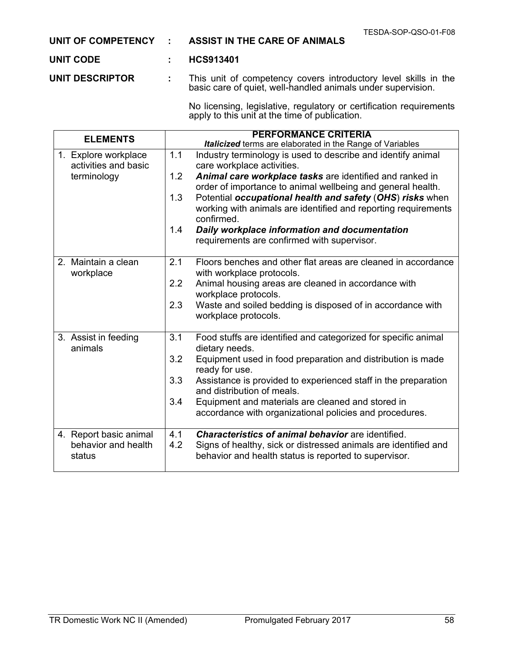**UNIT OF COMPETENCY : ASSIST IN THE CARE OF ANIMALS**

#### **UNIT CODE : HCS913401**

**UNIT DESCRIPTOR :** This unit of competency covers introductory level skills in the basic care of quiet, well-handled animals under supervision.

> No licensing, legislative, regulatory or certification requirements apply to this unit at the time of publication.

| <b>ELEMENTS</b>                 | <b>PERFORMANCE CRITERIA</b>                                                                                                                      |
|---------------------------------|--------------------------------------------------------------------------------------------------------------------------------------------------|
|                                 | <b>Italicized</b> terms are elaborated in the Range of Variables                                                                                 |
| 1. Explore workplace            | 1.1<br>Industry terminology is used to describe and identify animal                                                                              |
| activities and basic            | care workplace activities.                                                                                                                       |
| terminology                     | 1.2<br>Animal care workplace tasks are identified and ranked in                                                                                  |
|                                 | order of importance to animal wellbeing and general health.                                                                                      |
|                                 | 1.3<br>Potential occupational health and safety (OHS) risks when<br>working with animals are identified and reporting requirements<br>confirmed. |
|                                 | 1.4<br>Daily workplace information and documentation                                                                                             |
|                                 | requirements are confirmed with supervisor.                                                                                                      |
|                                 |                                                                                                                                                  |
| 2. Maintain a clean             | 2.1<br>Floors benches and other flat areas are cleaned in accordance                                                                             |
| workplace                       | with workplace protocols.                                                                                                                        |
|                                 | 2.2<br>Animal housing areas are cleaned in accordance with                                                                                       |
|                                 | workplace protocols.                                                                                                                             |
|                                 | 2.3<br>Waste and soiled bedding is disposed of in accordance with                                                                                |
|                                 | workplace protocols.                                                                                                                             |
|                                 |                                                                                                                                                  |
| 3. Assist in feeding<br>animals | 3.1<br>Food stuffs are identified and categorized for specific animal<br>dietary needs.                                                          |
|                                 | 3.2<br>Equipment used in food preparation and distribution is made<br>ready for use.                                                             |
|                                 | 3.3<br>Assistance is provided to experienced staff in the preparation                                                                            |
|                                 | and distribution of meals.                                                                                                                       |
|                                 | 3.4<br>Equipment and materials are cleaned and stored in                                                                                         |
|                                 | accordance with organizational policies and procedures.                                                                                          |
|                                 |                                                                                                                                                  |
| 4. Report basic animal          | <b>Characteristics of animal behavior</b> are identified.<br>4.1                                                                                 |
| behavior and health             | 4.2<br>Signs of healthy, sick or distressed animals are identified and                                                                           |
| status                          | behavior and health status is reported to supervisor.                                                                                            |
|                                 |                                                                                                                                                  |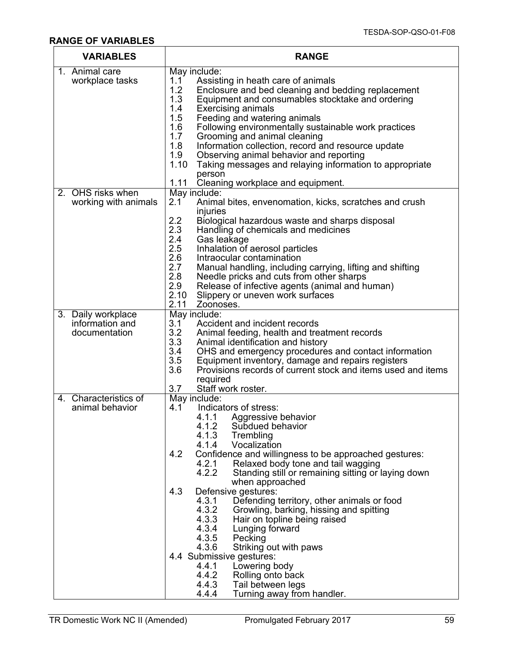## **RANGE OF VARIABLES**

| <b>VARIABLES</b>                      | <b>RANGE</b>                                                                                                                    |  |  |
|---------------------------------------|---------------------------------------------------------------------------------------------------------------------------------|--|--|
| 1. Animal care                        | May include:                                                                                                                    |  |  |
| workplace tasks                       | 1.1<br>Assisting in heath care of animals<br>1.2                                                                                |  |  |
|                                       | Enclosure and bed cleaning and bedding replacement<br>1.3<br>Equipment and consumables stocktake and ordering                   |  |  |
|                                       | 1.4<br><b>Exercising animals</b>                                                                                                |  |  |
|                                       | 1.5<br>Feeding and watering animals                                                                                             |  |  |
|                                       | 1.6<br>Following environmentally sustainable work practices                                                                     |  |  |
|                                       | 1.7<br>Grooming and animal cleaning<br>1.8                                                                                      |  |  |
|                                       | Information collection, record and resource update<br>1.9<br>Observing animal behavior and reporting                            |  |  |
|                                       | 1.10<br>Taking messages and relaying information to appropriate                                                                 |  |  |
|                                       | person                                                                                                                          |  |  |
|                                       | 1.11<br>Cleaning workplace and equipment.                                                                                       |  |  |
| 2. OHS risks when                     | May include:<br>2.1                                                                                                             |  |  |
| working with animals                  | Animal bites, envenomation, kicks, scratches and crush<br>injuries                                                              |  |  |
|                                       | 2.2<br>Biological hazardous waste and sharps disposal                                                                           |  |  |
|                                       | 2.3<br>Handling of chemicals and medicines                                                                                      |  |  |
|                                       | 2.4<br>Gas leakage                                                                                                              |  |  |
|                                       | 2.5<br>Inhalation of aerosol particles<br>2.6<br>Intraocular contamination                                                      |  |  |
|                                       | 2.7<br>Manual handling, including carrying, lifting and shifting                                                                |  |  |
|                                       | 2.8<br>Needle pricks and cuts from other sharps                                                                                 |  |  |
|                                       | 2.9<br>Release of infective agents (animal and human)                                                                           |  |  |
|                                       | 2.10<br>Slippery or uneven work surfaces                                                                                        |  |  |
|                                       | 2.11<br>Zoonoses.                                                                                                               |  |  |
| 3. Daily workplace<br>information and | May include:<br>Accident and incident records<br>3.1                                                                            |  |  |
| documentation                         | 3.2<br>Animal feeding, health and treatment records                                                                             |  |  |
|                                       | 3.3<br>Animal identification and history                                                                                        |  |  |
|                                       | 3.4<br>OHS and emergency procedures and contact information                                                                     |  |  |
|                                       | 3.5<br>Equipment inventory, damage and repairs registers<br>3.6<br>Provisions records of current stock and items used and items |  |  |
|                                       | required                                                                                                                        |  |  |
|                                       | Staff work roster.<br>3.7                                                                                                       |  |  |
| 4. Characteristics of                 | May include:                                                                                                                    |  |  |
| animal behavior                       | Indicators of stress:<br>4.1                                                                                                    |  |  |
|                                       | 4.1.1 Aggressive behavior<br>4.1.2<br>Subdued behavior                                                                          |  |  |
|                                       | 4.1.3<br>Trembling                                                                                                              |  |  |
|                                       | 4.1.4 Vocalization                                                                                                              |  |  |
|                                       | 4.2<br>Confidence and willingness to be approached gestures:                                                                    |  |  |
|                                       | 4.2.1<br>Relaxed body tone and tail wagging<br>4.2.2<br>Standing still or remaining sitting or laying down                      |  |  |
|                                       | when approached                                                                                                                 |  |  |
|                                       | Defensive gestures:<br>4.3                                                                                                      |  |  |
|                                       | Defending territory, other animals or food<br>4.3.1                                                                             |  |  |
|                                       | 4.3.2<br>Growling, barking, hissing and spitting<br>4.3.3<br>Hair on topline being raised                                       |  |  |
|                                       | 4.3.4<br>Lunging forward                                                                                                        |  |  |
|                                       | 4.3.5<br>Pecking                                                                                                                |  |  |
|                                       | 4.3.6<br>Striking out with paws                                                                                                 |  |  |
|                                       | 4.4 Submissive gestures:                                                                                                        |  |  |
|                                       | 4.4.1<br>Lowering body<br>4.4.2<br>Rolling onto back                                                                            |  |  |
|                                       | 4.4.3<br>Tail between legs                                                                                                      |  |  |
|                                       | 4.4.4<br>Turning away from handler.                                                                                             |  |  |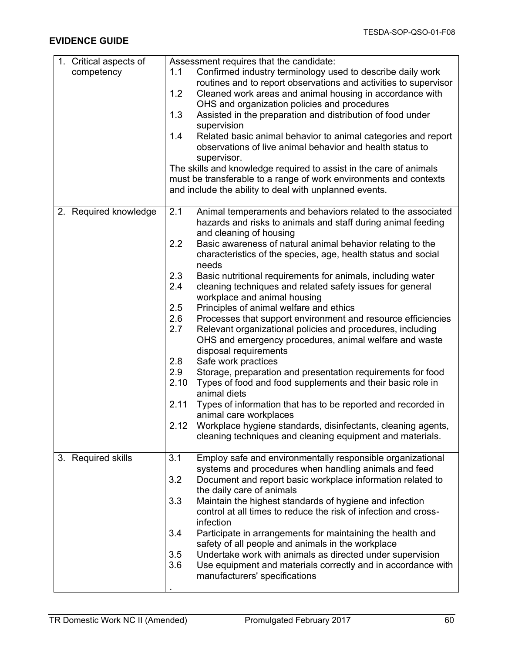| 1. Critical aspects of | Assessment requires that the candidate:                              |  |  |
|------------------------|----------------------------------------------------------------------|--|--|
| competency             | Confirmed industry terminology used to describe daily work<br>1.1    |  |  |
|                        | routines and to report observations and activities to supervisor     |  |  |
|                        | 1.2<br>Cleaned work areas and animal housing in accordance with      |  |  |
|                        | OHS and organization policies and procedures                         |  |  |
|                        | Assisted in the preparation and distribution of food under<br>1.3    |  |  |
|                        | supervision                                                          |  |  |
|                        | Related basic animal behavior to animal categories and report<br>1.4 |  |  |
|                        | observations of live animal behavior and health status to            |  |  |
|                        | supervisor.                                                          |  |  |
|                        |                                                                      |  |  |
|                        | The skills and knowledge required to assist in the care of animals   |  |  |
|                        | must be transferable to a range of work environments and contexts    |  |  |
|                        | and include the ability to deal with unplanned events.               |  |  |
|                        |                                                                      |  |  |
| 2. Required knowledge  | 2.1<br>Animal temperaments and behaviors related to the associated   |  |  |
|                        | hazards and risks to animals and staff during animal feeding         |  |  |
|                        | and cleaning of housing                                              |  |  |
|                        | 2.2<br>Basic awareness of natural animal behavior relating to the    |  |  |
|                        | characteristics of the species, age, health status and social        |  |  |
|                        | needs                                                                |  |  |
|                        | 2.3<br>Basic nutritional requirements for animals, including water   |  |  |
|                        | 2.4<br>cleaning techniques and related safety issues for general     |  |  |
|                        | workplace and animal housing                                         |  |  |
|                        | 2.5<br>Principles of animal welfare and ethics                       |  |  |
|                        | 2.6<br>Processes that support environment and resource efficiencies  |  |  |
|                        | 2.7<br>Relevant organizational policies and procedures, including    |  |  |
|                        | OHS and emergency procedures, animal welfare and waste               |  |  |
|                        | disposal requirements                                                |  |  |
|                        | 2.8<br>Safe work practices                                           |  |  |
|                        | 2.9<br>Storage, preparation and presentation requirements for food   |  |  |
|                        | 2.10<br>Types of food and food supplements and their basic role in   |  |  |
|                        | animal diets                                                         |  |  |
|                        | 2.11<br>Types of information that has to be reported and recorded in |  |  |
|                        | animal care workplaces                                               |  |  |
|                        | 2.12<br>Workplace hygiene standards, disinfectants, cleaning agents, |  |  |
|                        | cleaning techniques and cleaning equipment and materials.            |  |  |
|                        |                                                                      |  |  |
| 3. Required skills     | Employ safe and environmentally responsible organizational<br>3.1    |  |  |
|                        | systems and procedures when handling animals and feed                |  |  |
|                        | 3.2<br>Document and report basic workplace information related to    |  |  |
|                        | the daily care of animals                                            |  |  |
|                        | 3.3<br>Maintain the highest standards of hygiene and infection       |  |  |
|                        | control at all times to reduce the risk of infection and cross-      |  |  |
|                        | infection                                                            |  |  |
|                        | 3.4<br>Participate in arrangements for maintaining the health and    |  |  |
|                        | safety of all people and animals in the workplace                    |  |  |
|                        | 3.5<br>Undertake work with animals as directed under supervision     |  |  |
|                        | 3.6<br>Use equipment and materials correctly and in accordance with  |  |  |
|                        | manufacturers' specifications                                        |  |  |
|                        |                                                                      |  |  |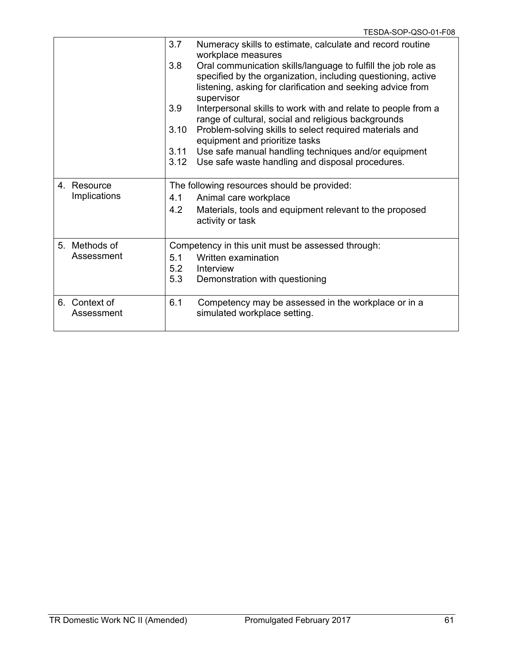|                             | 3.7<br>3.8<br>3.9<br>3.10<br>3.11 | Numeracy skills to estimate, calculate and record routine<br>workplace measures<br>Oral communication skills/language to fulfill the job role as<br>specified by the organization, including questioning, active<br>listening, asking for clarification and seeking advice from<br>supervisor<br>Interpersonal skills to work with and relate to people from a<br>range of cultural, social and religious backgrounds<br>Problem-solving skills to select required materials and<br>equipment and prioritize tasks<br>Use safe manual handling techniques and/or equipment<br>3.12 Use safe waste handling and disposal procedures. |
|-----------------------------|-----------------------------------|-------------------------------------------------------------------------------------------------------------------------------------------------------------------------------------------------------------------------------------------------------------------------------------------------------------------------------------------------------------------------------------------------------------------------------------------------------------------------------------------------------------------------------------------------------------------------------------------------------------------------------------|
| 4. Resource<br>Implications | 4.1<br>4.2                        | The following resources should be provided:<br>Animal care workplace<br>Materials, tools and equipment relevant to the proposed<br>activity or task                                                                                                                                                                                                                                                                                                                                                                                                                                                                                 |
| 5. Methods of<br>Assessment | 5.1<br>5.2<br>5.3                 | Competency in this unit must be assessed through:<br>Written examination<br>Interview<br>Demonstration with questioning                                                                                                                                                                                                                                                                                                                                                                                                                                                                                                             |
| 6. Context of<br>Assessment | 6.1                               | Competency may be assessed in the workplace or in a<br>simulated workplace setting.                                                                                                                                                                                                                                                                                                                                                                                                                                                                                                                                                 |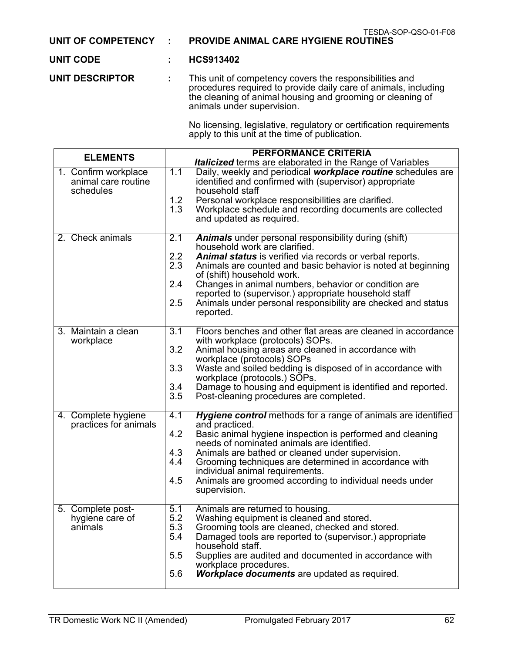#### **UNIT OF COMPETENCY : PROVIDE ANIMAL CARE HYGIENE ROUTINES**

# **UNIT CODE : HCS913402**

**UNIT DESCRIPTOR :** This unit of competency covers the responsibilities and procedures required to provide daily care of animals, including the cleaning of animal housing and grooming or cleaning of animals under supervision.

> No licensing, legislative, regulatory or certification requirements apply to this unit at the time of publication.

| <b>ELEMENTS</b>                                          | <b>PERFORMANCE CRITERIA</b>                                                                                                                                                                                                                                                                                                                                                                                                                                                      |
|----------------------------------------------------------|----------------------------------------------------------------------------------------------------------------------------------------------------------------------------------------------------------------------------------------------------------------------------------------------------------------------------------------------------------------------------------------------------------------------------------------------------------------------------------|
|                                                          | Italicized terms are elaborated in the Range of Variables                                                                                                                                                                                                                                                                                                                                                                                                                        |
| 1. Confirm workplace<br>animal care routine<br>schedules | Daily, weekly and periodical workplace routine schedules are<br>1.1<br>identified and confirmed with (supervisor) appropriate<br>household staff<br>1.2<br>Personal workplace responsibilities are clarified.<br>1.3<br>Workplace schedule and recording documents are collected<br>and updated as required.                                                                                                                                                                     |
| 2. Check animals                                         | 2.1<br>Animals under personal responsibility during (shift)<br>household work are clarified.<br>2.2<br>Animal status is verified via records or verbal reports.<br>2.3<br>Animals are counted and basic behavior is noted at beginning<br>of (shift) household work.<br>2.4<br>Changes in animal numbers, behavior or condition are<br>reported to (supervisor.) appropriate household staff<br>2.5<br>Animals under personal responsibility are checked and status<br>reported. |
| 3. Maintain a clean<br>workplace                         | 3.1<br>Floors benches and other flat areas are cleaned in accordance<br>with workplace (protocols) SOPs.<br>3.2<br>Animal housing areas are cleaned in accordance with<br>workplace (protocols) SOPs<br>3.3<br>Waste and soiled bedding is disposed of in accordance with<br>workplace (protocols.) SOPs.<br>3.4<br>Damage to housing and equipment is identified and reported.<br>3.5<br>Post-cleaning procedures are completed.                                                |
| 4. Complete hygiene<br>practices for animals             | 4.1<br>Hygiene control methods for a range of animals are identified<br>and practiced.<br>4.2<br>Basic animal hygiene inspection is performed and cleaning<br>needs of nominated animals are identified.<br>4.3<br>Animals are bathed or cleaned under supervision.<br>4.4<br>Grooming techniques are determined in accordance with<br>individual animal requirements.<br>4.5<br>Animals are groomed according to individual needs under<br>supervision.                         |
| 5. Complete post-<br>hygiene care of<br>animals          | 5.1<br>Animals are returned to housing.<br>Washing equipment is cleaned and stored.<br>5.2<br>5.3<br>Grooming tools are cleaned, checked and stored.<br>Damaged tools are reported to (supervisor.) appropriate<br>5.4<br>household staff.<br>5.5<br>Supplies are audited and documented in accordance with<br>workplace procedures.<br>5.6<br><b>Workplace documents</b> are updated as required.                                                                               |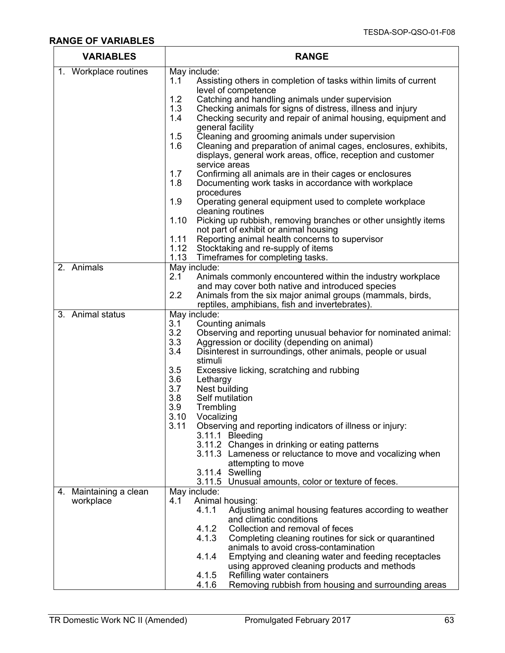### **RANGE OF VARIABLES**

| <b>VARIABLES</b>       | <b>RANGE</b>                                                                                                                           |  |  |
|------------------------|----------------------------------------------------------------------------------------------------------------------------------------|--|--|
| 1. Workplace routines  | May include:                                                                                                                           |  |  |
|                        | Assisting others in completion of tasks within limits of current<br>1.1                                                                |  |  |
|                        | level of competence<br>Catching and handling animals under supervision<br>1.2                                                          |  |  |
|                        | 1.3<br>Checking animals for signs of distress, illness and injury                                                                      |  |  |
|                        | 1.4<br>Checking security and repair of animal housing, equipment and                                                                   |  |  |
|                        | general facility                                                                                                                       |  |  |
|                        | 1.5<br>Cleaning and grooming animals under supervision                                                                                 |  |  |
|                        | Cleaning and preparation of animal cages, enclosures, exhibits,<br>1.6<br>displays, general work areas, office, reception and customer |  |  |
|                        | service areas<br>1.7                                                                                                                   |  |  |
|                        | Confirming all animals are in their cages or enclosures<br>1.8<br>Documenting work tasks in accordance with workplace                  |  |  |
|                        | procedures                                                                                                                             |  |  |
|                        | 1.9<br>Operating general equipment used to complete workplace<br>cleaning routines                                                     |  |  |
|                        | 1.10<br>Picking up rubbish, removing branches or other unsightly items                                                                 |  |  |
|                        | not part of exhibit or animal housing                                                                                                  |  |  |
|                        | Reporting animal health concerns to supervisor<br>1.11                                                                                 |  |  |
|                        | 1.12<br>Stocktaking and re-supply of items                                                                                             |  |  |
| 2. Animals             | 1.13<br>Timeframes for completing tasks.<br>May include:                                                                               |  |  |
|                        | 2.1<br>Animals commonly encountered within the industry workplace                                                                      |  |  |
|                        | and may cover both native and introduced species                                                                                       |  |  |
|                        | 2.2<br>Animals from the six major animal groups (mammals, birds,                                                                       |  |  |
|                        | reptiles, amphibians, fish and invertebrates).                                                                                         |  |  |
| 3. Animal status       | May include:                                                                                                                           |  |  |
|                        | 3.1<br>Counting animals<br>3.2<br>Observing and reporting unusual behavior for nominated animal:                                       |  |  |
|                        | 3.3<br>Aggression or docility (depending on animal)                                                                                    |  |  |
|                        | 3.4<br>Disinterest in surroundings, other animals, people or usual                                                                     |  |  |
|                        | stimuli                                                                                                                                |  |  |
|                        | 3.5<br>Excessive licking, scratching and rubbing                                                                                       |  |  |
|                        | 3.6<br>Lethargy<br>3.7<br>Nest building                                                                                                |  |  |
|                        | 3.8<br>Self mutilation                                                                                                                 |  |  |
|                        | 3.9<br>Trembling                                                                                                                       |  |  |
|                        | 3.10<br>Vocalizing                                                                                                                     |  |  |
|                        | 3.11<br>Observing and reporting indicators of illness or injury:                                                                       |  |  |
|                        | 3.11.1 Bleeding                                                                                                                        |  |  |
|                        | 3.11.2 Changes in drinking or eating patterns<br>3.11.3 Lameness or reluctance to move and vocalizing when                             |  |  |
|                        | attempting to move                                                                                                                     |  |  |
|                        | 3.11.4 Swelling                                                                                                                        |  |  |
|                        | 3.11.5 Unusual amounts, color or texture of feces.                                                                                     |  |  |
| 4. Maintaining a clean | May include:                                                                                                                           |  |  |
| workplace              | Animal housing:<br>4.1<br>Adjusting animal housing features according to weather<br>4.1.1                                              |  |  |
|                        | and climatic conditions                                                                                                                |  |  |
|                        | 4.1.2<br>Collection and removal of feces                                                                                               |  |  |
|                        | 4.1.3<br>Completing cleaning routines for sick or quarantined                                                                          |  |  |
|                        | animals to avoid cross-contamination                                                                                                   |  |  |
|                        | 4.1.4<br>Emptying and cleaning water and feeding receptacles                                                                           |  |  |
|                        | using approved cleaning products and methods<br>4.1.5<br>Refilling water containers                                                    |  |  |
|                        | Removing rubbish from housing and surrounding areas<br>4.1.6                                                                           |  |  |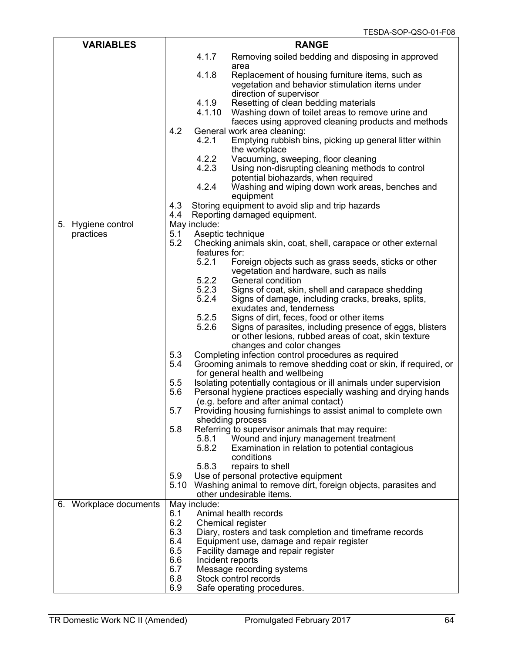| <b>VARIABLES</b>       | <b>RANGE</b> |                   |                                                                                                       |
|------------------------|--------------|-------------------|-------------------------------------------------------------------------------------------------------|
|                        |              | 4.1.7             | Removing soiled bedding and disposing in approved                                                     |
|                        |              |                   | area                                                                                                  |
|                        |              | 4.1.8             | Replacement of housing furniture items, such as                                                       |
|                        |              |                   | vegetation and behavior stimulation items under                                                       |
|                        |              | 4.1.9             | direction of supervisor                                                                               |
|                        |              | 4.1.10            | Resetting of clean bedding materials<br>Washing down of toilet areas to remove urine and              |
|                        |              |                   | faeces using approved cleaning products and methods                                                   |
|                        | 4.2          |                   | General work area cleaning:                                                                           |
|                        |              | 4.2.1             | Emptying rubbish bins, picking up general litter within                                               |
|                        |              |                   | the workplace                                                                                         |
|                        |              | 4.2.2             | Vacuuming, sweeping, floor cleaning                                                                   |
|                        |              | 4.2.3             | Using non-disrupting cleaning methods to control                                                      |
|                        |              |                   | potential biohazards, when required                                                                   |
|                        |              | 4.2.4             | Washing and wiping down work areas, benches and                                                       |
|                        | 4.3          |                   | equipment<br>Storing equipment to avoid slip and trip hazards                                         |
|                        | 4.4          |                   | Reporting damaged equipment.                                                                          |
| 5. Hygiene control     |              | May include:      |                                                                                                       |
| practices              | 5.1          | Aseptic technique |                                                                                                       |
|                        | 5.2          |                   | Checking animals skin, coat, shell, carapace or other external                                        |
|                        |              | features for:     |                                                                                                       |
|                        |              | 5.2.1             | Foreign objects such as grass seeds, sticks or other                                                  |
|                        |              | 5.2.2             | vegetation and hardware, such as nails<br>General condition                                           |
|                        |              | 5.2.3             | Signs of coat, skin, shell and carapace shedding                                                      |
|                        |              | 5.2.4             | Signs of damage, including cracks, breaks, splits,                                                    |
|                        |              |                   | exudates and, tenderness                                                                              |
|                        |              | 5.2.5             | Signs of dirt, feces, food or other items                                                             |
|                        |              | 5.2.6             | Signs of parasites, including presence of eggs, blisters                                              |
|                        |              |                   | or other lesions, rubbed areas of coat, skin texture                                                  |
|                        |              |                   | changes and color changes                                                                             |
|                        | 5.3<br>5.4   |                   | Completing infection control procedures as required                                                   |
|                        |              |                   | Grooming animals to remove shedding coat or skin, if required, or<br>for general health and wellbeing |
|                        | 5.5          |                   | Isolating potentially contagious or ill animals under supervision                                     |
|                        | 5.6          |                   | Personal hygiene practices especially washing and drying hands                                        |
|                        |              |                   | (e.g. before and after animal contact)                                                                |
|                        | 5.7          |                   | Providing housing furnishings to assist animal to complete own                                        |
|                        |              |                   | shedding process                                                                                      |
|                        | 5.8          |                   | Referring to supervisor animals that may require:                                                     |
|                        |              | 5.8.1             | Wound and injury management treatment                                                                 |
|                        |              | 5.8.2             | Examination in relation to potential contagious<br>conditions                                         |
|                        |              | 5.8.3             | repairs to shell                                                                                      |
|                        | 5.9          |                   | Use of personal protective equipment                                                                  |
|                        | 5.10         |                   | Washing animal to remove dirt, foreign objects, parasites and                                         |
|                        |              |                   | other undesirable items.                                                                              |
| 6. Workplace documents |              | May include:      |                                                                                                       |
|                        | 6.1<br>6.2   |                   | Animal health records<br>Chemical register                                                            |
|                        | 6.3          |                   | Diary, rosters and task completion and timeframe records                                              |
|                        | 6.4          |                   | Equipment use, damage and repair register                                                             |
|                        | 6.5          |                   | Facility damage and repair register                                                                   |
|                        | 6.6          | Incident reports  |                                                                                                       |
|                        | 6.7          |                   | Message recording systems                                                                             |
|                        | 6.8          |                   | Stock control records                                                                                 |
|                        | 6.9          |                   | Safe operating procedures.                                                                            |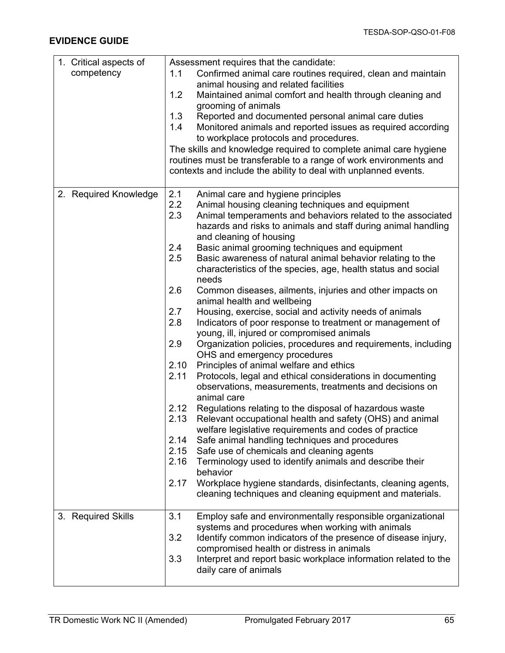| 1. Critical aspects of | Assessment requires that the candidate:                                                                                             |  |  |
|------------------------|-------------------------------------------------------------------------------------------------------------------------------------|--|--|
| competency             | Confirmed animal care routines required, clean and maintain<br>1.1                                                                  |  |  |
|                        | animal housing and related facilities                                                                                               |  |  |
|                        | 1.2<br>Maintained animal comfort and health through cleaning and                                                                    |  |  |
|                        | grooming of animals                                                                                                                 |  |  |
|                        | 1.3<br>Reported and documented personal animal care duties                                                                          |  |  |
|                        | Monitored animals and reported issues as required according<br>1.4<br>to workplace protocols and procedures.                        |  |  |
|                        | The skills and knowledge required to complete animal care hygiene                                                                   |  |  |
|                        | routines must be transferable to a range of work environments and                                                                   |  |  |
|                        | contexts and include the ability to deal with unplanned events.                                                                     |  |  |
|                        |                                                                                                                                     |  |  |
| 2. Required Knowledge  | 2.1<br>Animal care and hygiene principles                                                                                           |  |  |
|                        | 2.2<br>Animal housing cleaning techniques and equipment                                                                             |  |  |
|                        | 2.3<br>Animal temperaments and behaviors related to the associated                                                                  |  |  |
|                        | hazards and risks to animals and staff during animal handling<br>and cleaning of housing                                            |  |  |
|                        | 2.4<br>Basic animal grooming techniques and equipment                                                                               |  |  |
|                        | 2.5<br>Basic awareness of natural animal behavior relating to the                                                                   |  |  |
|                        | characteristics of the species, age, health status and social                                                                       |  |  |
|                        | needs                                                                                                                               |  |  |
|                        | 2.6<br>Common diseases, ailments, injuries and other impacts on                                                                     |  |  |
|                        | animal health and wellbeing                                                                                                         |  |  |
|                        | 2.7<br>Housing, exercise, social and activity needs of animals<br>2.8<br>Indicators of poor response to treatment or management of  |  |  |
|                        | young, ill, injured or compromised animals                                                                                          |  |  |
|                        | 2.9<br>Organization policies, procedures and requirements, including                                                                |  |  |
|                        | OHS and emergency procedures                                                                                                        |  |  |
|                        | 2.10<br>Principles of animal welfare and ethics                                                                                     |  |  |
|                        | 2.11<br>Protocols, legal and ethical considerations in documenting                                                                  |  |  |
|                        | observations, measurements, treatments and decisions on                                                                             |  |  |
|                        | animal care                                                                                                                         |  |  |
|                        | 2.12<br>Regulations relating to the disposal of hazardous waste<br>2.13<br>Relevant occupational health and safety (OHS) and animal |  |  |
|                        | welfare legislative requirements and codes of practice                                                                              |  |  |
|                        | 2.14<br>Safe animal handling techniques and procedures                                                                              |  |  |
|                        | 2.15<br>Safe use of chemicals and cleaning agents                                                                                   |  |  |
|                        | 2.16<br>Terminology used to identify animals and describe their                                                                     |  |  |
|                        | behavior                                                                                                                            |  |  |
|                        | Workplace hygiene standards, disinfectants, cleaning agents,<br>2.17                                                                |  |  |
|                        | cleaning techniques and cleaning equipment and materials.                                                                           |  |  |
| 3. Required Skills     | 3.1<br>Employ safe and environmentally responsible organizational                                                                   |  |  |
|                        | systems and procedures when working with animals                                                                                    |  |  |
|                        | 3.2<br>Identify common indicators of the presence of disease injury,                                                                |  |  |
|                        | compromised health or distress in animals                                                                                           |  |  |
|                        | 3.3<br>Interpret and report basic workplace information related to the                                                              |  |  |
|                        | daily care of animals                                                                                                               |  |  |
|                        |                                                                                                                                     |  |  |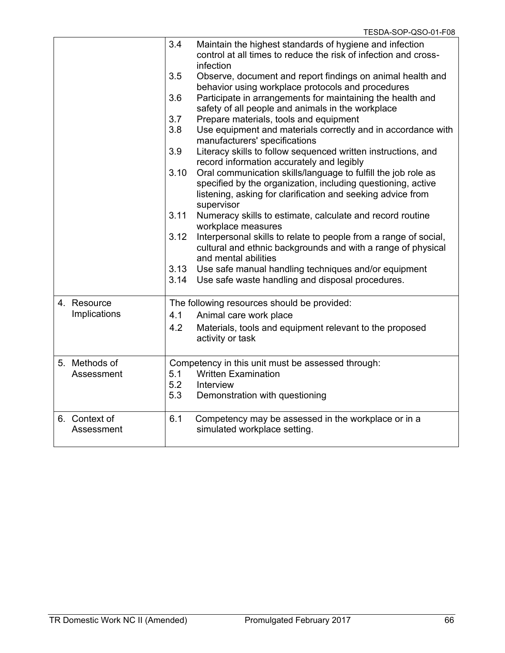|                             | 3.4  | Maintain the highest standards of hygiene and infection<br>control at all times to reduce the risk of infection and cross-<br>infection |
|-----------------------------|------|-----------------------------------------------------------------------------------------------------------------------------------------|
|                             | 3.5  | Observe, document and report findings on animal health and<br>behavior using workplace protocols and procedures                         |
|                             | 3.6  | Participate in arrangements for maintaining the health and<br>safety of all people and animals in the workplace                         |
|                             | 3.7  | Prepare materials, tools and equipment                                                                                                  |
|                             | 3.8  | Use equipment and materials correctly and in accordance with<br>manufacturers' specifications                                           |
|                             | 3.9  | Literacy skills to follow sequenced written instructions, and<br>record information accurately and legibly                              |
|                             | 3.10 | Oral communication skills/language to fulfill the job role as                                                                           |
|                             |      | specified by the organization, including questioning, active                                                                            |
|                             |      | listening, asking for clarification and seeking advice from<br>supervisor                                                               |
|                             | 3.11 | Numeracy skills to estimate, calculate and record routine<br>workplace measures                                                         |
|                             | 3.12 | Interpersonal skills to relate to people from a range of social,                                                                        |
|                             |      | cultural and ethnic backgrounds and with a range of physical<br>and mental abilities                                                    |
|                             |      | 3.13 Use safe manual handling techniques and/or equipment                                                                               |
|                             | 3.14 | Use safe waste handling and disposal procedures.                                                                                        |
| 4. Resource                 |      | The following resources should be provided:                                                                                             |
| Implications                | 4.1  | Animal care work place                                                                                                                  |
|                             | 4.2  | Materials, tools and equipment relevant to the proposed<br>activity or task                                                             |
| 5. Methods of               |      | Competency in this unit must be assessed through:                                                                                       |
| Assessment                  | 5.1  | <b>Written Examination</b>                                                                                                              |
|                             | 5.2  | Interview                                                                                                                               |
|                             | 5.3  | Demonstration with questioning                                                                                                          |
| 6. Context of<br>Assessment | 6.1  | Competency may be assessed in the workplace or in a<br>simulated workplace setting.                                                     |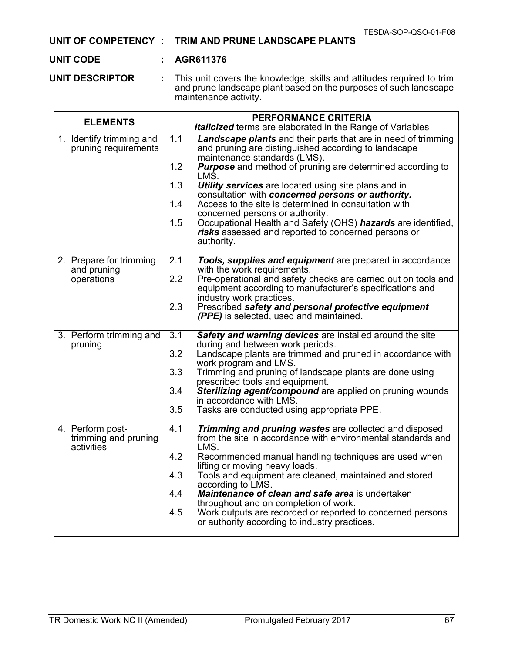# **UNIT OF COMPETENCY : TRIM AND PRUNE LANDSCAPE PLANTS**

#### **UNIT CODE : AGR611376**

**UNIT DESCRIPTOR :** This unit covers the knowledge, skills and attitudes required to trim and prune landscape plant based on the purposes of such landscape maintenance activity.

| <b>ELEMENTS</b>                                        | <b>PERFORMANCE CRITERIA</b><br>Italicized terms are elaborated in the Range of Variables                                                                                                                                                                                                                                                                                                                                                                                                                                                                                                                                         |
|--------------------------------------------------------|----------------------------------------------------------------------------------------------------------------------------------------------------------------------------------------------------------------------------------------------------------------------------------------------------------------------------------------------------------------------------------------------------------------------------------------------------------------------------------------------------------------------------------------------------------------------------------------------------------------------------------|
| 1. Identify trimming and<br>pruning requirements       | 1.1<br><b>Landscape plants</b> and their parts that are in need of trimming<br>and pruning are distinguished according to landscape<br>maintenance standards (LMS).<br>1.2<br><b>Purpose</b> and method of pruning are determined according to<br>LMŜ.<br>1.3<br><b>Utility services</b> are located using site plans and in<br>consultation with concerned persons or authority.<br>Access to the site is determined in consultation with<br>1.4<br>concerned persons or authority.<br>Occupational Health and Safety (OHS) hazards are identified,<br>1.5<br>risks assessed and reported to concerned persons or<br>authority. |
| 2. Prepare for trimming<br>and pruning<br>operations   | 2.1<br>Tools, supplies and equipment are prepared in accordance<br>with the work requirements.<br>2.2<br>Pre-operational and safety checks are carried out on tools and<br>equipment according to manufacturer's specifications and<br>industry work practices.<br>2.3<br>Prescribed safety and personal protective equipment<br>(PPE) is selected, used and maintained.                                                                                                                                                                                                                                                         |
| 3. Perform trimming and<br>pruning                     | $\overline{3.1}$<br>Safety and warning devices are installed around the site<br>during and between work periods.<br>3.2<br>Landscape plants are trimmed and pruned in accordance with<br>work program and LMS.<br>3.3<br>Trimming and pruning of landscape plants are done using<br>prescribed tools and equipment.<br>3.4<br>Sterilizing agent/compound are applied on pruning wounds<br>in accordance with LMS.<br>3.5<br>Tasks are conducted using appropriate PPE.                                                                                                                                                           |
| 4. Perform post-<br>trimming and pruning<br>activities | 4.1<br><b>Trimming and pruning wastes are collected and disposed</b><br>from the site in accordance with environmental standards and<br>LMS.<br>4.2<br>Recommended manual handling techniques are used when<br>lifting or moving heavy loads.<br>4.3<br>Tools and equipment are cleaned, maintained and stored<br>according to LMS.<br>4.4<br>Maintenance of clean and safe area is undertaken<br>throughout and on completion of work.<br>4.5<br>Work outputs are recorded or reported to concerned persons<br>or authority according to industry practices.                                                                    |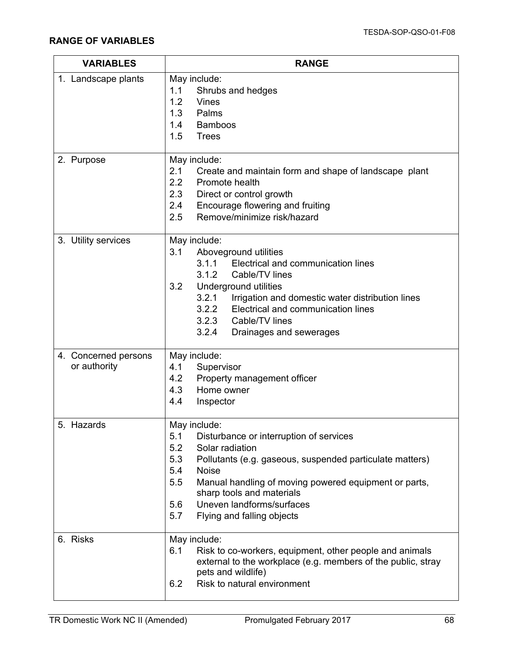| <b>VARIABLES</b>                     | <b>RANGE</b>                                                                                                                                                                                                                                                                                                                                             |  |
|--------------------------------------|----------------------------------------------------------------------------------------------------------------------------------------------------------------------------------------------------------------------------------------------------------------------------------------------------------------------------------------------------------|--|
| 1. Landscape plants                  | May include:<br>1.1<br>Shrubs and hedges<br>1.2<br><b>Vines</b><br>1.3 Palms<br>1.4<br><b>Bamboos</b><br>1.5<br><b>Trees</b>                                                                                                                                                                                                                             |  |
| 2. Purpose                           | May include:<br>2.1<br>Create and maintain form and shape of landscape plant<br>2.2 Promote health<br>2.3<br>Direct or control growth<br>Encourage flowering and fruiting<br>2.4<br>Remove/minimize risk/hazard<br>2.5                                                                                                                                   |  |
| 3. Utility services                  | May include:<br>3.1<br>Aboveground utilities<br>3.1.1<br>Electrical and communication lines<br>3.1.2<br>Cable/TV lines<br>3.2<br>Underground utilities<br>3.2.1<br>Irrigation and domestic water distribution lines<br>3.2.2<br>Electrical and communication lines<br>3.2.3 Cable/TV lines<br>3.2.4<br>Drainages and sewerages                           |  |
| 4. Concerned persons<br>or authority | May include:<br>4.1<br>Supervisor<br>Property management officer<br>4.2<br>4.3 Home owner<br>4.4<br>Inspector                                                                                                                                                                                                                                            |  |
| 5. Hazards                           | May include:<br>5.1<br>Disturbance or interruption of services<br>5.2<br>Solar radiation<br>5.3<br>Pollutants (e.g. gaseous, suspended particulate matters)<br>5.4<br><b>Noise</b><br>5.5<br>Manual handling of moving powered equipment or parts,<br>sharp tools and materials<br>Uneven landforms/surfaces<br>5.6<br>5.7<br>Flying and falling objects |  |
| 6. Risks                             | May include:<br>6.1<br>Risk to co-workers, equipment, other people and animals<br>external to the workplace (e.g. members of the public, stray<br>pets and wildlife)<br>Risk to natural environment<br>6.2                                                                                                                                               |  |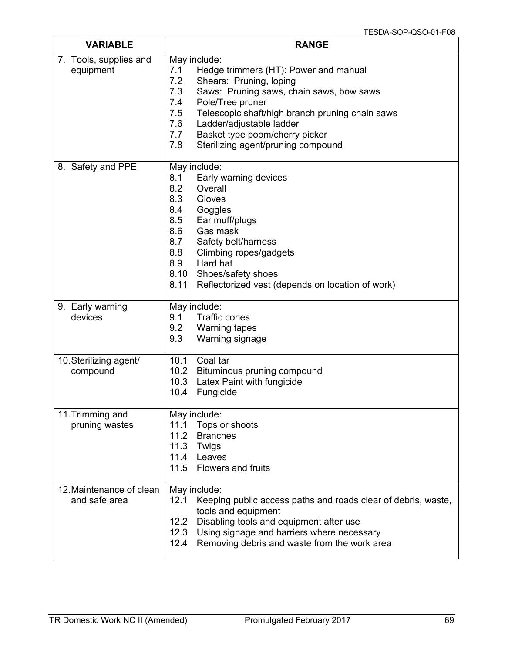| <b>VARIABLE</b>                           | <b>RANGE</b>                                                                                                                                                                                                                                                                                                                                                    |
|-------------------------------------------|-----------------------------------------------------------------------------------------------------------------------------------------------------------------------------------------------------------------------------------------------------------------------------------------------------------------------------------------------------------------|
| 7. Tools, supplies and<br>equipment       | May include:<br>7.1<br>Hedge trimmers (HT): Power and manual<br>7.2<br>Shears: Pruning, loping<br>Saws: Pruning saws, chain saws, bow saws<br>7.3<br>Pole/Tree pruner<br>7.4<br>7.5<br>Telescopic shaft/high branch pruning chain saws<br>Ladder/adjustable ladder<br>7.6<br>Basket type boom/cherry picker<br>7.7<br>7.8<br>Sterilizing agent/pruning compound |
| 8. Safety and PPE                         | May include:<br>8.1<br>Early warning devices<br>8.2<br>Overall<br>8.3<br>Gloves<br>Goggles<br>8.4<br>Ear muff/plugs<br>8.5<br>8.6<br>Gas mask<br>8.7<br>Safety belt/harness<br>8.8<br>Climbing ropes/gadgets<br>Hard hat<br>8.9<br>8.10<br>Shoes/safety shoes<br>8.11<br>Reflectorized vest (depends on location of work)                                       |
| 9. Early warning<br>devices               | May include:<br>9.1<br>Traffic cones<br>9.2<br><b>Warning tapes</b><br>9.3<br>Warning signage                                                                                                                                                                                                                                                                   |
| 10. Sterilizing agent/<br>compound        | Coal tar<br>10.1<br>10.2 Bituminous pruning compound<br>10.3<br>Latex Paint with fungicide<br>10.4<br>Fungicide                                                                                                                                                                                                                                                 |
| 11. Trimming and<br>pruning wastes        | May include:<br>Tops or shoots<br>11.1<br><b>Branches</b><br>11.2<br>11.3<br>Twigs<br>11.4 Leaves<br>11.5 Flowers and fruits                                                                                                                                                                                                                                    |
| 12. Maintenance of clean<br>and safe area | May include:<br>12.1<br>Keeping public access paths and roads clear of debris, waste,<br>tools and equipment<br>Disabling tools and equipment after use<br>12.2<br>12.3 Using signage and barriers where necessary<br>12.4<br>Removing debris and waste from the work area                                                                                      |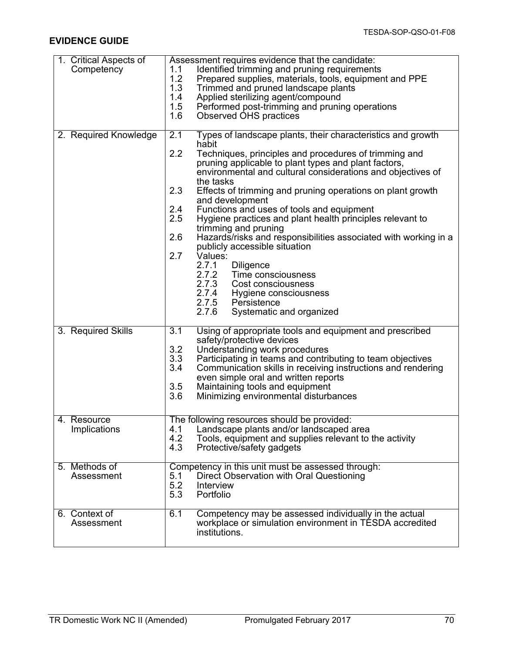## **EVIDENCE GUIDE**

| 1. Critical Aspects of<br>Competency | Assessment requires evidence that the candidate:<br>Identified trimming and pruning requirements<br>1.1<br>1.2<br>Prepared supplies, materials, tools, equipment and PPE<br>1.3<br>Trimmed and pruned landscape plants<br>1.4<br>Applied sterilizing agent/compound<br>1.5<br>Performed post-trimming and pruning operations<br>1.6<br><b>Observed OHS practices</b>                                                                                                                                                                                                                                                                                                                                                                                                                                                                  |
|--------------------------------------|---------------------------------------------------------------------------------------------------------------------------------------------------------------------------------------------------------------------------------------------------------------------------------------------------------------------------------------------------------------------------------------------------------------------------------------------------------------------------------------------------------------------------------------------------------------------------------------------------------------------------------------------------------------------------------------------------------------------------------------------------------------------------------------------------------------------------------------|
| 2. Required Knowledge                | 2.1<br>Types of landscape plants, their characteristics and growth<br>habit<br>2.2<br>Techniques, principles and procedures of trimming and<br>pruning applicable to plant types and plant factors,<br>environmental and cultural considerations and objectives of<br>the tasks<br>2.3<br>Effects of trimming and pruning operations on plant growth<br>and development<br>2.4<br>Functions and uses of tools and equipment<br>2.5<br>Hygiene practices and plant health principles relevant to<br>trimming and pruning<br>2.6<br>Hazards/risks and responsibilities associated with working in a<br>publicly accessible situation<br>2.7<br>Values:<br>2.7.1<br><b>Diligence</b><br>2.7.2 Time consciousness<br>2.7.3<br>Cost consciousness<br>2.7.4 Hygiene consciousness<br>2.7.5 Persistence<br>2.7.6<br>Systematic and organized |
| 3. Required Skills                   | 3.1<br>Using of appropriate tools and equipment and prescribed<br>safety/protective devices<br>3.2<br>Understanding work procedures<br>3.3<br>Participating in teams and contributing to team objectives<br>3.4<br>Communication skills in receiving instructions and rendering<br>even simple oral and written reports<br>3.5<br>Maintaining tools and equipment<br>3.6<br>Minimizing environmental disturbances                                                                                                                                                                                                                                                                                                                                                                                                                     |
| Resource<br>4.<br>Implications       | The following resources should be provided:<br>Landscape plants and/or landscaped area<br>4.1<br>4.2<br>Tools, equipment and supplies relevant to the activity<br>4.3<br>Protective/safety gadgets                                                                                                                                                                                                                                                                                                                                                                                                                                                                                                                                                                                                                                    |
| 5. Methods of<br>Assessment          | Competency in this unit must be assessed through:<br>Direct Observation with Oral Questioning<br>5.1<br>5.2<br>Interview<br>5.3<br>Portfolio                                                                                                                                                                                                                                                                                                                                                                                                                                                                                                                                                                                                                                                                                          |
| 6. Context of<br>Assessment          | Competency may be assessed individually in the actual<br>6.1<br>workplace or simulation environment in TESDA accredited<br>institutions.                                                                                                                                                                                                                                                                                                                                                                                                                                                                                                                                                                                                                                                                                              |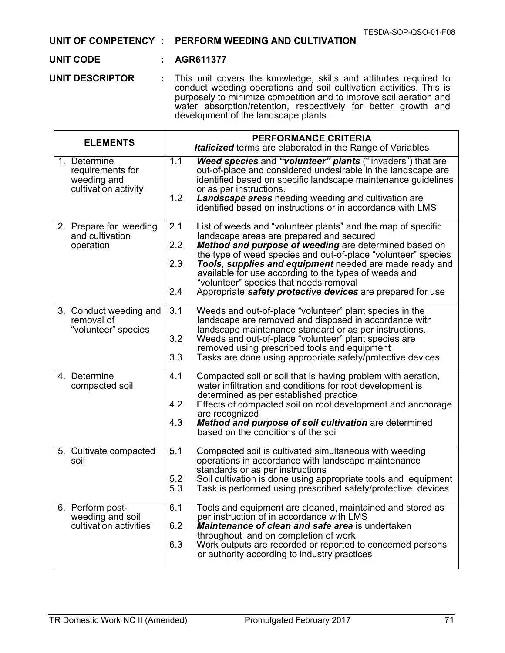#### **UNIT OF COMPETENCY : PERFORM WEEDING AND CULTIVATION**

#### **UNIT CODE : AGR611377**

**UNIT DESCRIPTOR :** This unit covers the knowledge, skills and attitudes required to conduct weeding operations and soil cultivation activities. This is purposely to minimize competition and to improve soil aeration and water absorption/retention, respectively for better growth and development of the landscape plants.

| <b>ELEMENTS</b>                                                         | <b>PERFORMANCE CRITERIA</b><br><b>Italicized</b> terms are elaborated in the Range of Variables                                                                                                                                                                                                                                                                                                                                                                                            |  |  |  |  |
|-------------------------------------------------------------------------|--------------------------------------------------------------------------------------------------------------------------------------------------------------------------------------------------------------------------------------------------------------------------------------------------------------------------------------------------------------------------------------------------------------------------------------------------------------------------------------------|--|--|--|--|
| 1. Determine<br>requirements for<br>weeding and<br>cultivation activity | 1.1<br>Weed species and "volunteer" plants ("invaders") that are<br>out-of-place and considered undesirable in the landscape are<br>identified based on specific landscape maintenance guidelines<br>or as per instructions.<br>1.2<br>Landscape areas needing weeding and cultivation are<br>identified based on instructions or in accordance with LMS                                                                                                                                   |  |  |  |  |
| 2. Prepare for weeding<br>and cultivation<br>operation                  | 2.1<br>List of weeds and "volunteer plants" and the map of specific<br>landscape areas are prepared and secured<br>2.2<br>Method and purpose of weeding are determined based on<br>the type of weed species and out-of-place "volunteer" species<br>2.3<br>Tools, supplies and equipment needed are made ready and<br>available for use according to the types of weeds and<br>"volunteer" species that needs removal<br>2.4<br>Appropriate safety protective devices are prepared for use |  |  |  |  |
| 3. Conduct weeding and<br>removal of<br>"volunteer" species             | Weeds and out-of-place "volunteer" plant species in the<br>3.1<br>landscape are removed and disposed in accordance with<br>landscape maintenance standard or as per instructions.<br>3.2<br>Weeds and out-of-place "volunteer" plant species are<br>removed using prescribed tools and equipment<br>3.3<br>Tasks are done using appropriate safety/protective devices                                                                                                                      |  |  |  |  |
| 4. Determine<br>compacted soil                                          | 4.1<br>Compacted soil or soil that is having problem with aeration,<br>water infiltration and conditions for root development is<br>determined as per established practice<br>4.2<br>Effects of compacted soil on root development and anchorage<br>are recognized<br>4.3<br>Method and purpose of soil cultivation are determined<br>based on the conditions of the soil                                                                                                                  |  |  |  |  |
| 5. Cultivate compacted<br>soil                                          | 5.1<br>Compacted soil is cultivated simultaneous with weeding<br>operations in accordance with landscape maintenance<br>standards or as per instructions<br>5.2<br>Soil cultivation is done using appropriate tools and equipment<br>5.3<br>Task is performed using prescribed safety/protective devices                                                                                                                                                                                   |  |  |  |  |
| 6. Perform post-<br>weeding and soil<br>cultivation activities          | 6.1<br>Tools and equipment are cleaned, maintained and stored as<br>per instruction of in accordance with LMS<br>6.2<br>Maintenance of clean and safe area is undertaken<br>throughout and on completion of work<br>6.3<br>Work outputs are recorded or reported to concerned persons<br>or authority according to industry practices                                                                                                                                                      |  |  |  |  |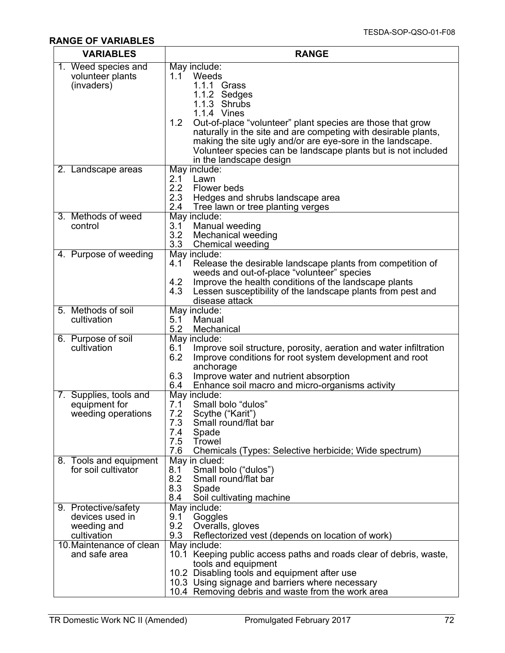## **RANGE OF VARIABLES**

| <b>VARIABLES</b>                                                      | <b>RANGE</b>                                                                                                                                                                                                                                                                                                                                                                                          |  |  |
|-----------------------------------------------------------------------|-------------------------------------------------------------------------------------------------------------------------------------------------------------------------------------------------------------------------------------------------------------------------------------------------------------------------------------------------------------------------------------------------------|--|--|
| 1. Weed species and<br>volunteer plants<br>(invaders)                 | May include:<br>1.1 Weeds<br>1.1.1 Grass<br>1.1.2 Sedges<br>1.1.3 Shrubs<br>1.1.4 Vines<br>1.2 <sub>1</sub><br>Out-of-place "volunteer" plant species are those that grow<br>naturally in the site and are competing with desirable plants,<br>making the site ugly and/or are eye-sore in the landscape.<br>Volunteer species can be landscape plants but is not included<br>in the landscape design |  |  |
| 2. Landscape areas                                                    | May include:<br>2.1<br>Lawn<br>2.2<br>Flower beds<br>2.3<br>Hedges and shrubs landscape area<br>2.4<br>Tree lawn or tree planting verges                                                                                                                                                                                                                                                              |  |  |
| 3. Methods of weed<br>control                                         | May include:<br>Manual weeding<br>3.1<br>3.2<br><b>Mechanical weeding</b><br>3.3<br><b>Chemical weeding</b>                                                                                                                                                                                                                                                                                           |  |  |
| 4. Purpose of weeding                                                 | May include:<br>4.1<br>Release the desirable landscape plants from competition of<br>weeds and out-of-place "volunteer" species<br>Improve the health conditions of the landscape plants<br>4.2<br>Lessen susceptibility of the landscape plants from pest and<br>4.3<br>disease attack                                                                                                               |  |  |
| 5. Methods of soil<br>cultivation                                     | May include:<br>Manual<br>5.1<br>5.2<br>Mechanical                                                                                                                                                                                                                                                                                                                                                    |  |  |
| 6. Purpose of soil<br>cultivation                                     | May include:<br>6.1<br>Improve soil structure, porosity, aeration and water infiltration<br>6.2<br>Improve conditions for root system development and root<br>anchorage<br>6.3<br>Improve water and nutrient absorption<br>Enhance soil macro and micro-organisms activity<br>6.4                                                                                                                     |  |  |
| 7. Supplies, tools and<br>equipment for<br>weeding operations         | May include:<br>Small bolo "dulos"<br>7.1<br>7.2<br>Scythe ("Karit")<br>7.3<br>Small round/flat bar<br>7.4<br>Spade<br>7.5<br>Trowel<br>7.6<br>Chemicals (Types: Selective herbicide; Wide spectrum)                                                                                                                                                                                                  |  |  |
| 8. Tools and equipment<br>for soil cultivator                         | May in clued:<br>Small bolo ("dulos")<br>8.1<br>Small round/flat bar<br>8.2<br>8.3<br>Spade<br>Soil cultivating machine<br>8.4                                                                                                                                                                                                                                                                        |  |  |
| 9. Protective/safety<br>devices used in<br>weeding and<br>cultivation | May include:<br>9.1<br>Goggles<br>9.2<br>Overalls, gloves<br>9.3<br>Reflectorized vest (depends on location of work)                                                                                                                                                                                                                                                                                  |  |  |
| 10. Maintenance of clean<br>and safe area                             | May include:<br>10.1 Keeping public access paths and roads clear of debris, waste,<br>tools and equipment<br>10.2 Disabling tools and equipment after use<br>10.3 Using signage and barriers where necessary<br>10.4 Removing debris and waste from the work area                                                                                                                                     |  |  |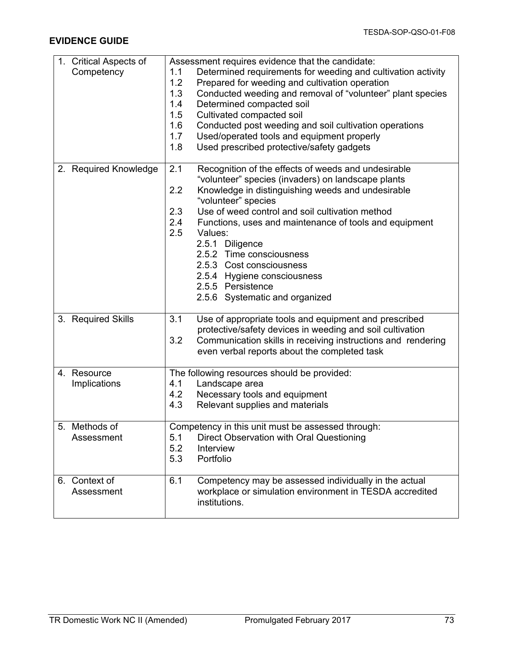### **EVIDENCE GUIDE**

| 1. Critical Aspects of | Assessment requires evidence that the candidate:                    |  |  |  |  |
|------------------------|---------------------------------------------------------------------|--|--|--|--|
| Competency             | Determined requirements for weeding and cultivation activity<br>1.1 |  |  |  |  |
|                        | 1.2<br>Prepared for weeding and cultivation operation               |  |  |  |  |
|                        | 1.3<br>Conducted weeding and removal of "volunteer" plant species   |  |  |  |  |
|                        | 1.4<br>Determined compacted soil                                    |  |  |  |  |
|                        | 1.5<br>Cultivated compacted soil                                    |  |  |  |  |
|                        | 1.6<br>Conducted post weeding and soil cultivation operations       |  |  |  |  |
|                        | 1.7<br>Used/operated tools and equipment properly                   |  |  |  |  |
|                        | 1.8<br>Used prescribed protective/safety gadgets                    |  |  |  |  |
|                        |                                                                     |  |  |  |  |
| 2. Required Knowledge  | 2.1<br>Recognition of the effects of weeds and undesirable          |  |  |  |  |
|                        | "volunteer" species (invaders) on landscape plants                  |  |  |  |  |
|                        | 2.2<br>Knowledge in distinguishing weeds and undesirable            |  |  |  |  |
|                        | "volunteer" species                                                 |  |  |  |  |
|                        | 2.3<br>Use of weed control and soil cultivation method              |  |  |  |  |
|                        | 2.4<br>Functions, uses and maintenance of tools and equipment       |  |  |  |  |
|                        | 2.5<br>Values:                                                      |  |  |  |  |
|                        | 2.5.1 Diligence                                                     |  |  |  |  |
|                        | 2.5.2 Time consciousness                                            |  |  |  |  |
|                        | 2.5.3 Cost consciousness                                            |  |  |  |  |
|                        | 2.5.4 Hygiene consciousness                                         |  |  |  |  |
|                        | 2.5.5 Persistence                                                   |  |  |  |  |
|                        | 2.5.6 Systematic and organized                                      |  |  |  |  |
|                        |                                                                     |  |  |  |  |
| 3. Required Skills     | 3.1<br>Use of appropriate tools and equipment and prescribed        |  |  |  |  |
|                        | protective/safety devices in weeding and soil cultivation           |  |  |  |  |
|                        | 3.2<br>Communication skills in receiving instructions and rendering |  |  |  |  |
|                        | even verbal reports about the completed task                        |  |  |  |  |
|                        |                                                                     |  |  |  |  |
| 4. Resource            | The following resources should be provided:                         |  |  |  |  |
| Implications           | 4.1<br>Landscape area                                               |  |  |  |  |
|                        | 4.2<br>Necessary tools and equipment                                |  |  |  |  |
|                        | 4.3<br>Relevant supplies and materials                              |  |  |  |  |
| 5. Methods of          | Competency in this unit must be assessed through:                   |  |  |  |  |
| Assessment             | Direct Observation with Oral Questioning<br>5.1                     |  |  |  |  |
|                        | 5.2<br>Interview                                                    |  |  |  |  |
|                        | 5.3<br>Portfolio                                                    |  |  |  |  |
|                        |                                                                     |  |  |  |  |
| 6. Context of          | 6.1<br>Competency may be assessed individually in the actual        |  |  |  |  |
| Assessment             | workplace or simulation environment in TESDA accredited             |  |  |  |  |
|                        | institutions.                                                       |  |  |  |  |
|                        |                                                                     |  |  |  |  |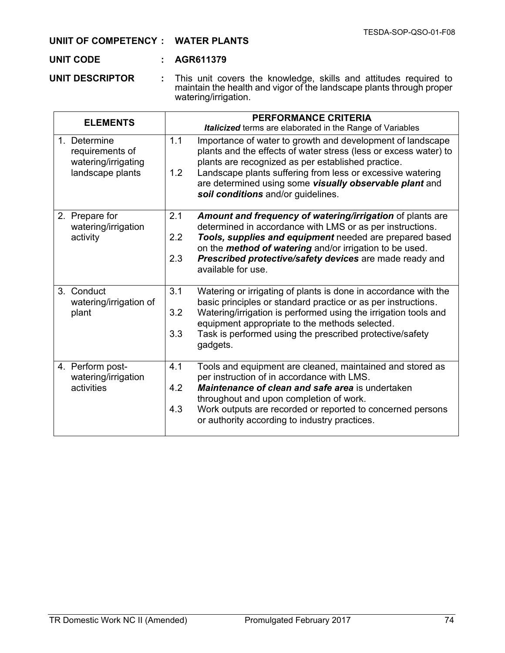#### **UNIIT OF COMPETENCY : WATER PLANTS**

### **UNIT CODE : AGR611379**

**UNIT DESCRIPTOR :** This unit covers the knowledge, skills and attitudes required to maintain the health and vigor of the landscape plants through proper watering/irrigation.

| <b>ELEMENTS</b>                                                            | <b>PERFORMANCE CRITERIA</b><br><b>Italicized</b> terms are elaborated in the Range of Variables                                                                                                                                                                                                                                                                   |  |  |
|----------------------------------------------------------------------------|-------------------------------------------------------------------------------------------------------------------------------------------------------------------------------------------------------------------------------------------------------------------------------------------------------------------------------------------------------------------|--|--|
| 1. Determine<br>requirements of<br>watering/irrigating<br>landscape plants | 1.1<br>Importance of water to growth and development of landscape<br>plants and the effects of water stress (less or excess water) to<br>plants are recognized as per established practice.<br>Landscape plants suffering from less or excessive watering<br>1.2<br>are determined using some visually observable plant and<br>soil conditions and/or guidelines. |  |  |
| 2. Prepare for<br>watering/irrigation<br>activity                          | 2.1<br>Amount and frequency of watering/irrigation of plants are<br>determined in accordance with LMS or as per instructions.<br>2.2<br>Tools, supplies and equipment needed are prepared based<br>on the <i>method of watering</i> and/or irrigation to be used.<br>2.3<br>Prescribed protective/safety devices are made ready and<br>available for use.         |  |  |
| 3. Conduct<br>watering/irrigation of<br>plant                              | 3.1<br>Watering or irrigating of plants is done in accordance with the<br>basic principles or standard practice or as per instructions.<br>Watering/irrigation is performed using the irrigation tools and<br>3.2<br>equipment appropriate to the methods selected.<br>3.3<br>Task is performed using the prescribed protective/safety<br>gadgets.                |  |  |
| 4. Perform post-<br>watering/irrigation<br>activities                      | 4.1<br>Tools and equipment are cleaned, maintained and stored as<br>per instruction of in accordance with LMS.<br>4.2<br><b>Maintenance of clean and safe area is undertaken</b><br>throughout and upon completion of work.<br>4.3<br>Work outputs are recorded or reported to concerned persons<br>or authority according to industry practices.                 |  |  |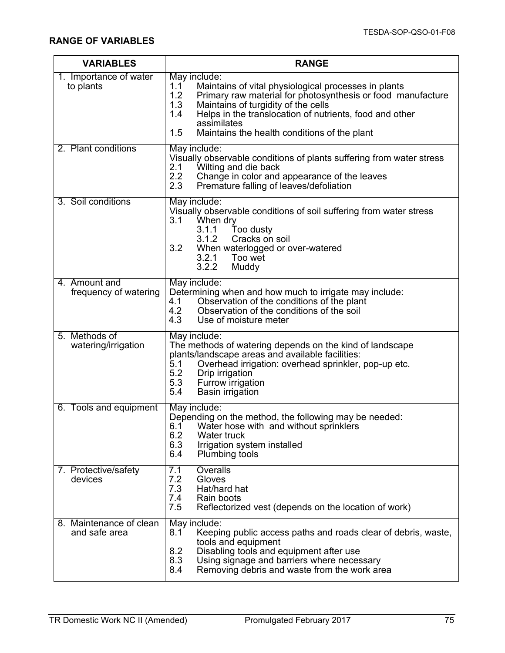| <b>VARIABLES</b>                         | <b>RANGE</b>                                                                                                                                                                                                                                                                                                                            |  |  |  |
|------------------------------------------|-----------------------------------------------------------------------------------------------------------------------------------------------------------------------------------------------------------------------------------------------------------------------------------------------------------------------------------------|--|--|--|
| 1. Importance of water<br>to plants      | May include:<br>Maintains of vital physiological processes in plants<br>1.1<br>1.2<br>Primary raw material for photosynthesis or food manufacture<br>Maintains of turgidity of the cells<br>1.3<br>1.4<br>Helps in the translocation of nutrients, food and other<br>assimilates<br>1.5<br>Maintains the health conditions of the plant |  |  |  |
| 2. Plant conditions                      | May include:<br>Visually observable conditions of plants suffering from water stress<br>2.1<br>Wilting and die back<br>2.2<br>Change in color and appearance of the leaves<br>2.3<br>Premature falling of leaves/defoliation                                                                                                            |  |  |  |
| 3. Soil conditions                       | May include:<br>Visually observable conditions of soil suffering from water stress<br>3.1<br>When dry<br>3.1.1 Too dusty<br>3.1.2<br>Cracks on soil<br>3.2<br>When waterlogged or over-watered<br>Too wet<br>3.2.1<br>3.2.2<br>Muddy                                                                                                    |  |  |  |
| 4. Amount and<br>frequency of watering   | May include:<br>Determining when and how much to irrigate may include:<br>Observation of the conditions of the plant<br>4.1<br>4.2<br>Observation of the conditions of the soil<br>4.3<br>Use of moisture meter                                                                                                                         |  |  |  |
| 5. Methods of<br>watering/irrigation     | May include:<br>The methods of watering depends on the kind of landscape<br>plants/landscape areas and available facilities:<br>5.1<br>Overhead irrigation: overhead sprinkler, pop-up etc.<br>5.2<br>Drip irrigation<br>5.3<br>Furrow irrigation<br>5.4<br><b>Basin irrigation</b>                                                     |  |  |  |
| 6. Tools and equipment                   | May include:<br>Depending on the method, the following may be needed:<br>6.1<br>Water hose with and without sprinklers<br>6.2<br>Water truck<br>6.3<br>Irrigation system installed<br>6.4<br><b>Plumbing tools</b>                                                                                                                      |  |  |  |
| 7. Protective/safety<br>devices          | Overalls<br>7.1<br>7.2<br>Gloves<br>7.3<br>Hat/hard hat<br>7.4<br>Rain boots<br>7.5<br>Reflectorized vest (depends on the location of work)                                                                                                                                                                                             |  |  |  |
| 8. Maintenance of clean<br>and safe area | May include:<br>Keeping public access paths and roads clear of debris, waste,<br>8.1<br>tools and equipment<br>Disabling tools and equipment after use<br>8.2<br>8.3<br>Using signage and barriers where necessary<br>8.4<br>Removing debris and waste from the work area                                                               |  |  |  |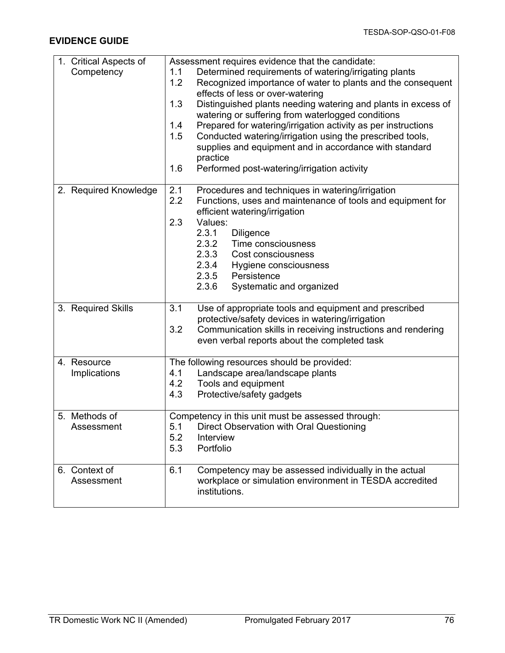## **EVIDENCE GUIDE**

| 1. Critical Aspects of      | Assessment requires evidence that the candidate:                                                                                                                                                                                                                                                                                                                                                                                                                                                                                                                            |  |  |  |  |
|-----------------------------|-----------------------------------------------------------------------------------------------------------------------------------------------------------------------------------------------------------------------------------------------------------------------------------------------------------------------------------------------------------------------------------------------------------------------------------------------------------------------------------------------------------------------------------------------------------------------------|--|--|--|--|
| Competency                  | Determined requirements of watering/irrigating plants<br>1.1<br>1.2<br>Recognized importance of water to plants and the consequent<br>effects of less or over-watering<br>Distinguished plants needing watering and plants in excess of<br>1.3<br>watering or suffering from waterlogged conditions<br>Prepared for watering/irrigation activity as per instructions<br>1.4<br>Conducted watering/irrigation using the prescribed tools,<br>1.5<br>supplies and equipment and in accordance with standard<br>practice<br>Performed post-watering/irrigation activity<br>1.6 |  |  |  |  |
| 2. Required Knowledge       | Procedures and techniques in watering/irrigation<br>2.1<br>2.2<br>Functions, uses and maintenance of tools and equipment for<br>efficient watering/irrigation<br>2.3<br>Values:<br>2.3.1<br><b>Diligence</b><br>2.3.2<br>Time consciousness<br>2.3.3<br>Cost consciousness<br>2.3.4<br>Hygiene consciousness<br>2.3.5<br>Persistence<br>2.3.6<br>Systematic and organized                                                                                                                                                                                                   |  |  |  |  |
| 3. Required Skills          | 3.1<br>Use of appropriate tools and equipment and prescribed<br>protective/safety devices in watering/irrigation<br>3.2<br>Communication skills in receiving instructions and rendering<br>even verbal reports about the completed task                                                                                                                                                                                                                                                                                                                                     |  |  |  |  |
| 4. Resource<br>Implications | The following resources should be provided:<br>4.1<br>Landscape area/landscape plants<br>4.2<br>Tools and equipment<br>4.3<br>Protective/safety gadgets                                                                                                                                                                                                                                                                                                                                                                                                                     |  |  |  |  |
| 5. Methods of<br>Assessment | Competency in this unit must be assessed through:<br>5.1<br>Direct Observation with Oral Questioning<br>5.2<br>Interview<br>5.3<br>Portfolio                                                                                                                                                                                                                                                                                                                                                                                                                                |  |  |  |  |
| 6. Context of<br>Assessment | 6.1<br>Competency may be assessed individually in the actual<br>workplace or simulation environment in TESDA accredited<br>institutions.                                                                                                                                                                                                                                                                                                                                                                                                                                    |  |  |  |  |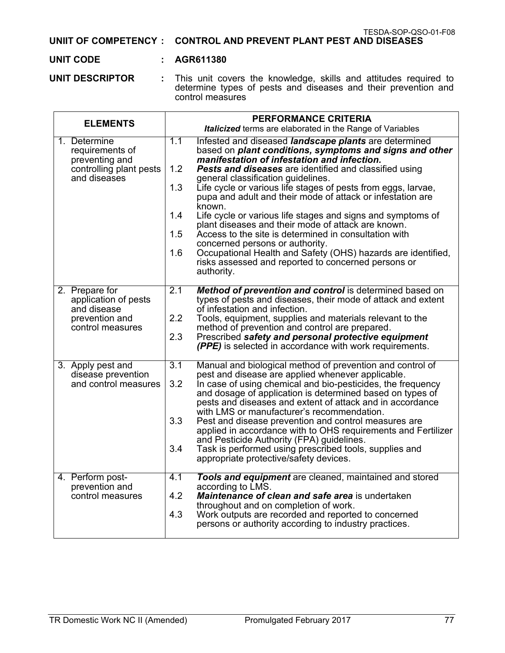TESDA-SOP-QSO-01-F08 **UNIIT OF COMPETENCY : CONTROL AND PREVENT PLANT PEST AND DISEASES**

#### **UNIT CODE : AGR611380**

**UNIT DESCRIPTOR :** This unit covers the knowledge, skills and attitudes required to determine types of pests and diseases and their prevention and control measures

| <b>ELEMENTS</b>                                                                              | <b>PERFORMANCE CRITERIA</b><br>Italicized terms are elaborated in the Range of Variables                                                                                                                                                                                                                                                                                                                                                                                                                                                                                                                                                                                                                                                                                                                               |  |  |  |
|----------------------------------------------------------------------------------------------|------------------------------------------------------------------------------------------------------------------------------------------------------------------------------------------------------------------------------------------------------------------------------------------------------------------------------------------------------------------------------------------------------------------------------------------------------------------------------------------------------------------------------------------------------------------------------------------------------------------------------------------------------------------------------------------------------------------------------------------------------------------------------------------------------------------------|--|--|--|
| 1. Determine<br>requirements of<br>preventing and<br>controlling plant pests<br>and diseases | 1.1<br>Infested and diseased <i>landscape plants</i> are determined<br>based on plant conditions, symptoms and signs and other<br>manifestation of infestation and infection.<br>1.2<br><b>Pests and diseases</b> are identified and classified using<br>general classification guidelines.<br>1.3<br>Life cycle or various life stages of pests from eggs, larvae,<br>pupa and adult and their mode of attack or infestation are<br>known.<br>1.4<br>Life cycle or various life stages and signs and symptoms of<br>plant diseases and their mode of attack are known.<br>1.5<br>Access to the site is determined in consultation with<br>concerned persons or authority.<br>Occupational Health and Safety (OHS) hazards are identified,<br>1.6<br>risks assessed and reported to concerned persons or<br>authority. |  |  |  |
| 2. Prepare for<br>application of pests<br>and disease<br>prevention and<br>control measures  | 2.1<br>Method of prevention and control is determined based on<br>types of pests and diseases, their mode of attack and extent<br>of infestation and infection.<br>2.2<br>Tools, equipment, supplies and materials relevant to the<br>method of prevention and control are prepared.<br>2.3<br>Prescribed safety and personal protective equipment<br>(PPE) is selected in accordance with work requirements.                                                                                                                                                                                                                                                                                                                                                                                                          |  |  |  |
| 3. Apply pest and<br>disease prevention<br>and control measures                              | 3.1<br>Manual and biological method of prevention and control of<br>pest and disease are applied whenever applicable.<br>3.2<br>In case of using chemical and bio-pesticides, the frequency<br>and dosage of application is determined based on types of<br>pests and diseases and extent of attack and in accordance<br>with LMS or manufacturer's recommendation.<br>3.3<br>Pest and disease prevention and control measures are<br>applied in accordance with to OHS requirements and Fertilizer<br>and Pesticide Authority (FPA) guidelines.<br>3.4<br>Task is performed using prescribed tools, supplies and<br>appropriate protective/safety devices.                                                                                                                                                            |  |  |  |
| 4. Perform post-<br>prevention and<br>control measures                                       | 4.1<br>Tools and equipment are cleaned, maintained and stored<br>according to LMS.<br>4.2<br>Maintenance of clean and safe area is undertaken<br>throughout and on completion of work.<br>4.3<br>Work outputs are recorded and reported to concerned<br>persons or authority according to industry practices.                                                                                                                                                                                                                                                                                                                                                                                                                                                                                                          |  |  |  |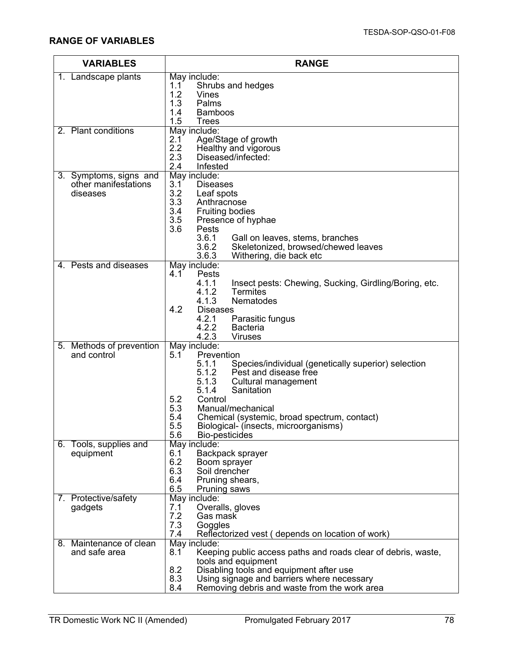| <b>VARIABLES</b>                               | <b>RANGE</b>                                                                                |  |  |  |  |
|------------------------------------------------|---------------------------------------------------------------------------------------------|--|--|--|--|
| 1. Landscape plants                            | May include:                                                                                |  |  |  |  |
|                                                | Shrubs and hedges<br>1.1<br>1.2<br>Vines                                                    |  |  |  |  |
|                                                | 1.3<br>Palms                                                                                |  |  |  |  |
|                                                | 1.4<br><b>Bamboos</b>                                                                       |  |  |  |  |
|                                                | 1.5<br><b>Trees</b>                                                                         |  |  |  |  |
| 2. Plant conditions                            | May include:<br>Age/Stage of growth<br>2.1                                                  |  |  |  |  |
|                                                | 2.2<br>Healthy and vigorous                                                                 |  |  |  |  |
|                                                | 2.3<br>Diseased/infected:                                                                   |  |  |  |  |
|                                                | 2.4<br>Infested                                                                             |  |  |  |  |
| 3. Symptoms, signs and<br>other manifestations | May include:<br>3.1<br><b>Diseases</b>                                                      |  |  |  |  |
| diseases                                       | 3.2<br>Leaf spots                                                                           |  |  |  |  |
|                                                | 3.3<br>Anthracnose                                                                          |  |  |  |  |
|                                                | 3.4<br><b>Fruiting bodies</b><br>3.5                                                        |  |  |  |  |
|                                                | Presence of hyphae<br>3.6<br>Pests                                                          |  |  |  |  |
|                                                | 3.6.1<br>Gall on leaves, stems, branches                                                    |  |  |  |  |
|                                                | 3.6.2<br>Skeletonized, browsed/chewed leaves                                                |  |  |  |  |
| 4. Pests and diseases                          | 3.6.3<br>Withering, die back etc<br>May include:                                            |  |  |  |  |
|                                                | 4.1<br>Pests                                                                                |  |  |  |  |
|                                                | 4.1.1<br>Insect pests: Chewing, Sucking, Girdling/Boring, etc.                              |  |  |  |  |
|                                                | 4.1.2<br><b>Termites</b>                                                                    |  |  |  |  |
|                                                | 4.1.3<br>Nematodes<br>4.2<br><b>Diseases</b>                                                |  |  |  |  |
|                                                | 4.2.1<br>Parasitic fungus                                                                   |  |  |  |  |
|                                                | 4.2.2<br><b>Bacteria</b>                                                                    |  |  |  |  |
|                                                | 4.2.3<br><b>Viruses</b><br>May include:                                                     |  |  |  |  |
| 5. Methods of prevention<br>and control        | 5.1<br>Prevention                                                                           |  |  |  |  |
|                                                | 5.1.1<br>Species/individual (genetically superior) selection                                |  |  |  |  |
|                                                | Pest and disease free<br>5.1.2                                                              |  |  |  |  |
|                                                | 5.1.3<br>Cultural management<br>5.1.4<br>Sanitation                                         |  |  |  |  |
|                                                | 5.2<br>Control                                                                              |  |  |  |  |
|                                                | 5.3<br>Manual/mechanical                                                                    |  |  |  |  |
|                                                | 5.4<br>Chemical (systemic, broad spectrum, contact)                                         |  |  |  |  |
|                                                | 5.5<br>Biological- (insects, microorganisms)<br>5.6<br>Bio-pesticides                       |  |  |  |  |
| 6. Tools, supplies and                         | May include:                                                                                |  |  |  |  |
| equipment                                      | Backpack sprayer<br>6.1                                                                     |  |  |  |  |
|                                                | 6.2<br>Boom sprayer<br>6.3<br>Soil drencher                                                 |  |  |  |  |
|                                                | 6.4<br>Pruning shears,                                                                      |  |  |  |  |
|                                                | 6.5<br>Pruning saws                                                                         |  |  |  |  |
| 7. Protective/safety                           | May include:                                                                                |  |  |  |  |
| gadgets                                        | Overalls, gloves<br>7.1<br>7.2<br>Gas mask                                                  |  |  |  |  |
|                                                | 7.3<br>Goggles                                                                              |  |  |  |  |
|                                                | 7.4<br>Reflectorized vest (depends on location of work)                                     |  |  |  |  |
| 8. Maintenance of clean                        | May include:                                                                                |  |  |  |  |
| and safe area                                  | 8.1<br>Keeping public access paths and roads clear of debris, waste,<br>tools and equipment |  |  |  |  |
|                                                | 8.2<br>Disabling tools and equipment after use                                              |  |  |  |  |
|                                                | 8.3<br>Using signage and barriers where necessary                                           |  |  |  |  |
|                                                | 8.4<br>Removing debris and waste from the work area                                         |  |  |  |  |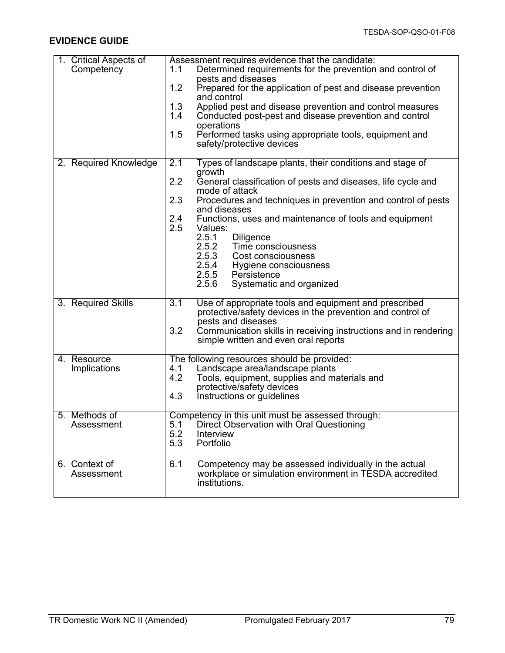### **EVIDENCE GUIDE**

| 1. Critical Aspects of | Assessment requires evidence that the candidate:                                                                                        |  |  |  |
|------------------------|-----------------------------------------------------------------------------------------------------------------------------------------|--|--|--|
| Competency             | Determined requirements for the prevention and control of<br>1.1<br>pests and diseases                                                  |  |  |  |
|                        | 1.2<br>Prepared for the application of pest and disease prevention                                                                      |  |  |  |
|                        | and control<br>1.3<br>Applied pest and disease prevention and control measures                                                          |  |  |  |
|                        | 1.4<br>Conducted post-pest and disease prevention and control                                                                           |  |  |  |
|                        | operations<br>1.5<br>Performed tasks using appropriate tools, equipment and                                                             |  |  |  |
|                        | safety/protective devices                                                                                                               |  |  |  |
| 2. Required Knowledge  | Types of landscape plants, their conditions and stage of<br>2.1                                                                         |  |  |  |
|                        | growth<br>2.2<br>General classification of pests and diseases, life cycle and                                                           |  |  |  |
|                        | mode of attack<br>2.3<br>Procedures and techniques in prevention and control of pests                                                   |  |  |  |
|                        | and diseases<br>2.4<br>Functions, uses and maintenance of tools and equipment                                                           |  |  |  |
|                        | 2.5<br>Values:                                                                                                                          |  |  |  |
|                        | 2.5.1<br><b>Diligence</b><br>2.5.2<br>Time consciousness                                                                                |  |  |  |
|                        | 2.5.3<br>Cost consciousness                                                                                                             |  |  |  |
|                        | 2.5.4<br>Hygiene consciousness<br>2.5.5<br>Persistence                                                                                  |  |  |  |
|                        | 2.5.6<br>Systematic and organized                                                                                                       |  |  |  |
| 3. Required Skills     | $\overline{3.1}$<br>Use of appropriate tools and equipment and prescribed<br>protective/safety devices in the prevention and control of |  |  |  |
|                        | pests and diseases<br>3.2                                                                                                               |  |  |  |
|                        | Communication skills in receiving instructions and in rendering<br>simple written and even oral reports                                 |  |  |  |
| 4. Resource            | The following resources should be provided:                                                                                             |  |  |  |
| Implications           | Landscape area/landscape plants<br>4.1<br>4.2<br>Tools, equipment, supplies and materials and                                           |  |  |  |
|                        | protective/safety devices                                                                                                               |  |  |  |
|                        | Instructions or guidelines<br>4.3                                                                                                       |  |  |  |
| 5. Methods of          | Competency in this unit must be assessed through:                                                                                       |  |  |  |
| Assessment             | Direct Observation with Oral Questioning<br>5.1<br>5.2<br>Interview                                                                     |  |  |  |
|                        | 5.3<br>Portfolio                                                                                                                        |  |  |  |
| 6. Context of          | 6.1<br>Competency may be assessed individually in the actual                                                                            |  |  |  |
| Assessment             | workplace or simulation environment in TESDA accredited<br>institutions.                                                                |  |  |  |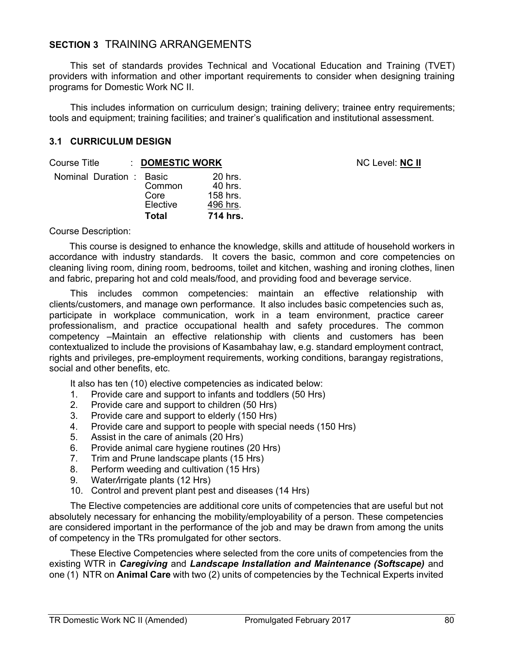# **SECTION 3** TRAINING ARRANGEMENTS

This set of standards provides Technical and Vocational Education and Training (TVET) providers with information and other important requirements to consider when designing training programs for Domestic Work NC II.

This includes information on curriculum design; training delivery; trainee entry requirements; tools and equipment; training facilities; and trainer's qualification and institutional assessment.

**NC Level: NC II** 

#### **3.1 CURRICULUM DESIGN**

| Course Title             | : DOMESTIC WORK                            |                                                        |
|--------------------------|--------------------------------------------|--------------------------------------------------------|
| Nominal Duration : Basic | Common<br>Core<br>Elective<br><b>Total</b> | 20 hrs.<br>40 hrs.<br>158 hrs.<br>496 hrs.<br>714 hrs. |

Course Description:

This course is designed to enhance the knowledge, skills and attitude of household workers in accordance with industry standards. It covers the basic, common and core competencies on cleaning living room, dining room, bedrooms, toilet and kitchen, washing and ironing clothes, linen and fabric, preparing hot and cold meals/food, and providing food and beverage service.

This includes common competencies: maintain an effective relationship with clients/customers, and manage own performance. It also includes basic competencies such as, participate in workplace communication, work in a team environment, practice career professionalism, and practice occupational health and safety procedures. The common competency –Maintain an effective relationship with clients and customers has been contextualized to include the provisions of Kasambahay law, e.g. standard employment contract, rights and privileges, pre-employment requirements, working conditions, barangay registrations, social and other benefits, etc.

It also has ten (10) elective competencies as indicated below:

- 1. Provide care and support to infants and toddlers (50 Hrs)
- 2. Provide care and support to children (50 Hrs)
- 3. Provide care and support to elderly (150 Hrs)
- 4. Provide care and support to people with special needs (150 Hrs)
- 5. Assist in the care of animals (20 Hrs)
- 6. Provide animal care hygiene routines (20 Hrs)
- 7. Trim and Prune landscape plants (15 Hrs)
- 8. Perform weeding and cultivation (15 Hrs)
- 9. Water*/*irrigate plants (12 Hrs)
- 10. Control and prevent plant pest and diseases (14 Hrs)

The Elective competencies are additional core units of competencies that are useful but not absolutely necessary for enhancing the mobility/employability of a person. These competencies are considered important in the performance of the job and may be drawn from among the units of competency in the TRs promulgated for other sectors.

These Elective Competencies where selected from the core units of competencies from the existing WTR in *Caregiving* and *Landscape Installation and Maintenance (Softscape)* and one (1) NTR on **Animal Care** with two (2) units of competencies by the Technical Experts invited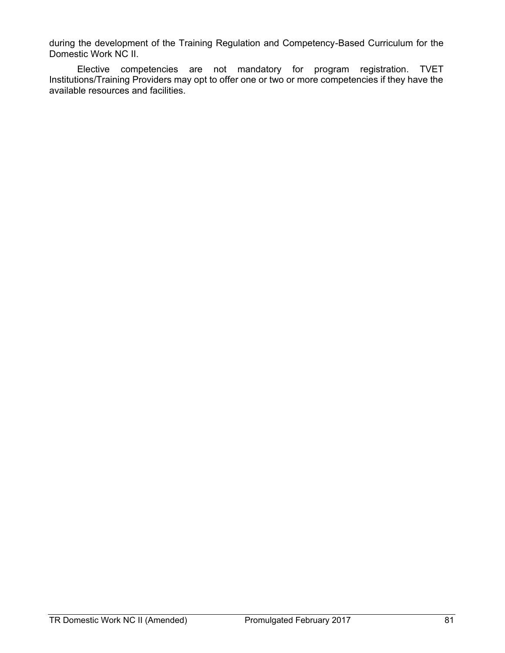during the development of the Training Regulation and Competency-Based Curriculum for the Domestic Work NC II.

Elective competencies are not mandatory for program registration. TVET Institutions/Training Providers may opt to offer one or two or more competencies if they have the available resources and facilities.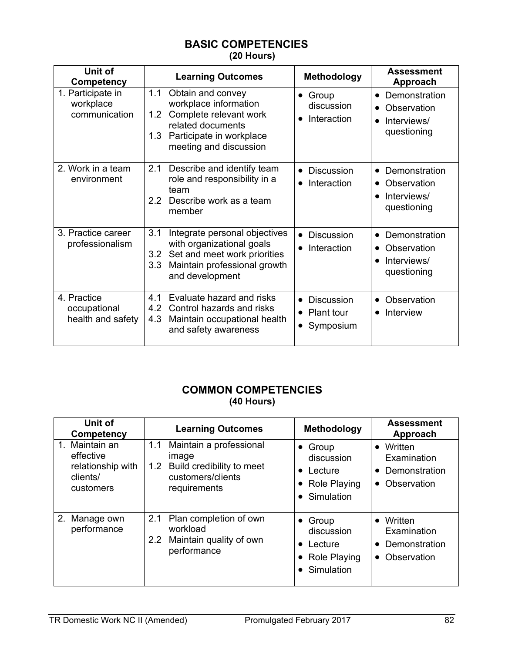## **BASIC COMPETENCIES (20 Hours)**

| Unit of<br>Competency                            | <b>Learning Outcomes</b>                                                                                                                                                          | <b>Methodology</b>                                                                         | <b>Assessment</b><br>Approach                                                        |
|--------------------------------------------------|-----------------------------------------------------------------------------------------------------------------------------------------------------------------------------------|--------------------------------------------------------------------------------------------|--------------------------------------------------------------------------------------|
| 1. Participate in<br>workplace<br>communication  | 1.1<br>Obtain and convey<br>workplace information<br>Complete relevant work<br>1.2 <sub>1</sub><br>related documents<br>Participate in workplace<br>1.3<br>meeting and discussion | Group<br>$\bullet$<br>discussion<br>Interaction<br>$\bullet$                               | Demonstration<br>$\bullet$<br>Observation<br>Interviews/<br>$\bullet$<br>questioning |
| 2. Work in a team<br>environment                 | 2.1<br>Describe and identify team<br>role and responsibility in a<br>team<br>$2.2^{\circ}$<br>Describe work as a team<br>member                                                   | Discussion<br>$\bullet$<br>Interaction<br>$\bullet$                                        | Demonstration<br>$\bullet$<br>Observation<br>Interviews/<br>$\bullet$<br>questioning |
| 3. Practice career<br>professionalism            | 3.1<br>Integrate personal objectives<br>with organizational goals<br>Set and meet work priorities<br>3.2<br>Maintain professional growth<br>3.3<br>and development                | <b>Discussion</b><br>Interaction<br>$\bullet$                                              | Demonstration<br>Observation<br>Interviews/<br>$\bullet$<br>questioning              |
| 4. Practice<br>occupational<br>health and safety | 4.1<br>Evaluate hazard and risks<br>Control hazards and risks<br>4.2<br>Maintain occupational health<br>4.3<br>and safety awareness                                               | <b>Discussion</b><br>$\bullet$<br><b>Plant tour</b><br>$\bullet$<br>Symposium<br>$\bullet$ | Observation<br>$\bullet$<br>Interview                                                |

# **COMMON COMPETENCIES (40 Hours)**

| Unit of<br><b>Competency</b>                                              | <b>Learning Outcomes</b>                                                                                      | Methodology                                                                                                          | <b>Assessment</b><br>Approach                                |
|---------------------------------------------------------------------------|---------------------------------------------------------------------------------------------------------------|----------------------------------------------------------------------------------------------------------------------|--------------------------------------------------------------|
| 1. Maintain an<br>effective<br>relationship with<br>clients/<br>customers | 1.1<br>Maintain a professional<br>image<br>1.2 Build credibility to meet<br>customers/clients<br>requirements | $\bullet$ Group<br>discussion<br>Lecture<br>$\bullet$<br><b>Role Playing</b><br>$\bullet$<br>Simulation<br>$\bullet$ | • Written<br>Examination<br>• Demonstration<br>• Observation |
| 2. Manage own<br>performance                                              | Plan completion of own<br>2.1<br>workload<br>2.2 Maintain quality of own<br>performance                       | $\bullet$ Group<br>discussion<br>Lecture<br>$\bullet$<br><b>Role Playing</b><br>$\bullet$<br>Simulation<br>$\bullet$ | • Written<br>Examination<br>• Demonstration<br>• Observation |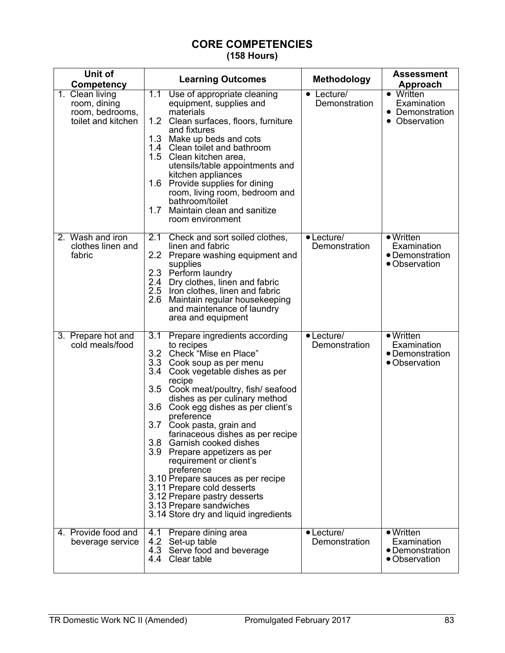## **CORE COMPETENCIES (158 Hours)**

| Unit of<br>Competency                                                    | <b>Learning Outcomes</b>                                                                                                                                                                                                                                                                                                                                                                                                                                                                                                                                                                                                                                      | <b>Methodology</b>                     | Assessment<br>Approach                                               |
|--------------------------------------------------------------------------|---------------------------------------------------------------------------------------------------------------------------------------------------------------------------------------------------------------------------------------------------------------------------------------------------------------------------------------------------------------------------------------------------------------------------------------------------------------------------------------------------------------------------------------------------------------------------------------------------------------------------------------------------------------|----------------------------------------|----------------------------------------------------------------------|
| 1. Clean living<br>room, dining<br>room, bedrooms,<br>toilet and kitchen | 7.1<br>Use of appropriate cleaning<br>equipment, supplies and<br>materials<br>1.2 Clean surfaces, floors, furniture<br>and fixtures<br>1.3 Make up beds and cots<br>1.4 Clean toilet and bathroom<br>1.5 Clean kitchen area,<br>utensils/table appointments and<br>kitchen appliances<br>1.6 Provide supplies for dining<br>room, living room, bedroom and<br>bathroom/toilet<br>1.7 Maintain clean and sanitize<br>room environment                                                                                                                                                                                                                          | Lecture/<br>$\bullet$<br>Demonstration | • Written<br>Examination<br>Demonstration<br>• Observation           |
| 2. Wash and iron<br>clothes linen and<br>fabric                          | 2.1<br>Check and sort soiled clothes,<br>linen and fabric<br>2.2 Prepare washing equipment and<br>supplies<br>2.3 Perform laundry<br>2.4 Dry clothes, linen and fabric<br>2.5 Iron clothes, linen and fabric<br>2.6<br>Maintain regular housekeeping<br>and maintenance of laundry<br>area and equipment                                                                                                                                                                                                                                                                                                                                                      | $\bullet$ Lecture/<br>Demonstration    | $\bullet$ Written<br>Examination<br>• Demonstration<br>• Observation |
| 3. Prepare hot and<br>cold meals/food                                    | $\overline{3.1}$<br>Prepare ingredients according<br>to recipes<br>3.2 Check "Mise en Place"<br>3.3 Cook soup as per menu<br>3.4 Cook vegetable dishes as per<br>recipe<br>3.5<br>Cook meat/poultry, fish/ seafood<br>dishes as per culinary method<br>3.6<br>Cook egg dishes as per client's<br>preference<br>3.7<br>Cook pasta, grain and<br>farinaceous dishes as per recipe<br>3.8 Garnish cooked dishes<br>3.9 Prepare appetizers as per<br>requirement or client's<br>preference<br>3.10 Prepare sauces as per recipe<br>3.11 Prepare cold desserts<br>3.12 Prepare pastry desserts<br>3.13 Prepare sandwiches<br>3.14 Store dry and liquid ingredients | • Lecture/<br>Demonstration            | $\bullet$ Written<br>Examination<br>• Demonstration<br>• Observation |
| 4. Provide food and<br>beverage service                                  | 4.1 Prepare dining area<br>4.2 Set-up table<br>4.3 Serve food and beverage<br>4.4 Clear table                                                                                                                                                                                                                                                                                                                                                                                                                                                                                                                                                                 | $\bullet$ Lecture/<br>Demonstration    | $\bullet$ Written<br>Examination<br>• Demonstration<br>• Observation |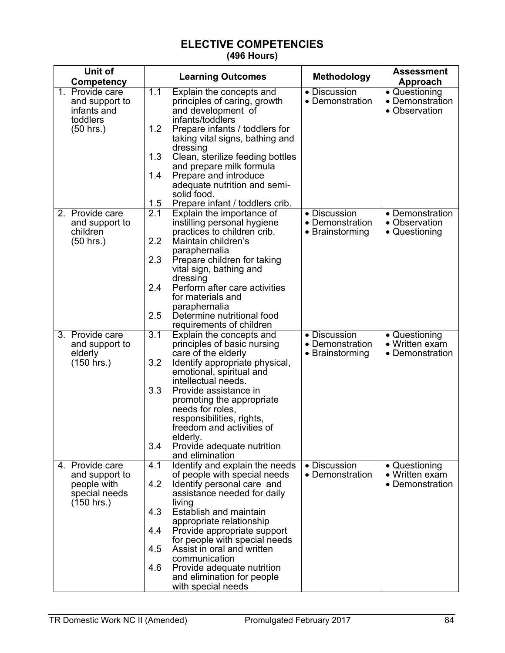## **ELECTIVE COMPETENCIES (496 Hours)**

| Unit of                       |     | <b>Learning Outcomes</b>                               | <b>Methodology</b>                         | <b>Assessment</b>                 |
|-------------------------------|-----|--------------------------------------------------------|--------------------------------------------|-----------------------------------|
| Competency                    |     |                                                        |                                            | Approach                          |
| 1. Provide care               | 1.1 | Explain the concepts and                               | • Discussion                               | • Questioning                     |
| and support to                |     | principles of caring, growth                           | • Demonstration                            | • Demonstration                   |
| infants and                   |     | and development of                                     |                                            | • Observation                     |
| toddlers<br>$(50$ hrs.)       | 1.2 | infants/toddlers<br>Prepare infants / toddlers for     |                                            |                                   |
|                               |     | taking vital signs, bathing and                        |                                            |                                   |
|                               |     | dressing                                               |                                            |                                   |
|                               | 1.3 | Clean, sterilize feeding bottles                       |                                            |                                   |
|                               |     | and prepare milk formula                               |                                            |                                   |
|                               | 1.4 | Prepare and introduce                                  |                                            |                                   |
|                               |     | adequate nutrition and semi-                           |                                            |                                   |
|                               | 1.5 | solid food.<br>Prepare infant / toddlers crib.         |                                            |                                   |
| 2. Provide care               | 2.1 | Explain the importance of                              | • Discussion                               | • Demonstration                   |
| and support to                |     | instilling personal hygiene                            | • Demonstration                            | • Observation                     |
| children                      |     | practices to children crib.                            | • Brainstorming                            | • Questioning                     |
| $(50$ hrs.)                   | 2.2 | Maintain children's                                    |                                            |                                   |
|                               |     | paraphernalia                                          |                                            |                                   |
|                               | 2.3 | Prepare children for taking                            |                                            |                                   |
|                               |     | vital sign, bathing and                                |                                            |                                   |
|                               | 2.4 | dressing<br>Perform after care activities              |                                            |                                   |
|                               |     | for materials and                                      |                                            |                                   |
|                               |     | paraphernalia                                          |                                            |                                   |
|                               | 2.5 | Determine nutritional food                             |                                            |                                   |
|                               |     | requirements of children                               |                                            |                                   |
| 3. Provide care               | 3.1 | Explain the concepts and                               | • Discussion                               | • Questioning                     |
| and support to<br>elderly     |     | principles of basic nursing<br>care of the elderly     | • Demonstration<br>$\bullet$ Brainstorming | • Written exam<br>• Demonstration |
| $(150$ hrs.)                  | 3.2 | Identify appropriate physical,                         |                                            |                                   |
|                               |     | emotional, spiritual and                               |                                            |                                   |
|                               |     | intellectual needs.                                    |                                            |                                   |
|                               | 3.3 | Provide assistance in                                  |                                            |                                   |
|                               |     | promoting the appropriate                              |                                            |                                   |
|                               |     | needs for roles,                                       |                                            |                                   |
|                               |     | responsibilities, rights,<br>freedom and activities of |                                            |                                   |
|                               |     | elderly.                                               |                                            |                                   |
|                               | 3.4 | Provide adequate nutrition                             |                                            |                                   |
|                               |     | and elimination                                        |                                            |                                   |
| 4. Provide care               | 4.1 | Identify and explain the needs                         | • Discussion                               | • Questioning                     |
| and support to                |     | of people with special needs                           | • Demonstration                            | • Written exam                    |
| people with                   | 4.2 | Identify personal care and                             |                                            | • Demonstration                   |
| special needs<br>$(150$ hrs.) |     | assistance needed for daily<br>living                  |                                            |                                   |
|                               | 4.3 | Establish and maintain                                 |                                            |                                   |
|                               |     | appropriate relationship                               |                                            |                                   |
|                               | 4.4 | Provide appropriate support                            |                                            |                                   |
|                               |     | for people with special needs                          |                                            |                                   |
|                               | 4.5 | Assist in oral and written<br>communication            |                                            |                                   |
|                               | 4.6 | Provide adequate nutrition                             |                                            |                                   |
|                               |     | and elimination for people                             |                                            |                                   |
|                               |     | with special needs                                     |                                            |                                   |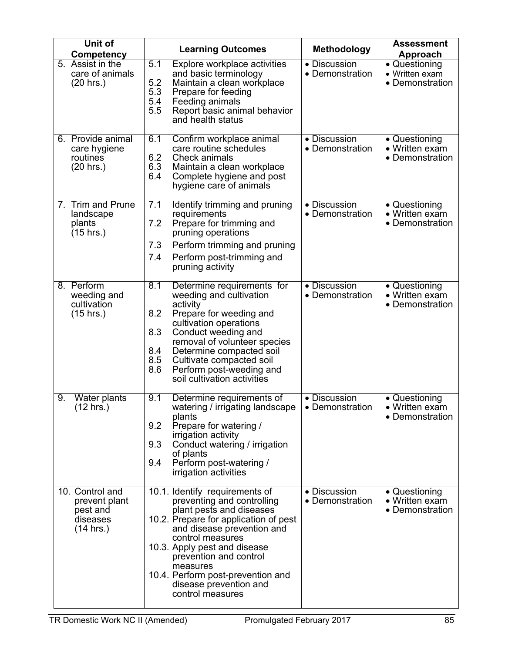| Unit of<br>Competency                                                 | <b>Learning Outcomes</b>                                                                                                                                                                                                                                                                                                                                | <b>Methodology</b>              | <b>Assessment</b><br>Approach                      |
|-----------------------------------------------------------------------|---------------------------------------------------------------------------------------------------------------------------------------------------------------------------------------------------------------------------------------------------------------------------------------------------------------------------------------------------------|---------------------------------|----------------------------------------------------|
| 5. Assist in the<br>care of animals<br>$(20$ hrs.)                    | 5.1<br>Explore workplace activities<br>and basic terminology<br>5.2<br>Maintain a clean workplace<br>5.3<br>Prepare for feeding<br>5.4<br>Feeding animals<br>5.5<br>Report basic animal behavior<br>and health status                                                                                                                                   | • Discussion<br>• Demonstration | • Questioning<br>• Written exam<br>• Demonstration |
| 6. Provide animal<br>care hygiene<br>routines<br>$(20$ hrs.)          | 6.1<br>Confirm workplace animal<br>care routine schedules<br>6.2<br><b>Check animals</b><br>6.3<br>Maintain a clean workplace<br>6.4<br>Complete hygiene and post<br>hygiene care of animals                                                                                                                                                            | • Discussion<br>• Demonstration | • Questioning<br>• Written exam<br>• Demonstration |
| 7. Trim and Prune<br>landscape<br>plants<br>$(15$ hrs.)               | 7.1<br>Identify trimming and pruning<br>requirements<br>7.2<br>Prepare for trimming and<br>pruning operations<br>Perform trimming and pruning<br>7.3<br>7.4<br>Perform post-trimming and<br>pruning activity                                                                                                                                            | • Discussion<br>• Demonstration | • Questioning<br>• Written exam<br>• Demonstration |
| 8. Perform<br>weeding and<br>cultivation<br>(15 hrs.)                 | $\overline{8.1}$<br>Determine requirements for<br>weeding and cultivation<br>activity<br>8.2<br>Prepare for weeding and<br>cultivation operations<br>8.3<br>Conduct weeding and<br>removal of volunteer species<br>8.4<br>Determine compacted soil<br>8.5<br>Cultivate compacted soil<br>8.6<br>Perform post-weeding and<br>soil cultivation activities | • Discussion<br>• Demonstration | • Questioning<br>• Written exam<br>• Demonstration |
| 9.<br>Water plants<br>$(12 \text{ hrs.})$                             | 9.1<br>Determine requirements of<br>watering / irrigating landscape<br>plants<br>9.2<br>Prepare for watering /<br>irrigation activity<br>9.3<br>Conduct watering / irrigation<br>of plants<br>Perform post-watering /<br>9.4<br>irrigation activities                                                                                                   | • Discussion<br>• Demonstration | • Questioning<br>• Written exam<br>• Demonstration |
| 10. Control and<br>prevent plant<br>pest and<br>diseases<br>(14 hrs.) | 10.1. Identify requirements of<br>preventing and controlling<br>plant pests and diseases<br>10.2. Prepare for application of pest<br>and disease prevention and<br>control measures<br>10.3. Apply pest and disease<br>prevention and control<br>measures<br>10.4. Perform post-prevention and<br>disease prevention and<br>control measures            | • Discussion<br>• Demonstration | • Questioning<br>• Written exam<br>• Demonstration |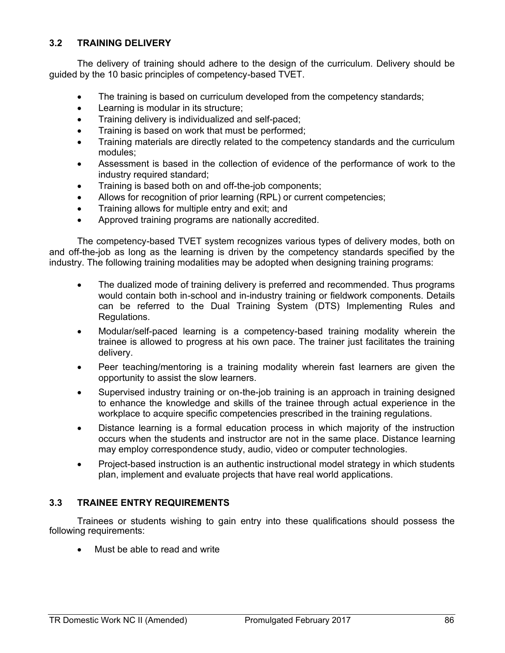### **3.2 TRAINING DELIVERY**

The delivery of training should adhere to the design of the curriculum. Delivery should be guided by the 10 basic principles of competency-based TVET.

- The training is based on curriculum developed from the competency standards;
- Learning is modular in its structure;
- Training delivery is individualized and self-paced;
- Training is based on work that must be performed;
- Training materials are directly related to the competency standards and the curriculum modules;
- Assessment is based in the collection of evidence of the performance of work to the industry required standard;
- Training is based both on and off-the-job components;
- Allows for recognition of prior learning (RPL) or current competencies;
- Training allows for multiple entry and exit; and
- Approved training programs are nationally accredited.

The competency-based TVET system recognizes various types of delivery modes, both on and off-the-job as long as the learning is driven by the competency standards specified by the industry. The following training modalities may be adopted when designing training programs:

- The dualized mode of training delivery is preferred and recommended. Thus programs would contain both in-school and in-industry training or fieldwork components. Details can be referred to the Dual Training System (DTS) Implementing Rules and Regulations.
- Modular/self-paced learning is a competency-based training modality wherein the trainee is allowed to progress at his own pace. The trainer just facilitates the training delivery.
- Peer teaching/mentoring is a training modality wherein fast learners are given the opportunity to assist the slow learners.
- Supervised industry training or on-the-job training is an approach in training designed to enhance the knowledge and skills of the trainee through actual experience in the workplace to acquire specific competencies prescribed in the training regulations.
- Distance learning is a formal education process in which majority of the instruction occurs when the students and instructor are not in the same place. Distance learning may employ correspondence study, audio, video or computer technologies.
- Project-based instruction is an authentic instructional model strategy in which students plan, implement and evaluate projects that have real world applications.

### **3.3 TRAINEE ENTRY REQUIREMENTS**

Trainees or students wishing to gain entry into these qualifications should possess the following requirements:

Must be able to read and write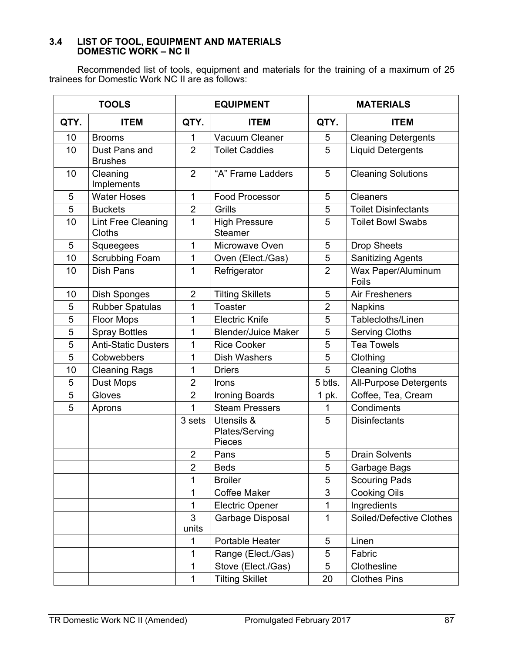#### **3.4 LIST OF TOOL, EQUIPMENT AND MATERIALS DOMESTIC WORK – NC II**

Recommended list of tools, equipment and materials for the training of a maximum of 25 trainees for Domestic Work NC II are as follows:

|                 | <b>TOOLS</b>                        | <b>EQUIPMENT</b>        |                                               |                | <b>MATERIALS</b>            |  |  |
|-----------------|-------------------------------------|-------------------------|-----------------------------------------------|----------------|-----------------------------|--|--|
| QTY.            | <b>ITEM</b>                         | QTY.                    | <b>ITEM</b>                                   | QTY.           | <b>ITEM</b>                 |  |  |
| 10              | <b>Brooms</b>                       | 1                       | Vacuum Cleaner                                | 5              | <b>Cleaning Detergents</b>  |  |  |
| 10              | Dust Pans and<br><b>Brushes</b>     | $\overline{2}$          | <b>Toilet Caddies</b>                         | 5              | <b>Liquid Detergents</b>    |  |  |
| 10              | Cleaning<br>Implements              | 2                       | "A" Frame Ladders                             | 5              | <b>Cleaning Solutions</b>   |  |  |
| 5               | <b>Water Hoses</b>                  | 1                       | <b>Food Processor</b>                         | 5              | Cleaners                    |  |  |
| 5               | <b>Buckets</b>                      | $\overline{2}$          | Grills                                        | 5              | <b>Toilet Disinfectants</b> |  |  |
| 10              | <b>Lint Free Cleaning</b><br>Cloths | 1                       | <b>High Pressure</b><br><b>Steamer</b>        | 5              | <b>Toilet Bowl Swabs</b>    |  |  |
| $5\phantom{.0}$ | Squeegees                           | 1                       | Microwave Oven                                | 5              | <b>Drop Sheets</b>          |  |  |
| 10              | <b>Scrubbing Foam</b>               | 1                       | Oven (Elect./Gas)                             | 5              | <b>Sanitizing Agents</b>    |  |  |
| 10              | <b>Dish Pans</b>                    | 1                       | Refrigerator                                  | $\overline{2}$ | Wax Paper/Aluminum<br>Foils |  |  |
| 10              | Dish Sponges                        | $\overline{2}$          | <b>Tilting Skillets</b>                       | 5              | <b>Air Fresheners</b>       |  |  |
| 5               | <b>Rubber Spatulas</b>              | 1                       | <b>Toaster</b>                                | $\overline{2}$ | <b>Napkins</b>              |  |  |
| 5               | <b>Floor Mops</b>                   | 1                       | <b>Electric Knife</b>                         | 5              | Tablecloths/Linen           |  |  |
| 5               | <b>Spray Bottles</b>                | 1                       | <b>Blender/Juice Maker</b>                    | 5              | <b>Serving Cloths</b>       |  |  |
| 5               | <b>Anti-Static Dusters</b>          | 1                       | <b>Rice Cooker</b>                            | 5              | <b>Tea Towels</b>           |  |  |
| 5               | Cobwebbers                          | 1                       | <b>Dish Washers</b>                           | 5              | Clothing                    |  |  |
| 10              | <b>Cleaning Rags</b>                | 1                       | <b>Driers</b>                                 | 5              | <b>Cleaning Cloths</b>      |  |  |
| 5               | <b>Dust Mops</b>                    | $\overline{2}$          | Irons                                         | 5 btls.        | All-Purpose Detergents      |  |  |
| 5               | Gloves                              | $\overline{2}$          | Ironing Boards                                | 1 pk.          | Coffee, Tea, Cream          |  |  |
| 5               | Aprons                              | 1                       | <b>Steam Pressers</b>                         | $\mathbf{1}$   | Condiments                  |  |  |
|                 |                                     | 3 sets                  | Utensils &<br>Plates/Serving<br><b>Pieces</b> | 5              | <b>Disinfectants</b>        |  |  |
|                 |                                     | $\overline{2}$          | Pans                                          | 5              | <b>Drain Solvents</b>       |  |  |
|                 |                                     | $\overline{2}$          | <b>Beds</b>                                   | 5              | Garbage Bags                |  |  |
|                 |                                     | 1                       | <b>Broiler</b>                                | 5              | <b>Scouring Pads</b>        |  |  |
|                 |                                     | 1                       | <b>Coffee Maker</b>                           | 3              | <b>Cooking Oils</b>         |  |  |
|                 |                                     | 1                       | <b>Electric Opener</b>                        | $\mathbf{1}$   | Ingredients                 |  |  |
|                 |                                     | $\overline{3}$<br>units | Garbage Disposal                              | $\mathbf{1}$   | Soiled/Defective Clothes    |  |  |
|                 |                                     | 1                       | Portable Heater                               | 5              | Linen                       |  |  |
|                 |                                     | 1                       | Range (Elect./Gas)                            | 5              | Fabric                      |  |  |
|                 |                                     | 1                       | Stove (Elect./Gas)                            | 5              | Clothesline                 |  |  |
|                 |                                     | 1                       | <b>Tilting Skillet</b>                        | 20             | <b>Clothes Pins</b>         |  |  |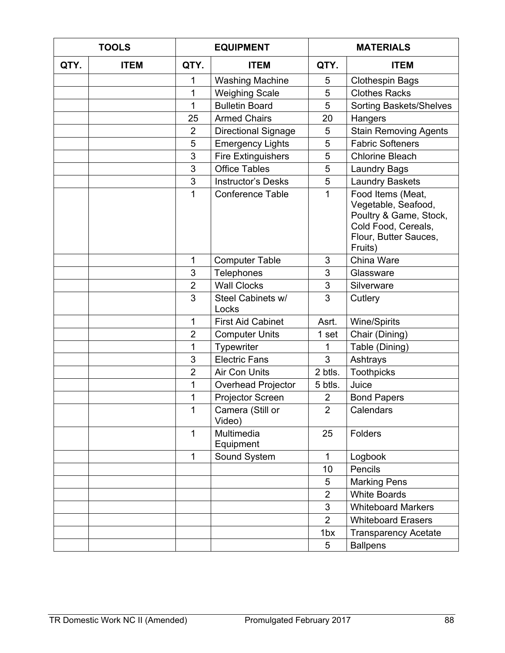|      | <b>TOOLS</b> | <b>EQUIPMENT</b> |                            | <b>MATERIALS</b> |                                                                                                                               |  |
|------|--------------|------------------|----------------------------|------------------|-------------------------------------------------------------------------------------------------------------------------------|--|
| QTY. | <b>ITEM</b>  | QTY.             | <b>ITEM</b>                | QTY.             | <b>ITEM</b>                                                                                                                   |  |
|      |              | 1                | <b>Washing Machine</b>     | 5                | <b>Clothespin Bags</b>                                                                                                        |  |
|      |              | 1                | <b>Weighing Scale</b>      | 5                | <b>Clothes Racks</b>                                                                                                          |  |
|      |              | 1                | <b>Bulletin Board</b>      | 5                | <b>Sorting Baskets/Shelves</b>                                                                                                |  |
|      |              | 25               | <b>Armed Chairs</b>        | 20               | Hangers                                                                                                                       |  |
|      |              | $\overline{2}$   | <b>Directional Signage</b> | 5                | <b>Stain Removing Agents</b>                                                                                                  |  |
|      |              | 5                | <b>Emergency Lights</b>    | 5                | <b>Fabric Softeners</b>                                                                                                       |  |
|      |              | 3                | <b>Fire Extinguishers</b>  | 5                | <b>Chlorine Bleach</b>                                                                                                        |  |
|      |              | 3                | <b>Office Tables</b>       | 5                | <b>Laundry Bags</b>                                                                                                           |  |
|      |              | 3                | <b>Instructor's Desks</b>  | 5                | <b>Laundry Baskets</b>                                                                                                        |  |
|      |              | 1                | <b>Conference Table</b>    | 1                | Food Items (Meat,<br>Vegetable, Seafood,<br>Poultry & Game, Stock,<br>Cold Food, Cereals,<br>Flour, Butter Sauces,<br>Fruits) |  |
|      |              | 1                | <b>Computer Table</b>      | 3                | China Ware                                                                                                                    |  |
|      |              | 3                | Telephones                 | 3                | Glassware                                                                                                                     |  |
|      |              | $\overline{2}$   | <b>Wall Clocks</b>         | 3                | Silverware                                                                                                                    |  |
|      |              | 3                | Steel Cabinets w/<br>Locks | 3                | Cutlery                                                                                                                       |  |
|      |              | 1                | <b>First Aid Cabinet</b>   | Asrt.            | <b>Wine/Spirits</b>                                                                                                           |  |
|      |              | $\overline{2}$   | <b>Computer Units</b>      | 1 set            | Chair (Dining)                                                                                                                |  |
|      |              | 1                | Typewriter                 | 1                | Table (Dining)                                                                                                                |  |
|      |              | 3                | <b>Electric Fans</b>       | 3                | Ashtrays                                                                                                                      |  |
|      |              | $\overline{2}$   | Air Con Units              | 2 btls.          | <b>Toothpicks</b>                                                                                                             |  |
|      |              | 1                | Overhead Projector         | 5 btls.          | Juice                                                                                                                         |  |
|      |              | 1                | Projector Screen           | $\overline{2}$   | <b>Bond Papers</b>                                                                                                            |  |
|      |              | 1                | Camera (Still or<br>Video) | 2                | Calendars                                                                                                                     |  |
|      |              | $\mathbf{1}$     | Multimedia<br>Equipment    | 25               | Folders                                                                                                                       |  |
|      |              | $\mathbf{1}$     | Sound System               | $\mathbf{1}$     | Logbook                                                                                                                       |  |
|      |              |                  |                            | 10               | Pencils                                                                                                                       |  |
|      |              |                  |                            | 5                | <b>Marking Pens</b>                                                                                                           |  |
|      |              |                  |                            | $\overline{2}$   | <b>White Boards</b>                                                                                                           |  |
|      |              |                  |                            | 3                | <b>Whiteboard Markers</b>                                                                                                     |  |
|      |              |                  |                            | $\overline{2}$   | <b>Whiteboard Erasers</b>                                                                                                     |  |
|      |              |                  |                            | 1 <sub>bx</sub>  | <b>Transparency Acetate</b>                                                                                                   |  |
|      |              |                  |                            | $5\phantom{.0}$  | <b>Ballpens</b>                                                                                                               |  |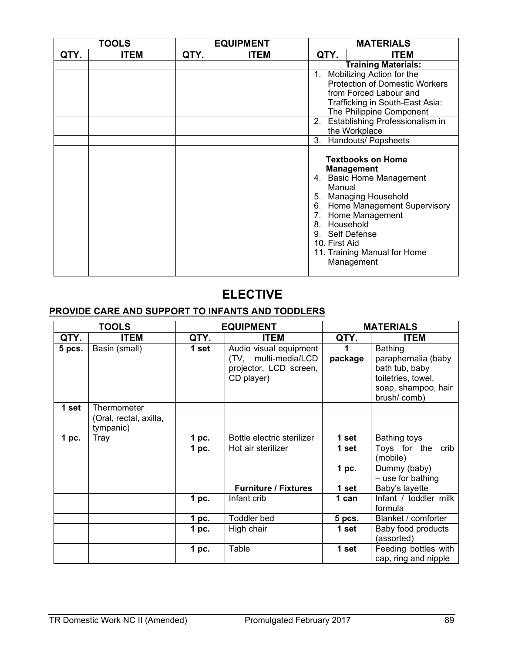|      | <b>TOOLS</b> |      | <b>EQUIPMENT</b> |                                                                  | <b>MATERIALS</b>                                                                                                                                                                                      |
|------|--------------|------|------------------|------------------------------------------------------------------|-------------------------------------------------------------------------------------------------------------------------------------------------------------------------------------------------------|
| QTY. | <b>ITEM</b>  | QTY. | <b>ITEM</b>      | QTY.                                                             | <b>ITEM</b>                                                                                                                                                                                           |
|      |              |      |                  |                                                                  | <b>Training Materials:</b>                                                                                                                                                                            |
|      |              |      |                  | $1_{\cdot}$                                                      | Mobilizing Action for the                                                                                                                                                                             |
|      |              |      |                  |                                                                  | <b>Protection of Domestic Workers</b>                                                                                                                                                                 |
|      |              |      |                  |                                                                  | from Forced Labour and                                                                                                                                                                                |
|      |              |      |                  |                                                                  | Trafficking in South-East Asia:                                                                                                                                                                       |
|      |              |      |                  |                                                                  | The Philippine Component                                                                                                                                                                              |
|      |              |      |                  | 2.                                                               | Establishing Professionalism in                                                                                                                                                                       |
|      |              |      |                  | the Workplace                                                    |                                                                                                                                                                                                       |
|      |              |      |                  | 3.                                                               | Handouts/ Popsheets                                                                                                                                                                                   |
|      |              |      |                  | Manual<br>6.<br>8. Household<br>9. Self Defense<br>10. First Aid | <b>Textbooks on Home</b><br><b>Management</b><br>4. Basic Home Management<br>5. Managing Household<br>Home Management Supervisory<br>7. Home Management<br>11. Training Manual for Home<br>Management |

# **ELECTIVE**

# **PROVIDE CARE AND SUPPORT TO INFANTS AND TODDLERS**

|        | <b>TOOLS</b>                        |       | <b>EQUIPMENT</b>                                                                       |          | <b>MATERIALS</b>                                                                                             |
|--------|-------------------------------------|-------|----------------------------------------------------------------------------------------|----------|--------------------------------------------------------------------------------------------------------------|
| QTY.   | <b>ITEM</b>                         | QTY.  | <b>ITEM</b>                                                                            | QTY.     | <b>ITEM</b>                                                                                                  |
| 5 pcs. | Basin (small)                       | 1 set | Audio visual equipment<br>(TV, multi-media/LCD<br>projector, LCD screen,<br>CD player) | package  | Bathing<br>paraphernalia (baby<br>bath tub, baby<br>toiletries, towel,<br>soap, shampoo, hair<br>brush/comb) |
| 1 set  | Thermometer                         |       |                                                                                        |          |                                                                                                              |
|        | (Oral, rectal, axilla,<br>tympanic) |       |                                                                                        |          |                                                                                                              |
| 1~pc.  | Tray                                | pc.   | Bottle electric sterilizer                                                             | 1 set    | Bathing toys                                                                                                 |
|        |                                     | 1 pc. | Hot air sterilizer                                                                     | 1 set    | crib<br>Toys for the<br>(mobile)                                                                             |
|        |                                     |       |                                                                                        | 1~pc.    | Dummy (baby)<br>- use for bathing                                                                            |
|        |                                     |       | <b>Furniture / Fixtures</b>                                                            | 1 set    | Baby's layette                                                                                               |
|        |                                     | 1 pc. | Infant crib                                                                            | 1 can    | Infant / toddler milk<br>formula                                                                             |
|        |                                     | 1 pc. | <b>Toddler</b> bed                                                                     | $5$ pcs. | Blanket / comforter                                                                                          |
|        |                                     | 1 pc. | High chair                                                                             | 1 set    | Baby food products<br>(assorted)                                                                             |
|        |                                     | 1 pc. | Table                                                                                  | 1 set    | Feeding bottles with<br>cap, ring and nipple                                                                 |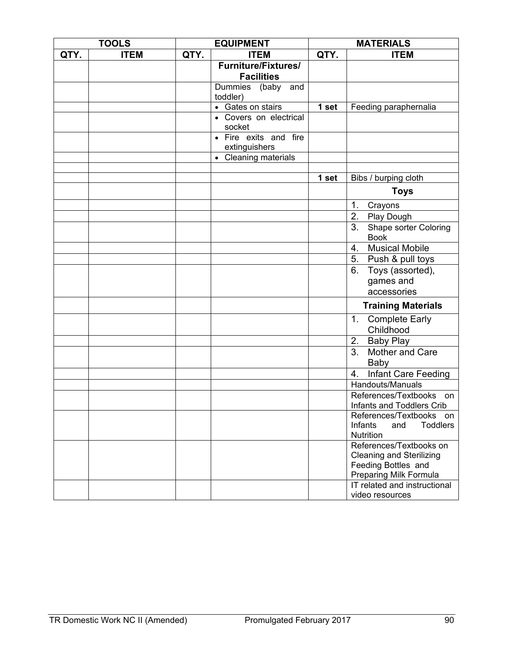|      | <b>TOOLS</b> |      | <b>EQUIPMENT</b>                                | <b>MATERIALS</b> |                                                                                                             |
|------|--------------|------|-------------------------------------------------|------------------|-------------------------------------------------------------------------------------------------------------|
| QTY. | <b>ITEM</b>  | QTY. | <b>ITEM</b>                                     | QTY.             | <b>ITEM</b>                                                                                                 |
|      |              |      | <b>Furniture/Fixtures/</b><br><b>Facilities</b> |                  |                                                                                                             |
|      |              |      | Dummies (baby<br>and<br>toddler)                |                  |                                                                                                             |
|      |              |      | • Gates on stairs                               | 1 set            | Feeding paraphernalia                                                                                       |
|      |              |      | • Covers on electrical<br>socket                |                  |                                                                                                             |
|      |              |      | • Fire exits and fire<br>extinguishers          |                  |                                                                                                             |
|      |              |      | • Cleaning materials                            |                  |                                                                                                             |
|      |              |      |                                                 |                  |                                                                                                             |
|      |              |      |                                                 | 1 set            | Bibs / burping cloth                                                                                        |
|      |              |      |                                                 |                  | <b>Toys</b>                                                                                                 |
|      |              |      |                                                 |                  | 1.<br>Crayons                                                                                               |
|      |              |      |                                                 |                  | 2.<br>Play Dough                                                                                            |
|      |              |      |                                                 |                  | 3.<br>Shape sorter Coloring<br><b>Book</b>                                                                  |
|      |              |      |                                                 |                  | <b>Musical Mobile</b><br>4.                                                                                 |
|      |              |      |                                                 |                  | 5. Push & pull toys                                                                                         |
|      |              |      |                                                 |                  | Toys (assorted),<br>6.                                                                                      |
|      |              |      |                                                 |                  | games and                                                                                                   |
|      |              |      |                                                 |                  | accessories                                                                                                 |
|      |              |      |                                                 |                  | <b>Training Materials</b>                                                                                   |
|      |              |      |                                                 |                  | <b>Complete Early</b><br>1.<br>Childhood                                                                    |
|      |              |      |                                                 |                  | 2. Baby Play                                                                                                |
|      |              |      |                                                 |                  | Mother and Care<br>3.<br>Baby                                                                               |
|      |              |      |                                                 |                  | <b>Infant Care Feeding</b><br>4.                                                                            |
|      |              |      |                                                 |                  | <b>Handouts/Manuals</b>                                                                                     |
|      |              |      |                                                 |                  | References/Textbooks on<br>Infants and Toddlers Crib                                                        |
|      |              |      |                                                 |                  | References/Textbooks on<br><b>Toddlers</b><br>Infants<br>and<br>Nutrition                                   |
|      |              |      |                                                 |                  | References/Textbooks on<br><b>Cleaning and Sterilizing</b><br>Feeding Bottles and<br>Preparing Milk Formula |
|      |              |      |                                                 |                  | IT related and instructional<br>video resources                                                             |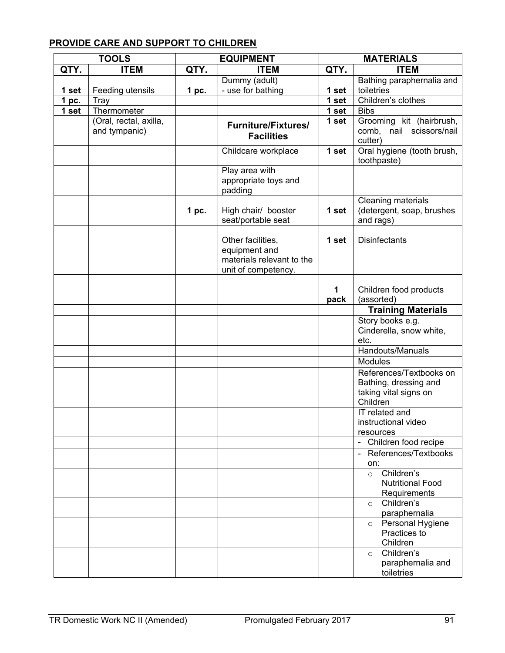# **PROVIDE CARE AND SUPPORT TO CHILDREN**

|       | <b>TOOLS</b>                            |       | <b>EQUIPMENT</b>                                                                       | <b>MATERIALS</b> |                                                                                       |
|-------|-----------------------------------------|-------|----------------------------------------------------------------------------------------|------------------|---------------------------------------------------------------------------------------|
| QTY.  | <b>ITEM</b>                             | QTY.  | <b>ITEM</b>                                                                            | QTY.             | <b>ITEM</b>                                                                           |
|       |                                         |       | Dummy (adult)                                                                          |                  | Bathing paraphernalia and                                                             |
| 1 set | Feeding utensils                        | 1 pc. | - use for bathing                                                                      | 1 set            | toiletries                                                                            |
| 1 pc. | Tray                                    |       |                                                                                        | 1 set            | Children's clothes                                                                    |
| 1 set | Thermometer                             |       |                                                                                        | 1 set            | <b>Bibs</b>                                                                           |
|       | (Oral, rectal, axilla,<br>and tympanic) |       | <b>Furniture/Fixtures/</b><br><b>Facilities</b>                                        | 1 set            | Grooming kit (hairbrush,<br>comb, nail scissors/nail<br>cutter)                       |
|       |                                         |       | Childcare workplace                                                                    | 1 set            | Oral hygiene (tooth brush,<br>toothpaste)                                             |
|       |                                         |       | Play area with<br>appropriate toys and<br>padding                                      |                  |                                                                                       |
|       |                                         | 1 pc. | High chair/ booster<br>seat/portable seat                                              | 1 set            | Cleaning materials<br>(detergent, soap, brushes<br>and rags)                          |
|       |                                         |       | Other facilities,<br>equipment and<br>materials relevant to the<br>unit of competency. | 1 set            | <b>Disinfectants</b>                                                                  |
|       |                                         |       |                                                                                        | 1<br>pack        | Children food products<br>(assorted)                                                  |
|       |                                         |       |                                                                                        |                  | <b>Training Materials</b>                                                             |
|       |                                         |       |                                                                                        |                  | Story books e.g.<br>Cinderella, snow white,<br>etc.                                   |
|       |                                         |       |                                                                                        |                  | Handouts/Manuals                                                                      |
|       |                                         |       |                                                                                        |                  | <b>Modules</b>                                                                        |
|       |                                         |       |                                                                                        |                  | References/Textbooks on<br>Bathing, dressing and<br>taking vital signs on<br>Children |
|       |                                         |       |                                                                                        |                  | IT related and<br>instructional video<br>resources                                    |
|       |                                         |       |                                                                                        |                  | - Children food recipe                                                                |
|       |                                         |       |                                                                                        |                  | - References/Textbooks<br>on:                                                         |
|       |                                         |       |                                                                                        |                  | Children's<br>$\circ$<br><b>Nutritional Food</b><br>Requirements                      |
|       |                                         |       |                                                                                        |                  | Children's<br>$\circ$<br>paraphernalia                                                |
|       |                                         |       |                                                                                        |                  | Personal Hygiene<br>$\circ$<br>Practices to<br>Children                               |
|       |                                         |       |                                                                                        |                  | Children's<br>$\circ$<br>paraphernalia and<br>toiletries                              |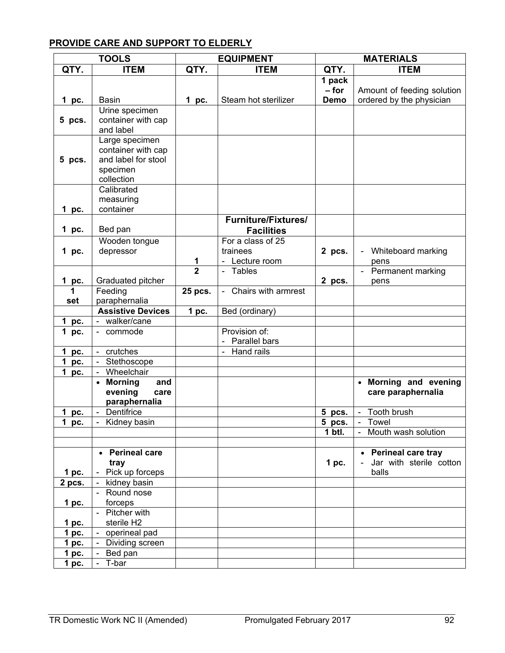# **PROVIDE CARE AND SUPPORT TO ELDERLY**

|                    | <b>TOOLS</b>                           |                | <b>EQUIPMENT</b>                       | <b>MATERIALS</b> |                                  |
|--------------------|----------------------------------------|----------------|----------------------------------------|------------------|----------------------------------|
| QTY.               | <b>ITEM</b>                            | QTY.           | <b>ITEM</b>                            | QTY.             | <b>ITEM</b>                      |
|                    |                                        |                |                                        | 1 pack           |                                  |
|                    |                                        |                |                                        | $-$ for          | Amount of feeding solution       |
| 1 pc.              | <b>Basin</b>                           | 1 pc.          | Steam hot sterilizer                   | <b>Demo</b>      | ordered by the physician         |
|                    | Urine specimen                         |                |                                        |                  |                                  |
| 5 pcs.             | container with cap                     |                |                                        |                  |                                  |
|                    | and label                              |                |                                        |                  |                                  |
|                    | Large specimen                         |                |                                        |                  |                                  |
|                    | container with cap                     |                |                                        |                  |                                  |
| 5 pcs.             | and label for stool                    |                |                                        |                  |                                  |
|                    | specimen                               |                |                                        |                  |                                  |
|                    | collection                             |                |                                        |                  |                                  |
|                    | Calibrated                             |                |                                        |                  |                                  |
|                    | measuring                              |                |                                        |                  |                                  |
| 1 pc.              | container                              |                |                                        |                  |                                  |
|                    |                                        |                | <b>Furniture/Fixtures/</b>             |                  |                                  |
| 1 pc.              | Bed pan                                |                | <b>Facilities</b>                      |                  |                                  |
|                    | Wooden tongue                          |                | For a class of 25                      |                  |                                  |
| 1 pc.              | depressor                              |                | trainees                               | 2 pcs.           | Whiteboard marking               |
|                    |                                        | 1              | - Lecture room                         |                  | pens                             |
|                    |                                        | $\overline{2}$ | Tables                                 |                  | Permanent marking                |
| 1 pc.              | Graduated pitcher                      |                |                                        | 2 pcs.           | pens                             |
| 1                  | Feeding                                | 25 pcs.        | Chairs with armrest<br>$\sim$          |                  |                                  |
| set                | paraphernalia                          |                |                                        |                  |                                  |
|                    | <b>Assistive Devices</b>               | $1$ pc.        | Bed (ordinary)                         |                  |                                  |
| 1 pc.              | walker/cane                            |                |                                        |                  |                                  |
| 1 pc.              | commode<br>$\sim$                      |                | Provision of:                          |                  |                                  |
|                    |                                        |                | Parallel bars                          |                  |                                  |
| 1 pc.              | crutches<br>$\overline{\phantom{0}}$   |                | Hand rails<br>$\overline{\phantom{0}}$ |                  |                                  |
| 1<br>pc.           | Stethoscope<br>$\overline{a}$          |                |                                        |                  |                                  |
| $\mathbf 1$<br>pc. | Wheelchair<br>$\overline{a}$           |                |                                        |                  |                                  |
|                    | <b>Morning</b><br>and<br>$\bullet$     |                |                                        |                  | Morning and evening<br>$\bullet$ |
|                    | evening<br>care                        |                |                                        |                  | care paraphernalia               |
|                    | paraphernalia                          |                |                                        |                  |                                  |
| 1 pc.              | Dentifrice<br>$\overline{\phantom{0}}$ |                |                                        | 5 pcs.           | Tooth brush<br>$\overline{a}$    |
| 1 pc.              | Kidney basin                           |                |                                        | 5 pcs.           | Towel                            |
|                    |                                        |                |                                        | 1 btl.           | Mouth wash solution              |
|                    |                                        |                |                                        |                  |                                  |
|                    | • Perineal care                        |                |                                        |                  | • Perineal care tray             |
|                    | tray                                   |                |                                        | $1$ pc.          | Jar with sterile cotton          |
| $1$ pc.            | - Pick up forceps                      |                |                                        |                  | balls                            |
| 2 pcs.             | kidney basin<br>$\blacksquare$         |                |                                        |                  |                                  |
|                    | - Round nose                           |                |                                        |                  |                                  |
| 1pc.               | forceps                                |                |                                        |                  |                                  |
|                    | - Pitcher with                         |                |                                        |                  |                                  |
| 1 <sub>pc.</sub>   | sterile H2                             |                |                                        |                  |                                  |
| 1pc.               | - operineal pad                        |                |                                        |                  |                                  |
| 1 <sub>pc.</sub>   | Dividing screen                        |                |                                        |                  |                                  |
| 1pc.               | Bed pan                                |                |                                        |                  |                                  |
| 1 pc.              | - T-bar                                |                |                                        |                  |                                  |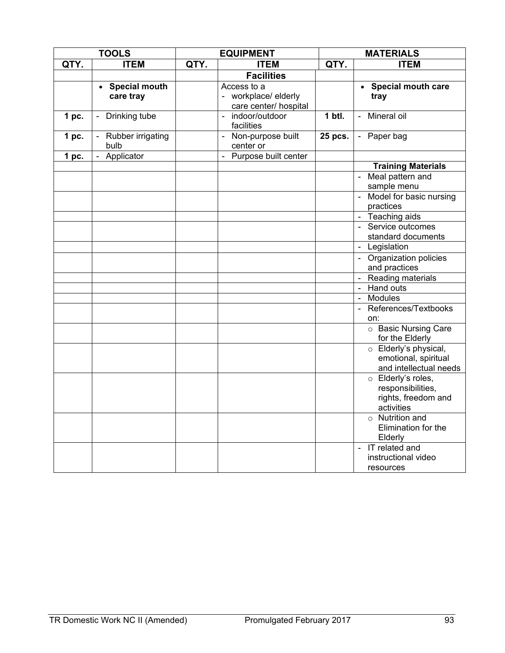|                  | <b>TOOLS</b>                           |      | <b>EQUIPMENT</b>                                            | <b>MATERIALS</b> |                                                                              |
|------------------|----------------------------------------|------|-------------------------------------------------------------|------------------|------------------------------------------------------------------------------|
| QTY.             | <b>ITEM</b>                            | QTY. | <b>ITEM</b>                                                 | QTY.             | <b>ITEM</b>                                                                  |
|                  |                                        |      | <b>Facilities</b>                                           |                  |                                                                              |
|                  | • Special mouth<br>care tray           |      | Access to a<br>- workplace/elderly<br>care center/ hospital |                  | • Special mouth care<br>tray                                                 |
| 1 <sub>pc.</sub> | Drinking tube<br>$\blacksquare$        |      | - indoor/outdoor<br>facilities                              | $1$ btl.         | Mineral oil                                                                  |
| 1 <sub>pc.</sub> | Rubber irrigating<br>bulb              |      | - Non-purpose built<br>center or                            | 25 pcs.          | - Paper bag                                                                  |
| 1 pc.            | Applicator<br>$\overline{\phantom{a}}$ |      | Purpose built center<br>$\blacksquare$                      |                  |                                                                              |
|                  |                                        |      |                                                             |                  | <b>Training Materials</b>                                                    |
|                  |                                        |      |                                                             |                  | Meal pattern and<br>sample menu<br>- Model for basic nursing<br>practices    |
|                  |                                        |      |                                                             |                  | Teaching aids                                                                |
|                  |                                        |      |                                                             |                  | - Service outcomes<br>standard documents                                     |
|                  |                                        |      |                                                             |                  | Legislation                                                                  |
|                  |                                        |      |                                                             |                  | Organization policies<br>and practices                                       |
|                  |                                        |      |                                                             |                  | Reading materials                                                            |
|                  |                                        |      |                                                             |                  | <b>Hand outs</b><br>$\blacksquare$                                           |
|                  |                                        |      |                                                             |                  | Modules<br>$\blacksquare$                                                    |
|                  |                                        |      |                                                             |                  | References/Textbooks<br>on:                                                  |
|                  |                                        |      |                                                             |                  | o Basic Nursing Care<br>for the Elderly                                      |
|                  |                                        |      |                                                             |                  | o Elderly's physical,<br>emotional, spiritual<br>and intellectual needs      |
|                  |                                        |      |                                                             |                  | o Elderly's roles,<br>responsibilities,<br>rights, freedom and<br>activities |
|                  |                                        |      |                                                             |                  | $\circ$ Nutrition and<br>Elimination for the<br>Elderly                      |
|                  |                                        |      |                                                             |                  | IT related and<br>$\blacksquare$<br>instructional video<br>resources         |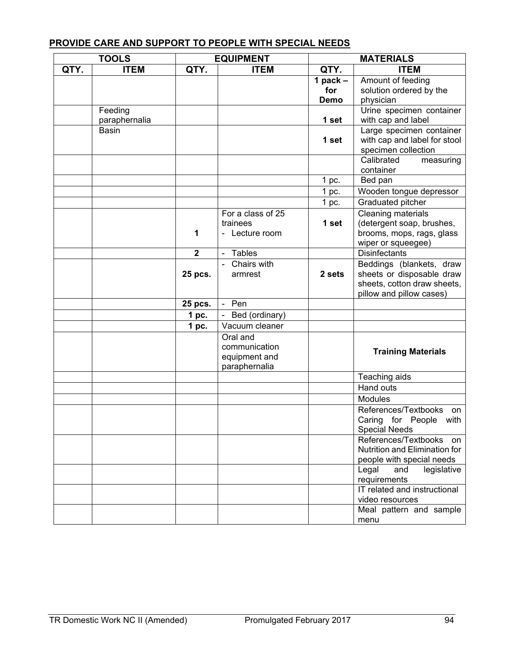# **PROVIDE CARE AND SUPPORT TO PEOPLE WITH SPECIAL NEEDS**

| <b>TOOLS</b> |               | <b>EQUIPMENT</b> |                   | <b>MATERIALS</b> |                                                |  |  |
|--------------|---------------|------------------|-------------------|------------------|------------------------------------------------|--|--|
| QTY.         | <b>ITEM</b>   | QTY.             | <b>ITEM</b>       | QTY.             | <b>ITEM</b>                                    |  |  |
|              |               |                  |                   | 1 pack $-$       | Amount of feeding                              |  |  |
|              |               |                  |                   | for              | solution ordered by the                        |  |  |
|              |               |                  |                   | Demo             | physician                                      |  |  |
|              | Feeding       |                  |                   |                  | Urine specimen container                       |  |  |
|              | paraphernalia |                  |                   | 1 set            | with cap and label                             |  |  |
|              | <b>Basin</b>  |                  |                   |                  | Large specimen container                       |  |  |
|              |               |                  |                   | 1 set            | with cap and label for stool                   |  |  |
|              |               |                  |                   |                  | specimen collection                            |  |  |
|              |               |                  |                   |                  | Calibrated<br>measuring<br>container           |  |  |
|              |               |                  |                   | 1 pc.            | Bed pan                                        |  |  |
|              |               |                  |                   | 1 pc.            | Wooden tongue depressor                        |  |  |
|              |               |                  |                   | $1$ pc.          | Graduated pitcher                              |  |  |
|              |               |                  | For a class of 25 |                  | <b>Cleaning materials</b>                      |  |  |
|              |               |                  | trainees          | 1 set            | (detergent soap, brushes,                      |  |  |
|              |               | 1                | - Lecture room    |                  | brooms, mops, rags, glass                      |  |  |
|              |               |                  |                   |                  | wiper or squeegee)                             |  |  |
|              |               | $\overline{2}$   | - Tables          |                  | <b>Disinfectants</b>                           |  |  |
|              |               |                  | - Chairs with     |                  | Beddings (blankets, draw                       |  |  |
|              |               | 25 pcs.          | armrest           | 2 sets           | sheets or disposable draw                      |  |  |
|              |               |                  |                   |                  | sheets, cotton draw sheets,                    |  |  |
|              |               |                  |                   |                  | pillow and pillow cases)                       |  |  |
|              |               | 25 pcs.          | - Pen             |                  |                                                |  |  |
|              |               | 1 <sub>pc.</sub> | - Bed (ordinary)  |                  |                                                |  |  |
|              |               | 1 pc.            | Vacuum cleaner    |                  |                                                |  |  |
|              |               |                  | Oral and          |                  |                                                |  |  |
|              |               |                  | communication     |                  | <b>Training Materials</b>                      |  |  |
|              |               |                  | equipment and     |                  |                                                |  |  |
|              |               |                  | paraphernalia     |                  |                                                |  |  |
|              |               |                  |                   |                  | Teaching aids                                  |  |  |
|              |               |                  |                   |                  | Hand outs                                      |  |  |
|              |               |                  |                   |                  | Modules                                        |  |  |
|              |               |                  |                   |                  | References/Textbooks<br>on                     |  |  |
|              |               |                  |                   |                  | Caring for People with<br><b>Special Needs</b> |  |  |
|              |               |                  |                   |                  | References/Textbooks<br>on.                    |  |  |
|              |               |                  |                   |                  | <b>Nutrition and Elimination for</b>           |  |  |
|              |               |                  |                   |                  | people with special needs                      |  |  |
|              |               |                  |                   |                  | Legal<br>legislative<br>and                    |  |  |
|              |               |                  |                   |                  | requirements                                   |  |  |
|              |               |                  |                   |                  | IT related and instructional                   |  |  |
|              |               |                  |                   |                  | video resources                                |  |  |
|              |               |                  |                   |                  | Meal pattern and sample                        |  |  |
|              |               |                  |                   |                  | menu                                           |  |  |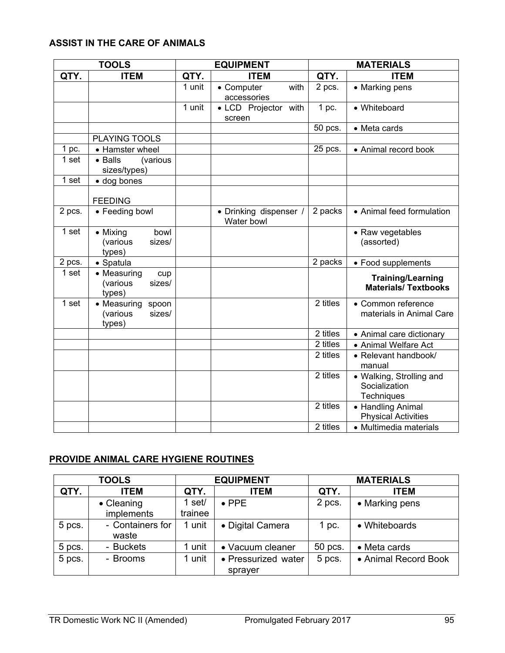# **ASSIST IN THE CARE OF ANIMALS**

| <b>TOOLS</b>     |                                                      |        | <b>EQUIPMENT</b>                     | <b>MATERIALS</b> |                                                         |  |  |
|------------------|------------------------------------------------------|--------|--------------------------------------|------------------|---------------------------------------------------------|--|--|
| QTY.             | <b>ITEM</b>                                          | QTY.   | <b>ITEM</b>                          | QTY.             | <b>ITEM</b>                                             |  |  |
|                  |                                                      | 1 unit | with<br>• Computer<br>accessories    | 2 pcs.           | • Marking pens                                          |  |  |
|                  |                                                      | 1 unit | • LCD Projector with<br>screen       | 1 pc.            | • Whiteboard                                            |  |  |
|                  |                                                      |        |                                      | 50 pcs.          | • Meta cards                                            |  |  |
|                  | PLAYING TOOLS                                        |        |                                      |                  |                                                         |  |  |
| 1 pc.            | • Hamster wheel                                      |        |                                      | 25 pcs.          | • Animal record book                                    |  |  |
| 1 set            | • Balls<br>(various<br>sizes/types)                  |        |                                      |                  |                                                         |  |  |
| 1 set            | · dog bones                                          |        |                                      |                  |                                                         |  |  |
|                  | <b>FEEDING</b>                                       |        |                                      |                  |                                                         |  |  |
| 2 pcs.           | • Feeding bowl                                       |        | • Drinking dispenser /<br>Water bowl | 2 packs          | • Animal feed formulation                               |  |  |
| 1 <sub>set</sub> | • Mixing<br>bowl<br>(various<br>sizes/<br>types)     |        |                                      |                  | • Raw vegetables<br>(assorted)                          |  |  |
| 2 pcs.           | • Spatula                                            |        |                                      | 2 packs          | • Food supplements                                      |  |  |
| 1 set            | • Measuring<br>cup<br>(various<br>sizes/<br>types)   |        |                                      |                  | <b>Training/Learning</b><br><b>Materials/Textbooks</b>  |  |  |
| 1 set            | • Measuring<br>spoon<br>(various<br>sizes/<br>types) |        |                                      | 2 titles         | • Common reference<br>materials in Animal Care          |  |  |
|                  |                                                      |        |                                      | 2 titles         | • Animal care dictionary                                |  |  |
|                  |                                                      |        |                                      | 2 titles         | • Animal Welfare Act                                    |  |  |
|                  |                                                      |        |                                      | 2 titles         | • Relevant handbook/<br>manual                          |  |  |
|                  |                                                      |        |                                      | 2 titles         | • Walking, Strolling and<br>Socialization<br>Techniques |  |  |
|                  |                                                      |        |                                      | 2 titles         | • Handling Animal<br><b>Physical Activities</b>         |  |  |
|                  |                                                      |        |                                      | 2 titles         | • Multimedia materials                                  |  |  |

# **PROVIDE ANIMAL CARE HYGIENE ROUTINES**

|        | <b>TOOLS</b>              |                   | <b>EQUIPMENT</b>               | <b>MATERIALS</b> |                      |  |  |
|--------|---------------------------|-------------------|--------------------------------|------------------|----------------------|--|--|
| QTY.   | <b>ITEM</b>               | QTY.              | <b>ITEM</b>                    | QTY.             | <b>ITEM</b>          |  |  |
|        | • Cleaning<br>implements  | 1 set/<br>trainee | $\bullet$ PPE                  | 2 pcs.           | • Marking pens       |  |  |
| 5 pcs. | - Containers for<br>waste | 1 unit            | • Digital Camera               | 1 pc.            | • Whiteboards        |  |  |
| 5 pcs. | - Buckets                 | unit              | • Vacuum cleaner               | 50 pcs.          | • Meta cards         |  |  |
| 5 pcs. | - Brooms                  | unit              | • Pressurized water<br>sprayer | 5 pcs.           | • Animal Record Book |  |  |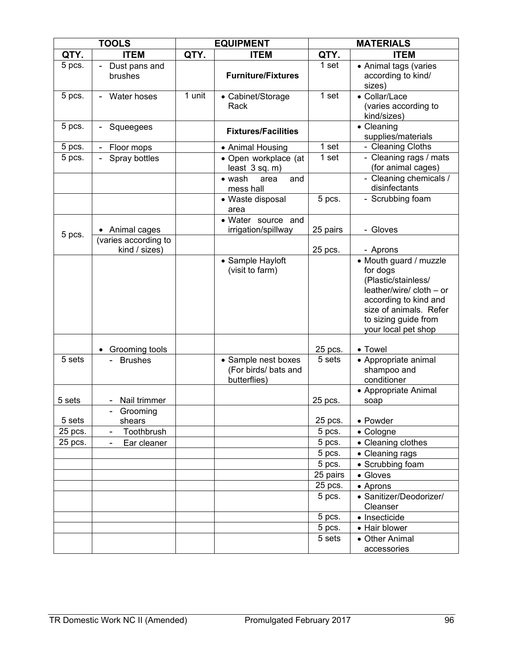| <b>TOOLS</b> |                                       |        | <b>EQUIPMENT</b>                                            | <b>MATERIALS</b> |                                                                                                                                                                                         |  |  |
|--------------|---------------------------------------|--------|-------------------------------------------------------------|------------------|-----------------------------------------------------------------------------------------------------------------------------------------------------------------------------------------|--|--|
| QTY.         | <b>ITEM</b>                           | QTY.   | <b>ITEM</b>                                                 | QTY.             | <b>ITEM</b>                                                                                                                                                                             |  |  |
| 5 pcs.       | Dust pans and<br>brushes              |        | <b>Furniture/Fixtures</b>                                   | 1 set            | • Animal tags (varies<br>according to kind/<br>sizes)                                                                                                                                   |  |  |
| 5 pcs.       | Water hoses                           | 1 unit | • Cabinet/Storage<br>Rack                                   | 1 set            | • Collar/Lace<br>(varies according to<br>kind/sizes)                                                                                                                                    |  |  |
| 5 pcs.       | Squeegees                             |        | <b>Fixtures/Facilities</b>                                  |                  | • Cleaning<br>supplies/materials                                                                                                                                                        |  |  |
| 5 pcs.       | Floor mops                            |        | • Animal Housing                                            | 1 set            | - Cleaning Cloths                                                                                                                                                                       |  |  |
| 5 pcs.       | Spray bottles                         |        | • Open workplace (at<br>least $3 sq. m)$                    | 1 set            | - Cleaning rags / mats<br>(for animal cages)                                                                                                                                            |  |  |
|              |                                       |        | $\bullet$ wash<br>area<br>and<br>mess hall                  |                  | - Cleaning chemicals /<br>disinfectants                                                                                                                                                 |  |  |
|              |                                       |        | • Waste disposal<br>area                                    | 5 pcs.           | - Scrubbing foam                                                                                                                                                                        |  |  |
| 5 pcs.       | Animal cages                          |        | • Water source and<br>irrigation/spillway                   | 25 pairs         | - Gloves                                                                                                                                                                                |  |  |
|              | (varies according to<br>kind / sizes) |        |                                                             | 25 pcs.          | - Aprons                                                                                                                                                                                |  |  |
|              |                                       |        | • Sample Hayloft<br>(visit to farm)                         |                  | • Mouth guard / muzzle<br>for dogs<br>(Plastic/stainless/<br>leather/wire/ cloth - or<br>according to kind and<br>size of animals. Refer<br>to sizing guide from<br>your local pet shop |  |  |
|              | Grooming tools                        |        |                                                             | 25 pcs.          | • Towel                                                                                                                                                                                 |  |  |
| 5 sets       | <b>Brushes</b>                        |        | • Sample nest boxes<br>(For birds/ bats and<br>butterflies) | 5 sets           | • Appropriate animal<br>shampoo and<br>conditioner                                                                                                                                      |  |  |
| 5 sets       | Nail trimmer                          |        |                                                             | 25 pcs.          | • Appropriate Animal<br>soap                                                                                                                                                            |  |  |
| 5 sets       | Grooming<br>shears                    |        |                                                             | 25 pcs.          | • Powder                                                                                                                                                                                |  |  |
| 25 pcs.      | Toothbrush<br>$\blacksquare$          |        |                                                             | 5 pcs.           | • Cologne                                                                                                                                                                               |  |  |
| 25 pcs.      | Ear cleaner                           |        |                                                             | 5 pcs.           | • Cleaning clothes                                                                                                                                                                      |  |  |
|              |                                       |        |                                                             | 5 pcs.           | • Cleaning rags                                                                                                                                                                         |  |  |
|              |                                       |        |                                                             | 5 pcs.           | • Scrubbing foam                                                                                                                                                                        |  |  |
|              |                                       |        |                                                             | 25 pairs         | • Gloves                                                                                                                                                                                |  |  |
|              |                                       |        |                                                             | 25 pcs.          | • Aprons                                                                                                                                                                                |  |  |
|              |                                       |        |                                                             | 5 pcs.           | • Sanitizer/Deodorizer/<br>Cleanser                                                                                                                                                     |  |  |
|              |                                       |        |                                                             | 5 pcs.           | • Insecticide                                                                                                                                                                           |  |  |
|              |                                       |        |                                                             | 5 pcs.           | • Hair blower                                                                                                                                                                           |  |  |
|              |                                       |        |                                                             | 5 sets           | • Other Animal<br>accessories                                                                                                                                                           |  |  |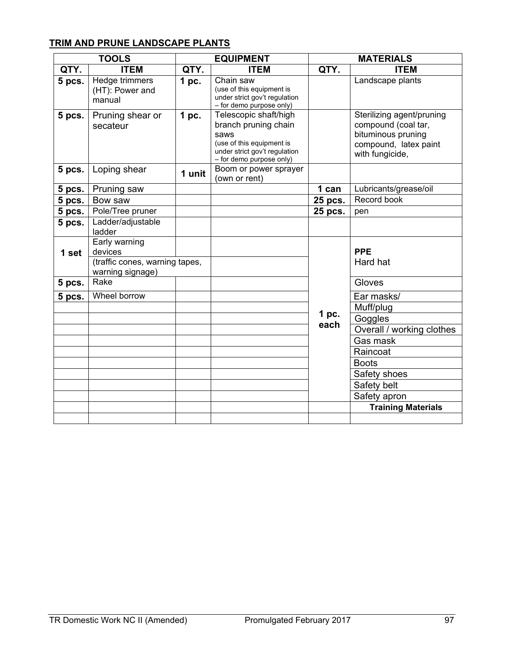# **TRIM AND PRUNE LANDSCAPE PLANTS**

| <b>TOOLS</b> |                                                            |                  | <b>EQUIPMENT</b>                                                                                                                                | <b>MATERIALS</b> |                                                                                                                    |  |  |
|--------------|------------------------------------------------------------|------------------|-------------------------------------------------------------------------------------------------------------------------------------------------|------------------|--------------------------------------------------------------------------------------------------------------------|--|--|
| QTY.         | <b>ITEM</b>                                                | QTY.             | <b>ITEM</b>                                                                                                                                     | QTY.             | <b>ITEM</b>                                                                                                        |  |  |
| 5 pcs.       | Hedge trimmers<br>(HT): Power and<br>manual                | 1 <sub>pc.</sub> | Chain saw<br>(use of this equipment is<br>under strict gov't regulation<br>- for demo purpose only)                                             |                  | Landscape plants                                                                                                   |  |  |
| 5 pcs.       | Pruning shear or<br>secateur                               | 1 pc.            | Telescopic shaft/high<br>branch pruning chain<br>saws<br>(use of this equipment is<br>under strict gov't regulation<br>- for demo purpose only) |                  | Sterilizing agent/pruning<br>compound (coal tar,<br>bituminous pruning<br>compound, latex paint<br>with fungicide, |  |  |
| 5 pcs.       | Loping shear                                               | 1 unit           | Boom or power sprayer<br>(own or rent)                                                                                                          |                  |                                                                                                                    |  |  |
| 5 pcs.       | Pruning saw                                                |                  |                                                                                                                                                 | 1 can            | Lubricants/grease/oil                                                                                              |  |  |
| 5 pcs.       | Bow saw                                                    |                  |                                                                                                                                                 | 25 pcs.          | Record book                                                                                                        |  |  |
| 5 pcs.       | Pole/Tree pruner                                           |                  |                                                                                                                                                 | 25 pcs.          | pen                                                                                                                |  |  |
| 5 pcs.       | Ladder/adjustable<br>ladder                                |                  |                                                                                                                                                 |                  |                                                                                                                    |  |  |
| 1 set        | Early warning<br>devices<br>(traffic cones, warning tapes, |                  |                                                                                                                                                 |                  | <b>PPE</b><br>Hard hat                                                                                             |  |  |
|              | warning signage)                                           |                  |                                                                                                                                                 |                  |                                                                                                                    |  |  |
| 5 pcs.       | Rake                                                       |                  |                                                                                                                                                 |                  | Gloves                                                                                                             |  |  |
| 5 pcs.       | Wheel borrow                                               |                  |                                                                                                                                                 |                  | Ear masks/                                                                                                         |  |  |
|              |                                                            |                  |                                                                                                                                                 |                  | Muff/plug                                                                                                          |  |  |
|              |                                                            |                  |                                                                                                                                                 | 1 pc.<br>each    | Goggles                                                                                                            |  |  |
|              |                                                            |                  |                                                                                                                                                 |                  | Overall / working clothes                                                                                          |  |  |
|              |                                                            |                  |                                                                                                                                                 |                  | Gas mask                                                                                                           |  |  |
|              |                                                            |                  |                                                                                                                                                 |                  | Raincoat                                                                                                           |  |  |
|              |                                                            |                  |                                                                                                                                                 |                  | <b>Boots</b>                                                                                                       |  |  |
|              |                                                            |                  |                                                                                                                                                 |                  | Safety shoes                                                                                                       |  |  |
|              |                                                            |                  |                                                                                                                                                 |                  | Safety belt                                                                                                        |  |  |
|              |                                                            |                  |                                                                                                                                                 |                  | Safety apron                                                                                                       |  |  |
|              |                                                            |                  |                                                                                                                                                 |                  | <b>Training Materials</b>                                                                                          |  |  |
|              |                                                            |                  |                                                                                                                                                 |                  |                                                                                                                    |  |  |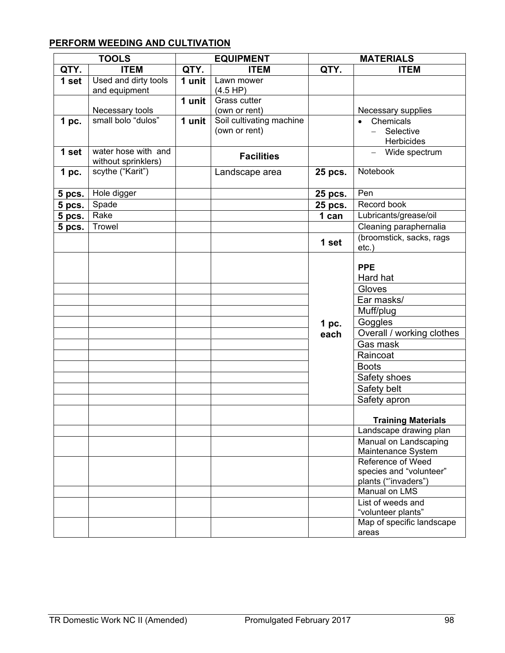# **PERFORM WEEDING AND CULTIVATION**

|        | <b>TOOLS</b>         |        | <b>EQUIPMENT</b>         | <b>MATERIALS</b> |                                         |
|--------|----------------------|--------|--------------------------|------------------|-----------------------------------------|
| QTY.   | <b>ITEM</b>          | QTY.   | <b>TTEM</b>              | QTY.             | <b>ITEM</b>                             |
| 1 set  | Used and dirty tools | 1 unit | Lawn mower               |                  |                                         |
|        | and equipment        |        | (4.5 HP)                 |                  |                                         |
|        |                      | 1 unit | Grass cutter             |                  |                                         |
|        | Necessary tools      |        | (own or rent)            |                  | Necessary supplies                      |
| 1 pc.  | small bolo "dulos"   | 1 unit | Soil cultivating machine |                  | Chemicals                               |
|        |                      |        | (own or rent)            |                  | Selective                               |
|        |                      |        |                          |                  | Herbicides                              |
| 1 set  | water hose with and  |        | <b>Facilities</b>        |                  | Wide spectrum                           |
|        | without sprinklers)  |        |                          |                  |                                         |
| 1 pc.  | scythe ("Karit")     |        | Landscape area           | 25 pcs.          | Notebook                                |
|        |                      |        |                          |                  |                                         |
| 5 pcs. | Hole digger          |        |                          | 25 pcs.          | Pen                                     |
| 5 pcs. | Spade                |        |                          | 25 pcs.          | Record book                             |
| 5 pcs. | Rake                 |        |                          | 1 can            | Lubricants/grease/oil                   |
| 5 pcs. | <b>Trowel</b>        |        |                          |                  | Cleaning paraphernalia                  |
|        |                      |        |                          | 1 set            | (broomstick, sacks, rags                |
|        |                      |        |                          |                  | etc.)                                   |
|        |                      |        |                          |                  |                                         |
|        |                      |        |                          |                  | <b>PPE</b>                              |
|        |                      |        |                          |                  | Hard hat                                |
|        |                      |        |                          |                  | Gloves                                  |
|        |                      |        |                          |                  | Ear masks/                              |
|        |                      |        |                          |                  | Muff/plug                               |
|        |                      |        |                          | 1 pc.            | Goggles                                 |
|        |                      |        |                          | each             | Overall / working clothes               |
|        |                      |        |                          |                  | Gas mask                                |
|        |                      |        |                          |                  | Raincoat                                |
|        |                      |        |                          |                  | <b>Boots</b>                            |
|        |                      |        |                          |                  | Safety shoes                            |
|        |                      |        |                          |                  | Safety belt                             |
|        |                      |        |                          |                  | Safety apron                            |
|        |                      |        |                          |                  |                                         |
|        |                      |        |                          |                  | <b>Training Materials</b>               |
|        |                      |        |                          |                  | Landscape drawing plan                  |
|        |                      |        |                          |                  | Manual on Landscaping                   |
|        |                      |        |                          |                  | Maintenance System                      |
|        |                      |        |                          |                  | Reference of Weed                       |
|        |                      |        |                          |                  | species and "volunteer"                 |
|        |                      |        |                          |                  | plants ("invaders")                     |
|        |                      |        |                          |                  | Manual on LMS                           |
|        |                      |        |                          |                  | List of weeds and<br>"volunteer plants" |
|        |                      |        |                          |                  | Map of specific landscape               |
|        |                      |        |                          |                  | areas                                   |
|        |                      |        |                          |                  |                                         |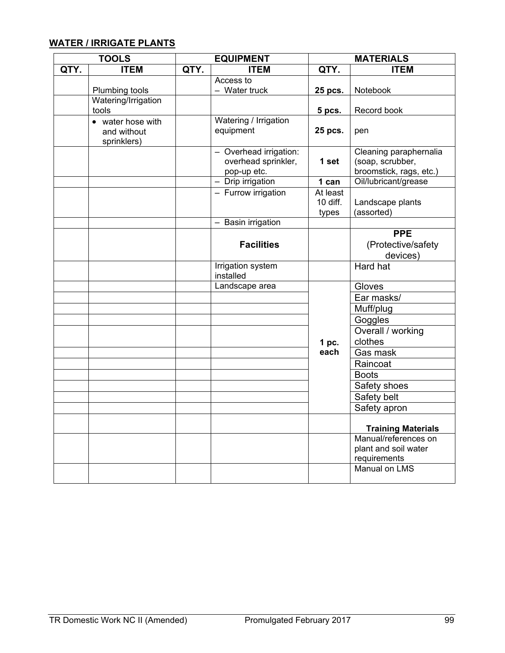# **WATER / IRRIGATE PLANTS**

| <b>TOOLS</b> |                                                 |      | <b>EQUIPMENT</b>                                             | <b>MATERIALS</b>              |                                                                       |  |  |
|--------------|-------------------------------------------------|------|--------------------------------------------------------------|-------------------------------|-----------------------------------------------------------------------|--|--|
| QTY.         | <b>ITEM</b>                                     | QTY. | <b>ITEM</b>                                                  | QTY.                          | <b>ITEM</b>                                                           |  |  |
|              |                                                 |      | Access to                                                    |                               |                                                                       |  |  |
|              | Plumbing tools                                  |      | - Water truck                                                | 25 pcs.                       | Notebook                                                              |  |  |
|              | Watering/Irrigation                             |      |                                                              |                               |                                                                       |  |  |
|              | tools                                           |      | Watering / Irrigation                                        | 5 pcs.                        | Record book                                                           |  |  |
|              | • water hose with<br>and without<br>sprinklers) |      | equipment                                                    | 25 pcs.                       | pen                                                                   |  |  |
|              |                                                 |      | - Overhead irrigation:<br>overhead sprinkler,<br>pop-up etc. | 1 set                         | Cleaning paraphernalia<br>(soap, scrubber,<br>broomstick, rags, etc.) |  |  |
|              |                                                 |      | $-$ Drip irrigation                                          | 1 can                         | Oil/lubricant/grease                                                  |  |  |
|              |                                                 |      | - Furrow irrigation                                          | At least<br>10 diff.<br>types | Landscape plants<br>(assorted)                                        |  |  |
|              |                                                 |      | - Basin irrigation                                           |                               |                                                                       |  |  |
|              |                                                 |      | <b>Facilities</b>                                            |                               | <b>PPE</b><br>(Protective/safety<br>devices)                          |  |  |
|              |                                                 |      | <b>Irrigation system</b><br>installed                        |                               | <b>Hard hat</b>                                                       |  |  |
|              |                                                 |      | Landscape area                                               |                               | Gloves                                                                |  |  |
|              |                                                 |      |                                                              |                               | Ear masks/                                                            |  |  |
|              |                                                 |      |                                                              |                               | Muff/plug                                                             |  |  |
|              |                                                 |      |                                                              |                               | Goggles                                                               |  |  |
|              |                                                 |      |                                                              | 1 <sub>pc.</sub>              | Overall / working<br>clothes                                          |  |  |
|              |                                                 |      |                                                              | each                          | Gas mask                                                              |  |  |
|              |                                                 |      |                                                              |                               | Raincoat                                                              |  |  |
|              |                                                 |      |                                                              |                               | <b>Boots</b>                                                          |  |  |
|              |                                                 |      |                                                              |                               | Safety shoes                                                          |  |  |
|              |                                                 |      |                                                              |                               | Safety belt                                                           |  |  |
|              |                                                 |      |                                                              |                               | Safety apron                                                          |  |  |
|              |                                                 |      |                                                              |                               | <b>Training Materials</b>                                             |  |  |
|              |                                                 |      |                                                              |                               | Manual/references on<br>plant and soil water<br>requirements          |  |  |
|              |                                                 |      |                                                              |                               | <b>Manual on LMS</b>                                                  |  |  |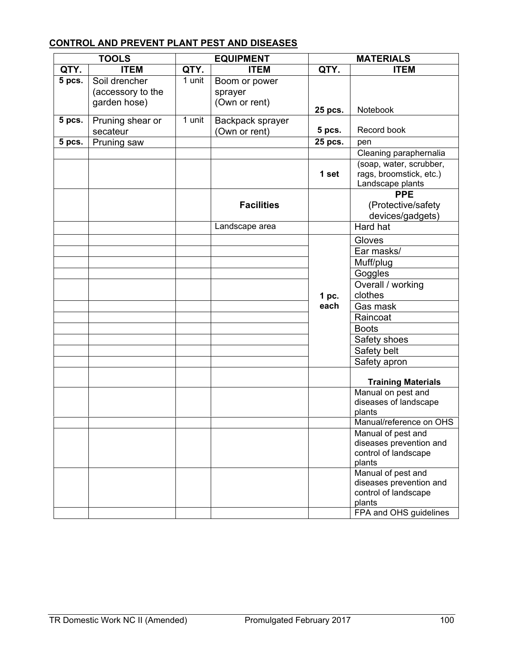# **CONTROL AND PREVENT PLANT PEST AND DISEASES**

| <b>TOOLS</b> |                   |        | <b>EQUIPMENT</b>  | <b>MATERIALS</b> |                                                    |  |  |
|--------------|-------------------|--------|-------------------|------------------|----------------------------------------------------|--|--|
| QTY.         | <b>ITEM</b>       | QTY.   | <b>ITEM</b>       | QTY.             | <b>ITEM</b>                                        |  |  |
| 5 pcs.       | Soil drencher     | 1 unit | Boom or power     |                  |                                                    |  |  |
|              | (accessory to the |        | sprayer           |                  |                                                    |  |  |
|              | garden hose)      |        | (Own or rent)     |                  | Notebook                                           |  |  |
| 5 pcs.       | Pruning shear or  | 1 unit | Backpack sprayer  | 25 pcs.          |                                                    |  |  |
|              | secateur          |        | (Own or rent)     | 5 pcs.           | Record book                                        |  |  |
| 5 pcs.       | Pruning saw       |        |                   | 25 pcs.          | pen                                                |  |  |
|              |                   |        |                   |                  | Cleaning paraphernalia                             |  |  |
|              |                   |        |                   | 1 set            | (soap, water, scrubber,<br>rags, broomstick, etc.) |  |  |
|              |                   |        |                   |                  | Landscape plants                                   |  |  |
|              |                   |        |                   |                  | <b>PPE</b>                                         |  |  |
|              |                   |        | <b>Facilities</b> |                  | (Protective/safety                                 |  |  |
|              |                   |        |                   |                  | devices/gadgets)                                   |  |  |
|              |                   |        | Landscape area    |                  | Hard hat                                           |  |  |
|              |                   |        |                   |                  | Gloves                                             |  |  |
|              |                   |        |                   |                  | Ear masks/                                         |  |  |
|              |                   |        |                   |                  | Muff/plug                                          |  |  |
|              |                   |        |                   |                  | Goggles                                            |  |  |
|              |                   |        |                   |                  | Overall / working                                  |  |  |
|              |                   |        |                   | 1 pc.            | clothes                                            |  |  |
|              |                   |        |                   | each             | Gas mask                                           |  |  |
|              |                   |        |                   |                  | Raincoat                                           |  |  |
|              |                   |        |                   |                  | <b>Boots</b>                                       |  |  |
|              |                   |        |                   |                  | Safety shoes                                       |  |  |
|              |                   |        |                   |                  | Safety belt                                        |  |  |
|              |                   |        |                   |                  | Safety apron                                       |  |  |
|              |                   |        |                   |                  | <b>Training Materials</b>                          |  |  |
|              |                   |        |                   |                  | Manual on pest and                                 |  |  |
|              |                   |        |                   |                  | diseases of landscape<br>plants                    |  |  |
|              |                   |        |                   |                  | Manual/reference on OHS                            |  |  |
|              |                   |        |                   |                  | Manual of pest and                                 |  |  |
|              |                   |        |                   |                  | diseases prevention and                            |  |  |
|              |                   |        |                   |                  | control of landscape                               |  |  |
|              |                   |        |                   |                  | plants                                             |  |  |
|              |                   |        |                   |                  | Manual of pest and<br>diseases prevention and      |  |  |
|              |                   |        |                   |                  | control of landscape                               |  |  |
|              |                   |        |                   |                  | plants                                             |  |  |
|              |                   |        |                   |                  | FPA and OHS guidelines                             |  |  |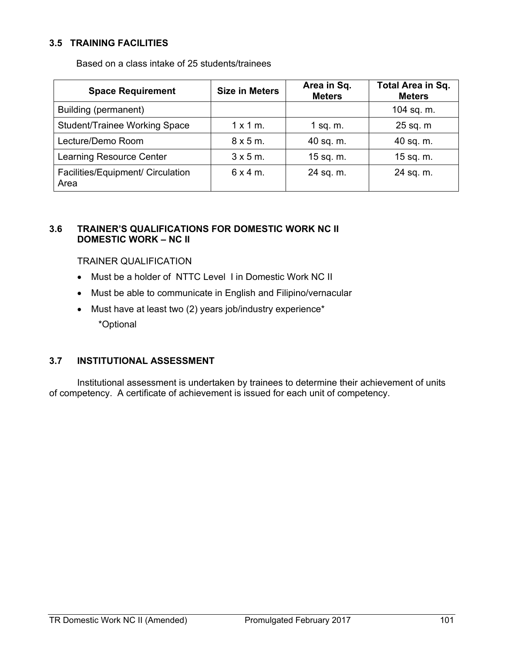### **3.5 TRAINING FACILITIES**

Based on a class intake of 25 students/trainees

| <b>Space Requirement</b>                  | <b>Size in Meters</b> | Area in Sq.<br><b>Meters</b> | Total Area in Sq.<br><b>Meters</b> |  |
|-------------------------------------------|-----------------------|------------------------------|------------------------------------|--|
| Building (permanent)                      |                       |                              | 104 sq. m.                         |  |
| <b>Student/Trainee Working Space</b>      | $1 \times 1$ m.       | 1 sq. $m$ .                  | 25 sq. m                           |  |
| Lecture/Demo Room                         | $8 \times 5$ m.       | 40 sq. m.                    | 40 sq. m.                          |  |
| <b>Learning Resource Center</b>           | $3 \times 5$ m.       | 15 sq. m.                    | 15 sq. m.                          |  |
| Facilities/Equipment/ Circulation<br>Area | $6x4m$ .              | 24 sq. m.                    | 24 sq. m.                          |  |

### **3.6 TRAINER'S QUALIFICATIONS FOR DOMESTIC WORK NC II DOMESTIC WORK – NC II**

#### TRAINER QUALIFICATION

- Must be a holder of NTTC Level I in Domestic Work NC II
- Must be able to communicate in English and Filipino/vernacular
- Must have at least two (2) years job/industry experience\* \*Optional

### **3.7 INSTITUTIONAL ASSESSMENT**

Institutional assessment is undertaken by trainees to determine their achievement of units of competency. A certificate of achievement is issued for each unit of competency.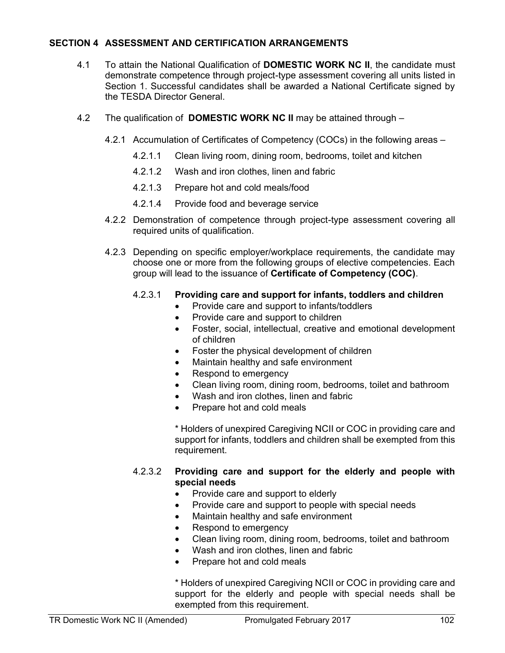### **SECTION 4 ASSESSMENT AND CERTIFICATION ARRANGEMENTS**

- 4.1 To attain the National Qualification of **DOMESTIC WORK NC II**, the candidate must demonstrate competence through project-type assessment covering all units listed in Section 1. Successful candidates shall be awarded a National Certificate signed by the TESDA Director General.
- 4.2 The qualification of **DOMESTIC WORK NC II** may be attained through
	- 4.2.1 Accumulation of Certificates of Competency (COCs) in the following areas
		- 4.2.1.1 Clean living room, dining room, bedrooms, toilet and kitchen
		- 4.2.1.2 Wash and iron clothes, linen and fabric
		- 4.2.1.3 Prepare hot and cold meals/food
		- 4.2.1.4 Provide food and beverage service
	- 4.2.2 Demonstration of competence through project-type assessment covering all required units of qualification.
	- 4.2.3 Depending on specific employer/workplace requirements, the candidate may choose one or more from the following groups of elective competencies. Each group will lead to the issuance of **Certificate of Competency (COC)**.

#### 4.2.3.1 **Providing care and support for infants, toddlers and children**

- Provide care and support to infants/toddlers
- Provide care and support to children
- Foster, social, intellectual, creative and emotional development of children
- Foster the physical development of children
- Maintain healthy and safe environment
- Respond to emergency
- Clean living room, dining room, bedrooms, toilet and bathroom
- Wash and iron clothes, linen and fabric
- Prepare hot and cold meals

\* Holders of unexpired Caregiving NCII or COC in providing care and support for infants, toddlers and children shall be exempted from this requirement.

#### 4.2.3.2 **Providing care and support for the elderly and people with special needs**

- Provide care and support to elderly
- Provide care and support to people with special needs
- Maintain healthy and safe environment
- Respond to emergency
- Clean living room, dining room, bedrooms, toilet and bathroom
- Wash and iron clothes, linen and fabric
- Prepare hot and cold meals

\* Holders of unexpired Caregiving NCII or COC in providing care and support for the elderly and people with special needs shall be exempted from this requirement.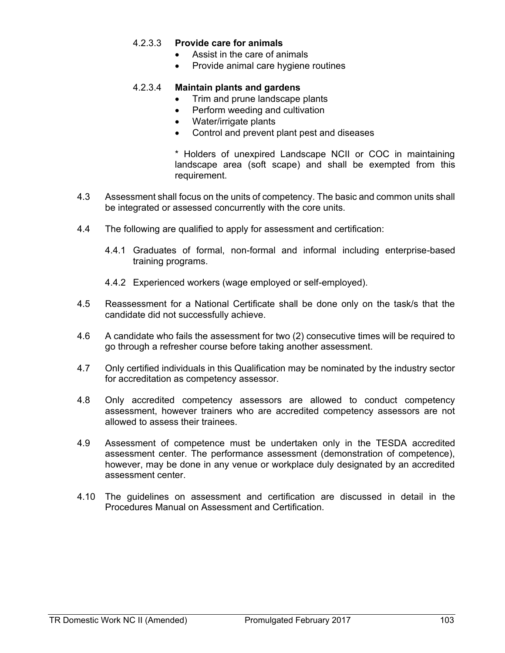### 4.2.3.3 **Provide care for animals**

- Assist in the care of animals
- Provide animal care hygiene routines

#### 4.2.3.4 **Maintain plants and gardens**

- Trim and prune landscape plants
- Perform weeding and cultivation
- Water/irrigate plants
- Control and prevent plant pest and diseases

\* Holders of unexpired Landscape NCII or COC in maintaining landscape area (soft scape) and shall be exempted from this requirement.

- 4.3 Assessment shall focus on the units of competency. The basic and common units shall be integrated or assessed concurrently with the core units.
- 4.4 The following are qualified to apply for assessment and certification:
	- 4.4.1 Graduates of formal, non-formal and informal including enterprise-based training programs.
	- 4.4.2 Experienced workers (wage employed or self-employed).
- 4.5 Reassessment for a National Certificate shall be done only on the task/s that the candidate did not successfully achieve.
- 4.6 A candidate who fails the assessment for two (2) consecutive times will be required to go through a refresher course before taking another assessment.
- 4.7 Only certified individuals in this Qualification may be nominated by the industry sector for accreditation as competency assessor.
- 4.8 Only accredited competency assessors are allowed to conduct competency assessment, however trainers who are accredited competency assessors are not allowed to assess their trainees.
- 4.9 Assessment of competence must be undertaken only in the TESDA accredited assessment center. The performance assessment (demonstration of competence), however, may be done in any venue or workplace duly designated by an accredited assessment center.
- 4.10 The guidelines on assessment and certification are discussed in detail in the Procedures Manual on Assessment and Certification.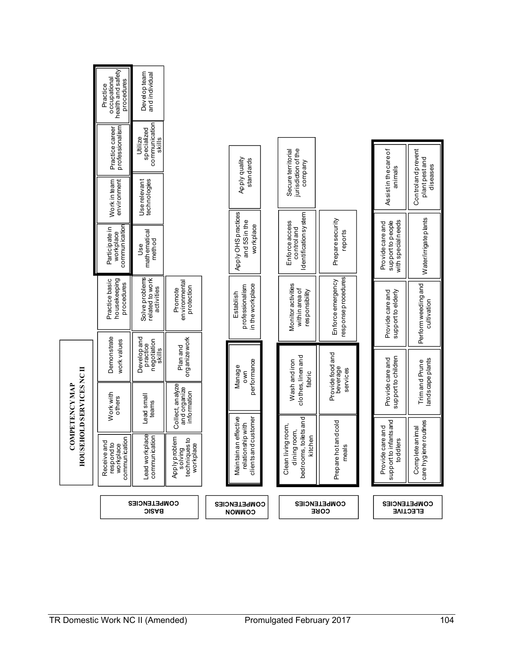|                                                     |                                                                            | COMPETENCIES<br><b>BASIC</b>                                                                       |                                                                              | COMPETENCIES<br>COMMON                                                  |                                                                            | <b>COMPETENCIES</b><br>CORE              | COMPETENCIES                                                | <b>ELECTIVE</b>                                 |
|-----------------------------------------------------|----------------------------------------------------------------------------|----------------------------------------------------------------------------------------------------|------------------------------------------------------------------------------|-------------------------------------------------------------------------|----------------------------------------------------------------------------|------------------------------------------|-------------------------------------------------------------|-------------------------------------------------|
| <b>HOUSE</b>                                        | communication<br>Receive and<br>respond to<br>workplace                    | Lead workplace                                                                                     | ξ<br>techniques to<br>Apply probler<br>workplace<br>solving                  | effective<br>clients and customer<br>ipwith<br>relationsh<br>Maintainan | bed rooms, toilets and<br>room,<br>dining room,<br>kitchen<br>Clean living | Prepare hot and cold<br>meals            | support to infants and<br>Provide care and<br>toddlers      | care hygiene routines<br>Complete animal        |
| <b>HOLD SERVICES NC II</b><br><b>COMPETENCY MAP</b> | Work with<br>others                                                        | Lead small<br>teams                                                                                | organize work<br>Plan and<br>Collect, analyze<br>and organize<br>information | performance<br>Manage<br>own                                            | clothes, linen and<br>Wash and iron<br>fabric                              | Provide food and<br>beverage<br>services | support to children<br>Provide care and                     | landscape plants<br>Trim and Prune              |
|                                                     | housekeeping<br>Practice basic<br>procedures<br>Demonstrate<br>work values | Solve problems<br>related to work<br>activities<br>Developand<br>practice<br>negotiation<br>skills | environmental<br>protection<br>Promote                                       | in the workplace<br>professionalism<br>Establish                        | Monitor activities<br>within area of<br>responsibility                     | response procedures<br>Enforce emergency | Provide care and<br>support to elderly                      | Perform weeding and<br>cultivation              |
|                                                     |                                                                            |                                                                                                    |                                                                              |                                                                         |                                                                            |                                          |                                                             |                                                 |
|                                                     | workplace<br>communication<br>Participate in                               | mathematical<br>method<br>Jse                                                                      |                                                                              | Apply OHS practices<br>and 5S in the<br>workplace                       | Identification system<br>Enforce access<br>control and                     | Prepare security<br>reports              | support to people<br>with special needs<br>Provide care and | Water/irrigate plants                           |
|                                                     | Work in team                                                               | Userelevant<br>technologies                                                                        |                                                                              | Apply quality                                                           |                                                                            |                                          | Assistin the care of<br>animals                             | Control and prevent<br>plantpestand<br>diseases |
|                                                     | professionalism<br>Practice career                                         | communication<br>specialized<br>Utilize<br>skills                                                  |                                                                              | standards                                                               | jurisdiction of the<br>Secure territorial<br>company                       |                                          |                                                             |                                                 |
|                                                     | health and safety<br>occupational<br>procedures<br>Practice                | Developteam<br>and individual                                                                      |                                                                              |                                                                         |                                                                            |                                          |                                                             |                                                 |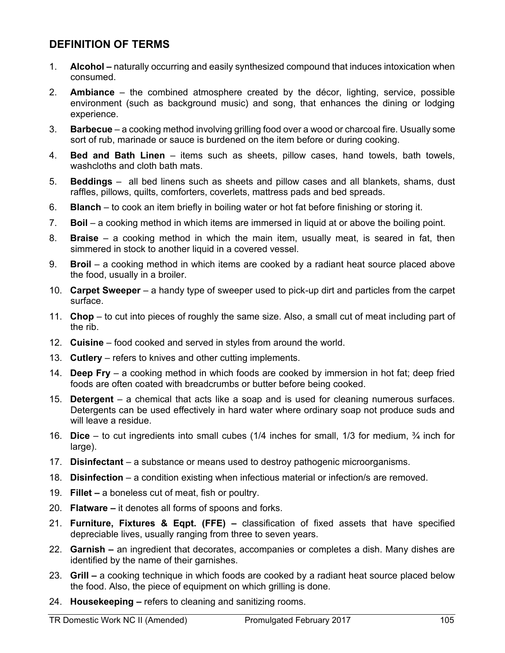# **DEFINITION OF TERMS**

- 1. **Alcohol –** naturally occurring and easily synthesized compound that induces intoxication when consumed.
- 2. **Ambiance**  the combined atmosphere created by the décor, lighting, service, possible environment (such as background music) and song, that enhances the dining or lodging experience.
- 3. **Barbecue**  a cooking method involving grilling food over a wood or charcoal fire. Usually some sort of rub, marinade or sauce is burdened on the item before or during cooking.
- 4. **Bed and Bath Linen**  items such as sheets, pillow cases, hand towels, bath towels, washcloths and cloth bath mats.
- 5. **Beddings**  all bed linens such as sheets and pillow cases and all blankets, shams, dust raffles, pillows, quilts, comforters, coverlets, mattress pads and bed spreads.
- 6. **Blanch**  to cook an item briefly in boiling water or hot fat before finishing or storing it.
- 7. **Boil**  a cooking method in which items are immersed in liquid at or above the boiling point.
- 8. **Braise**  a cooking method in which the main item, usually meat, is seared in fat, then simmered in stock to another liquid in a covered vessel.
- 9. **Broil** a cooking method in which items are cooked by a radiant heat source placed above the food, usually in a broiler.
- 10. **Carpet Sweeper** a handy type of sweeper used to pick-up dirt and particles from the carpet surface.
- 11. **Chop** to cut into pieces of roughly the same size. Also, a small cut of meat including part of the rib.
- 12. **Cuisine** food cooked and served in styles from around the world.
- 13. **Cutlery** refers to knives and other cutting implements.
- 14. **Deep Fry** a cooking method in which foods are cooked by immersion in hot fat; deep fried foods are often coated with breadcrumbs or butter before being cooked.
- 15. **Detergent** a chemical that acts like a soap and is used for cleaning numerous surfaces. Detergents can be used effectively in hard water where ordinary soap not produce suds and will leave a residue.
- 16. **Dice**  to cut ingredients into small cubes (1/4 inches for small, 1/3 for medium, ¾ inch for large).
- 17. **Disinfectant** a substance or means used to destroy pathogenic microorganisms.
- 18. **Disinfection** a condition existing when infectious material or infection/s are removed.
- 19. **Fillet –** a boneless cut of meat, fish or poultry.
- 20. **Flatware –** it denotes all forms of spoons and forks.
- 21. **Furniture, Fixtures & Eqpt. (FFE) –** classification of fixed assets that have specified depreciable lives, usually ranging from three to seven years.
- 22. **Garnish –** an ingredient that decorates, accompanies or completes a dish. Many dishes are identified by the name of their garnishes.
- 23. **Grill –** a cooking technique in which foods are cooked by a radiant heat source placed below the food. Also, the piece of equipment on which grilling is done.
- 24. **Housekeeping –** refers to cleaning and sanitizing rooms.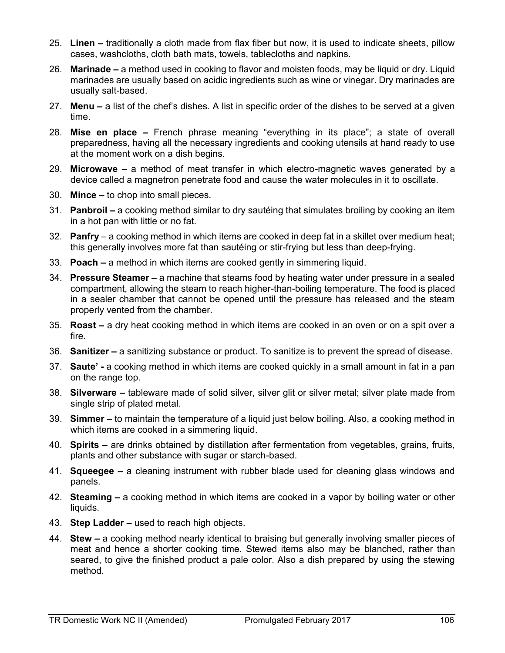- 25. **Linen –** traditionally a cloth made from flax fiber but now, it is used to indicate sheets, pillow cases, washcloths, cloth bath mats, towels, tablecloths and napkins.
- 26. **Marinade –** a method used in cooking to flavor and moisten foods, may be liquid or dry. Liquid marinades are usually based on acidic ingredients such as wine or vinegar. Dry marinades are usually salt-based.
- 27. **Menu –** a list of the chef's dishes. A list in specific order of the dishes to be served at a given time.
- 28. **Mise en place –** French phrase meaning "everything in its place"; a state of overall preparedness, having all the necessary ingredients and cooking utensils at hand ready to use at the moment work on a dish begins.
- 29. **Microwave** a method of meat transfer in which electro-magnetic waves generated by a device called a magnetron penetrate food and cause the water molecules in it to oscillate.
- 30. **Mince –** to chop into small pieces.
- 31. **Panbroil –** a cooking method similar to dry sautéing that simulates broiling by cooking an item in a hot pan with little or no fat.
- 32. **Panfry** a cooking method in which items are cooked in deep fat in a skillet over medium heat; this generally involves more fat than sautéing or stir-frying but less than deep-frying.
- 33. **Poach –** a method in which items are cooked gently in simmering liquid.
- 34. **Pressure Steamer –** a machine that steams food by heating water under pressure in a sealed compartment, allowing the steam to reach higher-than-boiling temperature. The food is placed in a sealer chamber that cannot be opened until the pressure has released and the steam properly vented from the chamber.
- 35. **Roast –** a dry heat cooking method in which items are cooked in an oven or on a spit over a fire.
- 36. **Sanitizer –** a sanitizing substance or product. To sanitize is to prevent the spread of disease.
- 37. **Saute' -** a cooking method in which items are cooked quickly in a small amount in fat in a pan on the range top.
- 38. **Silverware –** tableware made of solid silver, silver glit or silver metal; silver plate made from single strip of plated metal.
- 39. **Simmer –** to maintain the temperature of a liquid just below boiling. Also, a cooking method in which items are cooked in a simmering liquid.
- 40. **Spirits –** are drinks obtained by distillation after fermentation from vegetables, grains, fruits, plants and other substance with sugar or starch-based.
- 41. **Squeegee –** a cleaning instrument with rubber blade used for cleaning glass windows and panels.
- 42. **Steaming –** a cooking method in which items are cooked in a vapor by boiling water or other liquids.
- 43. **Step Ladder –** used to reach high objects.
- 44. **Stew –** a cooking method nearly identical to braising but generally involving smaller pieces of meat and hence a shorter cooking time. Stewed items also may be blanched, rather than seared, to give the finished product a pale color. Also a dish prepared by using the stewing method.